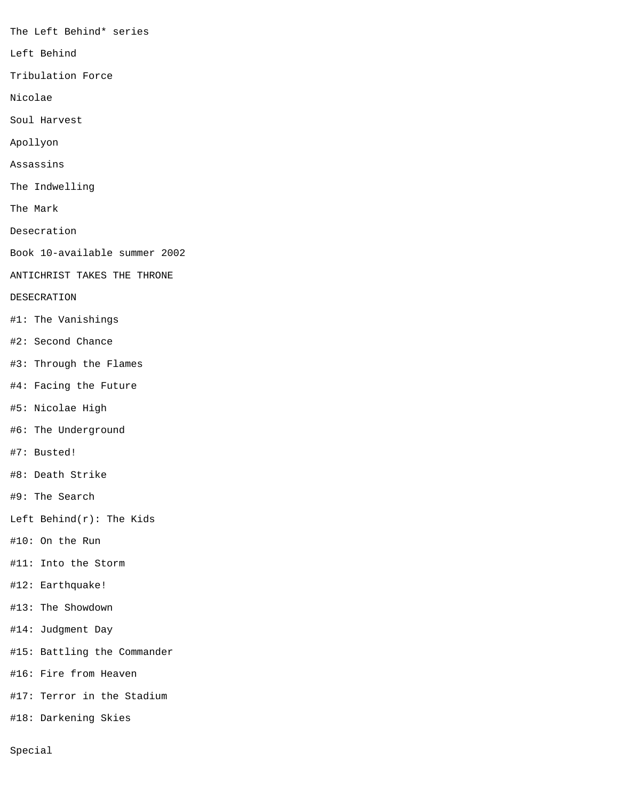The Left Behind\* series

Left Behind

Tribulation Force

Nicolae

Soul Harvest

Apollyon

Assassins

The Indwelling

The Mark

Desecration

Book 10-available summer 2002

ANTICHRIST TAKES THE THRONE

DESECRATION

- #1: The Vanishings
- #2: Second Chance
- #3: Through the Flames
- #4: Facing the Future
- #5: Nicolae High
- #6: The Underground
- #7: Busted!
- #8: Death Strike
- #9: The Search
- Left Behind $(r)$ : The Kids
- #10: On the Run
- #11: Into the Storm
- #12: Earthquake!
- #13: The Showdown
- #14: Judgment Day
- #15: Battling the Commander
- #16: Fire from Heaven
- #17: Terror in the Stadium
- #18: Darkening Skies

Special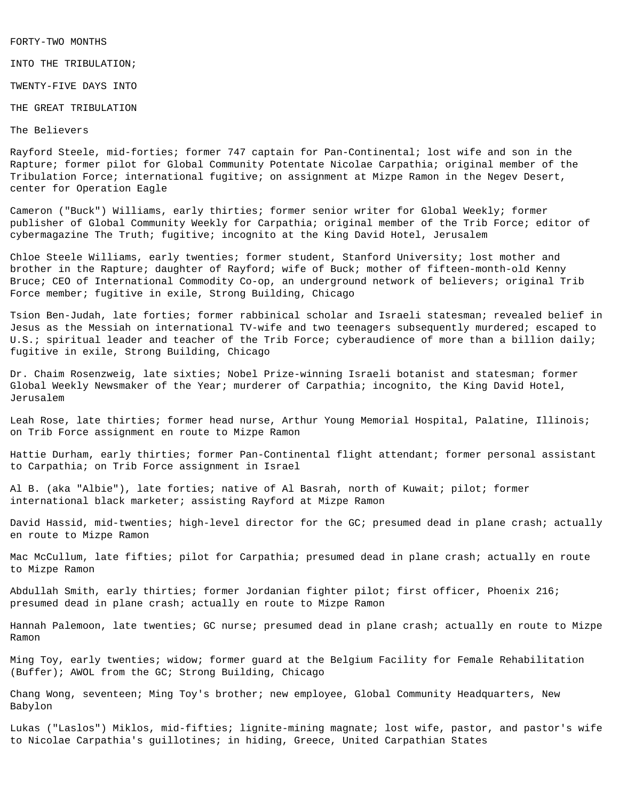FORTY-TWO MONTHS

INTO THE TRIBULATION;

TWENTY-FIVE DAYS INTO

THE GREAT TRIBULATION

The Believers

Rayford Steele, mid-forties; former 747 captain for Pan-Continental; lost wife and son in the Rapture; former pilot for Global Community Potentate Nicolae Carpathia; original member of the Tribulation Force; international fugitive; on assignment at Mizpe Ramon in the Negev Desert, center for Operation Eagle

Cameron ("Buck") Williams, early thirties; former senior writer for Global Weekly; former publisher of Global Community Weekly for Carpathia; original member of the Trib Force; editor of cybermagazine The Truth; fugitive; incognito at the King David Hotel, Jerusalem

Chloe Steele Williams, early twenties; former student, Stanford University; lost mother and brother in the Rapture; daughter of Rayford; wife of Buck; mother of fifteen-month-old Kenny Bruce; CEO of International Commodity Co-op, an underground network of believers; original Trib Force member; fugitive in exile, Strong Building, Chicago

Tsion Ben-Judah, late forties; former rabbinical scholar and Israeli statesman; revealed belief in Jesus as the Messiah on international TV-wife and two teenagers subsequently murdered; escaped to U.S.; spiritual leader and teacher of the Trib Force; cyberaudience of more than a billion daily; fugitive in exile, Strong Building, Chicago

Dr. Chaim Rosenzweig, late sixties; Nobel Prize-winning Israeli botanist and statesman; former Global Weekly Newsmaker of the Year; murderer of Carpathia; incognito, the King David Hotel, Jerusalem

Leah Rose, late thirties; former head nurse, Arthur Young Memorial Hospital, Palatine, Illinois; on Trib Force assignment en route to Mizpe Ramon

Hattie Durham, early thirties; former Pan-Continental flight attendant; former personal assistant to Carpathia; on Trib Force assignment in Israel

Al B. (aka "Albie"), late forties; native of Al Basrah, north of Kuwait; pilot; former international black marketer; assisting Rayford at Mizpe Ramon

David Hassid, mid-twenties; high-level director for the GC; presumed dead in plane crash; actually en route to Mizpe Ramon

Mac McCullum, late fifties; pilot for Carpathia; presumed dead in plane crash; actually en route to Mizpe Ramon

Abdullah Smith, early thirties; former Jordanian fighter pilot; first officer, Phoenix 216; presumed dead in plane crash; actually en route to Mizpe Ramon

Hannah Palemoon, late twenties; GC nurse; presumed dead in plane crash; actually en route to Mizpe Ramon

Ming Toy, early twenties; widow; former guard at the Belgium Facility for Female Rehabilitation (Buffer); AWOL from the GC; Strong Building, Chicago

Chang Wong, seventeen; Ming Toy's brother; new employee, Global Community Headquarters, New Babylon

Lukas ("Laslos") Miklos, mid-fifties; lignite-mining magnate; lost wife, pastor, and pastor's wife to Nicolae Carpathia's guillotines; in hiding, Greece, United Carpathian States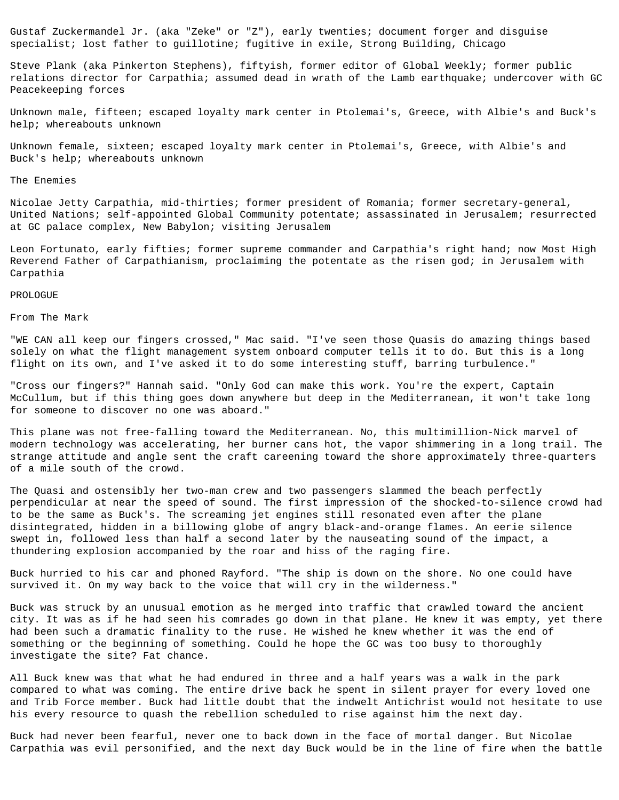Gustaf Zuckermandel Jr. (aka "Zeke" or "Z"), early twenties; document forger and disguise specialist; lost father to guillotine; fugitive in exile, Strong Building, Chicago

Steve Plank (aka Pinkerton Stephens), fiftyish, former editor of Global Weekly; former public relations director for Carpathia; assumed dead in wrath of the Lamb earthquake; undercover with GC Peacekeeping forces

Unknown male, fifteen; escaped loyalty mark center in Ptolemai's, Greece, with Albie's and Buck's help; whereabouts unknown

Unknown female, sixteen; escaped loyalty mark center in Ptolemai's, Greece, with Albie's and Buck's help; whereabouts unknown

## The Enemies

Nicolae Jetty Carpathia, mid-thirties; former president of Romania; former secretary-general, United Nations; self-appointed Global Community potentate; assassinated in Jerusalem; resurrected at GC palace complex, New Babylon; visiting Jerusalem

Leon Fortunato, early fifties; former supreme commander and Carpathia's right hand; now Most High Reverend Father of Carpathianism, proclaiming the potentate as the risen god; in Jerusalem with Carpathia

### PROLOGUE

From The Mark

"WE CAN all keep our fingers crossed," Mac said. "I've seen those Quasis do amazing things based solely on what the flight management system onboard computer tells it to do. But this is a long flight on its own, and I've asked it to do some interesting stuff, barring turbulence."

"Cross our fingers?" Hannah said. "Only God can make this work. You're the expert, Captain McCullum, but if this thing goes down anywhere but deep in the Mediterranean, it won't take long for someone to discover no one was aboard."

This plane was not free-falling toward the Mediterranean. No, this multimillion-Nick marvel of modern technology was accelerating, her burner cans hot, the vapor shimmering in a long trail. The strange attitude and angle sent the craft careening toward the shore approximately three-quarters of a mile south of the crowd.

The Quasi and ostensibly her two-man crew and two passengers slammed the beach perfectly perpendicular at near the speed of sound. The first impression of the shocked-to-silence crowd had to be the same as Buck's. The screaming jet engines still resonated even after the plane disintegrated, hidden in a billowing globe of angry black-and-orange flames. An eerie silence swept in, followed less than half a second later by the nauseating sound of the impact, a thundering explosion accompanied by the roar and hiss of the raging fire.

Buck hurried to his car and phoned Rayford. "The ship is down on the shore. No one could have survived it. On my way back to the voice that will cry in the wilderness."

Buck was struck by an unusual emotion as he merged into traffic that crawled toward the ancient city. It was as if he had seen his comrades go down in that plane. He knew it was empty, yet there had been such a dramatic finality to the ruse. He wished he knew whether it was the end of something or the beginning of something. Could he hope the GC was too busy to thoroughly investigate the site? Fat chance.

All Buck knew was that what he had endured in three and a half years was a walk in the park compared to what was coming. The entire drive back he spent in silent prayer for every loved one and Trib Force member. Buck had little doubt that the indwelt Antichrist would not hesitate to use his every resource to quash the rebellion scheduled to rise against him the next day.

Buck had never been fearful, never one to back down in the face of mortal danger. But Nicolae Carpathia was evil personified, and the next day Buck would be in the line of fire when the battle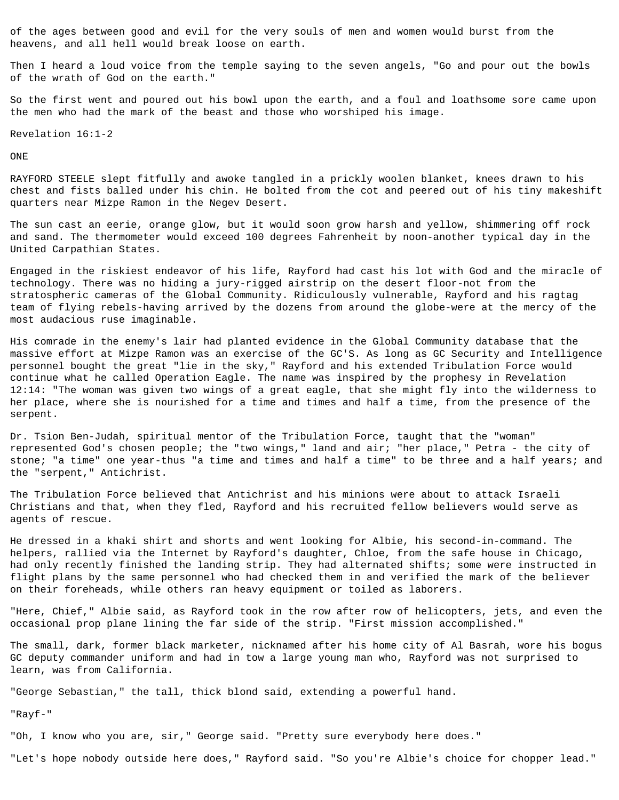of the ages between good and evil for the very souls of men and women would burst from the heavens, and all hell would break loose on earth.

Then I heard a loud voice from the temple saying to the seven angels, "Go and pour out the bowls of the wrath of God on the earth."

So the first went and poured out his bowl upon the earth, and a foul and loathsome sore came upon the men who had the mark of the beast and those who worshiped his image.

Revelation 16:1-2

ONE

RAYFORD STEELE slept fitfully and awoke tangled in a prickly woolen blanket, knees drawn to his chest and fists balled under his chin. He bolted from the cot and peered out of his tiny makeshift quarters near Mizpe Ramon in the Negev Desert.

The sun cast an eerie, orange glow, but it would soon grow harsh and yellow, shimmering off rock and sand. The thermometer would exceed 100 degrees Fahrenheit by noon-another typical day in the United Carpathian States.

Engaged in the riskiest endeavor of his life, Rayford had cast his lot with God and the miracle of technology. There was no hiding a jury-rigged airstrip on the desert floor-not from the stratospheric cameras of the Global Community. Ridiculously vulnerable, Rayford and his ragtag team of flying rebels-having arrived by the dozens from around the globe-were at the mercy of the most audacious ruse imaginable.

His comrade in the enemy's lair had planted evidence in the Global Community database that the massive effort at Mizpe Ramon was an exercise of the GC'S. As long as GC Security and Intelligence personnel bought the great "lie in the sky," Rayford and his extended Tribulation Force would continue what he called Operation Eagle. The name was inspired by the prophesy in Revelation 12:14: "The woman was given two wings of a great eagle, that she might fly into the wilderness to her place, where she is nourished for a time and times and half a time, from the presence of the serpent.

Dr. Tsion Ben-Judah, spiritual mentor of the Tribulation Force, taught that the "woman" represented God's chosen people; the "two wings," land and air; "her place," Petra - the city of stone; "a time" one year-thus "a time and times and half a time" to be three and a half years; and the "serpent," Antichrist.

The Tribulation Force believed that Antichrist and his minions were about to attack Israeli Christians and that, when they fled, Rayford and his recruited fellow believers would serve as agents of rescue.

He dressed in a khaki shirt and shorts and went looking for Albie, his second-in-command. The helpers, rallied via the Internet by Rayford's daughter, Chloe, from the safe house in Chicago, had only recently finished the landing strip. They had alternated shifts; some were instructed in flight plans by the same personnel who had checked them in and verified the mark of the believer on their foreheads, while others ran heavy equipment or toiled as laborers.

"Here, Chief," Albie said, as Rayford took in the row after row of helicopters, jets, and even the occasional prop plane lining the far side of the strip. "First mission accomplished."

The small, dark, former black marketer, nicknamed after his home city of Al Basrah, wore his bogus GC deputy commander uniform and had in tow a large young man who, Rayford was not surprised to learn, was from California.

"George Sebastian," the tall, thick blond said, extending a powerful hand.

"Rayf-"

"Oh, I know who you are, sir," George said. "Pretty sure everybody here does."

"Let's hope nobody outside here does," Rayford said. "So you're Albie's choice for chopper lead."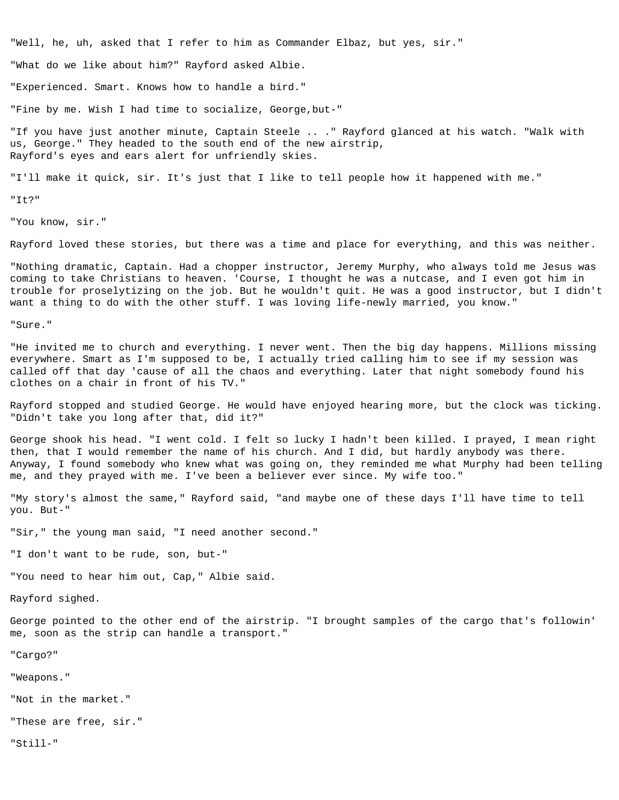"Well, he, uh, asked that I refer to him as Commander Elbaz, but yes, sir."

"What do we like about him?" Rayford asked Albie.

"Experienced. Smart. Knows how to handle a bird."

"Fine by me. Wish I had time to socialize, George, but-"

"If you have just another minute, Captain Steele .. ." Rayford glanced at his watch. "Walk with us, George." They headed to the south end of the new airstrip, Rayford's eyes and ears alert for unfriendly skies.

"I'll make it quick, sir. It's just that I like to tell people how it happened with me."

"It?"

"You know, sir."

Rayford loved these stories, but there was a time and place for everything, and this was neither.

"Nothing dramatic, Captain. Had a chopper instructor, Jeremy Murphy, who always told me Jesus was coming to take Christians to heaven. 'Course, I thought he was a nutcase, and I even got him in trouble for proselytizing on the job. But he wouldn't quit. He was a good instructor, but I didn't want a thing to do with the other stuff. I was loving life-newly married, you know."

"Sure."

"He invited me to church and everything. I never went. Then the big day happens. Millions missing everywhere. Smart as I'm supposed to be, I actually tried calling him to see if my session was called off that day 'cause of all the chaos and everything. Later that night somebody found his clothes on a chair in front of his TV."

Rayford stopped and studied George. He would have enjoyed hearing more, but the clock was ticking. "Didn't take you long after that, did it?"

George shook his head. "I went cold. I felt so lucky I hadn't been killed. I prayed, I mean right then, that I would remember the name of his church. And I did, but hardly anybody was there. Anyway, I found somebody who knew what was going on, they reminded me what Murphy had been telling me, and they prayed with me. I've been a believer ever since. My wife too."

"My story's almost the same," Rayford said, "and maybe one of these days I'll have time to tell you. But-"

"Sir," the young man said, "I need another second."

"I don't want to be rude, son, but-"

"You need to hear him out, Cap," Albie said.

Rayford sighed.

George pointed to the other end of the airstrip. "I brought samples of the cargo that's followin' me, soon as the strip can handle a transport."

"Cargo?"

"Weapons."

"Not in the market."

"These are free, sir."

"Still-"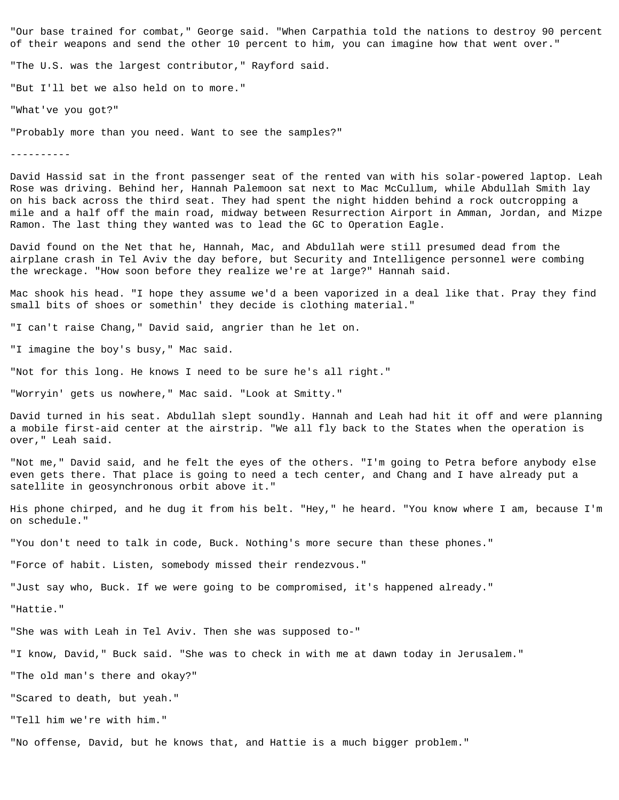"Our base trained for combat," George said. "When Carpathia told the nations to destroy 90 percent of their weapons and send the other 10 percent to him, you can imagine how that went over."

"The U.S. was the largest contributor," Rayford said.

"But I'll bet we also held on to more."

"What've you got?"

"Probably more than you need. Want to see the samples?"

----------

David Hassid sat in the front passenger seat of the rented van with his solar-powered laptop. Leah Rose was driving. Behind her, Hannah Palemoon sat next to Mac McCullum, while Abdullah Smith lay on his back across the third seat. They had spent the night hidden behind a rock outcropping a mile and a half off the main road, midway between Resurrection Airport in Amman, Jordan, and Mizpe Ramon. The last thing they wanted was to lead the GC to Operation Eagle.

David found on the Net that he, Hannah, Mac, and Abdullah were still presumed dead from the airplane crash in Tel Aviv the day before, but Security and Intelligence personnel were combing the wreckage. "How soon before they realize we're at large?" Hannah said.

Mac shook his head. "I hope they assume we'd a been vaporized in a deal like that. Pray they find small bits of shoes or somethin' they decide is clothing material."

"I can't raise Chang," David said, angrier than he let on.

"I imagine the boy's busy," Mac said.

"Not for this long. He knows I need to be sure he's all right."

"Worryin' gets us nowhere," Mac said. "Look at Smitty."

David turned in his seat. Abdullah slept soundly. Hannah and Leah had hit it off and were planning a mobile first-aid center at the airstrip. "We all fly back to the States when the operation is over," Leah said.

"Not me," David said, and he felt the eyes of the others. "I'm going to Petra before anybody else even gets there. That place is going to need a tech center, and Chang and I have already put a satellite in geosynchronous orbit above it."

His phone chirped, and he dug it from his belt. "Hey," he heard. "You know where I am, because I'm on schedule."

"You don't need to talk in code, Buck. Nothing's more secure than these phones."

"Force of habit. Listen, somebody missed their rendezvous."

"Just say who, Buck. If we were going to be compromised, it's happened already."

"Hattie."

"She was with Leah in Tel Aviv. Then she was supposed to-"

"I know, David," Buck said. "She was to check in with me at dawn today in Jerusalem."

"The old man's there and okay?"

"Scared to death, but yeah."

"Tell him we're with him."

"No offense, David, but he knows that, and Hattie is a much bigger problem."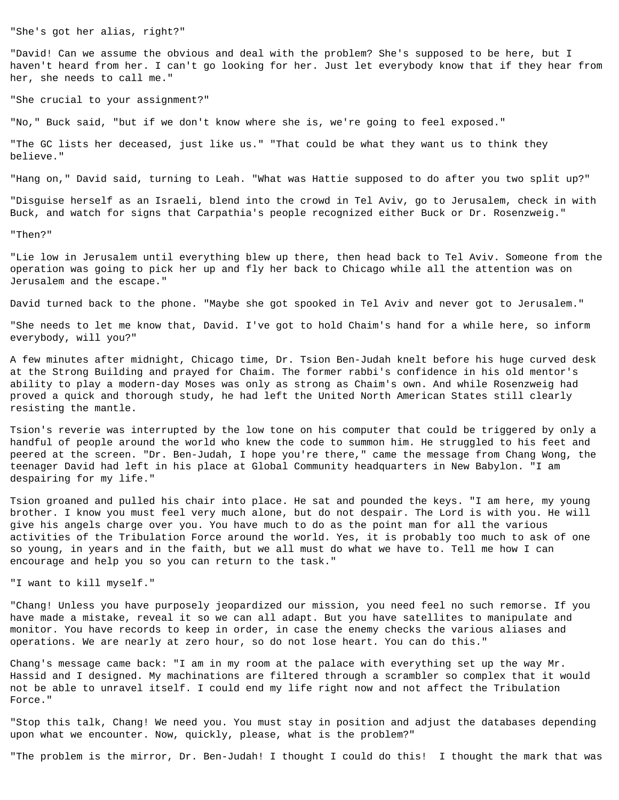"She's got her alias, right?"

"David! Can we assume the obvious and deal with the problem? She's supposed to be here, but I haven't heard from her. I can't go looking for her. Just let everybody know that if they hear from her, she needs to call me."

"She crucial to your assignment?"

"No," Buck said, "but if we don't know where she is, we're going to feel exposed."

"The GC lists her deceased, just like us." "That could be what they want us to think they believe."

"Hang on," David said, turning to Leah. "What was Hattie supposed to do after you two split up?"

"Disguise herself as an Israeli, blend into the crowd in Tel Aviv, go to Jerusalem, check in with Buck, and watch for signs that Carpathia's people recognized either Buck or Dr. Rosenzweig."

"Then?"

"Lie low in Jerusalem until everything blew up there, then head back to Tel Aviv. Someone from the operation was going to pick her up and fly her back to Chicago while all the attention was on Jerusalem and the escape."

David turned back to the phone. "Maybe she got spooked in Tel Aviv and never got to Jerusalem."

"She needs to let me know that, David. I've got to hold Chaim's hand for a while here, so inform everybody, will you?"

A few minutes after midnight, Chicago time, Dr. Tsion Ben-Judah knelt before his huge curved desk at the Strong Building and prayed for Chaim. The former rabbi's confidence in his old mentor's ability to play a modern-day Moses was only as strong as Chaim's own. And while Rosenzweig had proved a quick and thorough study, he had left the United North American States still clearly resisting the mantle.

Tsion's reverie was interrupted by the low tone on his computer that could be triggered by only a handful of people around the world who knew the code to summon him. He struggled to his feet and peered at the screen. "Dr. Ben-Judah, I hope you're there," came the message from Chang Wong, the teenager David had left in his place at Global Community headquarters in New Babylon. "I am despairing for my life."

Tsion groaned and pulled his chair into place. He sat and pounded the keys. "I am here, my young brother. I know you must feel very much alone, but do not despair. The Lord is with you. He will give his angels charge over you. You have much to do as the point man for all the various activities of the Tribulation Force around the world. Yes, it is probably too much to ask of one so young, in years and in the faith, but we all must do what we have to. Tell me how I can encourage and help you so you can return to the task."

"I want to kill myself."

"Chang! Unless you have purposely jeopardized our mission, you need feel no such remorse. If you have made a mistake, reveal it so we can all adapt. But you have satellites to manipulate and monitor. You have records to keep in order, in case the enemy checks the various aliases and operations. We are nearly at zero hour, so do not lose heart. You can do this."

Chang's message came back: "I am in my room at the palace with everything set up the way Mr. Hassid and I designed. My machinations are filtered through a scrambler so complex that it would not be able to unravel itself. I could end my life right now and not affect the Tribulation Force."

"Stop this talk, Chang! We need you. You must stay in position and adjust the databases depending upon what we encounter. Now, quickly, please, what is the problem?"

"The problem is the mirror, Dr. Ben-Judah! I thought I could do this! I thought the mark that was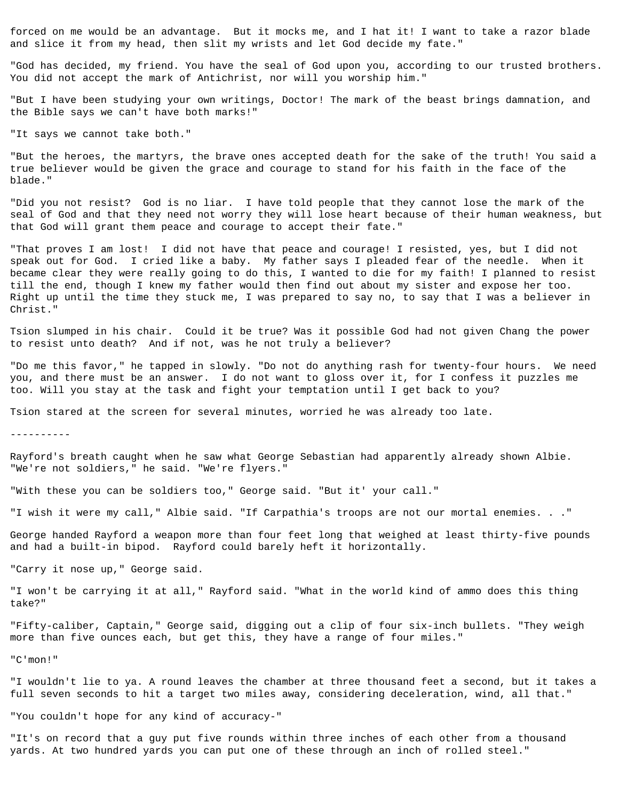forced on me would be an advantage. But it mocks me, and I hat it! I want to take a razor blade and slice it from my head, then slit my wrists and let God decide my fate."

"God has decided, my friend. You have the seal of God upon you, according to our trusted brothers. You did not accept the mark of Antichrist, nor will you worship him."

"But I have been studying your own writings, Doctor! The mark of the beast brings damnation, and the Bible says we can't have both marks!"

"It says we cannot take both."

"But the heroes, the martyrs, the brave ones accepted death for the sake of the truth! You said a true believer would be given the grace and courage to stand for his faith in the face of the blade."

"Did you not resist? God is no liar. I have told people that they cannot lose the mark of the seal of God and that they need not worry they will lose heart because of their human weakness, but that God will grant them peace and courage to accept their fate."

"That proves I am lost! I did not have that peace and courage! I resisted, yes, but I did not speak out for God. I cried like a baby. My father says I pleaded fear of the needle. When it became clear they were really going to do this, I wanted to die for my faith! I planned to resist till the end, though I knew my father would then find out about my sister and expose her too. Right up until the time they stuck me, I was prepared to say no, to say that I was a believer in Christ."

Tsion slumped in his chair. Could it be true? Was it possible God had not given Chang the power to resist unto death? And if not, was he not truly a believer?

"Do me this favor," he tapped in slowly. "Do not do anything rash for twenty-four hours. We need you, and there must be an answer. I do not want to gloss over it, for I confess it puzzles me too. Will you stay at the task and fight your temptation until I get back to you?

Tsion stared at the screen for several minutes, worried he was already too late.

----------

Rayford's breath caught when he saw what George Sebastian had apparently already shown Albie. "We're not soldiers," he said. "We're flyers."

"With these you can be soldiers too," George said. "But it' your call."

"I wish it were my call," Albie said. "If Carpathia's troops are not our mortal enemies. . ."

George handed Rayford a weapon more than four feet long that weighed at least thirty-five pounds and had a built-in bipod. Rayford could barely heft it horizontally.

"Carry it nose up," George said.

"I won't be carrying it at all," Rayford said. "What in the world kind of ammo does this thing take?"

"Fifty-caliber, Captain," George said, digging out a clip of four six-inch bullets. "They weigh more than five ounces each, but get this, they have a range of four miles."

"C'mon!"

"I wouldn't lie to ya. A round leaves the chamber at three thousand feet a second, but it takes a full seven seconds to hit a target two miles away, considering deceleration, wind, all that."

"You couldn't hope for any kind of accuracy-"

"It's on record that a guy put five rounds within three inches of each other from a thousand yards. At two hundred yards you can put one of these through an inch of rolled steel."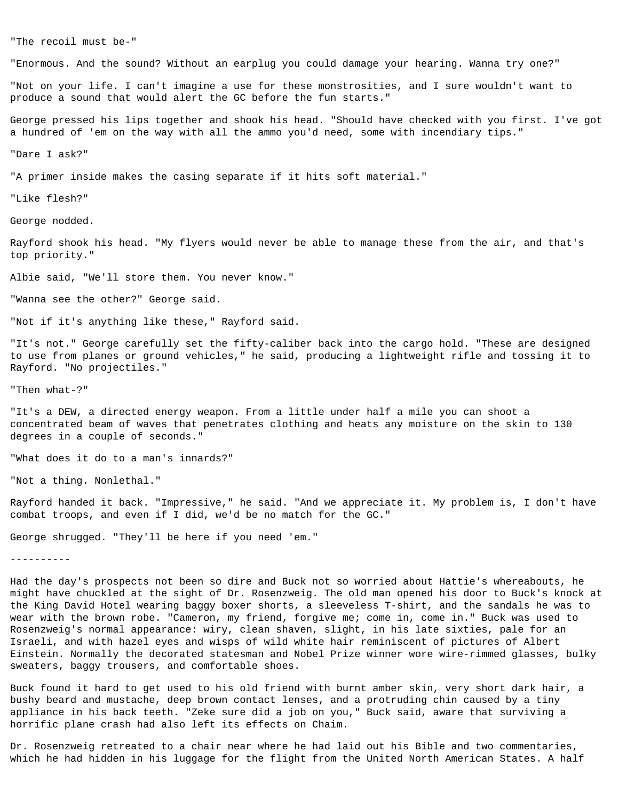"The recoil must be-"

"Enormous. And the sound? Without an earplug you could damage your hearing. Wanna try one?"

"Not on your life. I can't imagine a use for these monstrosities, and I sure wouldn't want to produce a sound that would alert the GC before the fun starts."

George pressed his lips together and shook his head. "Should have checked with you first. I've got a hundred of 'em on the way with all the ammo you'd need, some with incendiary tips."

"Dare I ask?"

"A primer inside makes the casing separate if it hits soft material."

"Like flesh?"

George nodded.

Rayford shook his head. "My flyers would never be able to manage these from the air, and that's top priority."

Albie said, "We'll store them. You never know."

"Wanna see the other?" George said.

"Not if it's anything like these," Rayford said.

"It's not." George carefully set the fifty-caliber back into the cargo hold. "These are designed to use from planes or ground vehicles," he said, producing a lightweight rifle and tossing it to Rayford. "No projectiles."

"Then what-?"

"It's a DEW, a directed energy weapon. From a little under half a mile you can shoot a concentrated beam of waves that penetrates clothing and heats any moisture on the skin to 130 degrees in a couple of seconds."

"What does it do to a man's innards?"

"Not a thing. Nonlethal."

Rayford handed it back. "Impressive," he said. "And we appreciate it. My problem is, I don't have combat troops, and even if I did, we'd be no match for the GC."

George shrugged. "They'll be here if you need 'em."

----------

Had the day's prospects not been so dire and Buck not so worried about Hattie's whereabouts, he might have chuckled at the sight of Dr. Rosenzweig. The old man opened his door to Buck's knock at the King David Hotel wearing baggy boxer shorts, a sleeveless T-shirt, and the sandals he was to wear with the brown robe. "Cameron, my friend, forgive me; come in, come in." Buck was used to Rosenzweig's normal appearance: wiry, clean shaven, slight, in his late sixties, pale for an Israeli, and with hazel eyes and wisps of wild white hair reminiscent of pictures of Albert Einstein. Normally the decorated statesman and Nobel Prize winner wore wire-rimmed glasses, bulky sweaters, baggy trousers, and comfortable shoes.

Buck found it hard to get used to his old friend with burnt amber skin, very short dark hair, a bushy beard and mustache, deep brown contact lenses, and a protruding chin caused by a tiny appliance in his back teeth. "Zeke sure did a job on you," Buck said, aware that surviving a horrific plane crash had also left its effects on Chaim.

Dr. Rosenzweig retreated to a chair near where he had laid out his Bible and two commentaries, which he had hidden in his luggage for the flight from the United North American States. A half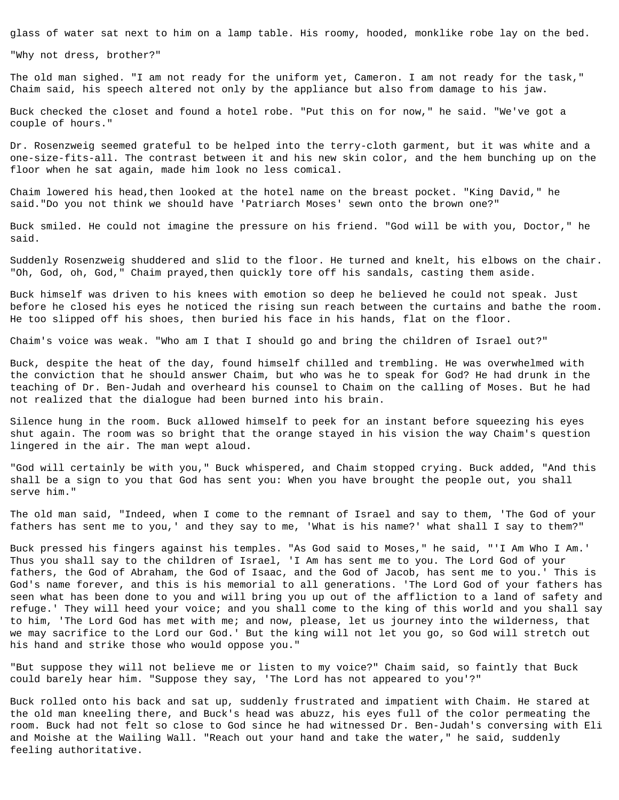glass of water sat next to him on a lamp table. His roomy, hooded, monklike robe lay on the bed.

"Why not dress, brother?"

The old man sighed. "I am not ready for the uniform yet, Cameron. I am not ready for the task," Chaim said, his speech altered not only by the appliance but also from damage to his jaw.

Buck checked the closet and found a hotel robe. "Put this on for now," he said. "We've got a couple of hours."

Dr. Rosenzweig seemed grateful to be helped into the terry-cloth garment, but it was white and a one-size-fits-all. The contrast between it and his new skin color, and the hem bunching up on the floor when he sat again, made him look no less comical.

Chaim lowered his head,then looked at the hotel name on the breast pocket. "King David," he said."Do you not think we should have 'Patriarch Moses' sewn onto the brown one?"

Buck smiled. He could not imagine the pressure on his friend. "God will be with you, Doctor," he said.

Suddenly Rosenzweig shuddered and slid to the floor. He turned and knelt, his elbows on the chair. "Oh, God, oh, God," Chaim prayed,then quickly tore off his sandals, casting them aside.

Buck himself was driven to his knees with emotion so deep he believed he could not speak. Just before he closed his eyes he noticed the rising sun reach between the curtains and bathe the room. He too slipped off his shoes, then buried his face in his hands, flat on the floor.

Chaim's voice was weak. "Who am I that I should go and bring the children of Israel out?"

Buck, despite the heat of the day, found himself chilled and trembling. He was overwhelmed with the conviction that he should answer Chaim, but who was he to speak for God? He had drunk in the teaching of Dr. Ben-Judah and overheard his counsel to Chaim on the calling of Moses. But he had not realized that the dialogue had been burned into his brain.

Silence hung in the room. Buck allowed himself to peek for an instant before squeezing his eyes shut again. The room was so bright that the orange stayed in his vision the way Chaim's question lingered in the air. The man wept aloud.

"God will certainly be with you," Buck whispered, and Chaim stopped crying. Buck added, "And this shall be a sign to you that God has sent you: When you have brought the people out, you shall serve him."

The old man said, "Indeed, when I come to the remnant of Israel and say to them, 'The God of your fathers has sent me to you,' and they say to me, 'What is his name?' what shall I say to them?"

Buck pressed his fingers against his temples. "As God said to Moses," he said, "'I Am Who I Am.' Thus you shall say to the children of Israel, 'I Am has sent me to you. The Lord God of your fathers, the God of Abraham, the God of Isaac, and the God of Jacob, has sent me to you.' This is God's name forever, and this is his memorial to all generations. 'The Lord God of your fathers has seen what has been done to you and will bring you up out of the affliction to a land of safety and refuge.' They will heed your voice; and you shall come to the king of this world and you shall say to him, 'The Lord God has met with me; and now, please, let us journey into the wilderness, that we may sacrifice to the Lord our God.' But the king will not let you go, so God will stretch out his hand and strike those who would oppose you."

"But suppose they will not believe me or listen to my voice?" Chaim said, so faintly that Buck could barely hear him. "Suppose they say, 'The Lord has not appeared to you'?"

Buck rolled onto his back and sat up, suddenly frustrated and impatient with Chaim. He stared at the old man kneeling there, and Buck's head was abuzz, his eyes full of the color permeating the room. Buck had not felt so close to God since he had witnessed Dr. Ben-Judah's conversing with Eli and Moishe at the Wailing Wall. "Reach out your hand and take the water," he said, suddenly feeling authoritative.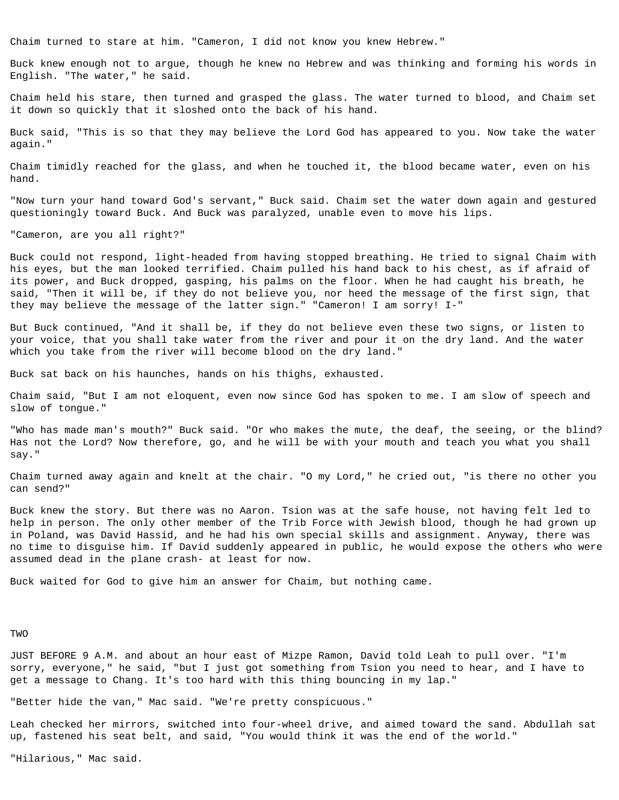Chaim turned to stare at him. "Cameron, I did not know you knew Hebrew."

Buck knew enough not to argue, though he knew no Hebrew and was thinking and forming his words in English. "The water," he said.

Chaim held his stare, then turned and grasped the glass. The water turned to blood, and Chaim set it down so quickly that it sloshed onto the back of his hand.

Buck said, "This is so that they may believe the Lord God has appeared to you. Now take the water again."

Chaim timidly reached for the glass, and when he touched it, the blood became water, even on his hand.

"Now turn your hand toward God's servant," Buck said. Chaim set the water down again and gestured questioningly toward Buck. And Buck was paralyzed, unable even to move his lips.

"Cameron, are you all right?"

Buck could not respond, light-headed from having stopped breathing. He tried to signal Chaim with his eyes, but the man looked terrified. Chaim pulled his hand back to his chest, as if afraid of its power, and Buck dropped, gasping, his palms on the floor. When he had caught his breath, he said, "Then it will be, if they do not believe you, nor heed the message of the first sign, that they may believe the message of the latter sign." "Cameron! I am sorry! I-"

But Buck continued, "And it shall be, if they do not believe even these two signs, or listen to your voice, that you shall take water from the river and pour it on the dry land. And the water which you take from the river will become blood on the dry land."

Buck sat back on his haunches, hands on his thighs, exhausted.

Chaim said, "But I am not eloquent, even now since God has spoken to me. I am slow of speech and slow of tongue."

"Who has made man's mouth?" Buck said. "Or who makes the mute, the deaf, the seeing, or the blind? Has not the Lord? Now therefore, go, and he will be with your mouth and teach you what you shall say."

Chaim turned away again and knelt at the chair. "O my Lord," he cried out, "is there no other you can send?"

Buck knew the story. But there was no Aaron. Tsion was at the safe house, not having felt led to help in person. The only other member of the Trib Force with Jewish blood, though he had grown up in Poland, was David Hassid, and he had his own special skills and assignment. Anyway, there was no time to disguise him. If David suddenly appeared in public, he would expose the others who were assumed dead in the plane crash- at least for now.

Buck waited for God to give him an answer for Chaim, but nothing came.

#### TWO

JUST BEFORE 9 A.M. and about an hour east of Mizpe Ramon, David told Leah to pull over. "I'm sorry, everyone," he said, "but I just got something from Tsion you need to hear, and I have to get a message to Chang. It's too hard with this thing bouncing in my lap."

"Better hide the van," Mac said. "We're pretty conspicuous."

Leah checked her mirrors, switched into four-wheel drive, and aimed toward the sand. Abdullah sat up, fastened his seat belt, and said, "You would think it was the end of the world."

"Hilarious," Mac said.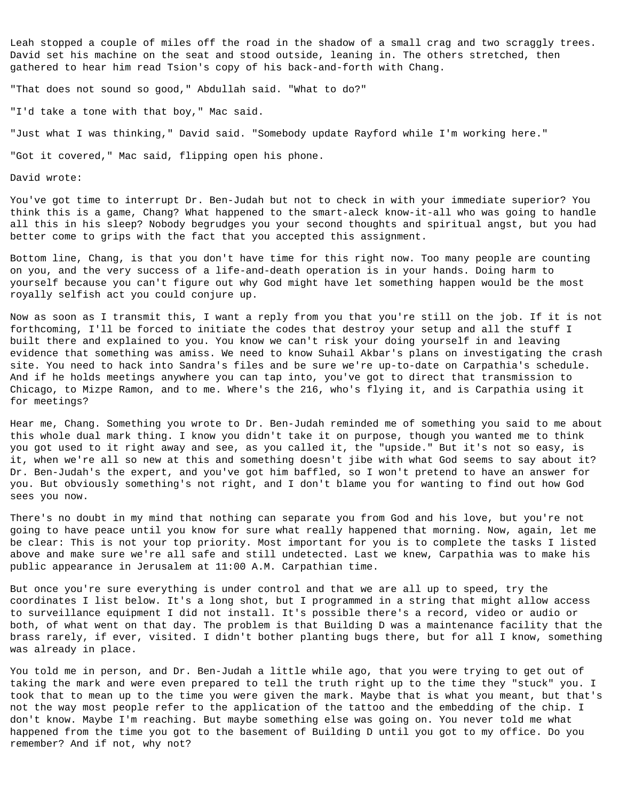Leah stopped a couple of miles off the road in the shadow of a small crag and two scraggly trees. David set his machine on the seat and stood outside, leaning in. The others stretched, then gathered to hear him read Tsion's copy of his back-and-forth with Chang.

"That does not sound so good," Abdullah said. "What to do?"

"I'd take a tone with that boy," Mac said.

"Just what I was thinking," David said. "Somebody update Rayford while I'm working here."

"Got it covered," Mac said, flipping open his phone.

David wrote:

You've got time to interrupt Dr. Ben-Judah but not to check in with your immediate superior? You think this is a game, Chang? What happened to the smart-aleck know-it-all who was going to handle all this in his sleep? Nobody begrudges you your second thoughts and spiritual angst, but you had better come to grips with the fact that you accepted this assignment.

Bottom line, Chang, is that you don't have time for this right now. Too many people are counting on you, and the very success of a life-and-death operation is in your hands. Doing harm to yourself because you can't figure out why God might have let something happen would be the most royally selfish act you could conjure up.

Now as soon as I transmit this, I want a reply from you that you're still on the job. If it is not forthcoming, I'll be forced to initiate the codes that destroy your setup and all the stuff I built there and explained to you. You know we can't risk your doing yourself in and leaving evidence that something was amiss. We need to know Suhail Akbar's plans on investigating the crash site. You need to hack into Sandra's files and be sure we're up-to-date on Carpathia's schedule. And if he holds meetings anywhere you can tap into, you've got to direct that transmission to Chicago, to Mizpe Ramon, and to me. Where's the 216, who's flying it, and is Carpathia using it for meetings?

Hear me, Chang. Something you wrote to Dr. Ben-Judah reminded me of something you said to me about this whole dual mark thing. I know you didn't take it on purpose, though you wanted me to think you got used to it right away and see, as you called it, the "upside." But it's not so easy, is it, when we're all so new at this and something doesn't jibe with what God seems to say about it? Dr. Ben-Judah's the expert, and you've got him baffled, so I won't pretend to have an answer for you. But obviously something's not right, and I don't blame you for wanting to find out how God sees you now.

There's no doubt in my mind that nothing can separate you from God and his love, but you're not going to have peace until you know for sure what really happened that morning. Now, again, let me be clear: This is not your top priority. Most important for you is to complete the tasks I listed above and make sure we're all safe and still undetected. Last we knew, Carpathia was to make his public appearance in Jerusalem at 11:00 A.M. Carpathian time.

But once you're sure everything is under control and that we are all up to speed, try the coordinates I list below. It's a long shot, but I programmed in a string that might allow access to surveillance equipment I did not install. It's possible there's a record, video or audio or both, of what went on that day. The problem is that Building D was a maintenance facility that the brass rarely, if ever, visited. I didn't bother planting bugs there, but for all I know, something was already in place.

You told me in person, and Dr. Ben-Judah a little while ago, that you were trying to get out of taking the mark and were even prepared to tell the truth right up to the time they "stuck" you. I took that to mean up to the time you were given the mark. Maybe that is what you meant, but that's not the way most people refer to the application of the tattoo and the embedding of the chip. I don't know. Maybe I'm reaching. But maybe something else was going on. You never told me what happened from the time you got to the basement of Building D until you got to my office. Do you remember? And if not, why not?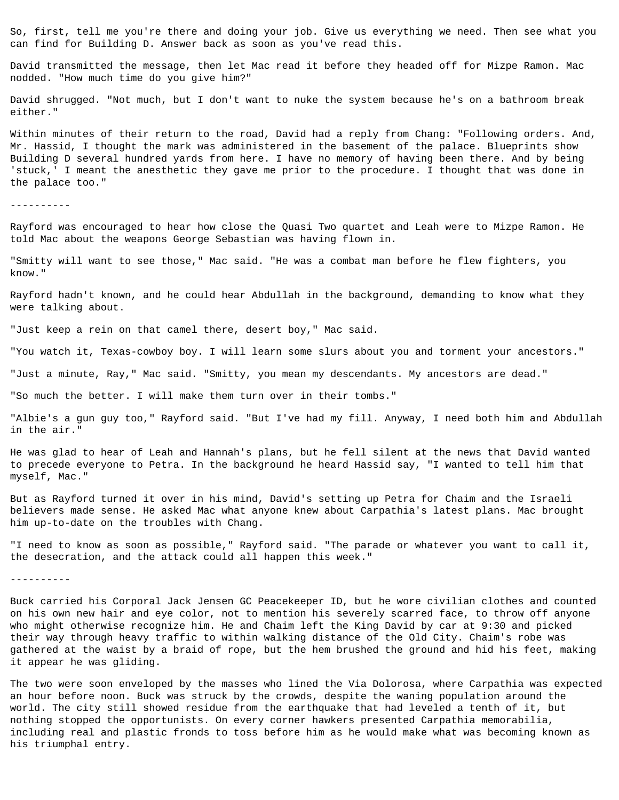So, first, tell me you're there and doing your job. Give us everything we need. Then see what you can find for Building D. Answer back as soon as you've read this.

David transmitted the message, then let Mac read it before they headed off for Mizpe Ramon. Mac nodded. "How much time do you give him?"

David shrugged. "Not much, but I don't want to nuke the system because he's on a bathroom break either."

Within minutes of their return to the road, David had a reply from Chang: "Following orders. And, Mr. Hassid, I thought the mark was administered in the basement of the palace. Blueprints show Building D several hundred yards from here. I have no memory of having been there. And by being 'stuck,' I meant the anesthetic they gave me prior to the procedure. I thought that was done in the palace too."

----------

Rayford was encouraged to hear how close the Quasi Two quartet and Leah were to Mizpe Ramon. He told Mac about the weapons George Sebastian was having flown in.

"Smitty will want to see those," Mac said. "He was a combat man before he flew fighters, you know."

Rayford hadn't known, and he could hear Abdullah in the background, demanding to know what they were talking about.

"Just keep a rein on that camel there, desert boy," Mac said.

"You watch it, Texas-cowboy boy. I will learn some slurs about you and torment your ancestors."

"Just a minute, Ray," Mac said. "Smitty, you mean my descendants. My ancestors are dead."

"So much the better. I will make them turn over in their tombs."

"Albie's a gun guy too," Rayford said. "But I've had my fill. Anyway, I need both him and Abdullah in the air."

He was glad to hear of Leah and Hannah's plans, but he fell silent at the news that David wanted to precede everyone to Petra. In the background he heard Hassid say, "I wanted to tell him that myself, Mac."

But as Rayford turned it over in his mind, David's setting up Petra for Chaim and the Israeli believers made sense. He asked Mac what anyone knew about Carpathia's latest plans. Mac brought him up-to-date on the troubles with Chang.

"I need to know as soon as possible," Rayford said. "The parade or whatever you want to call it, the desecration, and the attack could all happen this week."

----------

Buck carried his Corporal Jack Jensen GC Peacekeeper ID, but he wore civilian clothes and counted on his own new hair and eye color, not to mention his severely scarred face, to throw off anyone who might otherwise recognize him. He and Chaim left the King David by car at 9:30 and picked their way through heavy traffic to within walking distance of the Old City. Chaim's robe was gathered at the waist by a braid of rope, but the hem brushed the ground and hid his feet, making it appear he was gliding.

The two were soon enveloped by the masses who lined the Via Dolorosa, where Carpathia was expected an hour before noon. Buck was struck by the crowds, despite the waning population around the world. The city still showed residue from the earthquake that had leveled a tenth of it, but nothing stopped the opportunists. On every corner hawkers presented Carpathia memorabilia, including real and plastic fronds to toss before him as he would make what was becoming known as his triumphal entry.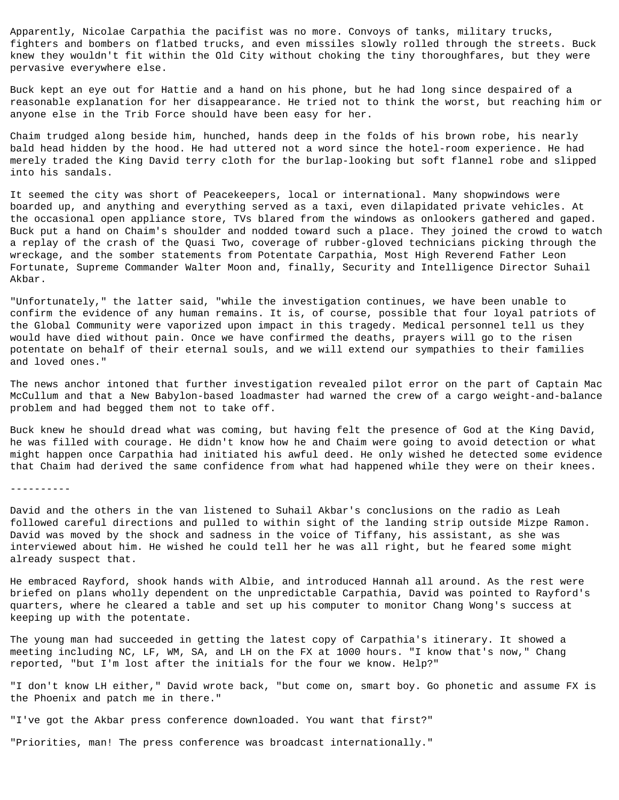Apparently, Nicolae Carpathia the pacifist was no more. Convoys of tanks, military trucks, fighters and bombers on flatbed trucks, and even missiles slowly rolled through the streets. Buck knew they wouldn't fit within the Old City without choking the tiny thoroughfares, but they were pervasive everywhere else.

Buck kept an eye out for Hattie and a hand on his phone, but he had long since despaired of a reasonable explanation for her disappearance. He tried not to think the worst, but reaching him or anyone else in the Trib Force should have been easy for her.

Chaim trudged along beside him, hunched, hands deep in the folds of his brown robe, his nearly bald head hidden by the hood. He had uttered not a word since the hotel-room experience. He had merely traded the King David terry cloth for the burlap-looking but soft flannel robe and slipped into his sandals.

It seemed the city was short of Peacekeepers, local or international. Many shopwindows were boarded up, and anything and everything served as a taxi, even dilapidated private vehicles. At the occasional open appliance store, TVs blared from the windows as onlookers gathered and gaped. Buck put a hand on Chaim's shoulder and nodded toward such a place. They joined the crowd to watch a replay of the crash of the Quasi Two, coverage of rubber-gloved technicians picking through the wreckage, and the somber statements from Potentate Carpathia, Most High Reverend Father Leon Fortunate, Supreme Commander Walter Moon and, finally, Security and Intelligence Director Suhail Akbar.

"Unfortunately," the latter said, "while the investigation continues, we have been unable to confirm the evidence of any human remains. It is, of course, possible that four loyal patriots of the Global Community were vaporized upon impact in this tragedy. Medical personnel tell us they would have died without pain. Once we have confirmed the deaths, prayers will go to the risen potentate on behalf of their eternal souls, and we will extend our sympathies to their families and loved ones."

The news anchor intoned that further investigation revealed pilot error on the part of Captain Mac McCullum and that a New Babylon-based loadmaster had warned the crew of a cargo weight-and-balance problem and had begged them not to take off.

Buck knew he should dread what was coming, but having felt the presence of God at the King David, he was filled with courage. He didn't know how he and Chaim were going to avoid detection or what might happen once Carpathia had initiated his awful deed. He only wished he detected some evidence that Chaim had derived the same confidence from what had happened while they were on their knees.

----------

David and the others in the van listened to Suhail Akbar's conclusions on the radio as Leah followed careful directions and pulled to within sight of the landing strip outside Mizpe Ramon. David was moved by the shock and sadness in the voice of Tiffany, his assistant, as she was interviewed about him. He wished he could tell her he was all right, but he feared some might already suspect that.

He embraced Rayford, shook hands with Albie, and introduced Hannah all around. As the rest were briefed on plans wholly dependent on the unpredictable Carpathia, David was pointed to Rayford's quarters, where he cleared a table and set up his computer to monitor Chang Wong's success at keeping up with the potentate.

The young man had succeeded in getting the latest copy of Carpathia's itinerary. It showed a meeting including NC, LF, WM, SA, and LH on the FX at 1000 hours. "I know that's now," Chang reported, "but I'm lost after the initials for the four we know. Help?"

"I don't know LH either," David wrote back, "but come on, smart boy. Go phonetic and assume FX is the Phoenix and patch me in there."

"I've got the Akbar press conference downloaded. You want that first?"

"Priorities, man! The press conference was broadcast internationally."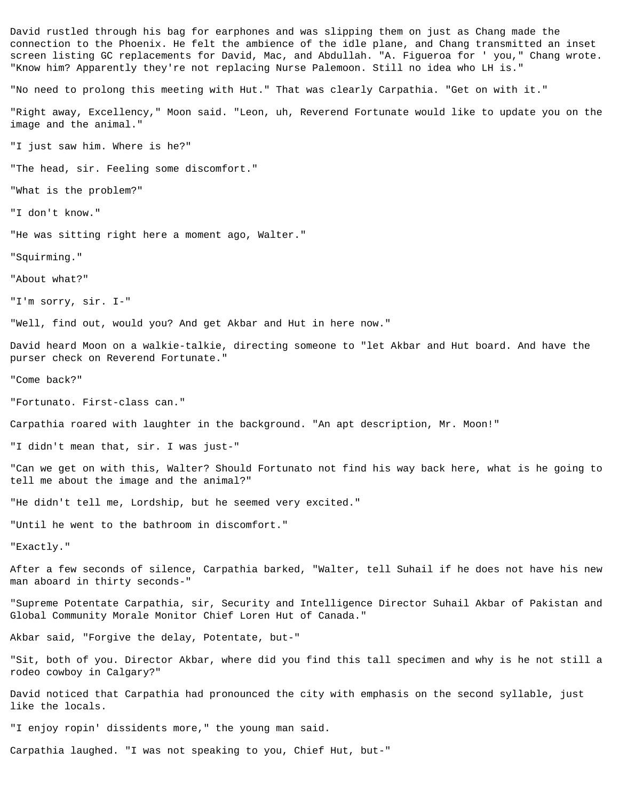David rustled through his bag for earphones and was slipping them on just as Chang made the connection to the Phoenix. He felt the ambience of the idle plane, and Chang transmitted an inset screen listing GC replacements for David, Mac, and Abdullah. "A. Figueroa for ' you," Chang wrote. "Know him? Apparently they're not replacing Nurse Palemoon. Still no idea who LH is." "No need to prolong this meeting with Hut." That was clearly Carpathia. "Get on with it." "Right away, Excellency," Moon said. "Leon, uh, Reverend Fortunate would like to update you on the image and the animal." "I just saw him. Where is he?" "The head, sir. Feeling some discomfort." "What is the problem?" "I don't know." "He was sitting right here a moment ago, Walter." "Squirming." "About what?" "I'm sorry, sir. I-" "Well, find out, would you? And get Akbar and Hut in here now." David heard Moon on a walkie-talkie, directing someone to "let Akbar and Hut board. And have the purser check on Reverend Fortunate." "Come back?" "Fortunato. First-class can." Carpathia roared with laughter in the background. "An apt description, Mr. Moon!" "I didn't mean that, sir. I was just-" "Can we get on with this, Walter? Should Fortunato not find his way back here, what is he going to tell me about the image and the animal?" "He didn't tell me, Lordship, but he seemed very excited." "Until he went to the bathroom in discomfort." "Exactly." After a few seconds of silence, Carpathia barked, "Walter, tell Suhail if he does not have his new man aboard in thirty seconds-" "Supreme Potentate Carpathia, sir, Security and Intelligence Director Suhail Akbar of Pakistan and Global Community Morale Monitor Chief Loren Hut of Canada." Akbar said, "Forgive the delay, Potentate, but-" "Sit, both of you. Director Akbar, where did you find this tall specimen and why is he not still a rodeo cowboy in Calgary?" David noticed that Carpathia had pronounced the city with emphasis on the second syllable, just like the locals. "I enjoy ropin' dissidents more," the young man said. Carpathia laughed. "I was not speaking to you, Chief Hut, but-"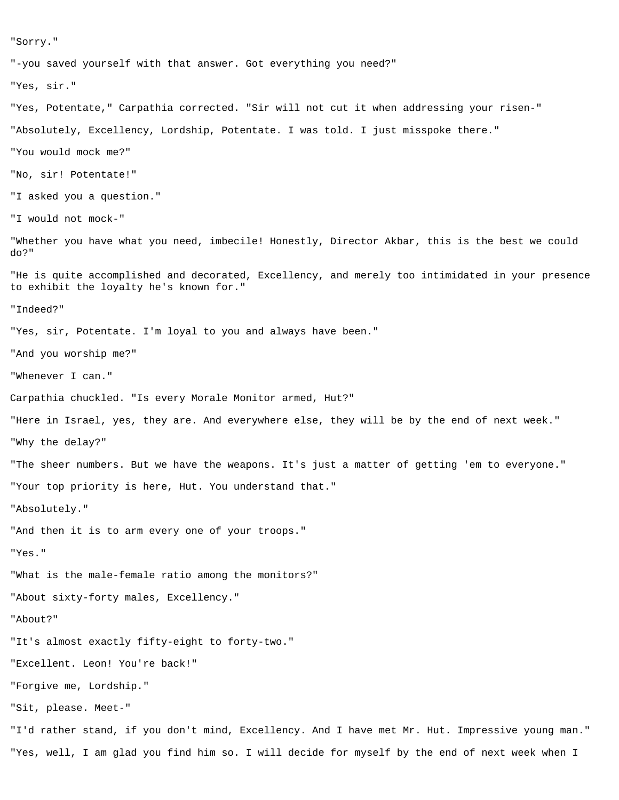"Sorry." "-you saved yourself with that answer. Got everything you need?" "Yes, sir." "Yes, Potentate," Carpathia corrected. "Sir will not cut it when addressing your risen-" "Absolutely, Excellency, Lordship, Potentate. I was told. I just misspoke there." "You would mock me?" "No, sir! Potentate!" "I asked you a question." "I would not mock-" "Whether you have what you need, imbecile! Honestly, Director Akbar, this is the best we could do?" "He is quite accomplished and decorated, Excellency, and merely too intimidated in your presence to exhibit the loyalty he's known for." "Indeed?" "Yes, sir, Potentate. I'm loyal to you and always have been." "And you worship me?" "Whenever I can." Carpathia chuckled. "Is every Morale Monitor armed, Hut?" "Here in Israel, yes, they are. And everywhere else, they will be by the end of next week." "Why the delay?" "The sheer numbers. But we have the weapons. It's just a matter of getting 'em to everyone." "Your top priority is here, Hut. You understand that." "Absolutely." "And then it is to arm every one of your troops." "Yes." "What is the male-female ratio among the monitors?" "About sixty-forty males, Excellency." "About?" "It's almost exactly fifty-eight to forty-two." "Excellent. Leon! You're back!" "Forgive me, Lordship." "Sit, please. Meet-" "I'd rather stand, if you don't mind, Excellency. And I have met Mr. Hut. Impressive young man." "Yes, well, I am glad you find him so. I will decide for myself by the end of next week when I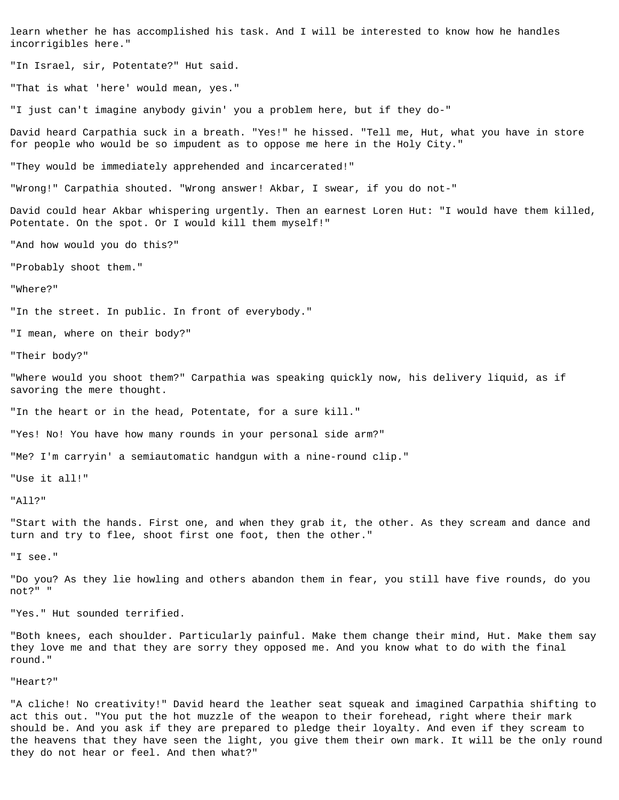learn whether he has accomplished his task. And I will be interested to know how he handles incorrigibles here." "In Israel, sir, Potentate?" Hut said. "That is what 'here' would mean, yes." "I just can't imagine anybody givin' you a problem here, but if they do-" David heard Carpathia suck in a breath. "Yes!" he hissed. "Tell me, Hut, what you have in store for people who would be so impudent as to oppose me here in the Holy City." "They would be immediately apprehended and incarcerated!" "Wrong!" Carpathia shouted. "Wrong answer! Akbar, I swear, if you do not-" David could hear Akbar whispering urgently. Then an earnest Loren Hut: "I would have them killed, Potentate. On the spot. Or I would kill them myself!" "And how would you do this?" "Probably shoot them." "Where?" "In the street. In public. In front of everybody." "I mean, where on their body?" "Their body?" "Where would you shoot them?" Carpathia was speaking quickly now, his delivery liquid, as if savoring the mere thought. "In the heart or in the head, Potentate, for a sure kill." "Yes! No! You have how many rounds in your personal side arm?" "Me? I'm carryin' a semiautomatic handgun with a nine-round clip." "Use it all!" "All?" "Start with the hands. First one, and when they grab it, the other. As they scream and dance and turn and try to flee, shoot first one foot, then the other." "I see." "Do you? As they lie howling and others abandon them in fear, you still have five rounds, do you not?" " "Yes." Hut sounded terrified. "Both knees, each shoulder. Particularly painful. Make them change their mind, Hut. Make them say they love me and that they are sorry they opposed me. And you know what to do with the final round." "Heart?" "A cliche! No creativity!" David heard the leather seat squeak and imagined Carpathia shifting to

act this out. "You put the hot muzzle of the weapon to their forehead, right where their mark should be. And you ask if they are prepared to pledge their loyalty. And even if they scream to the heavens that they have seen the light, you give them their own mark. It will be the only round they do not hear or feel. And then what?"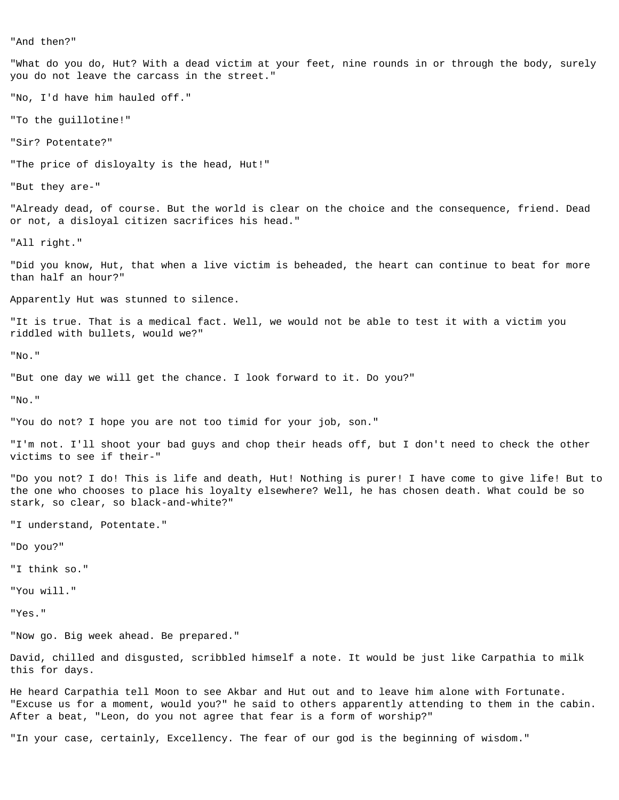"And then?" "What do you do, Hut? With a dead victim at your feet, nine rounds in or through the body, surely you do not leave the carcass in the street." "No, I'd have him hauled off." "To the guillotine!" "Sir? Potentate?" "The price of disloyalty is the head, Hut!" "But they are-" "Already dead, of course. But the world is clear on the choice and the consequence, friend. Dead or not, a disloyal citizen sacrifices his head." "All right." "Did you know, Hut, that when a live victim is beheaded, the heart can continue to beat for more than half an hour?" Apparently Hut was stunned to silence. "It is true. That is a medical fact. Well, we would not be able to test it with a victim you riddled with bullets, would we?" "No." "But one day we will get the chance. I look forward to it. Do you?" "No." "You do not? I hope you are not too timid for your job, son." "I'm not. I'll shoot your bad guys and chop their heads off, but I don't need to check the other victims to see if their-" "Do you not? I do! This is life and death, Hut! Nothing is purer! I have come to give life! But to the one who chooses to place his loyalty elsewhere? Well, he has chosen death. What could be so stark, so clear, so black-and-white?" "I understand, Potentate." "Do you?" "I think so." "You will." "Yes." "Now go. Big week ahead. Be prepared." David, chilled and disgusted, scribbled himself a note. It would be just like Carpathia to milk this for days. He heard Carpathia tell Moon to see Akbar and Hut out and to leave him alone with Fortunate. "Excuse us for a moment, would you?" he said to others apparently attending to them in the cabin. After a beat, "Leon, do you not agree that fear is a form of worship?"

"In your case, certainly, Excellency. The fear of our god is the beginning of wisdom."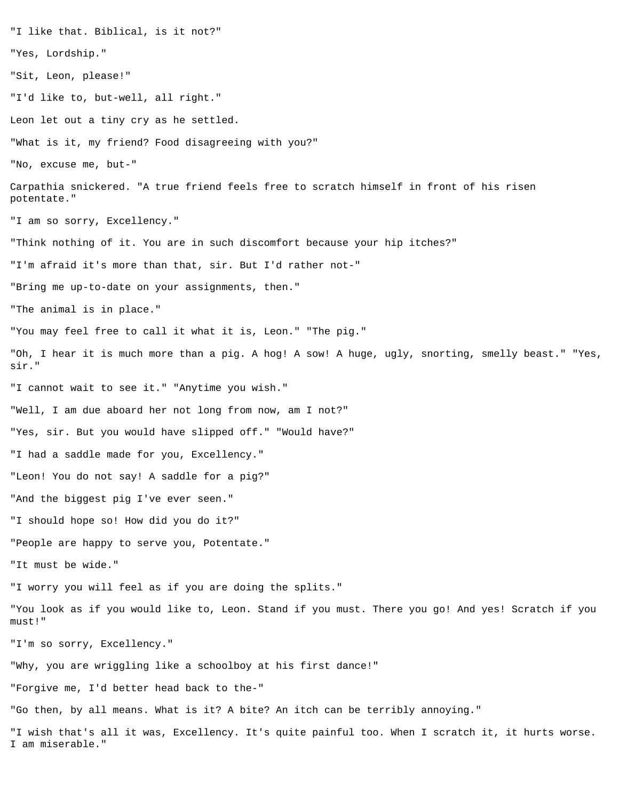"I like that. Biblical, is it not?" "Yes, Lordship." "Sit, Leon, please!" "I'd like to, but-well, all right." Leon let out a tiny cry as he settled. "What is it, my friend? Food disagreeing with you?" "No, excuse me, but-" Carpathia snickered. "A true friend feels free to scratch himself in front of his risen potentate." "I am so sorry, Excellency." "Think nothing of it. You are in such discomfort because your hip itches?" "I'm afraid it's more than that, sir. But I'd rather not-" "Bring me up-to-date on your assignments, then." "The animal is in place." "You may feel free to call it what it is, Leon." "The pig." "Oh, I hear it is much more than a pig. A hog! A sow! A huge, ugly, snorting, smelly beast." "Yes, sir." "I cannot wait to see it." "Anytime you wish." "Well, I am due aboard her not long from now, am I not?" "Yes, sir. But you would have slipped off." "Would have?" "I had a saddle made for you, Excellency." "Leon! You do not say! A saddle for a pig?" "And the biggest pig I've ever seen." "I should hope so! How did you do it?" "People are happy to serve you, Potentate." "It must be wide." "I worry you will feel as if you are doing the splits." "You look as if you would like to, Leon. Stand if you must. There you go! And yes! Scratch if you must!" "I'm so sorry, Excellency." "Why, you are wriggling like a schoolboy at his first dance!" "Forgive me, I'd better head back to the-" "Go then, by all means. What is it? A bite? An itch can be terribly annoying." "I wish that's all it was, Excellency. It's quite painful too. When I scratch it, it hurts worse.

I am miserable."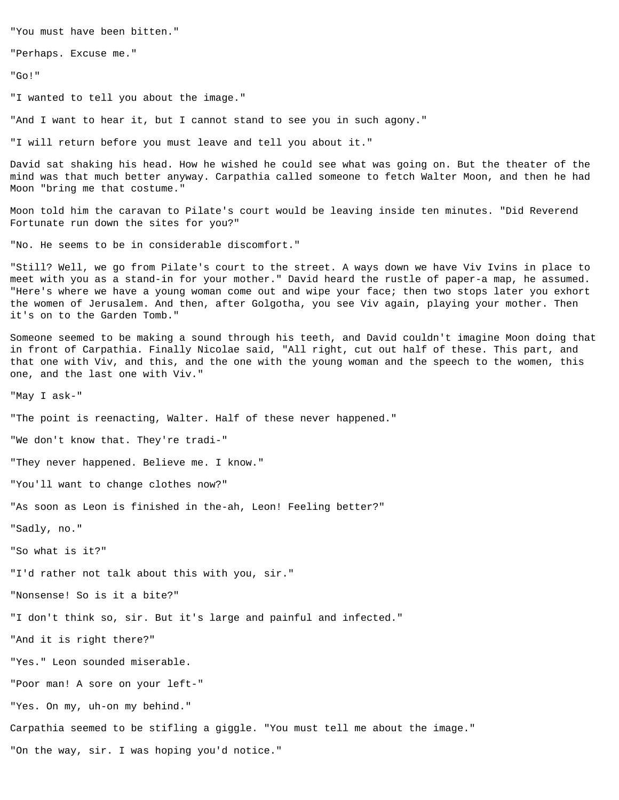"You must have been bitten." "Perhaps. Excuse me." "Go!" "I wanted to tell you about the image." "And I want to hear it, but I cannot stand to see you in such agony." "I will return before you must leave and tell you about it." David sat shaking his head. How he wished he could see what was going on. But the theater of the mind was that much better anyway. Carpathia called someone to fetch Walter Moon, and then he had Moon "bring me that costume." Moon told him the caravan to Pilate's court would be leaving inside ten minutes. "Did Reverend Fortunate run down the sites for you?" "No. He seems to be in considerable discomfort." "Still? Well, we go from Pilate's court to the street. A ways down we have Viv Ivins in place to meet with you as a stand-in for your mother." David heard the rustle of paper-a map, he assumed. "Here's where we have a young woman come out and wipe your face; then two stops later you exhort the women of Jerusalem. And then, after Golgotha, you see Viv again, playing your mother. Then it's on to the Garden Tomb." Someone seemed to be making a sound through his teeth, and David couldn't imagine Moon doing that in front of Carpathia. Finally Nicolae said, "All right, cut out half of these. This part, and that one with Viv, and this, and the one with the young woman and the speech to the women, this one, and the last one with Viv." "May I ask-" "The point is reenacting, Walter. Half of these never happened." "We don't know that. They're tradi-" "They never happened. Believe me. I know." "You'll want to change clothes now?" "As soon as Leon is finished in the-ah, Leon! Feeling better?" "Sadly, no." "So what is it?" "I'd rather not talk about this with you, sir." "Nonsense! So is it a bite?" "I don't think so, sir. But it's large and painful and infected." "And it is right there?" "Yes." Leon sounded miserable. "Poor man! A sore on your left-" "Yes. On my, uh-on my behind." Carpathia seemed to be stifling a giggle. "You must tell me about the image." "On the way, sir. I was hoping you'd notice."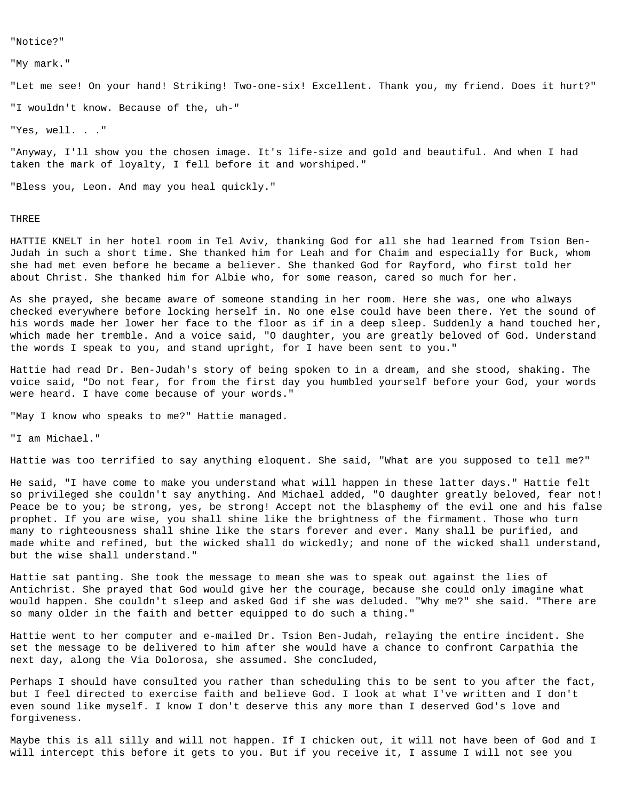"Notice?"

"My mark."

"Let me see! On your hand! Striking! Two-one-six! Excellent. Thank you, my friend. Does it hurt?"

"I wouldn't know. Because of the, uh-"

"Yes, well. . ."

"Anyway, I'll show you the chosen image. It's life-size and gold and beautiful. And when I had taken the mark of loyalty, I fell before it and worshiped."

"Bless you, Leon. And may you heal quickly."

## THREE

HATTIE KNELT in her hotel room in Tel Aviv, thanking God for all she had learned from Tsion Ben-Judah in such a short time. She thanked him for Leah and for Chaim and especially for Buck, whom she had met even before he became a believer. She thanked God for Rayford, who first told her about Christ. She thanked him for Albie who, for some reason, cared so much for her.

As she prayed, she became aware of someone standing in her room. Here she was, one who always checked everywhere before locking herself in. No one else could have been there. Yet the sound of his words made her lower her face to the floor as if in a deep sleep. Suddenly a hand touched her, which made her tremble. And a voice said, "O daughter, you are greatly beloved of God. Understand the words I speak to you, and stand upright, for I have been sent to you."

Hattie had read Dr. Ben-Judah's story of being spoken to in a dream, and she stood, shaking. The voice said, "Do not fear, for from the first day you humbled yourself before your God, your words were heard. I have come because of your words."

"May I know who speaks to me?" Hattie managed.

"I am Michael."

Hattie was too terrified to say anything eloquent. She said, "What are you supposed to tell me?"

He said, "I have come to make you understand what will happen in these latter days." Hattie felt so privileged she couldn't say anything. And Michael added, "O daughter greatly beloved, fear not! Peace be to you; be strong, yes, be strong! Accept not the blasphemy of the evil one and his false prophet. If you are wise, you shall shine like the brightness of the firmament. Those who turn many to righteousness shall shine like the stars forever and ever. Many shall be purified, and made white and refined, but the wicked shall do wickedly; and none of the wicked shall understand, but the wise shall understand."

Hattie sat panting. She took the message to mean she was to speak out against the lies of Antichrist. She prayed that God would give her the courage, because she could only imagine what would happen. She couldn't sleep and asked God if she was deluded. "Why me?" she said. "There are so many older in the faith and better equipped to do such a thing."

Hattie went to her computer and e-mailed Dr. Tsion Ben-Judah, relaying the entire incident. She set the message to be delivered to him after she would have a chance to confront Carpathia the next day, along the Via Dolorosa, she assumed. She concluded,

Perhaps I should have consulted you rather than scheduling this to be sent to you after the fact, but I feel directed to exercise faith and believe God. I look at what I've written and I don't even sound like myself. I know I don't deserve this any more than I deserved God's love and forgiveness.

Maybe this is all silly and will not happen. If I chicken out, it will not have been of God and I will intercept this before it gets to you. But if you receive it, I assume I will not see you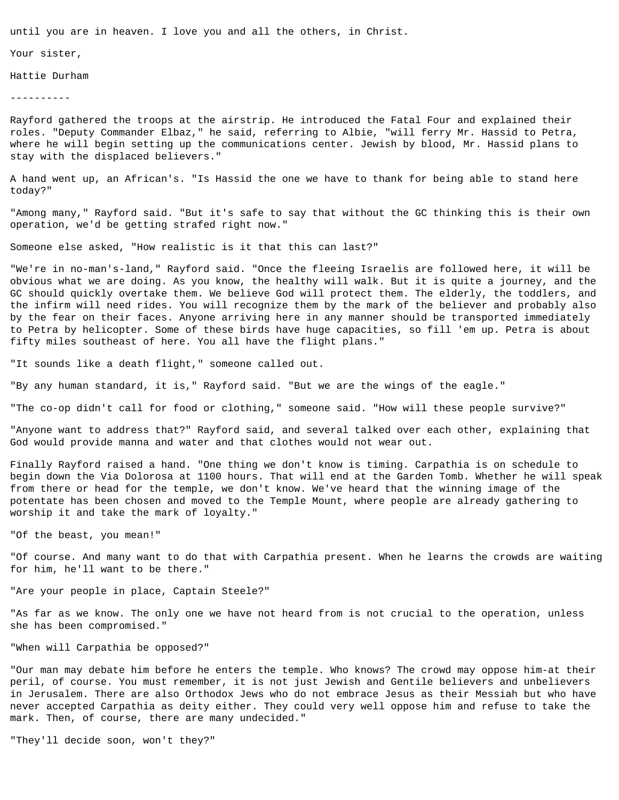until you are in heaven. I love you and all the others, in Christ.

Your sister,

Hattie Durham

----------

Rayford gathered the troops at the airstrip. He introduced the Fatal Four and explained their roles. "Deputy Commander Elbaz," he said, referring to Albie, "will ferry Mr. Hassid to Petra, where he will begin setting up the communications center. Jewish by blood, Mr. Hassid plans to stay with the displaced believers."

A hand went up, an African's. "Is Hassid the one we have to thank for being able to stand here today?"

"Among many," Rayford said. "But it's safe to say that without the GC thinking this is their own operation, we'd be getting strafed right now."

Someone else asked, "How realistic is it that this can last?"

"We're in no-man's-land," Rayford said. "Once the fleeing Israelis are followed here, it will be obvious what we are doing. As you know, the healthy will walk. But it is quite a journey, and the GC should quickly overtake them. We believe God will protect them. The elderly, the toddlers, and the infirm will need rides. You will recognize them by the mark of the believer and probably also by the fear on their faces. Anyone arriving here in any manner should be transported immediately to Petra by helicopter. Some of these birds have huge capacities, so fill 'em up. Petra is about fifty miles southeast of here. You all have the flight plans."

"It sounds like a death flight," someone called out.

"By any human standard, it is," Rayford said. "But we are the wings of the eagle."

"The co-op didn't call for food or clothing," someone said. "How will these people survive?"

"Anyone want to address that?" Rayford said, and several talked over each other, explaining that God would provide manna and water and that clothes would not wear out.

Finally Rayford raised a hand. "One thing we don't know is timing. Carpathia is on schedule to begin down the Via Dolorosa at 1100 hours. That will end at the Garden Tomb. Whether he will speak from there or head for the temple, we don't know. We've heard that the winning image of the potentate has been chosen and moved to the Temple Mount, where people are already gathering to worship it and take the mark of loyalty."

"Of the beast, you mean!"

"Of course. And many want to do that with Carpathia present. When he learns the crowds are waiting for him, he'll want to be there."

"Are your people in place, Captain Steele?"

"As far as we know. The only one we have not heard from is not crucial to the operation, unless she has been compromised."

"When will Carpathia be opposed?"

"Our man may debate him before he enters the temple. Who knows? The crowd may oppose him-at their peril, of course. You must remember, it is not just Jewish and Gentile believers and unbelievers in Jerusalem. There are also Orthodox Jews who do not embrace Jesus as their Messiah but who have never accepted Carpathia as deity either. They could very well oppose him and refuse to take the mark. Then, of course, there are many undecided."

"They'll decide soon, won't they?"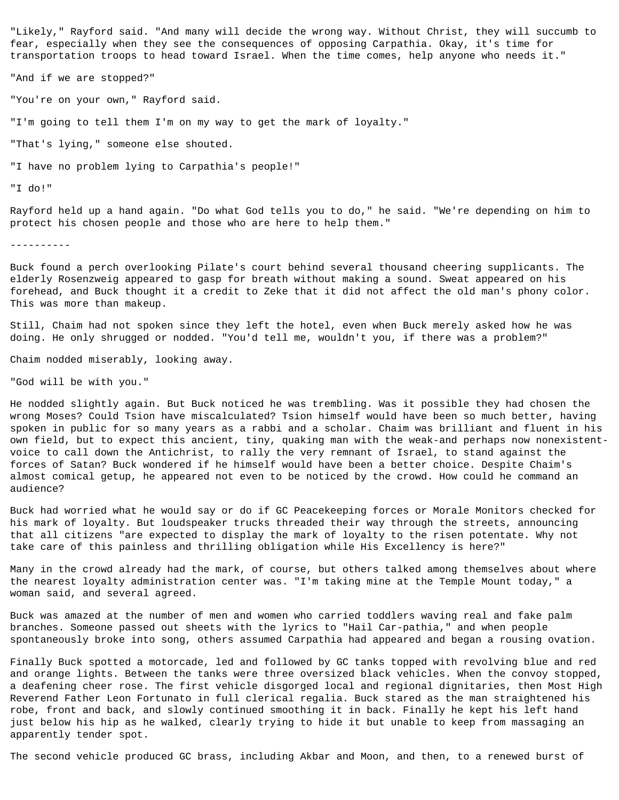"Likely," Rayford said. "And many will decide the wrong way. Without Christ, they will succumb to fear, especially when they see the consequences of opposing Carpathia. Okay, it's time for transportation troops to head toward Israel. When the time comes, help anyone who needs it."

"And if we are stopped?"

"You're on your own," Rayford said.

"I'm going to tell them I'm on my way to get the mark of loyalty."

"That's lying," someone else shouted.

"I have no problem lying to Carpathia's people!"

"I do!"

Rayford held up a hand again. "Do what God tells you to do," he said. "We're depending on him to protect his chosen people and those who are here to help them."

----------

Buck found a perch overlooking Pilate's court behind several thousand cheering supplicants. The elderly Rosenzweig appeared to gasp for breath without making a sound. Sweat appeared on his forehead, and Buck thought it a credit to Zeke that it did not affect the old man's phony color. This was more than makeup.

Still, Chaim had not spoken since they left the hotel, even when Buck merely asked how he was doing. He only shrugged or nodded. "You'd tell me, wouldn't you, if there was a problem?"

Chaim nodded miserably, looking away.

"God will be with you."

He nodded slightly again. But Buck noticed he was trembling. Was it possible they had chosen the wrong Moses? Could Tsion have miscalculated? Tsion himself would have been so much better, having spoken in public for so many years as a rabbi and a scholar. Chaim was brilliant and fluent in his own field, but to expect this ancient, tiny, quaking man with the weak-and perhaps now nonexistentvoice to call down the Antichrist, to rally the very remnant of Israel, to stand against the forces of Satan? Buck wondered if he himself would have been a better choice. Despite Chaim's almost comical getup, he appeared not even to be noticed by the crowd. How could he command an audience?

Buck had worried what he would say or do if GC Peacekeeping forces or Morale Monitors checked for his mark of loyalty. But loudspeaker trucks threaded their way through the streets, announcing that all citizens "are expected to display the mark of loyalty to the risen potentate. Why not take care of this painless and thrilling obligation while His Excellency is here?"

Many in the crowd already had the mark, of course, but others talked among themselves about where the nearest loyalty administration center was. "I'm taking mine at the Temple Mount today," a woman said, and several agreed.

Buck was amazed at the number of men and women who carried toddlers waving real and fake palm branches. Someone passed out sheets with the lyrics to "Hail Car-pathia," and when people spontaneously broke into song, others assumed Carpathia had appeared and began a rousing ovation.

Finally Buck spotted a motorcade, led and followed by GC tanks topped with revolving blue and red and orange lights. Between the tanks were three oversized black vehicles. When the convoy stopped, a deafening cheer rose. The first vehicle disgorged local and regional dignitaries, then Most High Reverend Father Leon Fortunato in full clerical regalia. Buck stared as the man straightened his robe, front and back, and slowly continued smoothing it in back. Finally he kept his left hand just below his hip as he walked, clearly trying to hide it but unable to keep from massaging an apparently tender spot.

The second vehicle produced GC brass, including Akbar and Moon, and then, to a renewed burst of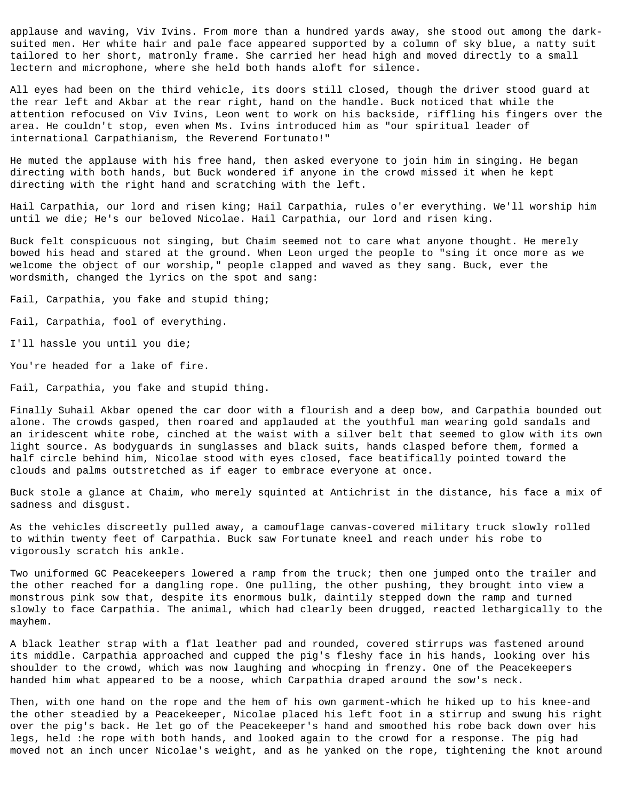applause and waving, Viv Ivins. From more than a hundred yards away, she stood out among the darksuited men. Her white hair and pale face appeared supported by a column of sky blue, a natty suit tailored to her short, matronly frame. She carried her head high and moved directly to a small lectern and microphone, where she held both hands aloft for silence.

All eyes had been on the third vehicle, its doors still closed, though the driver stood guard at the rear left and Akbar at the rear right, hand on the handle. Buck noticed that while the attention refocused on Viv Ivins, Leon went to work on his backside, riffling his fingers over the area. He couldn't stop, even when Ms. Ivins introduced him as "our spiritual leader of international Carpathianism, the Reverend Fortunato!"

He muted the applause with his free hand, then asked everyone to join him in singing. He began directing with both hands, but Buck wondered if anyone in the crowd missed it when he kept directing with the right hand and scratching with the left.

Hail Carpathia, our lord and risen king; Hail Carpathia, rules o'er everything. We'll worship him until we die; He's our beloved Nicolae. Hail Carpathia, our lord and risen king.

Buck felt conspicuous not singing, but Chaim seemed not to care what anyone thought. He merely bowed his head and stared at the ground. When Leon urged the people to "sing it once more as we welcome the object of our worship," people clapped and waved as they sang. Buck, ever the wordsmith, changed the lyrics on the spot and sang:

Fail, Carpathia, you fake and stupid thing;

Fail, Carpathia, fool of everything.

I'll hassle you until you die;

You're headed for a lake of fire.

Fail, Carpathia, you fake and stupid thing.

Finally Suhail Akbar opened the car door with a flourish and a deep bow, and Carpathia bounded out alone. The crowds gasped, then roared and applauded at the youthful man wearing gold sandals and an iridescent white robe, cinched at the waist with a silver belt that seemed to glow with its own light source. As bodyguards in sunglasses and black suits, hands clasped before them, formed a half circle behind him, Nicolae stood with eyes closed, face beatifically pointed toward the clouds and palms outstretched as if eager to embrace everyone at once.

Buck stole a glance at Chaim, who merely squinted at Antichrist in the distance, his face a mix of sadness and disgust.

As the vehicles discreetly pulled away, a camouflage canvas-covered military truck slowly rolled to within twenty feet of Carpathia. Buck saw Fortunate kneel and reach under his robe to vigorously scratch his ankle.

Two uniformed GC Peacekeepers lowered a ramp from the truck; then one jumped onto the trailer and the other reached for a dangling rope. One pulling, the other pushing, they brought into view a monstrous pink sow that, despite its enormous bulk, daintily stepped down the ramp and turned slowly to face Carpathia. The animal, which had clearly been drugged, reacted lethargically to the mayhem.

A black leather strap with a flat leather pad and rounded, covered stirrups was fastened around its middle. Carpathia approached and cupped the pig's fleshy face in his hands, looking over his shoulder to the crowd, which was now laughing and whocping in frenzy. One of the Peacekeepers handed him what appeared to be a noose, which Carpathia draped around the sow's neck.

Then, with one hand on the rope and the hem of his own garment-which he hiked up to his knee-and the other steadied by a Peacekeeper, Nicolae placed his left foot in a stirrup and swung his right over the pig's back. He let go of the Peacekeeper's hand and smoothed his robe back down over his legs, held :he rope with both hands, and looked again to the crowd for a response. The pig had moved not an inch uncer Nicolae's weight, and as he yanked on the rope, tightening the knot around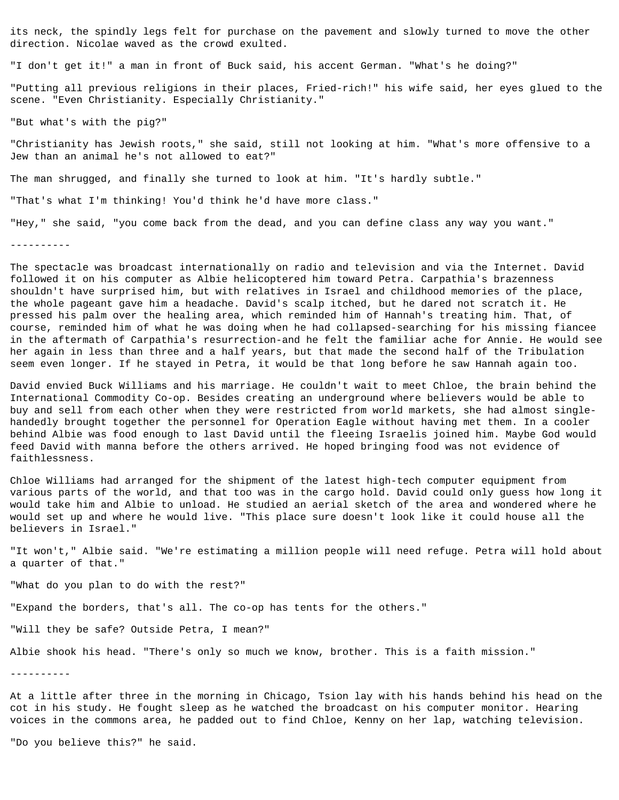its neck, the spindly legs felt for purchase on the pavement and slowly turned to move the other direction. Nicolae waved as the crowd exulted.

"I don't get it!" a man in front of Buck said, his accent German. "What's he doing?"

"Putting all previous religions in their places, Fried-rich!" his wife said, her eyes glued to the scene. "Even Christianity. Especially Christianity."

"But what's with the pig?"

"Christianity has Jewish roots," she said, still not looking at him. "What's more offensive to a Jew than an animal he's not allowed to eat?"

The man shrugged, and finally she turned to look at him. "It's hardly subtle."

"That's what I'm thinking! You'd think he'd have more class."

"Hey," she said, "you come back from the dead, and you can define class any way you want."

----------

The spectacle was broadcast internationally on radio and television and via the Internet. David followed it on his computer as Albie helicoptered him toward Petra. Carpathia's brazenness shouldn't have surprised him, but with relatives in Israel and childhood memories of the place, the whole pageant gave him a headache. David's scalp itched, but he dared not scratch it. He pressed his palm over the healing area, which reminded him of Hannah's treating him. That, of course, reminded him of what he was doing when he had collapsed-searching for his missing fiancee in the aftermath of Carpathia's resurrection-and he felt the familiar ache for Annie. He would see her again in less than three and a half years, but that made the second half of the Tribulation seem even longer. If he stayed in Petra, it would be that long before he saw Hannah again too.

David envied Buck Williams and his marriage. He couldn't wait to meet Chloe, the brain behind the International Commodity Co-op. Besides creating an underground where believers would be able to buy and sell from each other when they were restricted from world markets, she had almost singlehandedly brought together the personnel for Operation Eagle without having met them. In a cooler behind Albie was food enough to last David until the fleeing Israelis joined him. Maybe God would feed David with manna before the others arrived. He hoped bringing food was not evidence of faithlessness.

Chloe Williams had arranged for the shipment of the latest high-tech computer equipment from various parts of the world, and that too was in the cargo hold. David could only guess how long it would take him and Albie to unload. He studied an aerial sketch of the area and wondered where he would set up and where he would live. "This place sure doesn't look like it could house all the believers in Israel."

"It won't," Albie said. "We're estimating a million people will need refuge. Petra will hold about a quarter of that."

"What do you plan to do with the rest?"

"Expand the borders, that's all. The co-op has tents for the others."

"Will they be safe? Outside Petra, I mean?"

Albie shook his head. "There's only so much we know, brother. This is a faith mission."

----------

At a little after three in the morning in Chicago, Tsion lay with his hands behind his head on the cot in his study. He fought sleep as he watched the broadcast on his computer monitor. Hearing voices in the commons area, he padded out to find Chloe, Kenny on her lap, watching television.

"Do you believe this?" he said.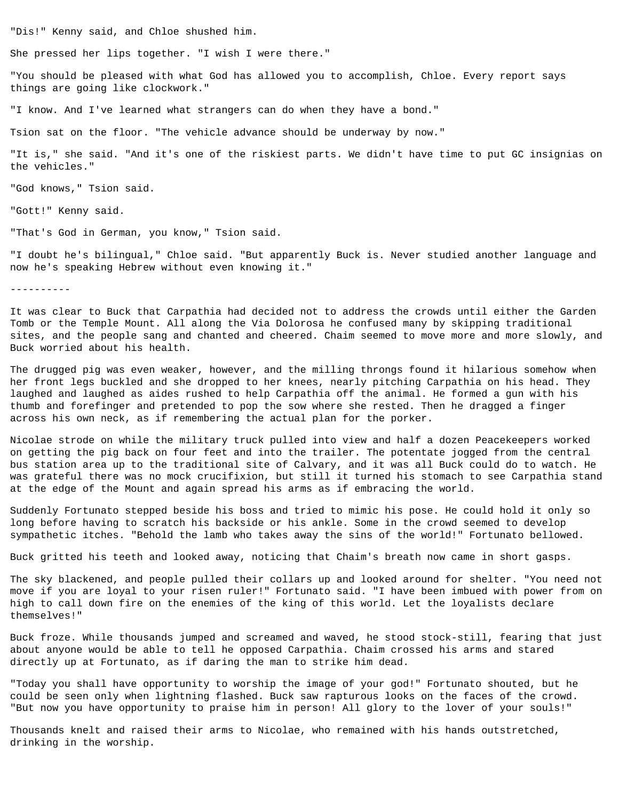"Dis!" Kenny said, and Chloe shushed him.

She pressed her lips together. "I wish I were there."

"You should be pleased with what God has allowed you to accomplish, Chloe. Every report says things are going like clockwork."

"I know. And I've learned what strangers can do when they have a bond."

Tsion sat on the floor. "The vehicle advance should be underway by now."

"It is," she said. "And it's one of the riskiest parts. We didn't have time to put GC insignias on the vehicles."

"God knows," Tsion said.

"Gott!" Kenny said.

"That's God in German, you know," Tsion said.

"I doubt he's bilingual," Chloe said. "But apparently Buck is. Never studied another language and now he's speaking Hebrew without even knowing it."

----------

It was clear to Buck that Carpathia had decided not to address the crowds until either the Garden Tomb or the Temple Mount. All along the Via Dolorosa he confused many by skipping traditional sites, and the people sang and chanted and cheered. Chaim seemed to move more and more slowly, and Buck worried about his health.

The drugged pig was even weaker, however, and the milling throngs found it hilarious somehow when her front legs buckled and she dropped to her knees, nearly pitching Carpathia on his head. They laughed and laughed as aides rushed to help Carpathia off the animal. He formed a gun with his thumb and forefinger and pretended to pop the sow where she rested. Then he dragged a finger across his own neck, as if remembering the actual plan for the porker.

Nicolae strode on while the military truck pulled into view and half a dozen Peacekeepers worked on getting the pig back on four feet and into the trailer. The potentate jogged from the central bus station area up to the traditional site of Calvary, and it was all Buck could do to watch. He was grateful there was no mock crucifixion, but still it turned his stomach to see Carpathia stand at the edge of the Mount and again spread his arms as if embracing the world.

Suddenly Fortunato stepped beside his boss and tried to mimic his pose. He could hold it only so long before having to scratch his backside or his ankle. Some in the crowd seemed to develop sympathetic itches. "Behold the lamb who takes away the sins of the world!" Fortunato bellowed.

Buck gritted his teeth and looked away, noticing that Chaim's breath now came in short gasps.

The sky blackened, and people pulled their collars up and looked around for shelter. "You need not move if you are loyal to your risen ruler!" Fortunato said. "I have been imbued with power from on high to call down fire on the enemies of the king of this world. Let the loyalists declare themselves!"

Buck froze. While thousands jumped and screamed and waved, he stood stock-still, fearing that just about anyone would be able to tell he opposed Carpathia. Chaim crossed his arms and stared directly up at Fortunato, as if daring the man to strike him dead.

"Today you shall have opportunity to worship the image of your god!" Fortunato shouted, but he could be seen only when lightning flashed. Buck saw rapturous looks on the faces of the crowd. "But now you have opportunity to praise him in person! All glory to the lover of your souls!"

Thousands knelt and raised their arms to Nicolae, who remained with his hands outstretched, drinking in the worship.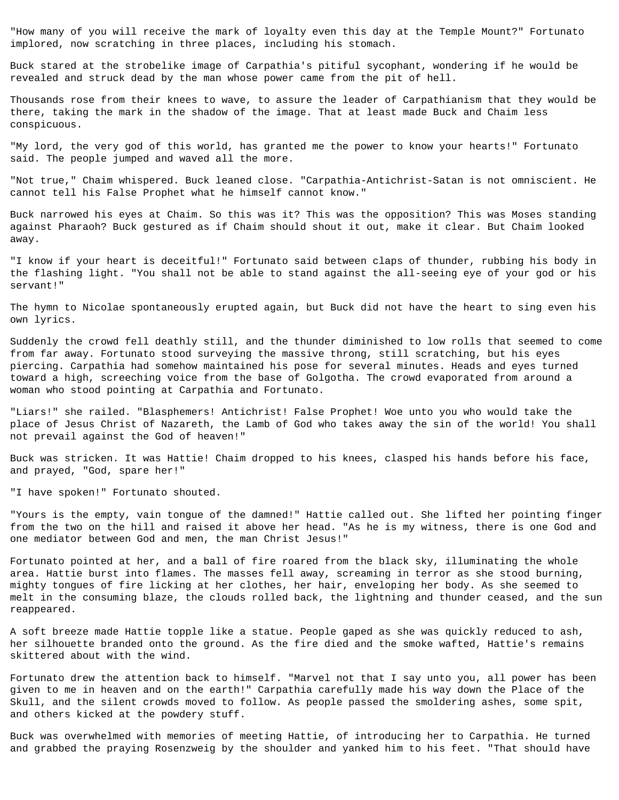"How many of you will receive the mark of loyalty even this day at the Temple Mount?" Fortunato implored, now scratching in three places, including his stomach.

Buck stared at the strobelike image of Carpathia's pitiful sycophant, wondering if he would be revealed and struck dead by the man whose power came from the pit of hell.

Thousands rose from their knees to wave, to assure the leader of Carpathianism that they would be there, taking the mark in the shadow of the image. That at least made Buck and Chaim less conspicuous.

"My lord, the very god of this world, has granted me the power to know your hearts!" Fortunato said. The people jumped and waved all the more.

"Not true," Chaim whispered. Buck leaned close. "Carpathia-Antichrist-Satan is not omniscient. He cannot tell his False Prophet what he himself cannot know."

Buck narrowed his eyes at Chaim. So this was it? This was the opposition? This was Moses standing against Pharaoh? Buck gestured as if Chaim should shout it out, make it clear. But Chaim looked away.

"I know if your heart is deceitful!" Fortunato said between claps of thunder, rubbing his body in the flashing light. "You shall not be able to stand against the all-seeing eye of your god or his servant!"

The hymn to Nicolae spontaneously erupted again, but Buck did not have the heart to sing even his own lyrics.

Suddenly the crowd fell deathly still, and the thunder diminished to low rolls that seemed to come from far away. Fortunato stood surveying the massive throng, still scratching, but his eyes piercing. Carpathia had somehow maintained his pose for several minutes. Heads and eyes turned toward a high, screeching voice from the base of Golgotha. The crowd evaporated from around a woman who stood pointing at Carpathia and Fortunato.

"Liars!" she railed. "Blasphemers! Antichrist! False Prophet! Woe unto you who would take the place of Jesus Christ of Nazareth, the Lamb of God who takes away the sin of the world! You shall not prevail against the God of heaven!"

Buck was stricken. It was Hattie! Chaim dropped to his knees, clasped his hands before his face, and prayed, "God, spare her!"

"I have spoken!" Fortunato shouted.

"Yours is the empty, vain tongue of the damned!" Hattie called out. She lifted her pointing finger from the two on the hill and raised it above her head. "As he is my witness, there is one God and one mediator between God and men, the man Christ Jesus!"

Fortunato pointed at her, and a ball of fire roared from the black sky, illuminating the whole area. Hattie burst into flames. The masses fell away, screaming in terror as she stood burning, mighty tongues of fire licking at her clothes, her hair, enveloping her body. As she seemed to melt in the consuming blaze, the clouds rolled back, the lightning and thunder ceased, and the sun reappeared.

A soft breeze made Hattie topple like a statue. People gaped as she was quickly reduced to ash, her silhouette branded onto the ground. As the fire died and the smoke wafted, Hattie's remains skittered about with the wind.

Fortunato drew the attention back to himself. "Marvel not that I say unto you, all power has been given to me in heaven and on the earth!" Carpathia carefully made his way down the Place of the Skull, and the silent crowds moved to follow. As people passed the smoldering ashes, some spit, and others kicked at the powdery stuff.

Buck was overwhelmed with memories of meeting Hattie, of introducing her to Carpathia. He turned and grabbed the praying Rosenzweig by the shoulder and yanked him to his feet. "That should have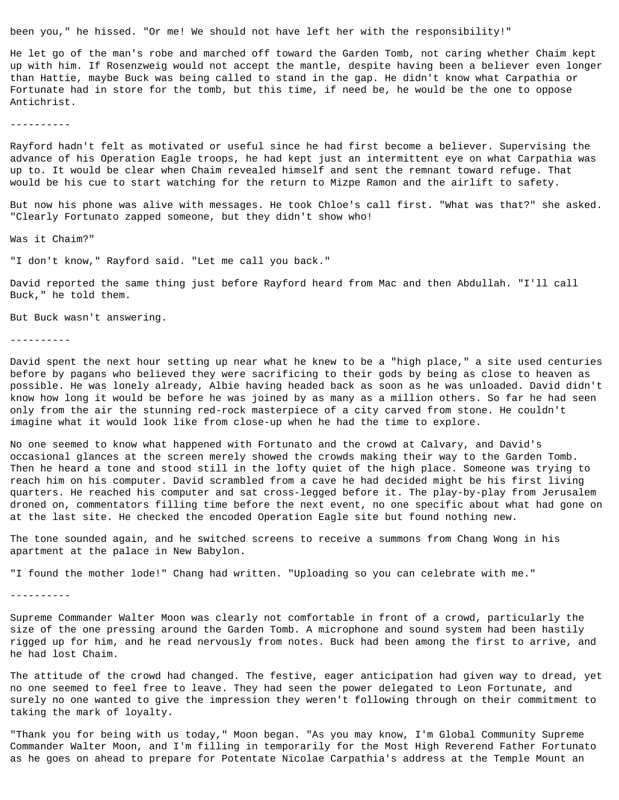been you," he hissed. "Or me! We should not have left her with the responsibility!"

He let go of the man's robe and marched off toward the Garden Tomb, not caring whether Chaim kept up with him. If Rosenzweig would not accept the mantle, despite having been a believer even longer than Hattie, maybe Buck was being called to stand in the gap. He didn't know what Carpathia or Fortunate had in store for the tomb, but this time, if need be, he would be the one to oppose Antichrist.

----------

Rayford hadn't felt as motivated or useful since he had first become a believer. Supervising the advance of his Operation Eagle troops, he had kept just an intermittent eye on what Carpathia was up to. It would be clear when Chaim revealed himself and sent the remnant toward refuge. That would be his cue to start watching for the return to Mizpe Ramon and the airlift to safety.

But now his phone was alive with messages. He took Chloe's call first. "What was that?" she asked. "Clearly Fortunato zapped someone, but they didn't show who!

Was it Chaim?"

"I don't know," Rayford said. "Let me call you back."

David reported the same thing just before Rayford heard from Mac and then Abdullah. "I'll call Buck," he told them.

But Buck wasn't answering.

----------

David spent the next hour setting up near what he knew to be a "high place," a site used centuries before by pagans who believed they were sacrificing to their gods by being as close to heaven as possible. He was lonely already, Albie having headed back as soon as he was unloaded. David didn't know how long it would be before he was joined by as many as a million others. So far he had seen only from the air the stunning red-rock masterpiece of a city carved from stone. He couldn't imagine what it would look like from close-up when he had the time to explore.

No one seemed to know what happened with Fortunato and the crowd at Calvary, and David's occasional glances at the screen merely showed the crowds making their way to the Garden Tomb. Then he heard a tone and stood still in the lofty quiet of the high place. Someone was trying to reach him on his computer. David scrambled from a cave he had decided might be his first living quarters. He reached his computer and sat cross-legged before it. The play-by-play from Jerusalem droned on, commentators filling time before the next event, no one specific about what had gone on at the last site. He checked the encoded Operation Eagle site but found nothing new.

The tone sounded again, and he switched screens to receive a summons from Chang Wong in his apartment at the palace in New Babylon.

"I found the mother lode!" Chang had written. "Uploading so you can celebrate with me."

----------

Supreme Commander Walter Moon was clearly not comfortable in front of a crowd, particularly the size of the one pressing around the Garden Tomb. A microphone and sound system had been hastily rigged up for him, and he read nervously from notes. Buck had been among the first to arrive, and he had lost Chaim.

The attitude of the crowd had changed. The festive, eager anticipation had given way to dread, yet no one seemed to feel free to leave. They had seen the power delegated to Leon Fortunate, and surely no one wanted to give the impression they weren't following through on their commitment to taking the mark of loyalty.

"Thank you for being with us today," Moon began. "As you may know, I'm Global Community Supreme Commander Walter Moon, and I'm filling in temporarily for the Most High Reverend Father Fortunato as he goes on ahead to prepare for Potentate Nicolae Carpathia's address at the Temple Mount an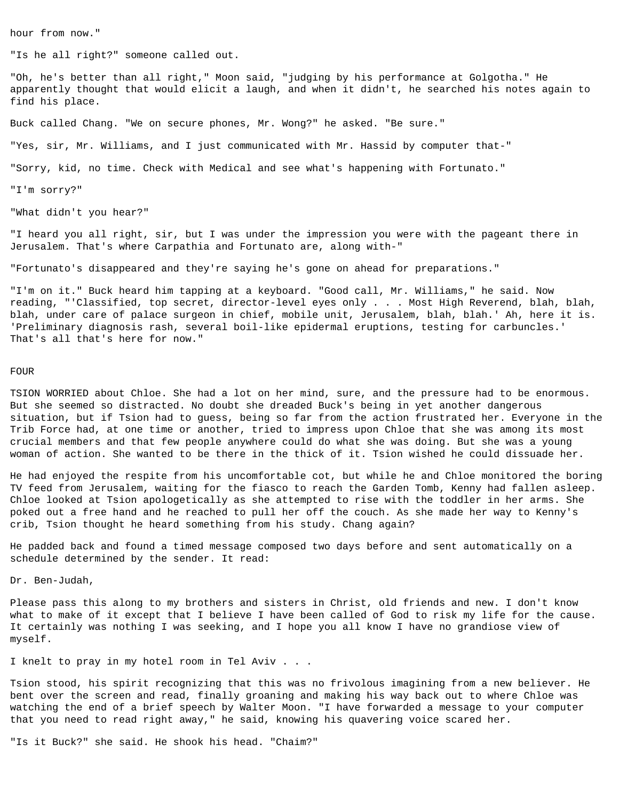hour from now."

"Is he all right?" someone called out.

"Oh, he's better than all right," Moon said, "judging by his performance at Golgotha." He apparently thought that would elicit a laugh, and when it didn't, he searched his notes again to find his place.

Buck called Chang. "We on secure phones, Mr. Wong?" he asked. "Be sure."

"Yes, sir, Mr. Williams, and I just communicated with Mr. Hassid by computer that-"

"Sorry, kid, no time. Check with Medical and see what's happening with Fortunato."

"I'm sorry?"

"What didn't you hear?"

"I heard you all right, sir, but I was under the impression you were with the pageant there in Jerusalem. That's where Carpathia and Fortunato are, along with-"

"Fortunato's disappeared and they're saying he's gone on ahead for preparations."

"I'm on it." Buck heard him tapping at a keyboard. "Good call, Mr. Williams," he said. Now reading, "'Classified, top secret, director-level eyes only . . . Most High Reverend, blah, blah, blah, under care of palace surgeon in chief, mobile unit, Jerusalem, blah, blah.' Ah, here it is. 'Preliminary diagnosis rash, several boil-like epidermal eruptions, testing for carbuncles.' That's all that's here for now."

# FOUR

TSION WORRIED about Chloe. She had a lot on her mind, sure, and the pressure had to be enormous. But she seemed so distracted. No doubt she dreaded Buck's being in yet another dangerous situation, but if Tsion had to guess, being so far from the action frustrated her. Everyone in the Trib Force had, at one time or another, tried to impress upon Chloe that she was among its most crucial members and that few people anywhere could do what she was doing. But she was a young woman of action. She wanted to be there in the thick of it. Tsion wished he could dissuade her.

He had enjoyed the respite from his uncomfortable cot, but while he and Chloe monitored the boring TV feed from Jerusalem, waiting for the fiasco to reach the Garden Tomb, Kenny had fallen asleep. Chloe looked at Tsion apologetically as she attempted to rise with the toddler in her arms. She poked out a free hand and he reached to pull her off the couch. As she made her way to Kenny's crib, Tsion thought he heard something from his study. Chang again?

He padded back and found a timed message composed two days before and sent automatically on a schedule determined by the sender. It read:

Dr. Ben-Judah,

Please pass this along to my brothers and sisters in Christ, old friends and new. I don't know what to make of it except that I believe I have been called of God to risk my life for the cause. It certainly was nothing I was seeking, and I hope you all know I have no grandiose view of myself.

I knelt to pray in my hotel room in Tel Aviv . . .

Tsion stood, his spirit recognizing that this was no frivolous imagining from a new believer. He bent over the screen and read, finally groaning and making his way back out to where Chloe was watching the end of a brief speech by Walter Moon. "I have forwarded a message to your computer that you need to read right away," he said, knowing his quavering voice scared her.

"Is it Buck?" she said. He shook his head. "Chaim?"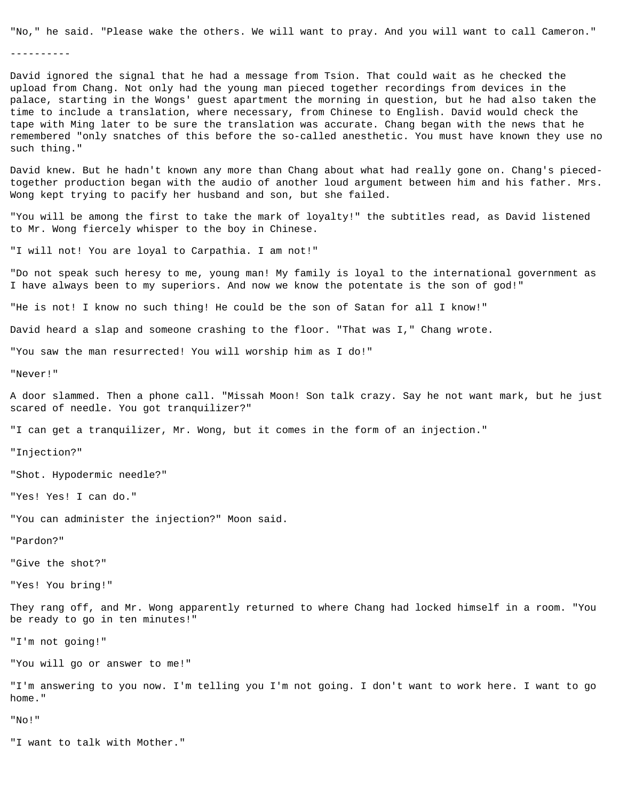"No," he said. "Please wake the others. We will want to pray. And you will want to call Cameron." ----------

David ignored the signal that he had a message from Tsion. That could wait as he checked the upload from Chang. Not only had the young man pieced together recordings from devices in the palace, starting in the Wongs' guest apartment the morning in question, but he had also taken the time to include a translation, where necessary, from Chinese to English. David would check the tape with Ming later to be sure the translation was accurate. Chang began with the news that he remembered "only snatches of this before the so-called anesthetic. You must have known they use no such thing."

David knew. But he hadn't known any more than Chang about what had really gone on. Chang's piecedtogether production began with the audio of another loud argument between him and his father. Mrs. Wong kept trying to pacify her husband and son, but she failed.

"You will be among the first to take the mark of loyalty!" the subtitles read, as David listened to Mr. Wong fiercely whisper to the boy in Chinese.

"I will not! You are loyal to Carpathia. I am not!"

"Do not speak such heresy to me, young man! My family is loyal to the international government as I have always been to my superiors. And now we know the potentate is the son of god!"

"He is not! I know no such thing! He could be the son of Satan for all I know!"

David heard a slap and someone crashing to the floor. "That was I," Chang wrote.

"You saw the man resurrected! You will worship him as I do!"

"Never!"

A door slammed. Then a phone call. "Missah Moon! Son talk crazy. Say he not want mark, but he just scared of needle. You got tranquilizer?"

"I can get a tranquilizer, Mr. Wong, but it comes in the form of an injection."

"Injection?"

"Shot. Hypodermic needle?"

"Yes! Yes! I can do."

"You can administer the injection?" Moon said.

"Pardon?"

"Give the shot?"

"Yes! You bring!"

They rang off, and Mr. Wong apparently returned to where Chang had locked himself in a room. "You be ready to go in ten minutes!"

"I'm not going!"

"You will go or answer to me!"

"I'm answering to you now. I'm telling you I'm not going. I don't want to work here. I want to go home."

"No!"

"I want to talk with Mother."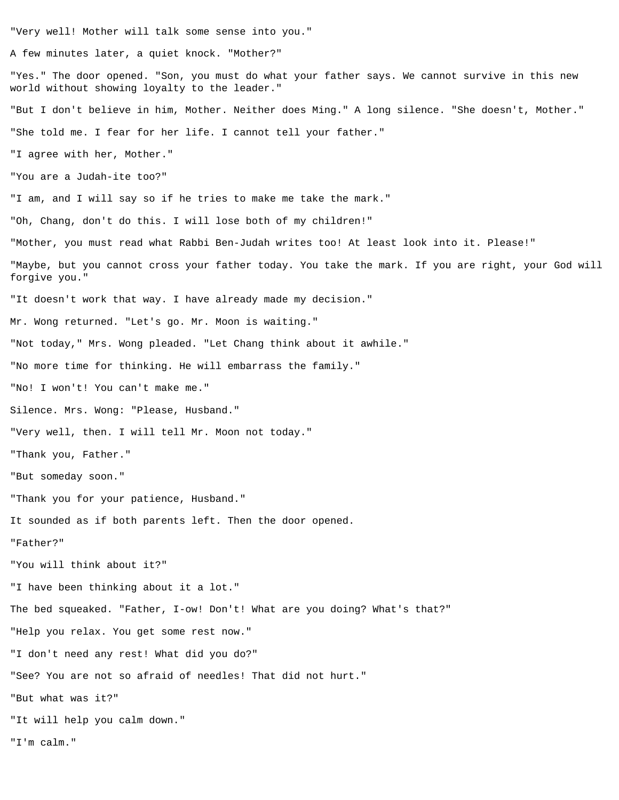"Very well! Mother will talk some sense into you." A few minutes later, a quiet knock. "Mother?" "Yes." The door opened. "Son, you must do what your father says. We cannot survive in this new world without showing loyalty to the leader." "But I don't believe in him, Mother. Neither does Ming." A long silence. "She doesn't, Mother." "She told me. I fear for her life. I cannot tell your father." "I agree with her, Mother." "You are a Judah-ite too?" "I am, and I will say so if he tries to make me take the mark." "Oh, Chang, don't do this. I will lose both of my children!" "Mother, you must read what Rabbi Ben-Judah writes too! At least look into it. Please!" "Maybe, but you cannot cross your father today. You take the mark. If you are right, your God will forgive you." "It doesn't work that way. I have already made my decision." Mr. Wong returned. "Let's go. Mr. Moon is waiting." "Not today," Mrs. Wong pleaded. "Let Chang think about it awhile." "No more time for thinking. He will embarrass the family." "No! I won't! You can't make me." Silence. Mrs. Wong: "Please, Husband." "Very well, then. I will tell Mr. Moon not today." "Thank you, Father." "But someday soon." "Thank you for your patience, Husband." It sounded as if both parents left. Then the door opened. "Father?" "You will think about it?" "I have been thinking about it a lot." The bed squeaked. "Father, I-ow! Don't! What are you doing? What's that?" "Help you relax. You get some rest now." "I don't need any rest! What did you do?" "See? You are not so afraid of needles! That did not hurt." "But what was it?" "It will help you calm down."

"I'm calm."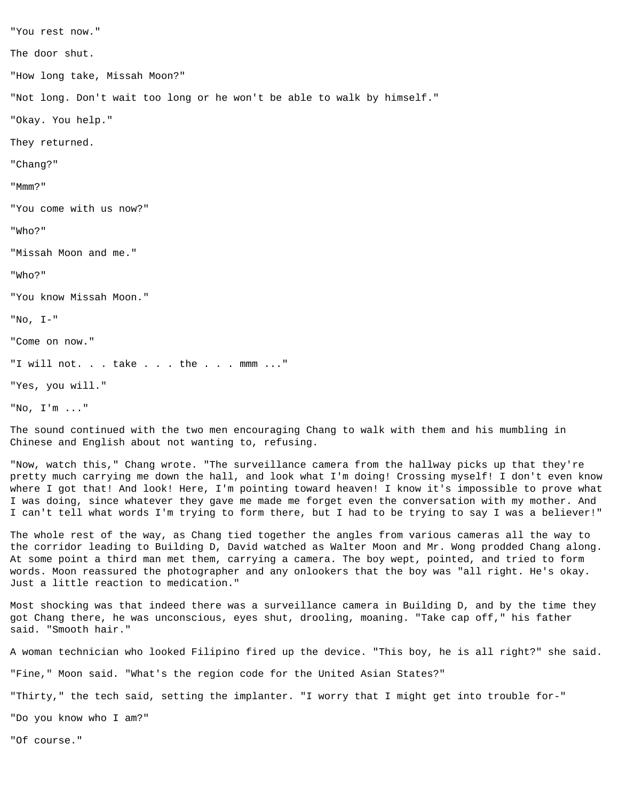```
"You rest now."
The door shut.
"How long take, Missah Moon?"
"Not long. Don't wait too long or he won't be able to walk by himself."
"Okay. You help."
They returned.
"Chang?"
"Mmm?"
"You come with us now?"
"Who?"
"Missah Moon and me."
"Who?"
"You know Missah Moon."
"No, I-"
"Come on now."
"I will not. . . take . . . the . . . mmm ..."
"Yes, you will."
"No, I'm ..."
```
The sound continued with the two men encouraging Chang to walk with them and his mumbling in Chinese and English about not wanting to, refusing.

"Now, watch this," Chang wrote. "The surveillance camera from the hallway picks up that they're pretty much carrying me down the hall, and look what I'm doing! Crossing myself! I don't even know where I got that! And look! Here, I'm pointing toward heaven! I know it's impossible to prove what I was doing, since whatever they gave me made me forget even the conversation with my mother. And I can't tell what words I'm trying to form there, but I had to be trying to say I was a believer!"

The whole rest of the way, as Chang tied together the angles from various cameras all the way to the corridor leading to Building D, David watched as Walter Moon and Mr. Wong prodded Chang along. At some point a third man met them, carrying a camera. The boy wept, pointed, and tried to form words. Moon reassured the photographer and any onlookers that the boy was "all right. He's okay. Just a little reaction to medication."

Most shocking was that indeed there was a surveillance camera in Building D, and by the time they got Chang there, he was unconscious, eyes shut, drooling, moaning. "Take cap off," his father said. "Smooth hair."

A woman technician who looked Filipino fired up the device. "This boy, he is all right?" she said.

"Fine," Moon said. "What's the region code for the United Asian States?"

"Thirty," the tech said, setting the implanter. "I worry that I might get into trouble for-"

"Do you know who I am?"

"Of course."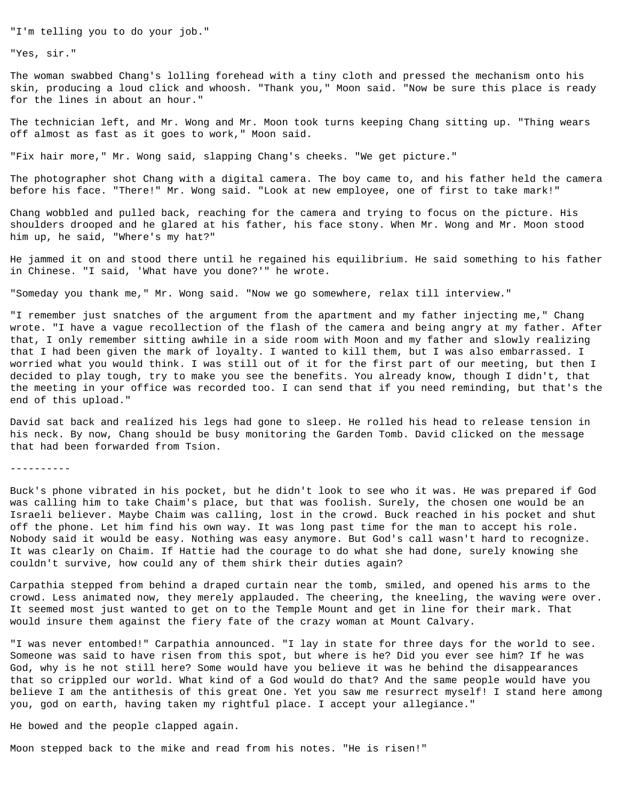"I'm telling you to do your job."

"Yes, sir."

The woman swabbed Chang's lolling forehead with a tiny cloth and pressed the mechanism onto his skin, producing a loud click and whoosh. "Thank you," Moon said. "Now be sure this place is ready for the lines in about an hour."

The technician left, and Mr. Wong and Mr. Moon took turns keeping Chang sitting up. "Thing wears off almost as fast as it goes to work," Moon said.

"Fix hair more," Mr. Wong said, slapping Chang's cheeks. "We get picture."

The photographer shot Chang with a digital camera. The boy came to, and his father held the camera before his face. "There!" Mr. Wong said. "Look at new employee, one of first to take mark!"

Chang wobbled and pulled back, reaching for the camera and trying to focus on the picture. His shoulders drooped and he glared at his father, his face stony. When Mr. Wong and Mr. Moon stood him up, he said, "Where's my hat?"

He jammed it on and stood there until he regained his equilibrium. He said something to his father in Chinese. "I said, 'What have you done?'" he wrote.

"Someday you thank me," Mr. Wong said. "Now we go somewhere, relax till interview."

"I remember just snatches of the argument from the apartment and my father injecting me," Chang wrote. "I have a vague recollection of the flash of the camera and being angry at my father. After that, I only remember sitting awhile in a side room with Moon and my father and slowly realizing that I had been given the mark of loyalty. I wanted to kill them, but I was also embarrassed. I worried what you would think. I was still out of it for the first part of our meeting, but then I decided to play tough, try to make you see the benefits. You already know, though I didn't, that the meeting in your office was recorded too. I can send that if you need reminding, but that's the end of this upload."

David sat back and realized his legs had gone to sleep. He rolled his head to release tension in his neck. By now, Chang should be busy monitoring the Garden Tomb. David clicked on the message that had been forwarded from Tsion.

#### ----------

Buck's phone vibrated in his pocket, but he didn't look to see who it was. He was prepared if God was calling him to take Chaim's place, but that was foolish. Surely, the chosen one would be an Israeli believer. Maybe Chaim was calling, lost in the crowd. Buck reached in his pocket and shut off the phone. Let him find his own way. It was long past time for the man to accept his role. Nobody said it would be easy. Nothing was easy anymore. But God's call wasn't hard to recognize. It was clearly on Chaim. If Hattie had the courage to do what she had done, surely knowing she couldn't survive, how could any of them shirk their duties again?

Carpathia stepped from behind a draped curtain near the tomb, smiled, and opened his arms to the crowd. Less animated now, they merely applauded. The cheering, the kneeling, the waving were over. It seemed most just wanted to get on to the Temple Mount and get in line for their mark. That would insure them against the fiery fate of the crazy woman at Mount Calvary.

"I was never entombed!" Carpathia announced. "I lay in state for three days for the world to see. Someone was said to have risen from this spot, but where is he? Did you ever see him? If he was God, why is he not still here? Some would have you believe it was he behind the disappearances that so crippled our world. What kind of a God would do that? And the same people would have you believe I am the antithesis of this great One. Yet you saw me resurrect myself! I stand here among you, god on earth, having taken my rightful place. I accept your allegiance."

He bowed and the people clapped again.

Moon stepped back to the mike and read from his notes. "He is risen!"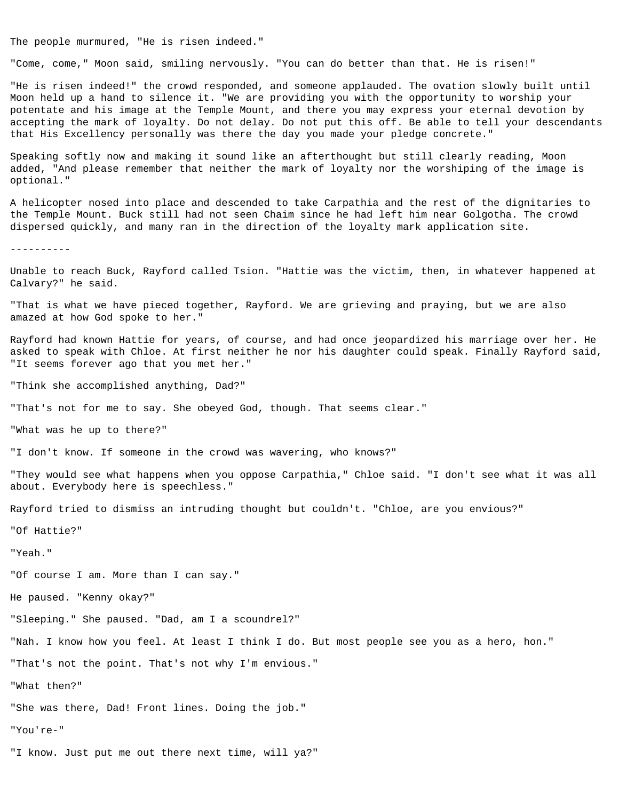The people murmured, "He is risen indeed."

"Come, come," Moon said, smiling nervously. "You can do better than that. He is risen!"

"He is risen indeed!" the crowd responded, and someone applauded. The ovation slowly built until Moon held up a hand to silence it. "We are providing you with the opportunity to worship your potentate and his image at the Temple Mount, and there you may express your eternal devotion by accepting the mark of loyalty. Do not delay. Do not put this off. Be able to tell your descendants that His Excellency personally was there the day you made your pledge concrete."

Speaking softly now and making it sound like an afterthought but still clearly reading, Moon added, "And please remember that neither the mark of loyalty nor the worshiping of the image is optional."

A helicopter nosed into place and descended to take Carpathia and the rest of the dignitaries to the Temple Mount. Buck still had not seen Chaim since he had left him near Golgotha. The crowd dispersed quickly, and many ran in the direction of the loyalty mark application site.

Unable to reach Buck, Rayford called Tsion. "Hattie was the victim, then, in whatever happened at Calvary?" he said.

"That is what we have pieced together, Rayford. We are grieving and praying, but we are also amazed at how God spoke to her."

Rayford had known Hattie for years, of course, and had once jeopardized his marriage over her. He asked to speak with Chloe. At first neither he nor his daughter could speak. Finally Rayford said, "It seems forever ago that you met her."

"Think she accomplished anything, Dad?"

"That's not for me to say. She obeyed God, though. That seems clear."

"What was he up to there?"

"I don't know. If someone in the crowd was wavering, who knows?"

"They would see what happens when you oppose Carpathia," Chloe said. "I don't see what it was all about. Everybody here is speechless."

Rayford tried to dismiss an intruding thought but couldn't. "Chloe, are you envious?"

"Of Hattie?"

"Yeah."

"Of course I am. More than I can say."

He paused. "Kenny okay?"

"Sleeping." She paused. "Dad, am I a scoundrel?"

"Nah. I know how you feel. At least I think I do. But most people see you as a hero, hon."

"That's not the point. That's not why I'm envious."

"What then?"

"She was there, Dad! Front lines. Doing the job."

"You're-"

"I know. Just put me out there next time, will ya?"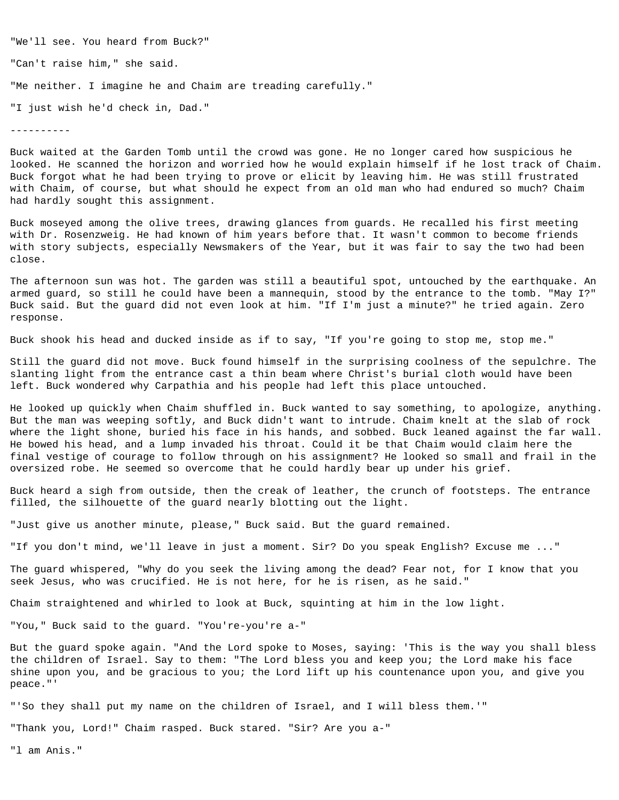"We'll see. You heard from Buck?"

"Can't raise him," she said.

"Me neither. I imagine he and Chaim are treading carefully."

"I just wish he'd check in, Dad."

----------

Buck waited at the Garden Tomb until the crowd was gone. He no longer cared how suspicious he looked. He scanned the horizon and worried how he would explain himself if he lost track of Chaim. Buck forgot what he had been trying to prove or elicit by leaving him. He was still frustrated with Chaim, of course, but what should he expect from an old man who had endured so much? Chaim had hardly sought this assignment.

Buck moseyed among the olive trees, drawing glances from guards. He recalled his first meeting with Dr. Rosenzweig. He had known of him years before that. It wasn't common to become friends with story subjects, especially Newsmakers of the Year, but it was fair to say the two had been close.

The afternoon sun was hot. The garden was still a beautiful spot, untouched by the earthquake. An armed guard, so still he could have been a mannequin, stood by the entrance to the tomb. "May I?" Buck said. But the guard did not even look at him. "If I'm just a minute?" he tried again. Zero response.

Buck shook his head and ducked inside as if to say, "If you're going to stop me, stop me."

Still the guard did not move. Buck found himself in the surprising coolness of the sepulchre. The slanting light from the entrance cast a thin beam where Christ's burial cloth would have been left. Buck wondered why Carpathia and his people had left this place untouched.

He looked up quickly when Chaim shuffled in. Buck wanted to say something, to apologize, anything. But the man was weeping softly, and Buck didn't want to intrude. Chaim knelt at the slab of rock where the light shone, buried his face in his hands, and sobbed. Buck leaned against the far wall. He bowed his head, and a lump invaded his throat. Could it be that Chaim would claim here the final vestige of courage to follow through on his assignment? He looked so small and frail in the oversized robe. He seemed so overcome that he could hardly bear up under his grief.

Buck heard a sigh from outside, then the creak of leather, the crunch of footsteps. The entrance filled, the silhouette of the guard nearly blotting out the light.

"Just give us another minute, please," Buck said. But the guard remained.

"If you don't mind, we'll leave in just a moment. Sir? Do you speak English? Excuse me ..."

The guard whispered, "Why do you seek the living among the dead? Fear not, for I know that you seek Jesus, who was crucified. He is not here, for he is risen, as he said."

Chaim straightened and whirled to look at Buck, squinting at him in the low light.

"You," Buck said to the guard. "You're-you're a-"

But the guard spoke again. "And the Lord spoke to Moses, saying: 'This is the way you shall bless the children of Israel. Say to them: "The Lord bless you and keep you; the Lord make his face shine upon you, and be gracious to you; the Lord lift up his countenance upon you, and give you peace."'

"'So they shall put my name on the children of Israel, and I will bless them.'"

"Thank you, Lord!" Chaim rasped. Buck stared. "Sir? Are you a-"

"l am Anis."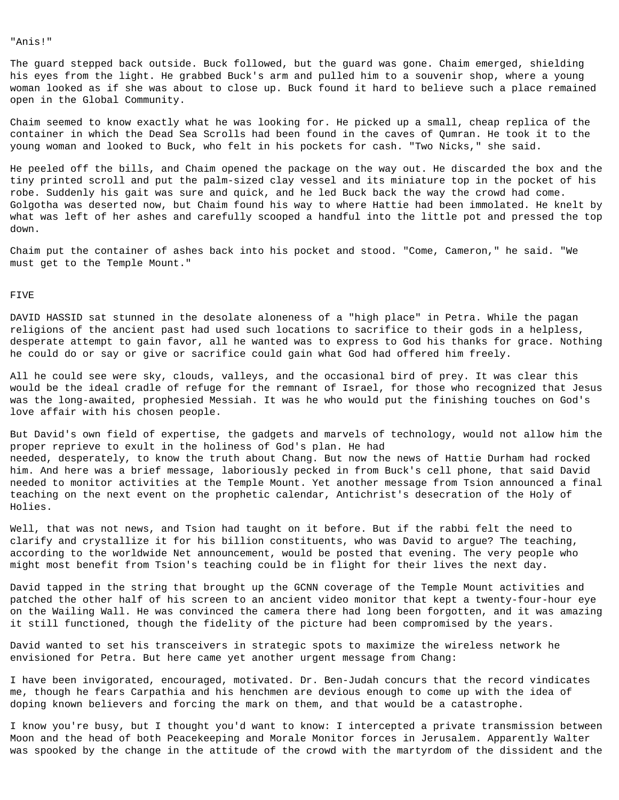"Anis!"

The guard stepped back outside. Buck followed, but the guard was gone. Chaim emerged, shielding his eyes from the light. He grabbed Buck's arm and pulled him to a souvenir shop, where a young woman looked as if she was about to close up. Buck found it hard to believe such a place remained open in the Global Community.

Chaim seemed to know exactly what he was looking for. He picked up a small, cheap replica of the container in which the Dead Sea Scrolls had been found in the caves of Qumran. He took it to the young woman and looked to Buck, who felt in his pockets for cash. "Two Nicks," she said.

He peeled off the bills, and Chaim opened the package on the way out. He discarded the box and the tiny printed scroll and put the palm-sized clay vessel and its miniature top in the pocket of his robe. Suddenly his gait was sure and quick, and he led Buck back the way the crowd had come. Golgotha was deserted now, but Chaim found his way to where Hattie had been immolated. He knelt by what was left of her ashes and carefully scooped a handful into the little pot and pressed the top down.

Chaim put the container of ashes back into his pocket and stood. "Come, Cameron," he said. "We must get to the Temple Mount."

#### FIVE

DAVID HASSID sat stunned in the desolate aloneness of a "high place" in Petra. While the pagan religions of the ancient past had used such locations to sacrifice to their gods in a helpless, desperate attempt to gain favor, all he wanted was to express to God his thanks for grace. Nothing he could do or say or give or sacrifice could gain what God had offered him freely.

All he could see were sky, clouds, valleys, and the occasional bird of prey. It was clear this would be the ideal cradle of refuge for the remnant of Israel, for those who recognized that Jesus was the long-awaited, prophesied Messiah. It was he who would put the finishing touches on God's love affair with his chosen people.

But David's own field of expertise, the gadgets and marvels of technology, would not allow him the proper reprieve to exult in the holiness of God's plan. He had needed, desperately, to know the truth about Chang. But now the news of Hattie Durham had rocked him. And here was a brief message, laboriously pecked in from Buck's cell phone, that said David needed to monitor activities at the Temple Mount. Yet another message from Tsion announced a final teaching on the next event on the prophetic calendar, Antichrist's desecration of the Holy of Holies.

Well, that was not news, and Tsion had taught on it before. But if the rabbi felt the need to clarify and crystallize it for his billion constituents, who was David to argue? The teaching, according to the worldwide Net announcement, would be posted that evening. The very people who might most benefit from Tsion's teaching could be in flight for their lives the next day.

David tapped in the string that brought up the GCNN coverage of the Temple Mount activities and patched the other half of his screen to an ancient video monitor that kept a twenty-four-hour eye on the Wailing Wall. He was convinced the camera there had long been forgotten, and it was amazing it still functioned, though the fidelity of the picture had been compromised by the years.

David wanted to set his transceivers in strategic spots to maximize the wireless network he envisioned for Petra. But here came yet another urgent message from Chang:

I have been invigorated, encouraged, motivated. Dr. Ben-Judah concurs that the record vindicates me, though he fears Carpathia and his henchmen are devious enough to come up with the idea of doping known believers and forcing the mark on them, and that would be a catastrophe.

I know you're busy, but I thought you'd want to know: I intercepted a private transmission between Moon and the head of both Peacekeeping and Morale Monitor forces in Jerusalem. Apparently Walter was spooked by the change in the attitude of the crowd with the martyrdom of the dissident and the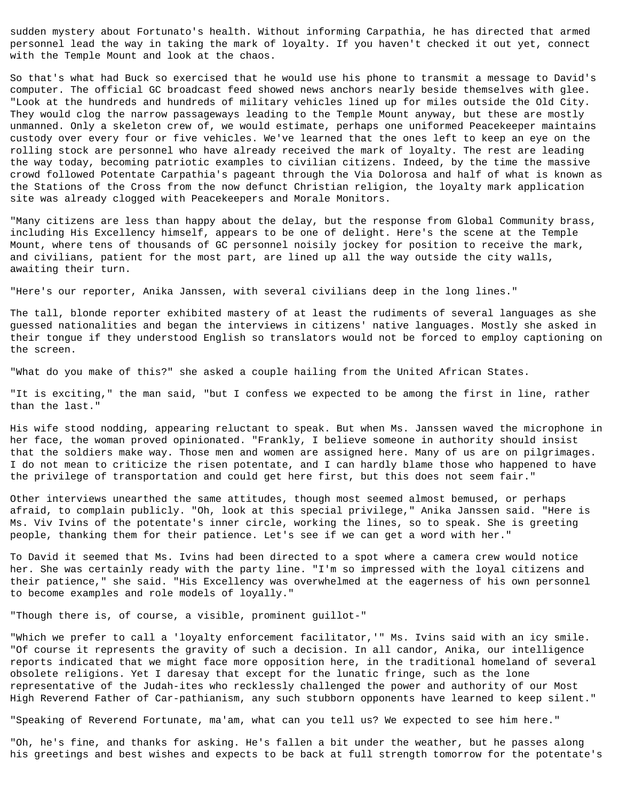sudden mystery about Fortunato's health. Without informing Carpathia, he has directed that armed personnel lead the way in taking the mark of loyalty. If you haven't checked it out yet, connect with the Temple Mount and look at the chaos.

So that's what had Buck so exercised that he would use his phone to transmit a message to David's computer. The official GC broadcast feed showed news anchors nearly beside themselves with glee. "Look at the hundreds and hundreds of military vehicles lined up for miles outside the Old City. They would clog the narrow passageways leading to the Temple Mount anyway, but these are mostly unmanned. Only a skeleton crew of, we would estimate, perhaps one uniformed Peacekeeper maintains custody over every four or five vehicles. We've learned that the ones left to keep an eye on the rolling stock are personnel who have already received the mark of loyalty. The rest are leading the way today, becoming patriotic examples to civilian citizens. Indeed, by the time the massive crowd followed Potentate Carpathia's pageant through the Via Dolorosa and half of what is known as the Stations of the Cross from the now defunct Christian religion, the loyalty mark application site was already clogged with Peacekeepers and Morale Monitors.

"Many citizens are less than happy about the delay, but the response from Global Community brass, including His Excellency himself, appears to be one of delight. Here's the scene at the Temple Mount, where tens of thousands of GC personnel noisily jockey for position to receive the mark, and civilians, patient for the most part, are lined up all the way outside the city walls, awaiting their turn.

"Here's our reporter, Anika Janssen, with several civilians deep in the long lines."

The tall, blonde reporter exhibited mastery of at least the rudiments of several languages as she guessed nationalities and began the interviews in citizens' native languages. Mostly she asked in their tongue if they understood English so translators would not be forced to employ captioning on the screen.

"What do you make of this?" she asked a couple hailing from the United African States.

"It is exciting," the man said, "but I confess we expected to be among the first in line, rather than the last."

His wife stood nodding, appearing reluctant to speak. But when Ms. Janssen waved the microphone in her face, the woman proved opinionated. "Frankly, I believe someone in authority should insist that the soldiers make way. Those men and women are assigned here. Many of us are on pilgrimages. I do not mean to criticize the risen potentate, and I can hardly blame those who happened to have the privilege of transportation and could get here first, but this does not seem fair."

Other interviews unearthed the same attitudes, though most seemed almost bemused, or perhaps afraid, to complain publicly. "Oh, look at this special privilege," Anika Janssen said. "Here is Ms. Viv Ivins of the potentate's inner circle, working the lines, so to speak. She is greeting people, thanking them for their patience. Let's see if we can get a word with her."

To David it seemed that Ms. Ivins had been directed to a spot where a camera crew would notice her. She was certainly ready with the party line. "I'm so impressed with the loyal citizens and their patience," she said. "His Excellency was overwhelmed at the eagerness of his own personnel to become examples and role models of loyally."

"Though there is, of course, a visible, prominent guillot-"

"Which we prefer to call a 'loyalty enforcement facilitator,'" Ms. Ivins said with an icy smile. "Of course it represents the gravity of such a decision. In all candor, Anika, our intelligence reports indicated that we might face more opposition here, in the traditional homeland of several obsolete religions. Yet I daresay that except for the lunatic fringe, such as the lone representative of the Judah-ites who recklessly challenged the power and authority of our Most High Reverend Father of Car-pathianism, any such stubborn opponents have learned to keep silent."

"Speaking of Reverend Fortunate, ma'am, what can you tell us? We expected to see him here."

"Oh, he's fine, and thanks for asking. He's fallen a bit under the weather, but he passes along his greetings and best wishes and expects to be back at full strength tomorrow for the potentate's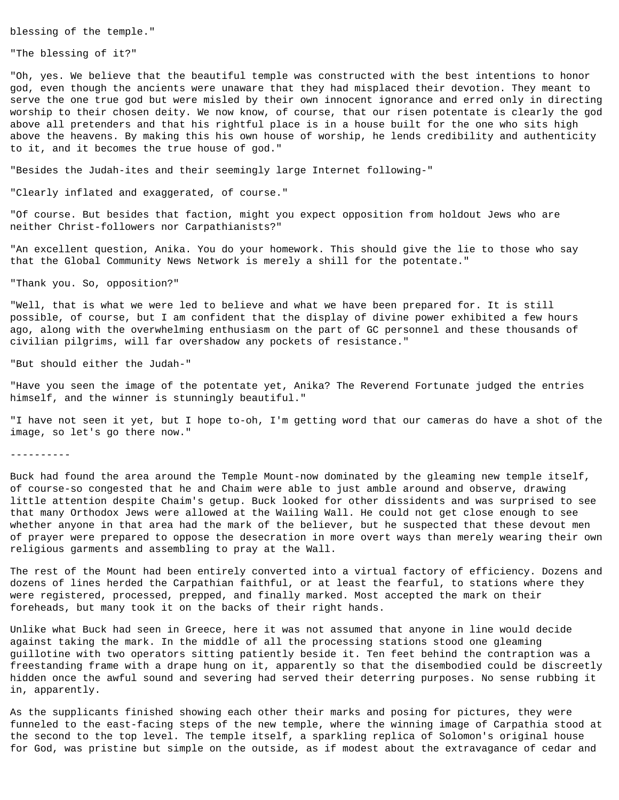blessing of the temple."

"The blessing of it?"

"Oh, yes. We believe that the beautiful temple was constructed with the best intentions to honor god, even though the ancients were unaware that they had misplaced their devotion. They meant to serve the one true god but were misled by their own innocent ignorance and erred only in directing worship to their chosen deity. We now know, of course, that our risen potentate is clearly the god above all pretenders and that his rightful place is in a house built for the one who sits high above the heavens. By making this his own house of worship, he lends credibility and authenticity to it, and it becomes the true house of god."

"Besides the Judah-ites and their seemingly large Internet following-"

"Clearly inflated and exaggerated, of course."

"Of course. But besides that faction, might you expect opposition from holdout Jews who are neither Christ-followers nor Carpathianists?"

"An excellent question, Anika. You do your homework. This should give the lie to those who say that the Global Community News Network is merely a shill for the potentate."

"Thank you. So, opposition?"

"Well, that is what we were led to believe and what we have been prepared for. It is still possible, of course, but I am confident that the display of divine power exhibited a few hours ago, along with the overwhelming enthusiasm on the part of GC personnel and these thousands of civilian pilgrims, will far overshadow any pockets of resistance."

"But should either the Judah-"

"Have you seen the image of the potentate yet, Anika? The Reverend Fortunate judged the entries himself, and the winner is stunningly beautiful."

"I have not seen it yet, but I hope to-oh, I'm getting word that our cameras do have a shot of the image, so let's go there now."

----------

Buck had found the area around the Temple Mount-now dominated by the gleaming new temple itself, of course-so congested that he and Chaim were able to just amble around and observe, drawing little attention despite Chaim's getup. Buck looked for other dissidents and was surprised to see that many Orthodox Jews were allowed at the Wailing Wall. He could not get close enough to see whether anyone in that area had the mark of the believer, but he suspected that these devout men of prayer were prepared to oppose the desecration in more overt ways than merely wearing their own religious garments and assembling to pray at the Wall.

The rest of the Mount had been entirely converted into a virtual factory of efficiency. Dozens and dozens of lines herded the Carpathian faithful, or at least the fearful, to stations where they were registered, processed, prepped, and finally marked. Most accepted the mark on their foreheads, but many took it on the backs of their right hands.

Unlike what Buck had seen in Greece, here it was not assumed that anyone in line would decide against taking the mark. In the middle of all the processing stations stood one gleaming guillotine with two operators sitting patiently beside it. Ten feet behind the contraption was a freestanding frame with a drape hung on it, apparently so that the disembodied could be discreetly hidden once the awful sound and severing had served their deterring purposes. No sense rubbing it in, apparently.

As the supplicants finished showing each other their marks and posing for pictures, they were funneled to the east-facing steps of the new temple, where the winning image of Carpathia stood at the second to the top level. The temple itself, a sparkling replica of Solomon's original house for God, was pristine but simple on the outside, as if modest about the extravagance of cedar and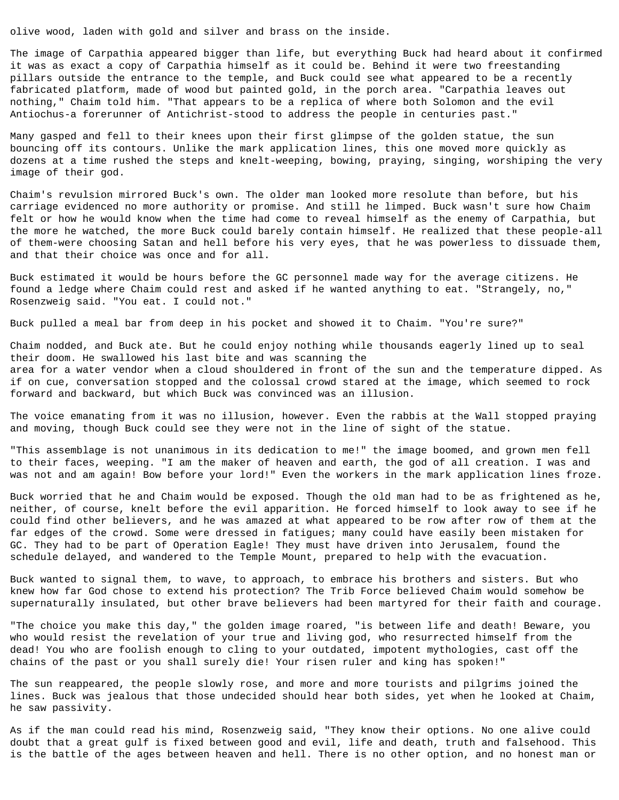olive wood, laden with gold and silver and brass on the inside.

The image of Carpathia appeared bigger than life, but everything Buck had heard about it confirmed it was as exact a copy of Carpathia himself as it could be. Behind it were two freestanding pillars outside the entrance to the temple, and Buck could see what appeared to be a recently fabricated platform, made of wood but painted gold, in the porch area. "Carpathia leaves out nothing," Chaim told him. "That appears to be a replica of where both Solomon and the evil Antiochus-a forerunner of Antichrist-stood to address the people in centuries past."

Many gasped and fell to their knees upon their first glimpse of the golden statue, the sun bouncing off its contours. Unlike the mark application lines, this one moved more quickly as dozens at a time rushed the steps and knelt-weeping, bowing, praying, singing, worshiping the very image of their god.

Chaim's revulsion mirrored Buck's own. The older man looked more resolute than before, but his carriage evidenced no more authority or promise. And still he limped. Buck wasn't sure how Chaim felt or how he would know when the time had come to reveal himself as the enemy of Carpathia, but the more he watched, the more Buck could barely contain himself. He realized that these people-all of them-were choosing Satan and hell before his very eyes, that he was powerless to dissuade them, and that their choice was once and for all.

Buck estimated it would be hours before the GC personnel made way for the average citizens. He found a ledge where Chaim could rest and asked if he wanted anything to eat. "Strangely, no," Rosenzweig said. "You eat. I could not."

Buck pulled a meal bar from deep in his pocket and showed it to Chaim. "You're sure?"

Chaim nodded, and Buck ate. But he could enjoy nothing while thousands eagerly lined up to seal their doom. He swallowed his last bite and was scanning the area for a water vendor when a cloud shouldered in front of the sun and the temperature dipped. As if on cue, conversation stopped and the colossal crowd stared at the image, which seemed to rock forward and backward, but which Buck was convinced was an illusion.

The voice emanating from it was no illusion, however. Even the rabbis at the Wall stopped praying and moving, though Buck could see they were not in the line of sight of the statue.

"This assemblage is not unanimous in its dedication to me!" the image boomed, and grown men fell to their faces, weeping. "I am the maker of heaven and earth, the god of all creation. I was and was not and am again! Bow before your lord!" Even the workers in the mark application lines froze.

Buck worried that he and Chaim would be exposed. Though the old man had to be as frightened as he, neither, of course, knelt before the evil apparition. He forced himself to look away to see if he could find other believers, and he was amazed at what appeared to be row after row of them at the far edges of the crowd. Some were dressed in fatigues; many could have easily been mistaken for GC. They had to be part of Operation Eagle! They must have driven into Jerusalem, found the schedule delayed, and wandered to the Temple Mount, prepared to help with the evacuation.

Buck wanted to signal them, to wave, to approach, to embrace his brothers and sisters. But who knew how far God chose to extend his protection? The Trib Force believed Chaim would somehow be supernaturally insulated, but other brave believers had been martyred for their faith and courage.

"The choice you make this day," the golden image roared, "is between life and death! Beware, you who would resist the revelation of your true and living god, who resurrected himself from the dead! You who are foolish enough to cling to your outdated, impotent mythologies, cast off the chains of the past or you shall surely die! Your risen ruler and king has spoken!"

The sun reappeared, the people slowly rose, and more and more tourists and pilgrims joined the lines. Buck was jealous that those undecided should hear both sides, yet when he looked at Chaim, he saw passivity.

As if the man could read his mind, Rosenzweig said, "They know their options. No one alive could doubt that a great gulf is fixed between good and evil, life and death, truth and falsehood. This is the battle of the ages between heaven and hell. There is no other option, and no honest man or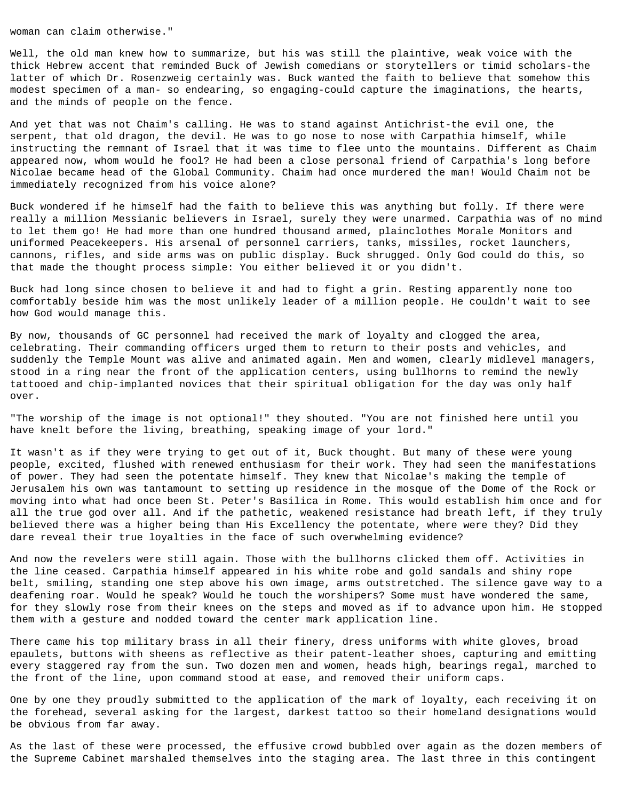woman can claim otherwise."

Well, the old man knew how to summarize, but his was still the plaintive, weak voice with the thick Hebrew accent that reminded Buck of Jewish comedians or storytellers or timid scholars-the latter of which Dr. Rosenzweig certainly was. Buck wanted the faith to believe that somehow this modest specimen of a man- so endearing, so engaging-could capture the imaginations, the hearts, and the minds of people on the fence.

And yet that was not Chaim's calling. He was to stand against Antichrist-the evil one, the serpent, that old dragon, the devil. He was to go nose to nose with Carpathia himself, while instructing the remnant of Israel that it was time to flee unto the mountains. Different as Chaim appeared now, whom would he fool? He had been a close personal friend of Carpathia's long before Nicolae became head of the Global Community. Chaim had once murdered the man! Would Chaim not be immediately recognized from his voice alone?

Buck wondered if he himself had the faith to believe this was anything but folly. If there were really a million Messianic believers in Israel, surely they were unarmed. Carpathia was of no mind to let them go! He had more than one hundred thousand armed, plainclothes Morale Monitors and uniformed Peacekeepers. His arsenal of personnel carriers, tanks, missiles, rocket launchers, cannons, rifles, and side arms was on public display. Buck shrugged. Only God could do this, so that made the thought process simple: You either believed it or you didn't.

Buck had long since chosen to believe it and had to fight a grin. Resting apparently none too comfortably beside him was the most unlikely leader of a million people. He couldn't wait to see how God would manage this.

By now, thousands of GC personnel had received the mark of loyalty and clogged the area, celebrating. Their commanding officers urged them to return to their posts and vehicles, and suddenly the Temple Mount was alive and animated again. Men and women, clearly midlevel managers, stood in a ring near the front of the application centers, using bullhorns to remind the newly tattooed and chip-implanted novices that their spiritual obligation for the day was only half over.

"The worship of the image is not optional!" they shouted. "You are not finished here until you have knelt before the living, breathing, speaking image of your lord."

It wasn't as if they were trying to get out of it, Buck thought. But many of these were young people, excited, flushed with renewed enthusiasm for their work. They had seen the manifestations of power. They had seen the potentate himself. They knew that Nicolae's making the temple of Jerusalem his own was tantamount to setting up residence in the mosque of the Dome of the Rock or moving into what had once been St. Peter's Basilica in Rome. This would establish him once and for all the true god over all. And if the pathetic, weakened resistance had breath left, if they truly believed there was a higher being than His Excellency the potentate, where were they? Did they dare reveal their true loyalties in the face of such overwhelming evidence?

And now the revelers were still again. Those with the bullhorns clicked them off. Activities in the line ceased. Carpathia himself appeared in his white robe and gold sandals and shiny rope belt, smiling, standing one step above his own image, arms outstretched. The silence gave way to a deafening roar. Would he speak? Would he touch the worshipers? Some must have wondered the same, for they slowly rose from their knees on the steps and moved as if to advance upon him. He stopped them with a gesture and nodded toward the center mark application line.

There came his top military brass in all their finery, dress uniforms with white gloves, broad epaulets, buttons with sheens as reflective as their patent-leather shoes, capturing and emitting every staggered ray from the sun. Two dozen men and women, heads high, bearings regal, marched to the front of the line, upon command stood at ease, and removed their uniform caps.

One by one they proudly submitted to the application of the mark of loyalty, each receiving it on the forehead, several asking for the largest, darkest tattoo so their homeland designations would be obvious from far away.

As the last of these were processed, the effusive crowd bubbled over again as the dozen members of the Supreme Cabinet marshaled themselves into the staging area. The last three in this contingent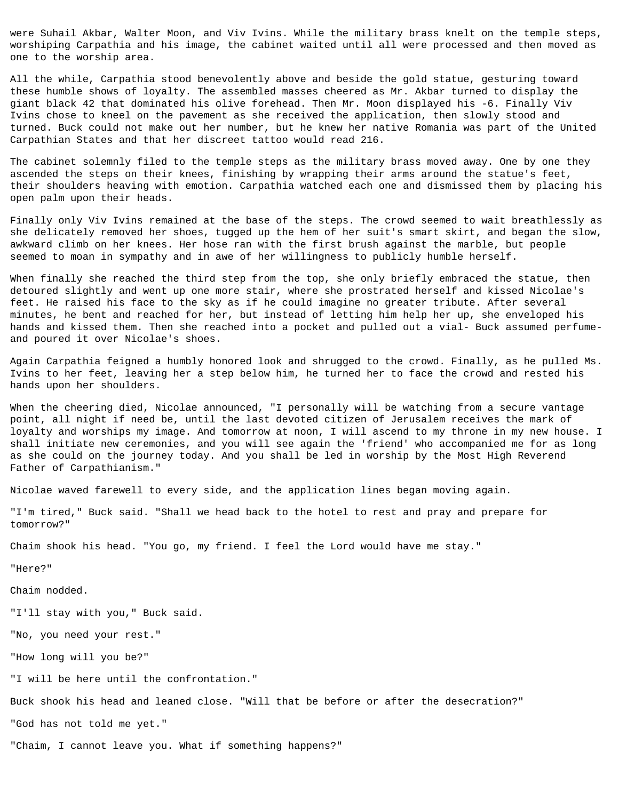were Suhail Akbar, Walter Moon, and Viv Ivins. While the military brass knelt on the temple steps, worshiping Carpathia and his image, the cabinet waited until all were processed and then moved as one to the worship area.

All the while, Carpathia stood benevolently above and beside the gold statue, gesturing toward these humble shows of loyalty. The assembled masses cheered as Mr. Akbar turned to display the giant black 42 that dominated his olive forehead. Then Mr. Moon displayed his -6. Finally Viv Ivins chose to kneel on the pavement as she received the application, then slowly stood and turned. Buck could not make out her number, but he knew her native Romania was part of the United Carpathian States and that her discreet tattoo would read 216.

The cabinet solemnly filed to the temple steps as the military brass moved away. One by one they ascended the steps on their knees, finishing by wrapping their arms around the statue's feet, their shoulders heaving with emotion. Carpathia watched each one and dismissed them by placing his open palm upon their heads.

Finally only Viv Ivins remained at the base of the steps. The crowd seemed to wait breathlessly as she delicately removed her shoes, tugged up the hem of her suit's smart skirt, and began the slow, awkward climb on her knees. Her hose ran with the first brush against the marble, but people seemed to moan in sympathy and in awe of her willingness to publicly humble herself.

When finally she reached the third step from the top, she only briefly embraced the statue, then detoured slightly and went up one more stair, where she prostrated herself and kissed Nicolae's feet. He raised his face to the sky as if he could imagine no greater tribute. After several minutes, he bent and reached for her, but instead of letting him help her up, she enveloped his hands and kissed them. Then she reached into a pocket and pulled out a vial- Buck assumed perfumeand poured it over Nicolae's shoes.

Again Carpathia feigned a humbly honored look and shrugged to the crowd. Finally, as he pulled Ms. Ivins to her feet, leaving her a step below him, he turned her to face the crowd and rested his hands upon her shoulders.

When the cheering died, Nicolae announced, "I personally will be watching from a secure vantage point, all night if need be, until the last devoted citizen of Jerusalem receives the mark of loyalty and worships my image. And tomorrow at noon, I will ascend to my throne in my new house. I shall initiate new ceremonies, and you will see again the 'friend' who accompanied me for as long as she could on the journey today. And you shall be led in worship by the Most High Reverend Father of Carpathianism."

Nicolae waved farewell to every side, and the application lines began moving again.

"I'm tired," Buck said. "Shall we head back to the hotel to rest and pray and prepare for tomorrow?"

Chaim shook his head. "You go, my friend. I feel the Lord would have me stay."

"Here?"

Chaim nodded.

"I'll stay with you," Buck said.

"No, you need your rest."

"How long will you be?"

"I will be here until the confrontation."

Buck shook his head and leaned close. "Will that be before or after the desecration?"

"God has not told me yet."

"Chaim, I cannot leave you. What if something happens?"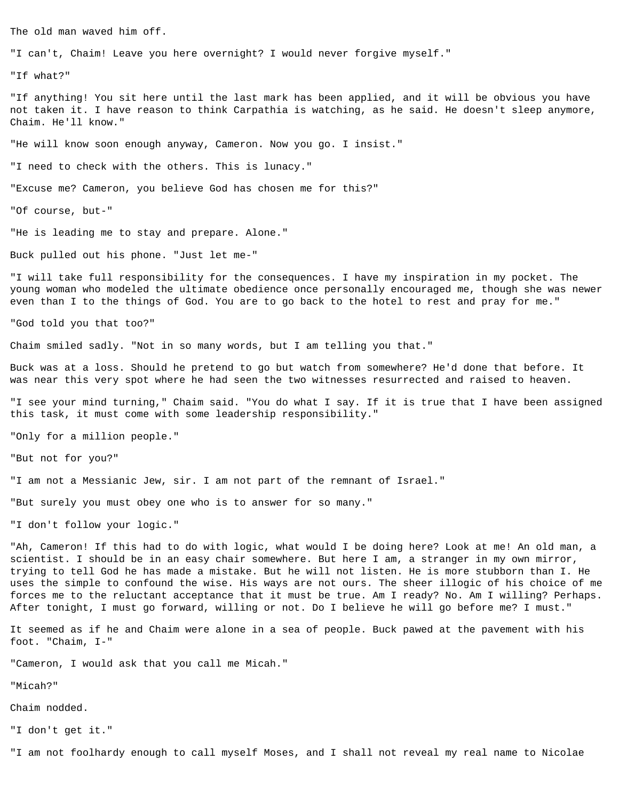The old man waved him off. "I can't, Chaim! Leave you here overnight? I would never forgive myself." "If what?" "If anything! You sit here until the last mark has been applied, and it will be obvious you have not taken it. I have reason to think Carpathia is watching, as he said. He doesn't sleep anymore, Chaim. He'll know." "He will know soon enough anyway, Cameron. Now you go. I insist." "I need to check with the others. This is lunacy." "Excuse me? Cameron, you believe God has chosen me for this?" "Of course, but-" "He is leading me to stay and prepare. Alone." Buck pulled out his phone. "Just let me-" "I will take full responsibility for the consequences. I have my inspiration in my pocket. The young woman who modeled the ultimate obedience once personally encouraged me, though she was newer even than I to the things of God. You are to go back to the hotel to rest and pray for me." "God told you that too?" Chaim smiled sadly. "Not in so many words, but I am telling you that." Buck was at a loss. Should he pretend to go but watch from somewhere? He'd done that before. It was near this very spot where he had seen the two witnesses resurrected and raised to heaven. "I see your mind turning," Chaim said. "You do what I say. If it is true that I have been assigned this task, it must come with some leadership responsibility." "Only for a million people." "But not for you?" "I am not a Messianic Jew, sir. I am not part of the remnant of Israel." "But surely you must obey one who is to answer for so many." "I don't follow your logic." "Ah, Cameron! If this had to do with logic, what would I be doing here? Look at me! An old man, a scientist. I should be in an easy chair somewhere. But here I am, a stranger in my own mirror, trying to tell God he has made a mistake. But he will not listen. He is more stubborn than I. He uses the simple to confound the wise. His ways are not ours. The sheer illogic of his choice of me forces me to the reluctant acceptance that it must be true. Am I ready? No. Am I willing? Perhaps. After tonight, I must go forward, willing or not. Do I believe he will go before me? I must." It seemed as if he and Chaim were alone in a sea of people. Buck pawed at the pavement with his foot. "Chaim, I-" "Cameron, I would ask that you call me Micah." "Micah?"

Chaim nodded.

"I don't get it."

"I am not foolhardy enough to call myself Moses, and I shall not reveal my real name to Nicolae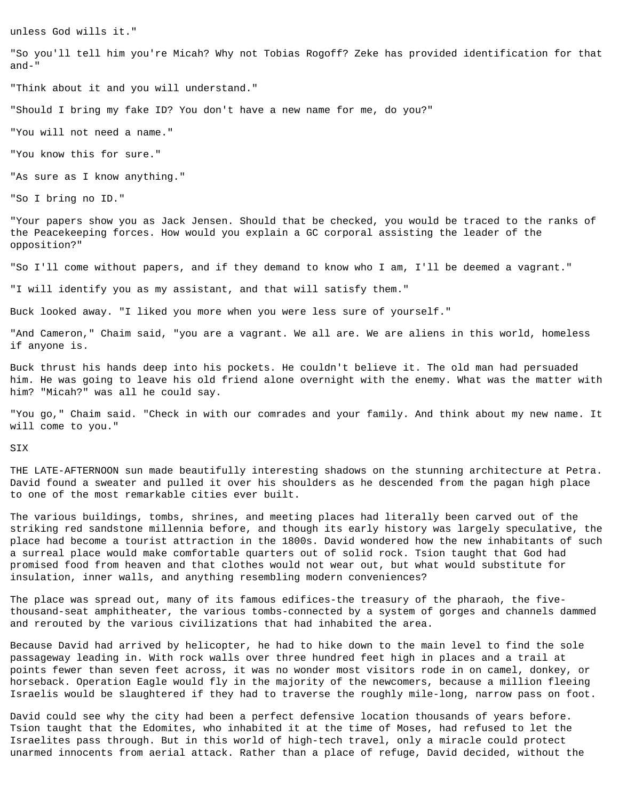unless God wills it."

"So you'll tell him you're Micah? Why not Tobias Rogoff? Zeke has provided identification for that and-"

"Think about it and you will understand."

"Should I bring my fake ID? You don't have a new name for me, do you?"

"You will not need a name."

"You know this for sure."

"As sure as I know anything."

"So I bring no ID."

"Your papers show you as Jack Jensen. Should that be checked, you would be traced to the ranks of the Peacekeeping forces. How would you explain a GC corporal assisting the leader of the opposition?"

"So I'll come without papers, and if they demand to know who I am, I'll be deemed a vagrant."

"I will identify you as my assistant, and that will satisfy them."

Buck looked away. "I liked you more when you were less sure of yourself."

"And Cameron," Chaim said, "you are a vagrant. We all are. We are aliens in this world, homeless if anyone is.

Buck thrust his hands deep into his pockets. He couldn't believe it. The old man had persuaded him. He was going to leave his old friend alone overnight with the enemy. What was the matter with him? "Micah?" was all he could say.

"You go," Chaim said. "Check in with our comrades and your family. And think about my new name. It will come to you."

SIX

THE LATE-AFTERNOON sun made beautifully interesting shadows on the stunning architecture at Petra. David found a sweater and pulled it over his shoulders as he descended from the pagan high place to one of the most remarkable cities ever built.

The various buildings, tombs, shrines, and meeting places had literally been carved out of the striking red sandstone millennia before, and though its early history was largely speculative, the place had become a tourist attraction in the 1800s. David wondered how the new inhabitants of such a surreal place would make comfortable quarters out of solid rock. Tsion taught that God had promised food from heaven and that clothes would not wear out, but what would substitute for insulation, inner walls, and anything resembling modern conveniences?

The place was spread out, many of its famous edifices-the treasury of the pharaoh, the fivethousand-seat amphitheater, the various tombs-connected by a system of gorges and channels dammed and rerouted by the various civilizations that had inhabited the area.

Because David had arrived by helicopter, he had to hike down to the main level to find the sole passageway leading in. With rock walls over three hundred feet high in places and a trail at points fewer than seven feet across, it was no wonder most visitors rode in on camel, donkey, or horseback. Operation Eagle would fly in the majority of the newcomers, because a million fleeing Israelis would be slaughtered if they had to traverse the roughly mile-long, narrow pass on foot.

David could see why the city had been a perfect defensive location thousands of years before. Tsion taught that the Edomites, who inhabited it at the time of Moses, had refused to let the Israelites pass through. But in this world of high-tech travel, only a miracle could protect unarmed innocents from aerial attack. Rather than a place of refuge, David decided, without the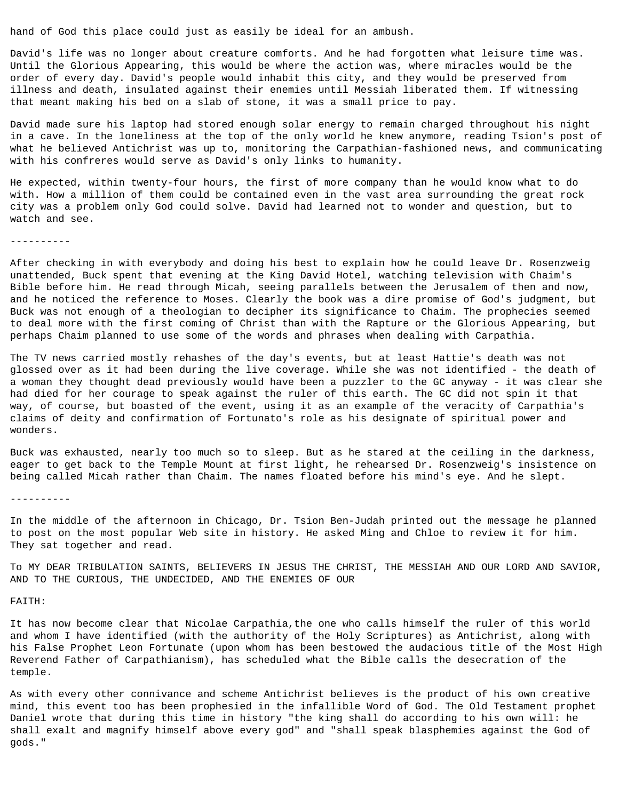hand of God this place could just as easily be ideal for an ambush.

David's life was no longer about creature comforts. And he had forgotten what leisure time was. Until the Glorious Appearing, this would be where the action was, where miracles would be the order of every day. David's people would inhabit this city, and they would be preserved from illness and death, insulated against their enemies until Messiah liberated them. If witnessing that meant making his bed on a slab of stone, it was a small price to pay.

David made sure his laptop had stored enough solar energy to remain charged throughout his night in a cave. In the loneliness at the top of the only world he knew anymore, reading Tsion's post of what he believed Antichrist was up to, monitoring the Carpathian-fashioned news, and communicating with his confreres would serve as David's only links to humanity.

He expected, within twenty-four hours, the first of more company than he would know what to do with. How a million of them could be contained even in the vast area surrounding the great rock city was a problem only God could solve. David had learned not to wonder and question, but to watch and see.

----------

After checking in with everybody and doing his best to explain how he could leave Dr. Rosenzweig unattended, Buck spent that evening at the King David Hotel, watching television with Chaim's Bible before him. He read through Micah, seeing parallels between the Jerusalem of then and now, and he noticed the reference to Moses. Clearly the book was a dire promise of God's judgment, but Buck was not enough of a theologian to decipher its significance to Chaim. The prophecies seemed to deal more with the first coming of Christ than with the Rapture or the Glorious Appearing, but perhaps Chaim planned to use some of the words and phrases when dealing with Carpathia.

The TV news carried mostly rehashes of the day's events, but at least Hattie's death was not glossed over as it had been during the live coverage. While she was not identified - the death of a woman they thought dead previously would have been a puzzler to the GC anyway - it was clear she had died for her courage to speak against the ruler of this earth. The GC did not spin it that way, of course, but boasted of the event, using it as an example of the veracity of Carpathia's claims of deity and confirmation of Fortunato's role as his designate of spiritual power and wonders.

Buck was exhausted, nearly too much so to sleep. But as he stared at the ceiling in the darkness, eager to get back to the Temple Mount at first light, he rehearsed Dr. Rosenzweig's insistence on being called Micah rather than Chaim. The names floated before his mind's eye. And he slept.

----------

In the middle of the afternoon in Chicago, Dr. Tsion Ben-Judah printed out the message he planned to post on the most popular Web site in history. He asked Ming and Chloe to review it for him. They sat together and read.

To MY DEAR TRIBULATION SAINTS, BELIEVERS IN JESUS THE CHRIST, THE MESSIAH AND OUR LORD AND SAVIOR, AND TO THE CURIOUS, THE UNDECIDED, AND THE ENEMIES OF OUR

# FAITH:

It has now become clear that Nicolae Carpathia,the one who calls himself the ruler of this world and whom I have identified (with the authority of the Holy Scriptures) as Antichrist, along with his False Prophet Leon Fortunate (upon whom has been bestowed the audacious title of the Most High Reverend Father of Carpathianism), has scheduled what the Bible calls the desecration of the temple.

As with every other connivance and scheme Antichrist believes is the product of his own creative mind, this event too has been prophesied in the infallible Word of God. The Old Testament prophet Daniel wrote that during this time in history "the king shall do according to his own will: he shall exalt and magnify himself above every god" and "shall speak blasphemies against the God of gods."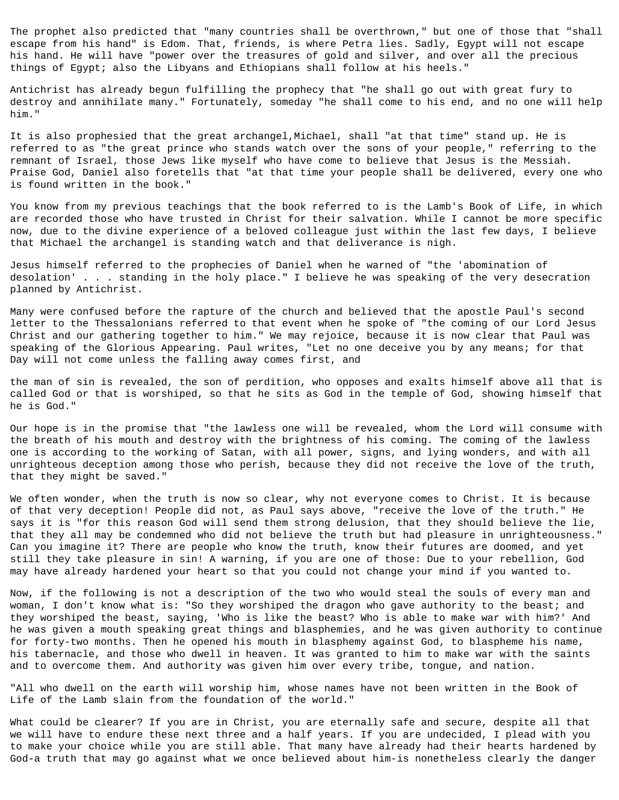The prophet also predicted that "many countries shall be overthrown," but one of those that "shall escape from his hand" is Edom. That, friends, is where Petra lies. Sadly, Egypt will not escape his hand. He will have "power over the treasures of gold and silver, and over all the precious things of Egypt; also the Libyans and Ethiopians shall follow at his heels."

Antichrist has already begun fulfilling the prophecy that "he shall go out with great fury to destroy and annihilate many." Fortunately, someday "he shall come to his end, and no one will help him."

It is also prophesied that the great archangel,Michael, shall "at that time" stand up. He is referred to as "the great prince who stands watch over the sons of your people," referring to the remnant of Israel, those Jews like myself who have come to believe that Jesus is the Messiah. Praise God, Daniel also foretells that "at that time your people shall be delivered, every one who is found written in the book."

You know from my previous teachings that the book referred to is the Lamb's Book of Life, in which are recorded those who have trusted in Christ for their salvation. While I cannot be more specific now, due to the divine experience of a beloved colleague just within the last few days, I believe that Michael the archangel is standing watch and that deliverance is nigh.

Jesus himself referred to the prophecies of Daniel when he warned of "the 'abomination of desolation' . . . standing in the holy place." I believe he was speaking of the very desecration planned by Antichrist.

Many were confused before the rapture of the church and believed that the apostle Paul's second letter to the Thessalonians referred to that event when he spoke of "the coming of our Lord Jesus Christ and our gathering together to him." We may rejoice, because it is now clear that Paul was speaking of the Glorious Appearing. Paul writes, "Let no one deceive you by any means; for that Day will not come unless the falling away comes first, and

the man of sin is revealed, the son of perdition, who opposes and exalts himself above all that is called God or that is worshiped, so that he sits as God in the temple of God, showing himself that he is God."

Our hope is in the promise that "the lawless one will be revealed, whom the Lord will consume with the breath of his mouth and destroy with the brightness of his coming. The coming of the lawless one is according to the working of Satan, with all power, signs, and lying wonders, and with all unrighteous deception among those who perish, because they did not receive the love of the truth, that they might be saved."

We often wonder, when the truth is now so clear, why not everyone comes to Christ. It is because of that very deception! People did not, as Paul says above, "receive the love of the truth." He says it is "for this reason God will send them strong delusion, that they should believe the lie, that they all may be condemned who did not believe the truth but had pleasure in unrighteousness." Can you imagine it? There are people who know the truth, know their futures are doomed, and yet still they take pleasure in sin! A warning, if you are one of those: Due to your rebellion, God may have already hardened your heart so that you could not change your mind if you wanted to.

Now, if the following is not a description of the two who would steal the souls of every man and woman, I don't know what is: "So they worshiped the dragon who gave authority to the beast; and they worshiped the beast, saying, 'Who is like the beast? Who is able to make war with him?' And he was given a mouth speaking great things and blasphemies, and he was given authority to continue for forty-two months. Then he opened his mouth in blasphemy against God, to blaspheme his name, his tabernacle, and those who dwell in heaven. It was granted to him to make war with the saints and to overcome them. And authority was given him over every tribe, tongue, and nation.

"All who dwell on the earth will worship him, whose names have not been written in the Book of Life of the Lamb slain from the foundation of the world."

What could be clearer? If you are in Christ, you are eternally safe and secure, despite all that we will have to endure these next three and a half years. If you are undecided, I plead with you to make your choice while you are still able. That many have already had their hearts hardened by God-a truth that may go against what we once believed about him-is nonetheless clearly the danger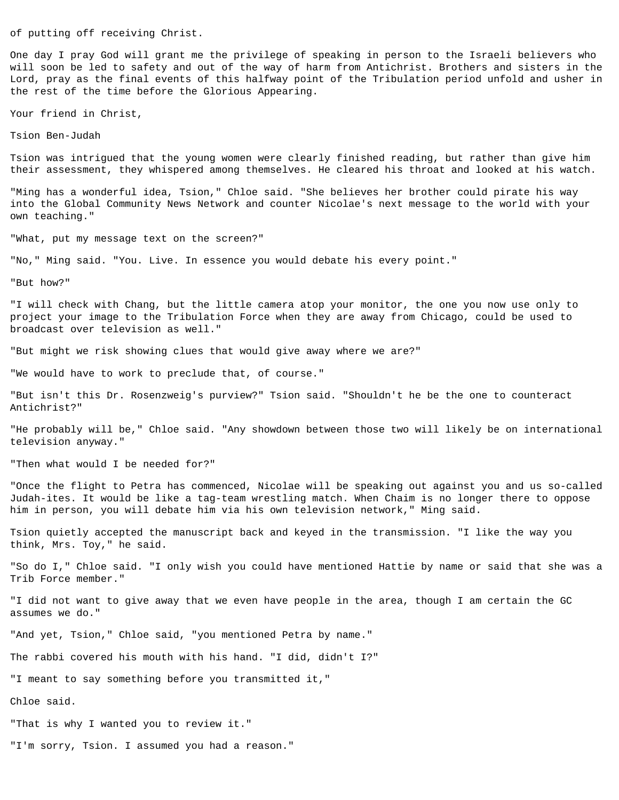of putting off receiving Christ.

One day I pray God will grant me the privilege of speaking in person to the Israeli believers who will soon be led to safety and out of the way of harm from Antichrist. Brothers and sisters in the Lord, pray as the final events of this halfway point of the Tribulation period unfold and usher in the rest of the time before the Glorious Appearing.

Your friend in Christ,

Tsion Ben-Judah

Tsion was intrigued that the young women were clearly finished reading, but rather than give him their assessment, they whispered among themselves. He cleared his throat and looked at his watch.

"Ming has a wonderful idea, Tsion," Chloe said. "She believes her brother could pirate his way into the Global Community News Network and counter Nicolae's next message to the world with your own teaching."

"What, put my message text on the screen?"

"No," Ming said. "You. Live. In essence you would debate his every point."

"But how?"

"I will check with Chang, but the little camera atop your monitor, the one you now use only to project your image to the Tribulation Force when they are away from Chicago, could be used to broadcast over television as well."

"But might we risk showing clues that would give away where we are?"

"We would have to work to preclude that, of course."

"But isn't this Dr. Rosenzweig's purview?" Tsion said. "Shouldn't he be the one to counteract Antichrist?"

"He probably will be," Chloe said. "Any showdown between those two will likely be on international television anyway."

"Then what would I be needed for?"

"Once the flight to Petra has commenced, Nicolae will be speaking out against you and us so-called Judah-ites. It would be like a tag-team wrestling match. When Chaim is no longer there to oppose him in person, you will debate him via his own television network," Ming said.

Tsion quietly accepted the manuscript back and keyed in the transmission. "I like the way you think, Mrs. Toy," he said.

"So do I," Chloe said. "I only wish you could have mentioned Hattie by name or said that she was a Trib Force member."

"I did not want to give away that we even have people in the area, though I am certain the GC assumes we do."

"And yet, Tsion," Chloe said, "you mentioned Petra by name."

The rabbi covered his mouth with his hand. "I did, didn't I?"

"I meant to say something before you transmitted it,"

Chloe said.

"That is why I wanted you to review it."

"I'm sorry, Tsion. I assumed you had a reason."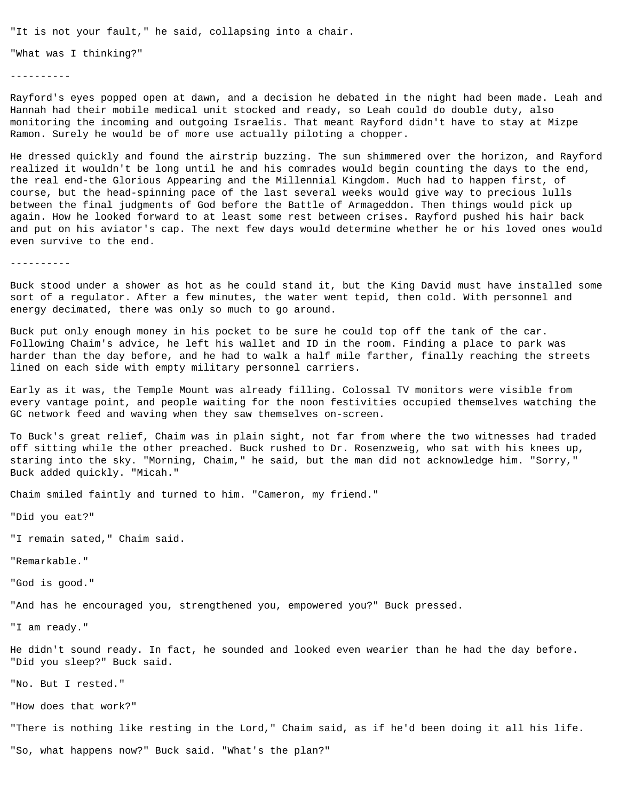"It is not your fault," he said, collapsing into a chair.

"What was I thinking?"

----------

Rayford's eyes popped open at dawn, and a decision he debated in the night had been made. Leah and Hannah had their mobile medical unit stocked and ready, so Leah could do double duty, also monitoring the incoming and outgoing Israelis. That meant Rayford didn't have to stay at Mizpe Ramon. Surely he would be of more use actually piloting a chopper.

He dressed quickly and found the airstrip buzzing. The sun shimmered over the horizon, and Rayford realized it wouldn't be long until he and his comrades would begin counting the days to the end, the real end-the Glorious Appearing and the Millennial Kingdom. Much had to happen first, of course, but the head-spinning pace of the last several weeks would give way to precious lulls between the final judgments of God before the Battle of Armageddon. Then things would pick up again. How he looked forward to at least some rest between crises. Rayford pushed his hair back and put on his aviator's cap. The next few days would determine whether he or his loved ones would even survive to the end.

----------

Buck stood under a shower as hot as he could stand it, but the King David must have installed some sort of a regulator. After a few minutes, the water went tepid, then cold. With personnel and energy decimated, there was only so much to go around.

Buck put only enough money in his pocket to be sure he could top off the tank of the car. Following Chaim's advice, he left his wallet and ID in the room. Finding a place to park was harder than the day before, and he had to walk a half mile farther, finally reaching the streets lined on each side with empty military personnel carriers.

Early as it was, the Temple Mount was already filling. Colossal TV monitors were visible from every vantage point, and people waiting for the noon festivities occupied themselves watching the GC network feed and waving when they saw themselves on-screen.

To Buck's great relief, Chaim was in plain sight, not far from where the two witnesses had traded off sitting while the other preached. Buck rushed to Dr. Rosenzweig, who sat with his knees up, staring into the sky. "Morning, Chaim," he said, but the man did not acknowledge him. "Sorry," Buck added quickly. "Micah."

Chaim smiled faintly and turned to him. "Cameron, my friend."

"Did you eat?"

"I remain sated," Chaim said.

"Remarkable."

"God is good."

"And has he encouraged you, strengthened you, empowered you?" Buck pressed.

"I am ready."

He didn't sound ready. In fact, he sounded and looked even wearier than he had the day before. "Did you sleep?" Buck said.

"No. But I rested."

"How does that work?"

"There is nothing like resting in the Lord," Chaim said, as if he'd been doing it all his life.

"So, what happens now?" Buck said. "What's the plan?"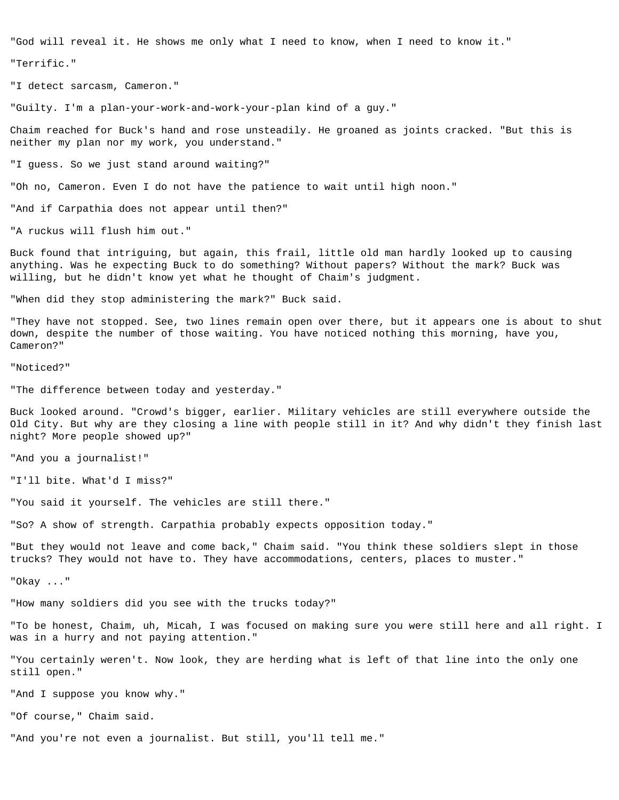"God will reveal it. He shows me only what I need to know, when I need to know it."

"Terrific."

"I detect sarcasm, Cameron."

"Guilty. I'm a plan-your-work-and-work-your-plan kind of a guy."

Chaim reached for Buck's hand and rose unsteadily. He groaned as joints cracked. "But this is neither my plan nor my work, you understand."

"I guess. So we just stand around waiting?"

"Oh no, Cameron. Even I do not have the patience to wait until high noon."

"And if Carpathia does not appear until then?"

"A ruckus will flush him out."

Buck found that intriguing, but again, this frail, little old man hardly looked up to causing anything. Was he expecting Buck to do something? Without papers? Without the mark? Buck was willing, but he didn't know yet what he thought of Chaim's judgment.

"When did they stop administering the mark?" Buck said.

"They have not stopped. See, two lines remain open over there, but it appears one is about to shut down, despite the number of those waiting. You have noticed nothing this morning, have you, Cameron?"

"Noticed?"

"The difference between today and yesterday."

Buck looked around. "Crowd's bigger, earlier. Military vehicles are still everywhere outside the Old City. But why are they closing a line with people still in it? And why didn't they finish last night? More people showed up?"

"And you a journalist!"

"I'll bite. What'd I miss?"

"You said it yourself. The vehicles are still there."

"So? A show of strength. Carpathia probably expects opposition today."

"But they would not leave and come back," Chaim said. "You think these soldiers slept in those trucks? They would not have to. They have accommodations, centers, places to muster."

"Okay ..."

"How many soldiers did you see with the trucks today?"

"To be honest, Chaim, uh, Micah, I was focused on making sure you were still here and all right. I was in a hurry and not paying attention."

"You certainly weren't. Now look, they are herding what is left of that line into the only one still open."

"And I suppose you know why."

"Of course," Chaim said.

"And you're not even a journalist. But still, you'll tell me."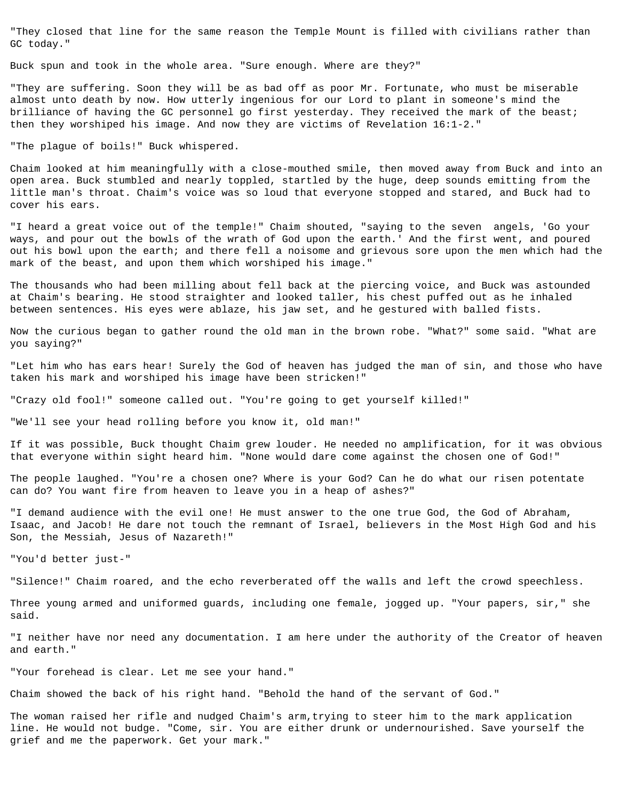"They closed that line for the same reason the Temple Mount is filled with civilians rather than GC today."

Buck spun and took in the whole area. "Sure enough. Where are they?"

"They are suffering. Soon they will be as bad off as poor Mr. Fortunate, who must be miserable almost unto death by now. How utterly ingenious for our Lord to plant in someone's mind the brilliance of having the GC personnel go first yesterday. They received the mark of the beast; then they worshiped his image. And now they are victims of Revelation 16:1-2."

"The plague of boils!" Buck whispered.

Chaim looked at him meaningfully with a close-mouthed smile, then moved away from Buck and into an open area. Buck stumbled and nearly toppled, startled by the huge, deep sounds emitting from the little man's throat. Chaim's voice was so loud that everyone stopped and stared, and Buck had to cover his ears.

"I heard a great voice out of the temple!" Chaim shouted, "saying to the seven angels, 'Go your ways, and pour out the bowls of the wrath of God upon the earth.' And the first went, and poured out his bowl upon the earth; and there fell a noisome and grievous sore upon the men which had the mark of the beast, and upon them which worshiped his image."

The thousands who had been milling about fell back at the piercing voice, and Buck was astounded at Chaim's bearing. He stood straighter and looked taller, his chest puffed out as he inhaled between sentences. His eyes were ablaze, his jaw set, and he gestured with balled fists.

Now the curious began to gather round the old man in the brown robe. "What?" some said. "What are you saying?"

"Let him who has ears hear! Surely the God of heaven has judged the man of sin, and those who have taken his mark and worshiped his image have been stricken!"

"Crazy old fool!" someone called out. "You're going to get yourself killed!"

"We'll see your head rolling before you know it, old man!"

If it was possible, Buck thought Chaim grew louder. He needed no amplification, for it was obvious that everyone within sight heard him. "None would dare come against the chosen one of God!"

The people laughed. "You're a chosen one? Where is your God? Can he do what our risen potentate can do? You want fire from heaven to leave you in a heap of ashes?"

"I demand audience with the evil one! He must answer to the one true God, the God of Abraham, Isaac, and Jacob! He dare not touch the remnant of Israel, believers in the Most High God and his Son, the Messiah, Jesus of Nazareth!"

"You'd better just-"

"Silence!" Chaim roared, and the echo reverberated off the walls and left the crowd speechless.

Three young armed and uniformed guards, including one female, jogged up. "Your papers, sir," she said.

"I neither have nor need any documentation. I am here under the authority of the Creator of heaven and earth."

"Your forehead is clear. Let me see your hand."

Chaim showed the back of his right hand. "Behold the hand of the servant of God."

The woman raised her rifle and nudged Chaim's arm,trying to steer him to the mark application line. He would not budge. "Come, sir. You are either drunk or undernourished. Save yourself the grief and me the paperwork. Get your mark."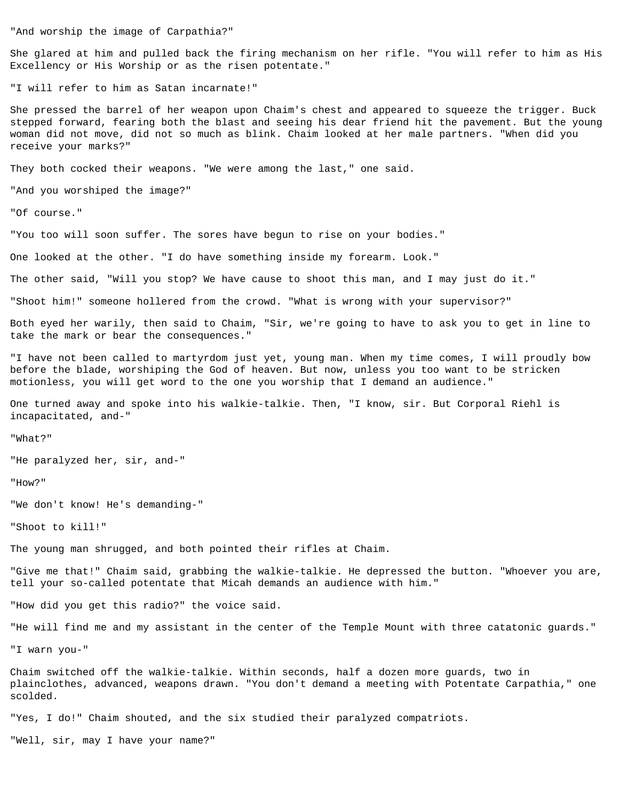"And worship the image of Carpathia?"

She glared at him and pulled back the firing mechanism on her rifle. "You will refer to him as His Excellency or His Worship or as the risen potentate."

"I will refer to him as Satan incarnate!"

She pressed the barrel of her weapon upon Chaim's chest and appeared to squeeze the trigger. Buck stepped forward, fearing both the blast and seeing his dear friend hit the pavement. But the young woman did not move, did not so much as blink. Chaim looked at her male partners. "When did you receive your marks?"

They both cocked their weapons. "We were among the last," one said.

"And you worshiped the image?"

"Of course."

"You too will soon suffer. The sores have begun to rise on your bodies."

One looked at the other. "I do have something inside my forearm. Look."

The other said, "Will you stop? We have cause to shoot this man, and I may just do it."

"Shoot him!" someone hollered from the crowd. "What is wrong with your supervisor?"

Both eyed her warily, then said to Chaim, "Sir, we're going to have to ask you to get in line to take the mark or bear the consequences."

"I have not been called to martyrdom just yet, young man. When my time comes, I will proudly bow before the blade, worshiping the God of heaven. But now, unless you too want to be stricken motionless, you will get word to the one you worship that I demand an audience."

One turned away and spoke into his walkie-talkie. Then, "I know, sir. But Corporal Riehl is incapacitated, and-"

"What?"

"He paralyzed her, sir, and-"

"How?"

"We don't know! He's demanding-"

"Shoot to kill!"

The young man shrugged, and both pointed their rifles at Chaim.

"Give me that!" Chaim said, grabbing the walkie-talkie. He depressed the button. "Whoever you are, tell your so-called potentate that Micah demands an audience with him."

"How did you get this radio?" the voice said.

"He will find me and my assistant in the center of the Temple Mount with three catatonic guards."

"I warn you-"

Chaim switched off the walkie-talkie. Within seconds, half a dozen more guards, two in plainclothes, advanced, weapons drawn. "You don't demand a meeting with Potentate Carpathia," one scolded.

"Yes, I do!" Chaim shouted, and the six studied their paralyzed compatriots.

"Well, sir, may I have your name?"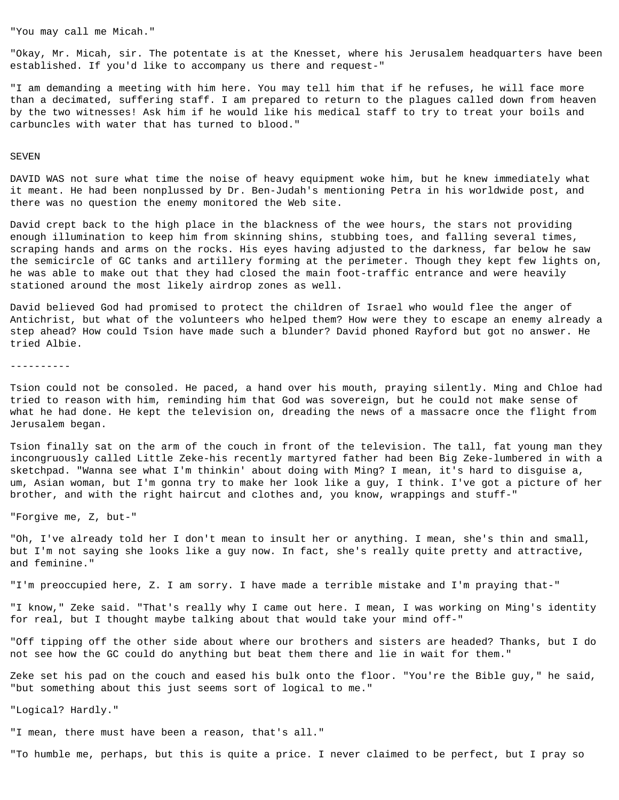"You may call me Micah."

"Okay, Mr. Micah, sir. The potentate is at the Knesset, where his Jerusalem headquarters have been established. If you'd like to accompany us there and request-"

"I am demanding a meeting with him here. You may tell him that if he refuses, he will face more than a decimated, suffering staff. I am prepared to return to the plagues called down from heaven by the two witnesses! Ask him if he would like his medical staff to try to treat your boils and carbuncles with water that has turned to blood."

#### SEVEN

DAVID WAS not sure what time the noise of heavy equipment woke him, but he knew immediately what it meant. He had been nonplussed by Dr. Ben-Judah's mentioning Petra in his worldwide post, and there was no question the enemy monitored the Web site.

David crept back to the high place in the blackness of the wee hours, the stars not providing enough illumination to keep him from skinning shins, stubbing toes, and falling several times, scraping hands and arms on the rocks. His eyes having adjusted to the darkness, far below he saw the semicircle of GC tanks and artillery forming at the perimeter. Though they kept few lights on, he was able to make out that they had closed the main foot-traffic entrance and were heavily stationed around the most likely airdrop zones as well.

David believed God had promised to protect the children of Israel who would flee the anger of Antichrist, but what of the volunteers who helped them? How were they to escape an enemy already a step ahead? How could Tsion have made such a blunder? David phoned Rayford but got no answer. He tried Albie.

----------

Tsion could not be consoled. He paced, a hand over his mouth, praying silently. Ming and Chloe had tried to reason with him, reminding him that God was sovereign, but he could not make sense of what he had done. He kept the television on, dreading the news of a massacre once the flight from Jerusalem began.

Tsion finally sat on the arm of the couch in front of the television. The tall, fat young man they incongruously called Little Zeke-his recently martyred father had been Big Zeke-lumbered in with a sketchpad. "Wanna see what I'm thinkin' about doing with Ming? I mean, it's hard to disguise a, um, Asian woman, but I'm gonna try to make her look like a guy, I think. I've got a picture of her brother, and with the right haircut and clothes and, you know, wrappings and stuff-"

"Forgive me, Z, but-"

"Oh, I've already told her I don't mean to insult her or anything. I mean, she's thin and small, but I'm not saying she looks like a guy now. In fact, she's really quite pretty and attractive, and feminine."

"I'm preoccupied here, Z. I am sorry. I have made a terrible mistake and I'm praying that-"

"I know," Zeke said. "That's really why I came out here. I mean, I was working on Ming's identity for real, but I thought maybe talking about that would take your mind off-"

"Off tipping off the other side about where our brothers and sisters are headed? Thanks, but I do not see how the GC could do anything but beat them there and lie in wait for them."

Zeke set his pad on the couch and eased his bulk onto the floor. "You're the Bible guy," he said, "but something about this just seems sort of logical to me."

"Logical? Hardly."

"I mean, there must have been a reason, that's all."

"To humble me, perhaps, but this is quite a price. I never claimed to be perfect, but I pray so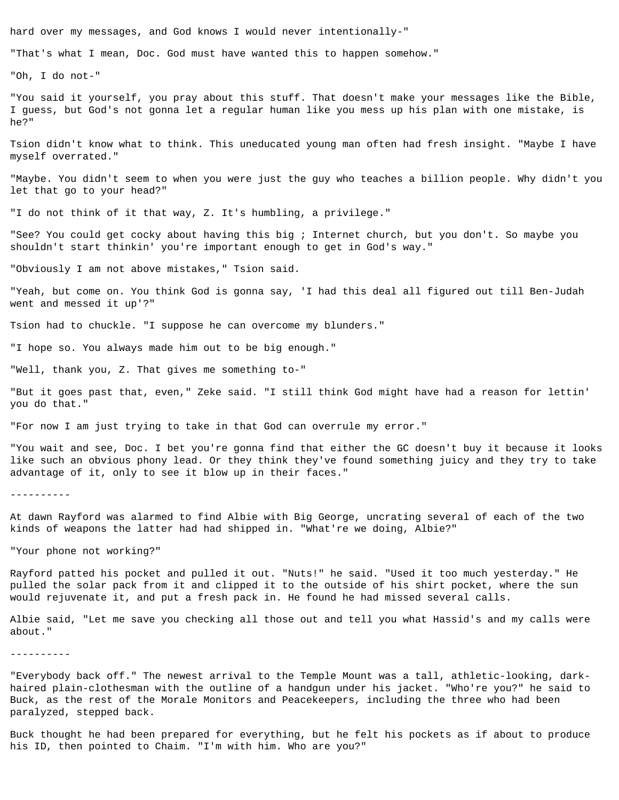hard over my messages, and God knows I would never intentionally-"

"That's what I mean, Doc. God must have wanted this to happen somehow."

"Oh, I do not-"

"You said it yourself, you pray about this stuff. That doesn't make your messages like the Bible, I guess, but God's not gonna let a regular human like you mess up his plan with one mistake, is he?"

Tsion didn't know what to think. This uneducated young man often had fresh insight. "Maybe I have myself overrated."

"Maybe. You didn't seem to when you were just the guy who teaches a billion people. Why didn't you let that go to your head?"

"I do not think of it that way, Z. It's humbling, a privilege."

"See? You could get cocky about having this big ; Internet church, but you don't. So maybe you shouldn't start thinkin' you're important enough to get in God's way."

"Obviously I am not above mistakes," Tsion said.

"Yeah, but come on. You think God is gonna say, 'I had this deal all figured out till Ben-Judah went and messed it up'?"

Tsion had to chuckle. "I suppose he can overcome my blunders."

"I hope so. You always made him out to be big enough."

"Well, thank you, Z. That gives me something to-"

"But it goes past that, even," Zeke said. "I still think God might have had a reason for lettin' you do that."

"For now I am just trying to take in that God can overrule my error."

"You wait and see, Doc. I bet you're gonna find that either the GC doesn't buy it because it looks like such an obvious phony lead. Or they think they've found something juicy and they try to take advantage of it, only to see it blow up in their faces."

----------

At dawn Rayford was alarmed to find Albie with Big George, uncrating several of each of the two kinds of weapons the latter had had shipped in. "What're we doing, Albie?"

"Your phone not working?"

Rayford patted his pocket and pulled it out. "Nuts!" he said. "Used it too much yesterday." He pulled the solar pack from it and clipped it to the outside of his shirt pocket, where the sun would rejuvenate it, and put a fresh pack in. He found he had missed several calls.

Albie said, "Let me save you checking all those out and tell you what Hassid's and my calls were about."

----------

"Everybody back off." The newest arrival to the Temple Mount was a tall, athletic-looking, darkhaired plain-clothesman with the outline of a handgun under his jacket. "Who're you?" he said to Buck, as the rest of the Morale Monitors and Peacekeepers, including the three who had been paralyzed, stepped back.

Buck thought he had been prepared for everything, but he felt his pockets as if about to produce his ID, then pointed to Chaim. "I'm with him. Who are you?"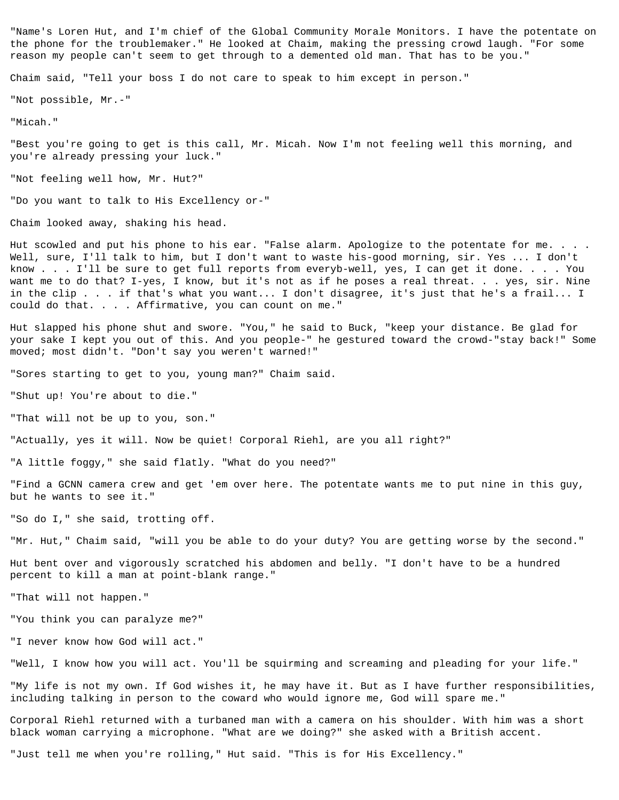"Name's Loren Hut, and I'm chief of the Global Community Morale Monitors. I have the potentate on the phone for the troublemaker." He looked at Chaim, making the pressing crowd laugh. "For some reason my people can't seem to get through to a demented old man. That has to be you."

Chaim said, "Tell your boss I do not care to speak to him except in person."

"Not possible, Mr.-"

"Micah."

"Best you're going to get is this call, Mr. Micah. Now I'm not feeling well this morning, and you're already pressing your luck."

"Not feeling well how, Mr. Hut?"

"Do you want to talk to His Excellency or-"

Chaim looked away, shaking his head.

Hut scowled and put his phone to his ear. "False alarm. Apologize to the potentate for me. . . . Well, sure, I'll talk to him, but I don't want to waste his-good morning, sir. Yes ... I don't know . . . I'll be sure to get full reports from everyb-well, yes, I can get it done. . . . You want me to do that? I-yes, I know, but it's not as if he poses a real threat. . . yes, sir. Nine in the clip . . . if that's what you want... I don't disagree, it's just that he's a frail... I could do that. . . . Affirmative, you can count on me."

Hut slapped his phone shut and swore. "You," he said to Buck, "keep your distance. Be glad for your sake I kept you out of this. And you people-" he gestured toward the crowd-"stay back!" Some moved; most didn't. "Don't say you weren't warned!"

"Sores starting to get to you, young man?" Chaim said.

"Shut up! You're about to die."

"That will not be up to you, son."

"Actually, yes it will. Now be quiet! Corporal Riehl, are you all right?"

"A little foggy," she said flatly. "What do you need?"

"Find a GCNN camera crew and get 'em over here. The potentate wants me to put nine in this guy, but he wants to see it."

"So do I," she said, trotting off.

"Mr. Hut," Chaim said, "will you be able to do your duty? You are getting worse by the second."

Hut bent over and vigorously scratched his abdomen and belly. "I don't have to be a hundred percent to kill a man at point-blank range."

"That will not happen."

"You think you can paralyze me?"

"I never know how God will act."

"Well, I know how you will act. You'll be squirming and screaming and pleading for your life."

"My life is not my own. If God wishes it, he may have it. But as I have further responsibilities, including talking in person to the coward who would ignore me, God will spare me."

Corporal Riehl returned with a turbaned man with a camera on his shoulder. With him was a short black woman carrying a microphone. "What are we doing?" she asked with a British accent.

"Just tell me when you're rolling," Hut said. "This is for His Excellency."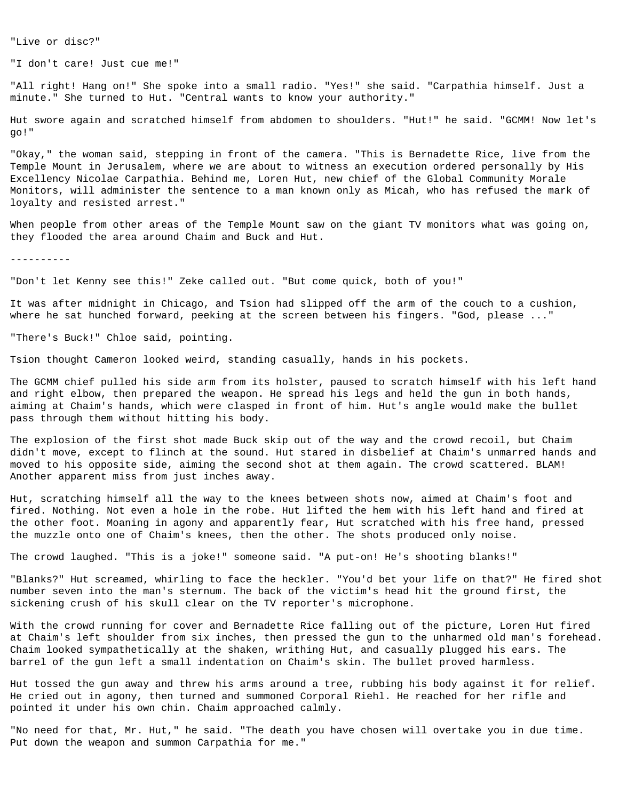"Live or disc?"

"I don't care! Just cue me!"

"All right! Hang on!" She spoke into a small radio. "Yes!" she said. "Carpathia himself. Just a minute." She turned to Hut. "Central wants to know your authority."

Hut swore again and scratched himself from abdomen to shoulders. "Hut!" he said. "GCMM! Now let's go!"

"Okay," the woman said, stepping in front of the camera. "This is Bernadette Rice, live from the Temple Mount in Jerusalem, where we are about to witness an execution ordered personally by His Excellency Nicolae Carpathia. Behind me, Loren Hut, new chief of the Global Community Morale Monitors, will administer the sentence to a man known only as Micah, who has refused the mark of loyalty and resisted arrest."

When people from other areas of the Temple Mount saw on the giant TV monitors what was going on, they flooded the area around Chaim and Buck and Hut.

----------

"Don't let Kenny see this!" Zeke called out. "But come quick, both of you!"

It was after midnight in Chicago, and Tsion had slipped off the arm of the couch to a cushion, where he sat hunched forward, peeking at the screen between his fingers. "God, please ..."

"There's Buck!" Chloe said, pointing.

Tsion thought Cameron looked weird, standing casually, hands in his pockets.

The GCMM chief pulled his side arm from its holster, paused to scratch himself with his left hand and right elbow, then prepared the weapon. He spread his legs and held the gun in both hands, aiming at Chaim's hands, which were clasped in front of him. Hut's angle would make the bullet pass through them without hitting his body.

The explosion of the first shot made Buck skip out of the way and the crowd recoil, but Chaim didn't move, except to flinch at the sound. Hut stared in disbelief at Chaim's unmarred hands and moved to his opposite side, aiming the second shot at them again. The crowd scattered. BLAM! Another apparent miss from just inches away.

Hut, scratching himself all the way to the knees between shots now, aimed at Chaim's foot and fired. Nothing. Not even a hole in the robe. Hut lifted the hem with his left hand and fired at the other foot. Moaning in agony and apparently fear, Hut scratched with his free hand, pressed the muzzle onto one of Chaim's knees, then the other. The shots produced only noise.

The crowd laughed. "This is a joke!" someone said. "A put-on! He's shooting blanks!"

"Blanks?" Hut screamed, whirling to face the heckler. "You'd bet your life on that?" He fired shot number seven into the man's sternum. The back of the victim's head hit the ground first, the sickening crush of his skull clear on the TV reporter's microphone.

With the crowd running for cover and Bernadette Rice falling out of the picture, Loren Hut fired at Chaim's left shoulder from six inches, then pressed the gun to the unharmed old man's forehead. Chaim looked sympathetically at the shaken, writhing Hut, and casually plugged his ears. The barrel of the gun left a small indentation on Chaim's skin. The bullet proved harmless.

Hut tossed the gun away and threw his arms around a tree, rubbing his body against it for relief. He cried out in agony, then turned and summoned Corporal Riehl. He reached for her rifle and pointed it under his own chin. Chaim approached calmly.

"No need for that, Mr. Hut," he said. "The death you have chosen will overtake you in due time. Put down the weapon and summon Carpathia for me."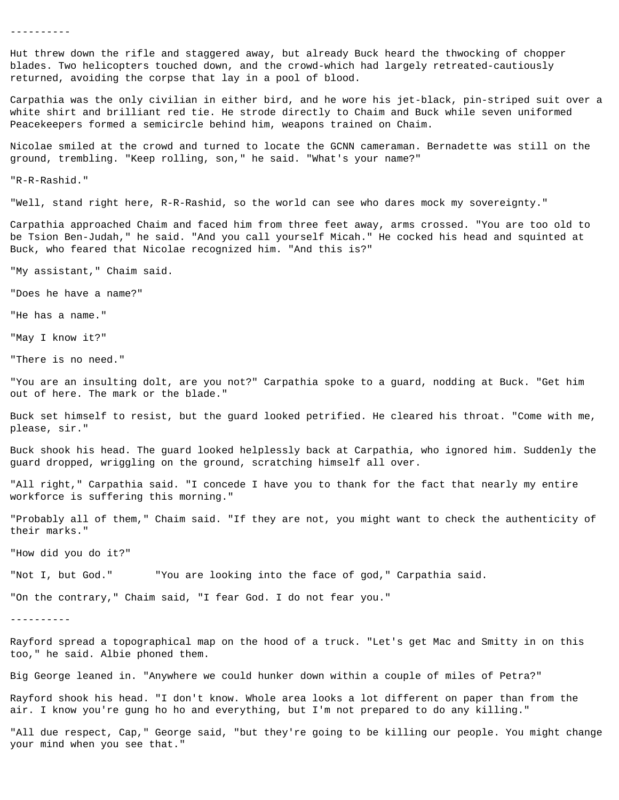Hut threw down the rifle and staggered away, but already Buck heard the thwocking of chopper blades. Two helicopters touched down, and the crowd-which had largely retreated-cautiously returned, avoiding the corpse that lay in a pool of blood.

Carpathia was the only civilian in either bird, and he wore his jet-black, pin-striped suit over a white shirt and brilliant red tie. He strode directly to Chaim and Buck while seven uniformed Peacekeepers formed a semicircle behind him, weapons trained on Chaim.

Nicolae smiled at the crowd and turned to locate the GCNN cameraman. Bernadette was still on the ground, trembling. "Keep rolling, son," he said. "What's your name?"

"R-R-Rashid."

"Well, stand right here, R-R-Rashid, so the world can see who dares mock my sovereignty."

Carpathia approached Chaim and faced him from three feet away, arms crossed. "You are too old to be Tsion Ben-Judah," he said. "And you call yourself Micah." He cocked his head and squinted at Buck, who feared that Nicolae recognized him. "And this is?"

"My assistant," Chaim said.

"Does he have a name?"

"He has a name."

"May I know it?"

"There is no need."

"You are an insulting dolt, are you not?" Carpathia spoke to a guard, nodding at Buck. "Get him out of here. The mark or the blade."

Buck set himself to resist, but the guard looked petrified. He cleared his throat. "Come with me, please, sir."

Buck shook his head. The guard looked helplessly back at Carpathia, who ignored him. Suddenly the guard dropped, wriggling on the ground, scratching himself all over.

"All right," Carpathia said. "I concede I have you to thank for the fact that nearly my entire workforce is suffering this morning."

"Probably all of them," Chaim said. "If they are not, you might want to check the authenticity of their marks."

"How did you do it?"

"Not I, but God." "You are looking into the face of god," Carpathia said.

"On the contrary," Chaim said, "I fear God. I do not fear you."

----------

Rayford spread a topographical map on the hood of a truck. "Let's get Mac and Smitty in on this too," he said. Albie phoned them.

Big George leaned in. "Anywhere we could hunker down within a couple of miles of Petra?"

Rayford shook his head. "I don't know. Whole area looks a lot different on paper than from the air. I know you're gung ho ho and everything, but I'm not prepared to do any killing."

"All due respect, Cap," George said, "but they're going to be killing our people. You might change your mind when you see that."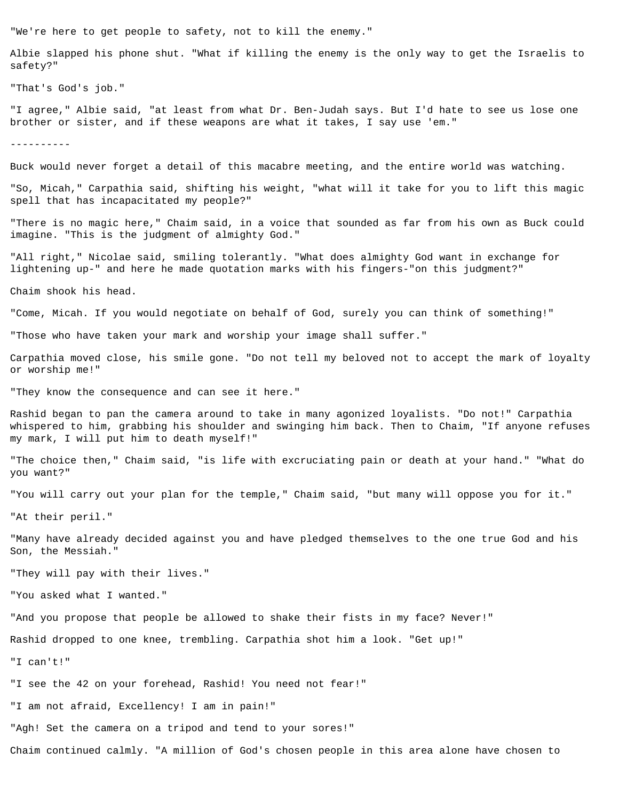"We're here to get people to safety, not to kill the enemy."

Albie slapped his phone shut. "What if killing the enemy is the only way to get the Israelis to safety?"

"That's God's job."

"I agree," Albie said, "at least from what Dr. Ben-Judah says. But I'd hate to see us lose one brother or sister, and if these weapons are what it takes, I say use 'em."

----------

Buck would never forget a detail of this macabre meeting, and the entire world was watching.

"So, Micah," Carpathia said, shifting his weight, "what will it take for you to lift this magic spell that has incapacitated my people?"

"There is no magic here," Chaim said, in a voice that sounded as far from his own as Buck could imagine. "This is the judgment of almighty God."

"All right," Nicolae said, smiling tolerantly. "What does almighty God want in exchange for lightening up-" and here he made quotation marks with his fingers-"on this judgment?"

Chaim shook his head.

"Come, Micah. If you would negotiate on behalf of God, surely you can think of something!"

"Those who have taken your mark and worship your image shall suffer."

Carpathia moved close, his smile gone. "Do not tell my beloved not to accept the mark of loyalty or worship me!"

"They know the consequence and can see it here."

Rashid began to pan the camera around to take in many agonized loyalists. "Do not!" Carpathia whispered to him, grabbing his shoulder and swinging him back. Then to Chaim, "If anyone refuses my mark, I will put him to death myself!"

"The choice then," Chaim said, "is life with excruciating pain or death at your hand." "What do you want?"

"You will carry out your plan for the temple," Chaim said, "but many will oppose you for it."

"At their peril."

"Many have already decided against you and have pledged themselves to the one true God and his Son, the Messiah."

"They will pay with their lives."

"You asked what I wanted."

"And you propose that people be allowed to shake their fists in my face? Never!"

Rashid dropped to one knee, trembling. Carpathia shot him a look. "Get up!"

"I can't!"

"I see the 42 on your forehead, Rashid! You need not fear!"

"I am not afraid, Excellency! I am in pain!"

"Agh! Set the camera on a tripod and tend to your sores!"

Chaim continued calmly. "A million of God's chosen people in this area alone have chosen to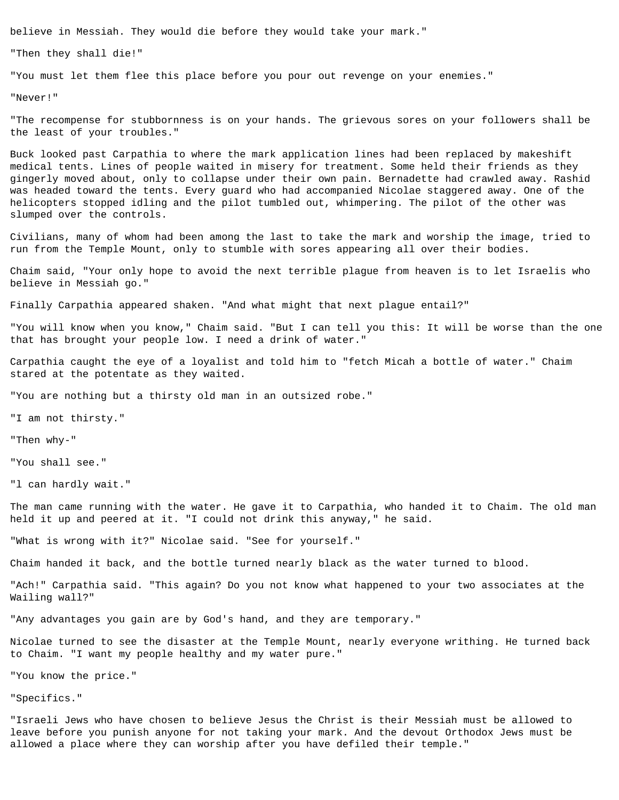believe in Messiah. They would die before they would take your mark."

"Then they shall die!"

"You must let them flee this place before you pour out revenge on your enemies."

"Never!"

"The recompense for stubbornness is on your hands. The grievous sores on your followers shall be the least of your troubles."

Buck looked past Carpathia to where the mark application lines had been replaced by makeshift medical tents. Lines of people waited in misery for treatment. Some held their friends as they gingerly moved about, only to collapse under their own pain. Bernadette had crawled away. Rashid was headed toward the tents. Every guard who had accompanied Nicolae staggered away. One of the helicopters stopped idling and the pilot tumbled out, whimpering. The pilot of the other was slumped over the controls.

Civilians, many of whom had been among the last to take the mark and worship the image, tried to run from the Temple Mount, only to stumble with sores appearing all over their bodies.

Chaim said, "Your only hope to avoid the next terrible plague from heaven is to let Israelis who believe in Messiah go."

Finally Carpathia appeared shaken. "And what might that next plague entail?"

"You will know when you know," Chaim said. "But I can tell you this: It will be worse than the one that has brought your people low. I need a drink of water."

Carpathia caught the eye of a loyalist and told him to "fetch Micah a bottle of water." Chaim stared at the potentate as they waited.

"You are nothing but a thirsty old man in an outsized robe."

"I am not thirsty."

"Then why-"

"You shall see."

"l can hardly wait."

The man came running with the water. He gave it to Carpathia, who handed it to Chaim. The old man held it up and peered at it. "I could not drink this anyway," he said.

"What is wrong with it?" Nicolae said. "See for yourself."

Chaim handed it back, and the bottle turned nearly black as the water turned to blood.

"Ach!" Carpathia said. "This again? Do you not know what happened to your two associates at the Wailing wall?"

"Any advantages you gain are by God's hand, and they are temporary."

Nicolae turned to see the disaster at the Temple Mount, nearly everyone writhing. He turned back to Chaim. "I want my people healthy and my water pure."

"You know the price."

"Specifics."

"Israeli Jews who have chosen to believe Jesus the Christ is their Messiah must be allowed to leave before you punish anyone for not taking your mark. And the devout Orthodox Jews must be allowed a place where they can worship after you have defiled their temple."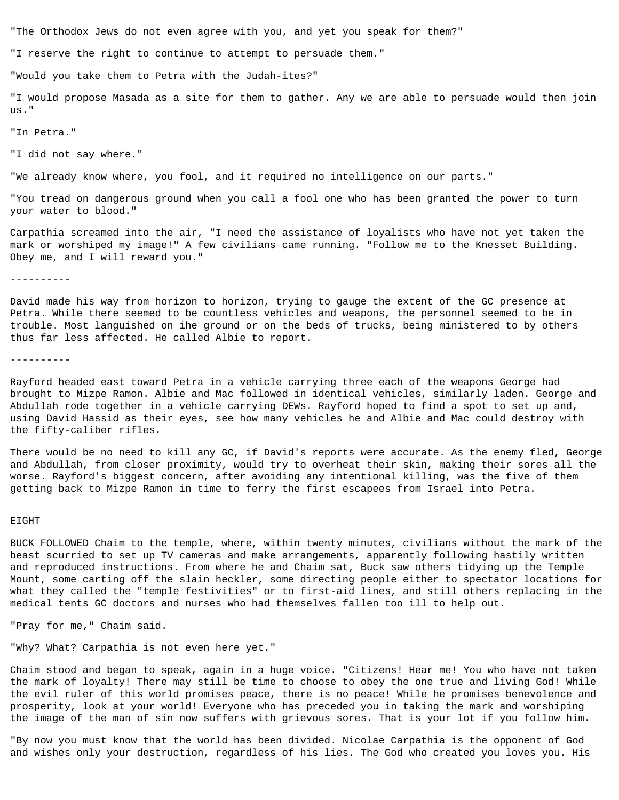"The Orthodox Jews do not even agree with you, and yet you speak for them?"

"I reserve the right to continue to attempt to persuade them."

"Would you take them to Petra with the Judah-ites?"

"I would propose Masada as a site for them to gather. Any we are able to persuade would then join us."

## "In Petra."

"I did not say where."

"We already know where, you fool, and it required no intelligence on our parts."

"You tread on dangerous ground when you call a fool one who has been granted the power to turn your water to blood."

Carpathia screamed into the air, "I need the assistance of loyalists who have not yet taken the mark or worshiped my image!" A few civilians came running. "Follow me to the Knesset Building. Obey me, and I will reward you."

----------

David made his way from horizon to horizon, trying to gauge the extent of the GC presence at Petra. While there seemed to be countless vehicles and weapons, the personnel seemed to be in trouble. Most languished on ihe ground or on the beds of trucks, being ministered to by others thus far less affected. He called Albie to report.

----------

Rayford headed east toward Petra in a vehicle carrying three each of the weapons George had brought to Mizpe Ramon. Albie and Mac followed in identical vehicles, similarly laden. George and Abdullah rode together in a vehicle carrying DEWs. Rayford hoped to find a spot to set up and, using David Hassid as their eyes, see how many vehicles he and Albie and Mac could destroy with the fifty-caliber rifles.

There would be no need to kill any GC, if David's reports were accurate. As the enemy fled, George and Abdullah, from closer proximity, would try to overheat their skin, making their sores all the worse. Rayford's biggest concern, after avoiding any intentional killing, was the five of them getting back to Mizpe Ramon in time to ferry the first escapees from Israel into Petra.

### EIGHT

BUCK FOLLOWED Chaim to the temple, where, within twenty minutes, civilians without the mark of the beast scurried to set up TV cameras and make arrangements, apparently following hastily written and reproduced instructions. From where he and Chaim sat, Buck saw others tidying up the Temple Mount, some carting off the slain heckler, some directing people either to spectator locations for what they called the "temple festivities" or to first-aid lines, and still others replacing in the medical tents GC doctors and nurses who had themselves fallen too ill to help out.

"Pray for me," Chaim said.

"Why? What? Carpathia is not even here yet."

Chaim stood and began to speak, again in a huge voice. "Citizens! Hear me! You who have not taken the mark of loyalty! There may still be time to choose to obey the one true and living God! While the evil ruler of this world promises peace, there is no peace! While he promises benevolence and prosperity, look at your world! Everyone who has preceded you in taking the mark and worshiping the image of the man of sin now suffers with grievous sores. That is your lot if you follow him.

"By now you must know that the world has been divided. Nicolae Carpathia is the opponent of God and wishes only your destruction, regardless of his lies. The God who created you loves you. His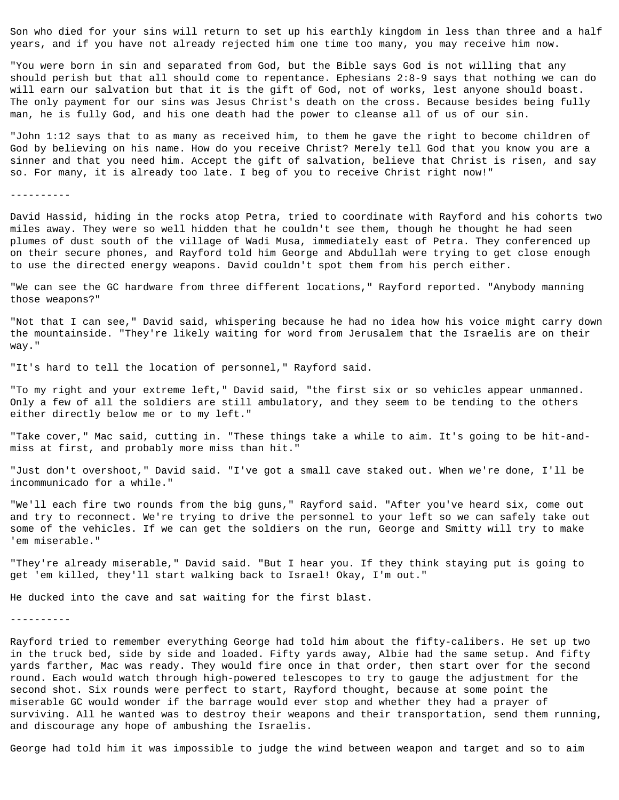Son who died for your sins will return to set up his earthly kingdom in less than three and a half years, and if you have not already rejected him one time too many, you may receive him now.

"You were born in sin and separated from God, but the Bible says God is not willing that any should perish but that all should come to repentance. Ephesians 2:8-9 says that nothing we can do will earn our salvation but that it is the gift of God, not of works, lest anyone should boast. The only payment for our sins was Jesus Christ's death on the cross. Because besides being fully man, he is fully God, and his one death had the power to cleanse all of us of our sin.

"John 1:12 says that to as many as received him, to them he gave the right to become children of God by believing on his name. How do you receive Christ? Merely tell God that you know you are a sinner and that you need him. Accept the gift of salvation, believe that Christ is risen, and say so. For many, it is already too late. I beg of you to receive Christ right now!"

----------

David Hassid, hiding in the rocks atop Petra, tried to coordinate with Rayford and his cohorts two miles away. They were so well hidden that he couldn't see them, though he thought he had seen plumes of dust south of the village of Wadi Musa, immediately east of Petra. They conferenced up on their secure phones, and Rayford told him George and Abdullah were trying to get close enough to use the directed energy weapons. David couldn't spot them from his perch either.

"We can see the GC hardware from three different locations," Rayford reported. "Anybody manning those weapons?"

"Not that I can see," David said, whispering because he had no idea how his voice might carry down the mountainside. "They're likely waiting for word from Jerusalem that the Israelis are on their way."

"It's hard to tell the location of personnel," Rayford said.

"To my right and your extreme left," David said, "the first six or so vehicles appear unmanned. Only a few of all the soldiers are still ambulatory, and they seem to be tending to the others either directly below me or to my left."

"Take cover," Mac said, cutting in. "These things take a while to aim. It's going to be hit-andmiss at first, and probably more miss than hit."

"Just don't overshoot," David said. "I've got a small cave staked out. When we're done, I'll be incommunicado for a while."

"We'll each fire two rounds from the big guns," Rayford said. "After you've heard six, come out and try to reconnect. We're trying to drive the personnel to your left so we can safely take out some of the vehicles. If we can get the soldiers on the run, George and Smitty will try to make 'em miserable."

"They're already miserable," David said. "But I hear you. If they think staying put is going to get 'em killed, they'll start walking back to Israel! Okay, I'm out."

He ducked into the cave and sat waiting for the first blast.

----------

Rayford tried to remember everything George had told him about the fifty-calibers. He set up two in the truck bed, side by side and loaded. Fifty yards away, Albie had the same setup. And fifty yards farther, Mac was ready. They would fire once in that order, then start over for the second round. Each would watch through high-powered telescopes to try to gauge the adjustment for the second shot. Six rounds were perfect to start, Rayford thought, because at some point the miserable GC would wonder if the barrage would ever stop and whether they had a prayer of surviving. All he wanted was to destroy their weapons and their transportation, send them running, and discourage any hope of ambushing the Israelis.

George had told him it was impossible to judge the wind between weapon and target and so to aim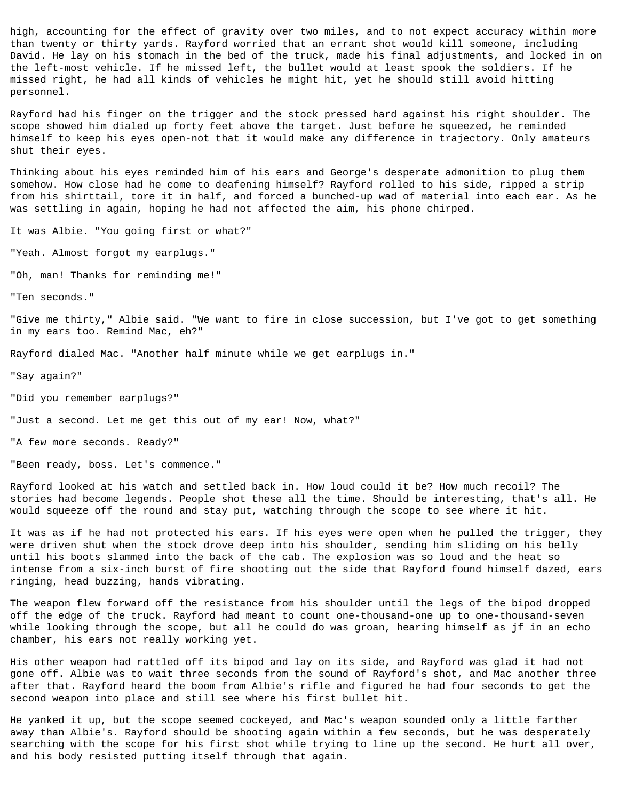high, accounting for the effect of gravity over two miles, and to not expect accuracy within more than twenty or thirty yards. Rayford worried that an errant shot would kill someone, including David. He lay on his stomach in the bed of the truck, made his final adjustments, and locked in on the left-most vehicle. If he missed left, the bullet would at least spook the soldiers. If he missed right, he had all kinds of vehicles he might hit, yet he should still avoid hitting personnel.

Rayford had his finger on the trigger and the stock pressed hard against his right shoulder. The scope showed him dialed up forty feet above the target. Just before he squeezed, he reminded himself to keep his eyes open-not that it would make any difference in trajectory. Only amateurs shut their eyes.

Thinking about his eyes reminded him of his ears and George's desperate admonition to plug them somehow. How close had he come to deafening himself? Rayford rolled to his side, ripped a strip from his shirttail, tore it in half, and forced a bunched-up wad of material into each ear. As he was settling in again, hoping he had not affected the aim, his phone chirped.

It was Albie. "You going first or what?"

"Yeah. Almost forgot my earplugs."

"Oh, man! Thanks for reminding me!"

"Ten seconds."

"Give me thirty," Albie said. "We want to fire in close succession, but I've got to get something in my ears too. Remind Mac, eh?"

Rayford dialed Mac. "Another half minute while we get earplugs in."

"Say again?"

"Did you remember earplugs?"

"Just a second. Let me get this out of my ear! Now, what?"

"A few more seconds. Ready?"

"Been ready, boss. Let's commence."

Rayford looked at his watch and settled back in. How loud could it be? How much recoil? The stories had become legends. People shot these all the time. Should be interesting, that's all. He would squeeze off the round and stay put, watching through the scope to see where it hit.

It was as if he had not protected his ears. If his eyes were open when he pulled the trigger, they were driven shut when the stock drove deep into his shoulder, sending him sliding on his belly until his boots slammed into the back of the cab. The explosion was so loud and the heat so intense from a six-inch burst of fire shooting out the side that Rayford found himself dazed, ears ringing, head buzzing, hands vibrating.

The weapon flew forward off the resistance from his shoulder until the legs of the bipod dropped off the edge of the truck. Rayford had meant to count one-thousand-one up to one-thousand-seven while looking through the scope, but all he could do was groan, hearing himself as jf in an echo chamber, his ears not really working yet.

His other weapon had rattled off its bipod and lay on its side, and Rayford was glad it had not gone off. Albie was to wait three seconds from the sound of Rayford's shot, and Mac another three after that. Rayford heard the boom from Albie's rifle and figured he had four seconds to get the second weapon into place and still see where his first bullet hit.

He yanked it up, but the scope seemed cockeyed, and Mac's weapon sounded only a little farther away than Albie's. Rayford should be shooting again within a few seconds, but he was desperately searching with the scope for his first shot while trying to line up the second. He hurt all over, and his body resisted putting itself through that again.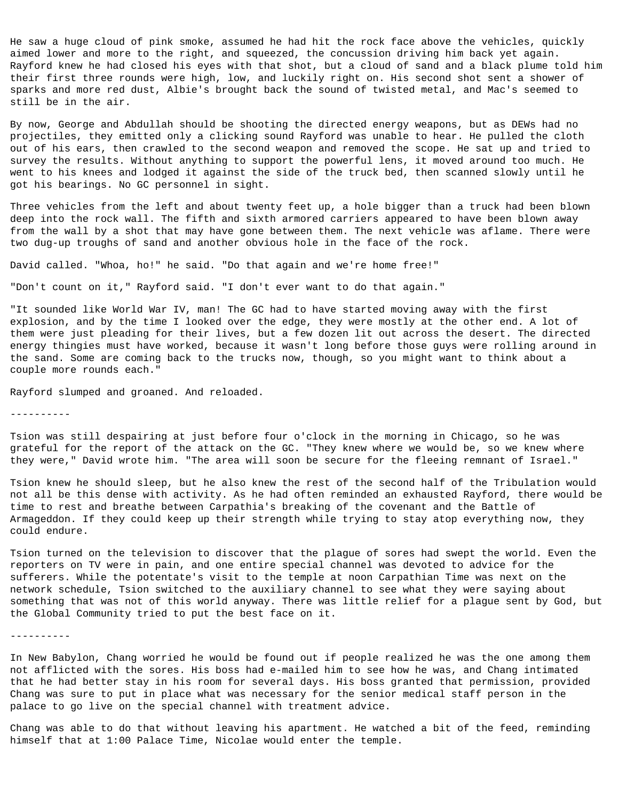He saw a huge cloud of pink smoke, assumed he had hit the rock face above the vehicles, quickly aimed lower and more to the right, and squeezed, the concussion driving him back yet again. Rayford knew he had closed his eyes with that shot, but a cloud of sand and a black plume told him their first three rounds were high, low, and luckily right on. His second shot sent a shower of sparks and more red dust, Albie's brought back the sound of twisted metal, and Mac's seemed to still be in the air.

By now, George and Abdullah should be shooting the directed energy weapons, but as DEWs had no projectiles, they emitted only a clicking sound Rayford was unable to hear. He pulled the cloth out of his ears, then crawled to the second weapon and removed the scope. He sat up and tried to survey the results. Without anything to support the powerful lens, it moved around too much. He went to his knees and lodged it against the side of the truck bed, then scanned slowly until he got his bearings. No GC personnel in sight.

Three vehicles from the left and about twenty feet up, a hole bigger than a truck had been blown deep into the rock wall. The fifth and sixth armored carriers appeared to have been blown away from the wall by a shot that may have gone between them. The next vehicle was aflame. There were two dug-up troughs of sand and another obvious hole in the face of the rock.

David called. "Whoa, ho!" he said. "Do that again and we're home free!"

"Don't count on it," Rayford said. "I don't ever want to do that again."

"It sounded like World War IV, man! The GC had to have started moving away with the first explosion, and by the time I looked over the edge, they were mostly at the other end. A lot of them were just pleading for their lives, but a few dozen lit out across the desert. The directed energy thingies must have worked, because it wasn't long before those guys were rolling around in the sand. Some are coming back to the trucks now, though, so you might want to think about a couple more rounds each."

Rayford slumped and groaned. And reloaded.

----------

Tsion was still despairing at just before four o'clock in the morning in Chicago, so he was grateful for the report of the attack on the GC. "They knew where we would be, so we knew where they were," David wrote him. "The area will soon be secure for the fleeing remnant of Israel."

Tsion knew he should sleep, but he also knew the rest of the second half of the Tribulation would not all be this dense with activity. As he had often reminded an exhausted Rayford, there would be time to rest and breathe between Carpathia's breaking of the covenant and the Battle of Armageddon. If they could keep up their strength while trying to stay atop everything now, they could endure.

Tsion turned on the television to discover that the plague of sores had swept the world. Even the reporters on TV were in pain, and one entire special channel was devoted to advice for the sufferers. While the potentate's visit to the temple at noon Carpathian Time was next on the network schedule, Tsion switched to the auxiliary channel to see what they were saying about something that was not of this world anyway. There was little relief for a plague sent by God, but the Global Community tried to put the best face on it.

----------

In New Babylon, Chang worried he would be found out if people realized he was the one among them not afflicted with the sores. His boss had e-mailed him to see how he was, and Chang intimated that he had better stay in his room for several days. His boss granted that permission, provided Chang was sure to put in place what was necessary for the senior medical staff person in the palace to go live on the special channel with treatment advice.

Chang was able to do that without leaving his apartment. He watched a bit of the feed, reminding himself that at 1:00 Palace Time, Nicolae would enter the temple.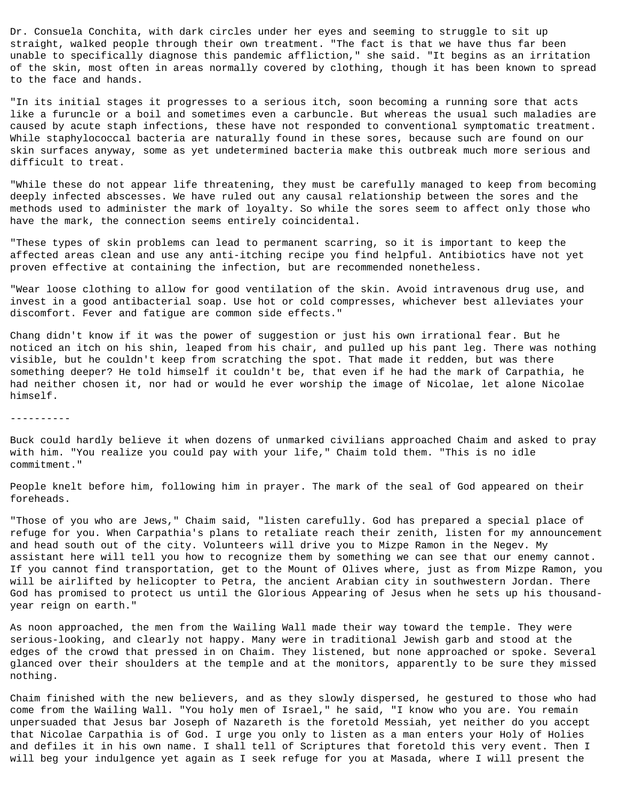Dr. Consuela Conchita, with dark circles under her eyes and seeming to struggle to sit up straight, walked people through their own treatment. "The fact is that we have thus far been unable to specifically diagnose this pandemic affliction," she said. "It begins as an irritation of the skin, most often in areas normally covered by clothing, though it has been known to spread to the face and hands.

"In its initial stages it progresses to a serious itch, soon becoming a running sore that acts like a furuncle or a boil and sometimes even a carbuncle. But whereas the usual such maladies are caused by acute staph infections, these have not responded to conventional symptomatic treatment. While staphylococcal bacteria are naturally found in these sores, because such are found on our skin surfaces anyway, some as yet undetermined bacteria make this outbreak much more serious and difficult to treat.

"While these do not appear life threatening, they must be carefully managed to keep from becoming deeply infected abscesses. We have ruled out any causal relationship between the sores and the methods used to administer the mark of loyalty. So while the sores seem to affect only those who have the mark, the connection seems entirely coincidental.

"These types of skin problems can lead to permanent scarring, so it is important to keep the affected areas clean and use any anti-itching recipe you find helpful. Antibiotics have not yet proven effective at containing the infection, but are recommended nonetheless.

"Wear loose clothing to allow for good ventilation of the skin. Avoid intravenous drug use, and invest in a good antibacterial soap. Use hot or cold compresses, whichever best alleviates your discomfort. Fever and fatigue are common side effects."

Chang didn't know if it was the power of suggestion or just his own irrational fear. But he noticed an itch on his shin, leaped from his chair, and pulled up his pant leg. There was nothing visible, but he couldn't keep from scratching the spot. That made it redden, but was there something deeper? He told himself it couldn't be, that even if he had the mark of Carpathia, he had neither chosen it, nor had or would he ever worship the image of Nicolae, let alone Nicolae himself.

----------

Buck could hardly believe it when dozens of unmarked civilians approached Chaim and asked to pray with him. "You realize you could pay with your life," Chaim told them. "This is no idle commitment."

People knelt before him, following him in prayer. The mark of the seal of God appeared on their foreheads.

"Those of you who are Jews," Chaim said, "listen carefully. God has prepared a special place of refuge for you. When Carpathia's plans to retaliate reach their zenith, listen for my announcement and head south out of the city. Volunteers will drive you to Mizpe Ramon in the Negev. My assistant here will tell you how to recognize them by something we can see that our enemy cannot. If you cannot find transportation, get to the Mount of Olives where, just as from Mizpe Ramon, you will be airlifted by helicopter to Petra, the ancient Arabian city in southwestern Jordan. There God has promised to protect us until the Glorious Appearing of Jesus when he sets up his thousandyear reign on earth."

As noon approached, the men from the Wailing Wall made their way toward the temple. They were serious-looking, and clearly not happy. Many were in traditional Jewish garb and stood at the edges of the crowd that pressed in on Chaim. They listened, but none approached or spoke. Several glanced over their shoulders at the temple and at the monitors, apparently to be sure they missed nothing.

Chaim finished with the new believers, and as they slowly dispersed, he gestured to those who had come from the Wailing Wall. "You holy men of Israel," he said, "I know who you are. You remain unpersuaded that Jesus bar Joseph of Nazareth is the foretold Messiah, yet neither do you accept that Nicolae Carpathia is of God. I urge you only to listen as a man enters your Holy of Holies and defiles it in his own name. I shall tell of Scriptures that foretold this very event. Then I will beg your indulgence yet again as I seek refuge for you at Masada, where I will present the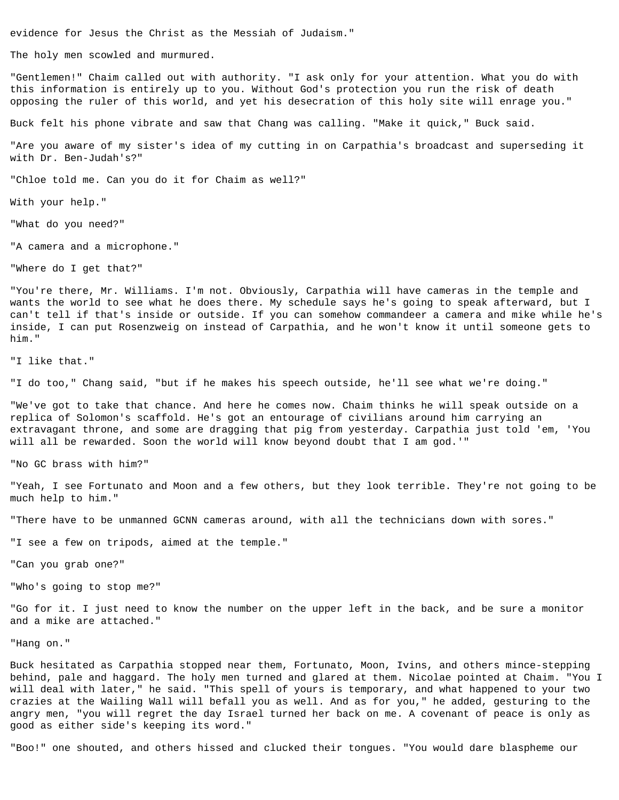evidence for Jesus the Christ as the Messiah of Judaism."

The holy men scowled and murmured.

"Gentlemen!" Chaim called out with authority. "I ask only for your attention. What you do with this information is entirely up to you. Without God's protection you run the risk of death opposing the ruler of this world, and yet his desecration of this holy site will enrage you."

Buck felt his phone vibrate and saw that Chang was calling. "Make it quick," Buck said.

"Are you aware of my sister's idea of my cutting in on Carpathia's broadcast and superseding it with Dr. Ben-Judah's?"

"Chloe told me. Can you do it for Chaim as well?"

With your help."

"What do you need?"

"A camera and a microphone."

"Where do I get that?"

"You're there, Mr. Williams. I'm not. Obviously, Carpathia will have cameras in the temple and wants the world to see what he does there. My schedule says he's going to speak afterward, but I can't tell if that's inside or outside. If you can somehow commandeer a camera and mike while he's inside, I can put Rosenzweig on instead of Carpathia, and he won't know it until someone gets to him."

"I like that."

"I do too," Chang said, "but if he makes his speech outside, he'll see what we're doing."

"We've got to take that chance. And here he comes now. Chaim thinks he will speak outside on a replica of Solomon's scaffold. He's got an entourage of civilians around him carrying an extravagant throne, and some are dragging that pig from yesterday. Carpathia just told 'em, 'You will all be rewarded. Soon the world will know beyond doubt that I am god.'"

"No GC brass with him?"

"Yeah, I see Fortunato and Moon and a few others, but they look terrible. They're not going to be much help to him."

"There have to be unmanned GCNN cameras around, with all the technicians down with sores."

"I see a few on tripods, aimed at the temple."

"Can you grab one?"

"Who's going to stop me?"

"Go for it. I just need to know the number on the upper left in the back, and be sure a monitor and a mike are attached."

"Hang on."

Buck hesitated as Carpathia stopped near them, Fortunato, Moon, Ivins, and others mince-stepping behind, pale and haggard. The holy men turned and glared at them. Nicolae pointed at Chaim. "You I will deal with later," he said. "This spell of yours is temporary, and what happened to your two crazies at the Wailing Wall will befall you as well. And as for you," he added, gesturing to the angry men, "you will regret the day Israel turned her back on me. A covenant of peace is only as good as either side's keeping its word."

"Boo!" one shouted, and others hissed and clucked their tongues. "You would dare blaspheme our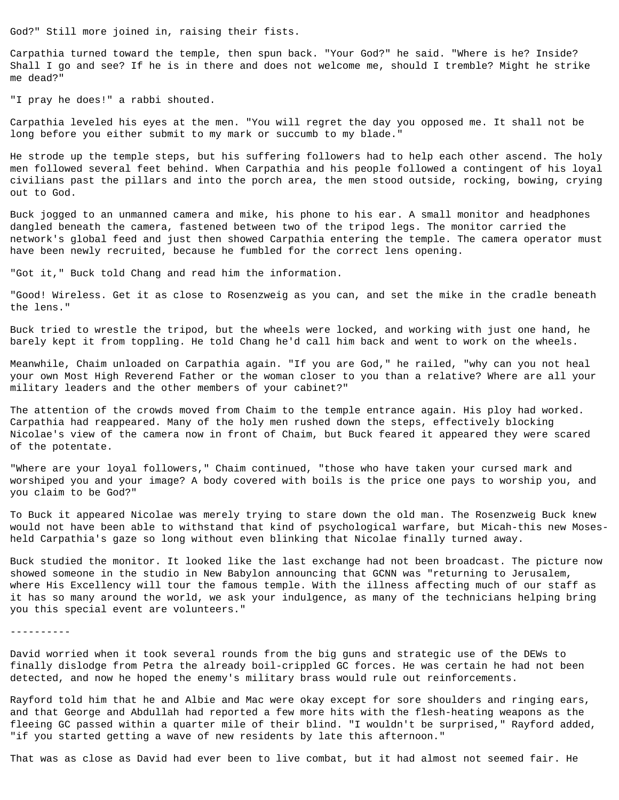God?" Still more joined in, raising their fists.

Carpathia turned toward the temple, then spun back. "Your God?" he said. "Where is he? Inside? Shall I go and see? If he is in there and does not welcome me, should I tremble? Might he strike me dead?"

"I pray he does!" a rabbi shouted.

Carpathia leveled his eyes at the men. "You will regret the day you opposed me. It shall not be long before you either submit to my mark or succumb to my blade."

He strode up the temple steps, but his suffering followers had to help each other ascend. The holy men followed several feet behind. When Carpathia and his people followed a contingent of his loyal civilians past the pillars and into the porch area, the men stood outside, rocking, bowing, crying out to God.

Buck jogged to an unmanned camera and mike, his phone to his ear. A small monitor and headphones dangled beneath the camera, fastened between two of the tripod legs. The monitor carried the network's global feed and just then showed Carpathia entering the temple. The camera operator must have been newly recruited, because he fumbled for the correct lens opening.

"Got it," Buck told Chang and read him the information.

"Good! Wireless. Get it as close to Rosenzweig as you can, and set the mike in the cradle beneath the lens."

Buck tried to wrestle the tripod, but the wheels were locked, and working with just one hand, he barely kept it from toppling. He told Chang he'd call him back and went to work on the wheels.

Meanwhile, Chaim unloaded on Carpathia again. "If you are God," he railed, "why can you not heal your own Most High Reverend Father or the woman closer to you than a relative? Where are all your military leaders and the other members of your cabinet?"

The attention of the crowds moved from Chaim to the temple entrance again. His ploy had worked. Carpathia had reappeared. Many of the holy men rushed down the steps, effectively blocking Nicolae's view of the camera now in front of Chaim, but Buck feared it appeared they were scared of the potentate.

"Where are your loyal followers," Chaim continued, "those who have taken your cursed mark and worshiped you and your image? A body covered with boils is the price one pays to worship you, and you claim to be God?"

To Buck it appeared Nicolae was merely trying to stare down the old man. The Rosenzweig Buck knew would not have been able to withstand that kind of psychological warfare, but Micah-this new Mosesheld Carpathia's gaze so long without even blinking that Nicolae finally turned away.

Buck studied the monitor. It looked like the last exchange had not been broadcast. The picture now showed someone in the studio in New Babylon announcing that GCNN was "returning to Jerusalem, where His Excellency will tour the famous temple. With the illness affecting much of our staff as it has so many around the world, we ask your indulgence, as many of the technicians helping bring you this special event are volunteers."

#### ----------

David worried when it took several rounds from the big guns and strategic use of the DEWs to finally dislodge from Petra the already boil-crippled GC forces. He was certain he had not been detected, and now he hoped the enemy's military brass would rule out reinforcements.

Rayford told him that he and Albie and Mac were okay except for sore shoulders and ringing ears, and that George and Abdullah had reported a few more hits with the flesh-heating weapons as the fleeing GC passed within a quarter mile of their blind. "I wouldn't be surprised," Rayford added, "if you started getting a wave of new residents by late this afternoon."

That was as close as David had ever been to live combat, but it had almost not seemed fair. He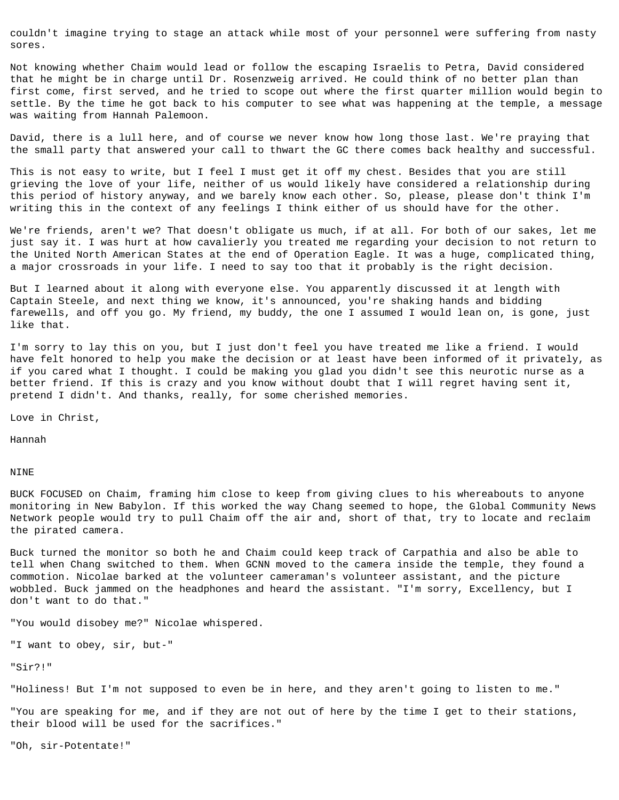couldn't imagine trying to stage an attack while most of your personnel were suffering from nasty sores.

Not knowing whether Chaim would lead or follow the escaping Israelis to Petra, David considered that he might be in charge until Dr. Rosenzweig arrived. He could think of no better plan than first come, first served, and he tried to scope out where the first quarter million would begin to settle. By the time he got back to his computer to see what was happening at the temple, a message was waiting from Hannah Palemoon.

David, there is a lull here, and of course we never know how long those last. We're praying that the small party that answered your call to thwart the GC there comes back healthy and successful.

This is not easy to write, but I feel I must get it off my chest. Besides that you are still grieving the love of your life, neither of us would likely have considered a relationship during this period of history anyway, and we barely know each other. So, please, please don't think I'm writing this in the context of any feelings I think either of us should have for the other.

We're friends, aren't we? That doesn't obligate us much, if at all. For both of our sakes, let me just say it. I was hurt at how cavalierly you treated me regarding your decision to not return to the United North American States at the end of Operation Eagle. It was a huge, complicated thing, a major crossroads in your life. I need to say too that it probably is the right decision.

But I learned about it along with everyone else. You apparently discussed it at length with Captain Steele, and next thing we know, it's announced, you're shaking hands and bidding farewells, and off you go. My friend, my buddy, the one I assumed I would lean on, is gone, just like that.

I'm sorry to lay this on you, but I just don't feel you have treated me like a friend. I would have felt honored to help you make the decision or at least have been informed of it privately, as if you cared what I thought. I could be making you glad you didn't see this neurotic nurse as a better friend. If this is crazy and you know without doubt that I will regret having sent it, pretend I didn't. And thanks, really, for some cherished memories.

Love in Christ,

Hannah

NINE

BUCK FOCUSED on Chaim, framing him close to keep from giving clues to his whereabouts to anyone monitoring in New Babylon. If this worked the way Chang seemed to hope, the Global Community News Network people would try to pull Chaim off the air and, short of that, try to locate and reclaim the pirated camera.

Buck turned the monitor so both he and Chaim could keep track of Carpathia and also be able to tell when Chang switched to them. When GCNN moved to the camera inside the temple, they found a commotion. Nicolae barked at the volunteer cameraman's volunteer assistant, and the picture wobbled. Buck jammed on the headphones and heard the assistant. "I'm sorry, Excellency, but I don't want to do that."

"You would disobey me?" Nicolae whispered.

"I want to obey, sir, but-"

"Sir?!"

"Holiness! But I'm not supposed to even be in here, and they aren't going to listen to me."

"You are speaking for me, and if they are not out of here by the time I get to their stations, their blood will be used for the sacrifices."

"Oh, sir-Potentate!"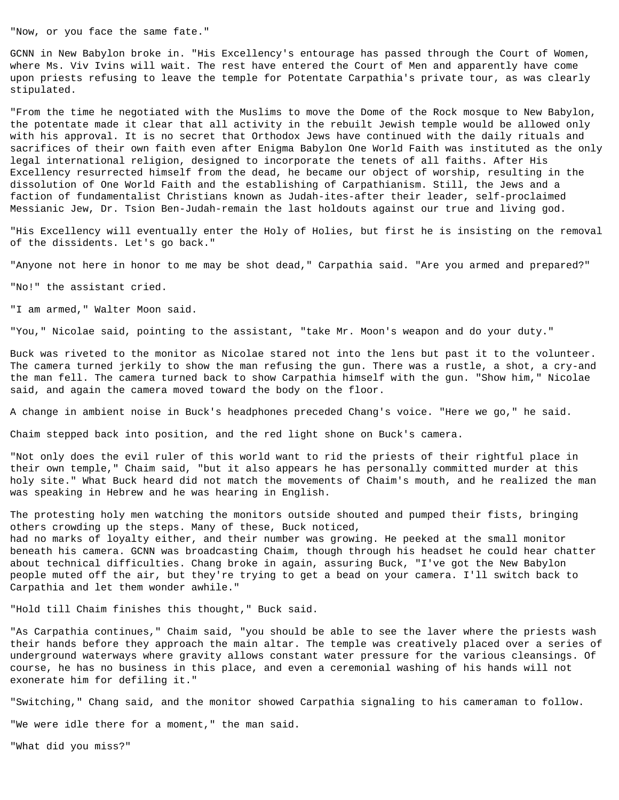"Now, or you face the same fate."

GCNN in New Babylon broke in. "His Excellency's entourage has passed through the Court of Women, where Ms. Viv Ivins will wait. The rest have entered the Court of Men and apparently have come upon priests refusing to leave the temple for Potentate Carpathia's private tour, as was clearly stipulated.

"From the time he negotiated with the Muslims to move the Dome of the Rock mosque to New Babylon, the potentate made it clear that all activity in the rebuilt Jewish temple would be allowed only with his approval. It is no secret that Orthodox Jews have continued with the daily rituals and sacrifices of their own faith even after Enigma Babylon One World Faith was instituted as the only legal international religion, designed to incorporate the tenets of all faiths. After His Excellency resurrected himself from the dead, he became our object of worship, resulting in the dissolution of One World Faith and the establishing of Carpathianism. Still, the Jews and a faction of fundamentalist Christians known as Judah-ites-after their leader, self-proclaimed Messianic Jew, Dr. Tsion Ben-Judah-remain the last holdouts against our true and living god.

"His Excellency will eventually enter the Holy of Holies, but first he is insisting on the removal of the dissidents. Let's go back."

"Anyone not here in honor to me may be shot dead," Carpathia said. "Are you armed and prepared?"

"No!" the assistant cried.

"I am armed," Walter Moon said.

"You," Nicolae said, pointing to the assistant, "take Mr. Moon's weapon and do your duty."

Buck was riveted to the monitor as Nicolae stared not into the lens but past it to the volunteer. The camera turned jerkily to show the man refusing the gun. There was a rustle, a shot, a cry-and the man fell. The camera turned back to show Carpathia himself with the gun. "Show him," Nicolae said, and again the camera moved toward the body on the floor.

A change in ambient noise in Buck's headphones preceded Chang's voice. "Here we go," he said.

Chaim stepped back into position, and the red light shone on Buck's camera.

"Not only does the evil ruler of this world want to rid the priests of their rightful place in their own temple," Chaim said, "but it also appears he has personally committed murder at this holy site." What Buck heard did not match the movements of Chaim's mouth, and he realized the man was speaking in Hebrew and he was hearing in English.

The protesting holy men watching the monitors outside shouted and pumped their fists, bringing others crowding up the steps. Many of these, Buck noticed, had no marks of loyalty either, and their number was growing. He peeked at the small monitor beneath his camera. GCNN was broadcasting Chaim, though through his headset he could hear chatter about technical difficulties. Chang broke in again, assuring Buck, "I've got the New Babylon people muted off the air, but they're trying to get a bead on your camera. I'll switch back to Carpathia and let them wonder awhile."

"Hold till Chaim finishes this thought," Buck said.

"As Carpathia continues," Chaim said, "you should be able to see the laver where the priests wash their hands before they approach the main altar. The temple was creatively placed over a series of underground waterways where gravity allows constant water pressure for the various cleansings. Of course, he has no business in this place, and even a ceremonial washing of his hands will not exonerate him for defiling it."

"Switching," Chang said, and the monitor showed Carpathia signaling to his cameraman to follow.

"We were idle there for a moment," the man said.

"What did you miss?"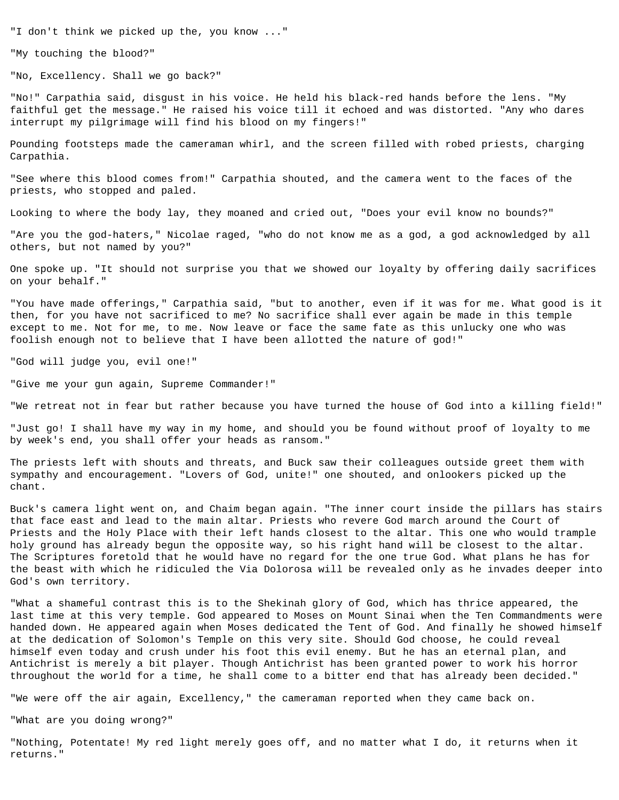"I don't think we picked up the, you know ..."

"My touching the blood?"

"No, Excellency. Shall we go back?"

"No!" Carpathia said, disgust in his voice. He held his black-red hands before the lens. "My faithful get the message." He raised his voice till it echoed and was distorted. "Any who dares interrupt my pilgrimage will find his blood on my fingers!"

Pounding footsteps made the cameraman whirl, and the screen filled with robed priests, charging Carpathia.

"See where this blood comes from!" Carpathia shouted, and the camera went to the faces of the priests, who stopped and paled.

Looking to where the body lay, they moaned and cried out, "Does your evil know no bounds?"

"Are you the god-haters," Nicolae raged, "who do not know me as a god, a god acknowledged by all others, but not named by you?"

One spoke up. "It should not surprise you that we showed our loyalty by offering daily sacrifices on your behalf."

"You have made offerings," Carpathia said, "but to another, even if it was for me. What good is it then, for you have not sacrificed to me? No sacrifice shall ever again be made in this temple except to me. Not for me, to me. Now leave or face the same fate as this unlucky one who was foolish enough not to believe that I have been allotted the nature of god!"

"God will judge you, evil one!"

"Give me your gun again, Supreme Commander!"

"We retreat not in fear but rather because you have turned the house of God into a killing field!"

"Just go! I shall have my way in my home, and should you be found without proof of loyalty to me by week's end, you shall offer your heads as ransom."

The priests left with shouts and threats, and Buck saw their colleagues outside greet them with sympathy and encouragement. "Lovers of God, unite!" one shouted, and onlookers picked up the chant.

Buck's camera light went on, and Chaim began again. "The inner court inside the pillars has stairs that face east and lead to the main altar. Priests who revere God march around the Court of Priests and the Holy Place with their left hands closest to the altar. This one who would trample holy ground has already begun the opposite way, so his right hand will be closest to the altar. The Scriptures foretold that he would have no regard for the one true God. What plans he has for the beast with which he ridiculed the Via Dolorosa will be revealed only as he invades deeper into God's own territory.

"What a shameful contrast this is to the Shekinah glory of God, which has thrice appeared, the last time at this very temple. God appeared to Moses on Mount Sinai when the Ten Commandments were handed down. He appeared again when Moses dedicated the Tent of God. And finally he showed himself at the dedication of Solomon's Temple on this very site. Should God choose, he could reveal himself even today and crush under his foot this evil enemy. But he has an eternal plan, and Antichrist is merely a bit player. Though Antichrist has been granted power to work his horror throughout the world for a time, he shall come to a bitter end that has already been decided."

"We were off the air again, Excellency," the cameraman reported when they came back on.

"What are you doing wrong?"

"Nothing, Potentate! My red light merely goes off, and no matter what I do, it returns when it returns."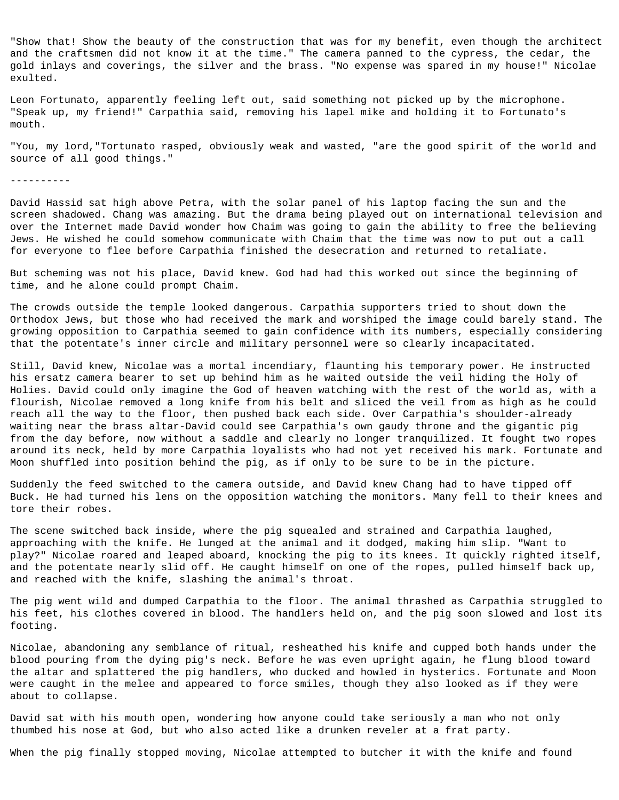"Show that! Show the beauty of the construction that was for my benefit, even though the architect and the craftsmen did not know it at the time." The camera panned to the cypress, the cedar, the gold inlays and coverings, the silver and the brass. "No expense was spared in my house!" Nicolae exulted.

Leon Fortunato, apparently feeling left out, said something not picked up by the microphone. "Speak up, my friend!" Carpathia said, removing his lapel mike and holding it to Fortunato's mouth.

"You, my lord,"Tortunato rasped, obviously weak and wasted, "are the good spirit of the world and source of all good things."

----------

David Hassid sat high above Petra, with the solar panel of his laptop facing the sun and the screen shadowed. Chang was amazing. But the drama being played out on international television and over the Internet made David wonder how Chaim was going to gain the ability to free the believing Jews. He wished he could somehow communicate with Chaim that the time was now to put out a call for everyone to flee before Carpathia finished the desecration and returned to retaliate.

But scheming was not his place, David knew. God had had this worked out since the beginning of time, and he alone could prompt Chaim.

The crowds outside the temple looked dangerous. Carpathia supporters tried to shout down the Orthodox Jews, but those who had received the mark and worshiped the image could barely stand. The growing opposition to Carpathia seemed to gain confidence with its numbers, especially considering that the potentate's inner circle and military personnel were so clearly incapacitated.

Still, David knew, Nicolae was a mortal incendiary, flaunting his temporary power. He instructed his ersatz camera bearer to set up behind him as he waited outside the veil hiding the Holy of Holies. David could only imagine the God of heaven watching with the rest of the world as, with a flourish, Nicolae removed a long knife from his belt and sliced the veil from as high as he could reach all the way to the floor, then pushed back each side. Over Carpathia's shoulder-already waiting near the brass altar-David could see Carpathia's own gaudy throne and the gigantic pig from the day before, now without a saddle and clearly no longer tranquilized. It fought two ropes around its neck, held by more Carpathia loyalists who had not yet received his mark. Fortunate and Moon shuffled into position behind the pig, as if only to be sure to be in the picture.

Suddenly the feed switched to the camera outside, and David knew Chang had to have tipped off Buck. He had turned his lens on the opposition watching the monitors. Many fell to their knees and tore their robes.

The scene switched back inside, where the pig squealed and strained and Carpathia laughed, approaching with the knife. He lunged at the animal and it dodged, making him slip. "Want to play?" Nicolae roared and leaped aboard, knocking the pig to its knees. It quickly righted itself, and the potentate nearly slid off. He caught himself on one of the ropes, pulled himself back up, and reached with the knife, slashing the animal's throat.

The pig went wild and dumped Carpathia to the floor. The animal thrashed as Carpathia struggled to his feet, his clothes covered in blood. The handlers held on, and the pig soon slowed and lost its footing.

Nicolae, abandoning any semblance of ritual, resheathed his knife and cupped both hands under the blood pouring from the dying pig's neck. Before he was even upright again, he flung blood toward the altar and splattered the pig handlers, who ducked and howled in hysterics. Fortunate and Moon were caught in the melee and appeared to force smiles, though they also looked as if they were about to collapse.

David sat with his mouth open, wondering how anyone could take seriously a man who not only thumbed his nose at God, but who also acted like a drunken reveler at a frat party.

When the pig finally stopped moving, Nicolae attempted to butcher it with the knife and found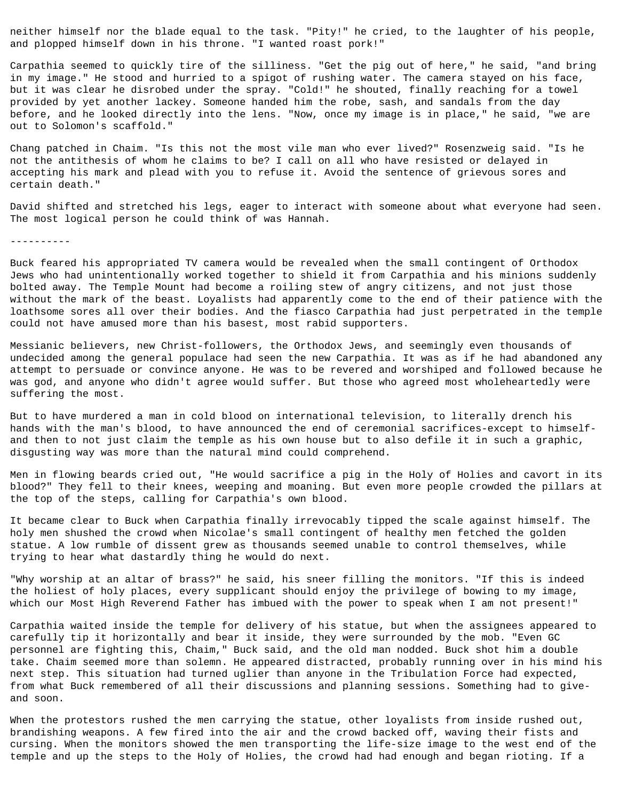neither himself nor the blade equal to the task. "Pity!" he cried, to the laughter of his people, and plopped himself down in his throne. "I wanted roast pork!"

Carpathia seemed to quickly tire of the silliness. "Get the pig out of here," he said, "and bring in my image." He stood and hurried to a spigot of rushing water. The camera stayed on his face, but it was clear he disrobed under the spray. "Cold!" he shouted, finally reaching for a towel provided by yet another lackey. Someone handed him the robe, sash, and sandals from the day before, and he looked directly into the lens. "Now, once my image is in place," he said, "we are out to Solomon's scaffold."

Chang patched in Chaim. "Is this not the most vile man who ever lived?" Rosenzweig said. "Is he not the antithesis of whom he claims to be? I call on all who have resisted or delayed in accepting his mark and plead with you to refuse it. Avoid the sentence of grievous sores and certain death."

David shifted and stretched his legs, eager to interact with someone about what everyone had seen. The most logical person he could think of was Hannah.

----------

Buck feared his appropriated TV camera would be revealed when the small contingent of Orthodox Jews who had unintentionally worked together to shield it from Carpathia and his minions suddenly bolted away. The Temple Mount had become a roiling stew of angry citizens, and not just those without the mark of the beast. Loyalists had apparently come to the end of their patience with the loathsome sores all over their bodies. And the fiasco Carpathia had just perpetrated in the temple could not have amused more than his basest, most rabid supporters.

Messianic believers, new Christ-followers, the Orthodox Jews, and seemingly even thousands of undecided among the general populace had seen the new Carpathia. It was as if he had abandoned any attempt to persuade or convince anyone. He was to be revered and worshiped and followed because he was god, and anyone who didn't agree would suffer. But those who agreed most wholeheartedly were suffering the most.

But to have murdered a man in cold blood on international television, to literally drench his hands with the man's blood, to have announced the end of ceremonial sacrifices-except to himselfand then to not just claim the temple as his own house but to also defile it in such a graphic, disgusting way was more than the natural mind could comprehend.

Men in flowing beards cried out, "He would sacrifice a pig in the Holy of Holies and cavort in its blood?" They fell to their knees, weeping and moaning. But even more people crowded the pillars at the top of the steps, calling for Carpathia's own blood.

It became clear to Buck when Carpathia finally irrevocably tipped the scale against himself. The holy men shushed the crowd when Nicolae's small contingent of healthy men fetched the golden statue. A low rumble of dissent grew as thousands seemed unable to control themselves, while trying to hear what dastardly thing he would do next.

"Why worship at an altar of brass?" he said, his sneer filling the monitors. "If this is indeed the holiest of holy places, every supplicant should enjoy the privilege of bowing to my image, which our Most High Reverend Father has imbued with the power to speak when I am not present!"

Carpathia waited inside the temple for delivery of his statue, but when the assignees appeared to carefully tip it horizontally and bear it inside, they were surrounded by the mob. "Even GC personnel are fighting this, Chaim," Buck said, and the old man nodded. Buck shot him a double take. Chaim seemed more than solemn. He appeared distracted, probably running over in his mind his next step. This situation had turned uglier than anyone in the Tribulation Force had expected, from what Buck remembered of all their discussions and planning sessions. Something had to giveand soon.

When the protestors rushed the men carrying the statue, other loyalists from inside rushed out, brandishing weapons. A few fired into the air and the crowd backed off, waving their fists and cursing. When the monitors showed the men transporting the life-size image to the west end of the temple and up the steps to the Holy of Holies, the crowd had had enough and began rioting. If a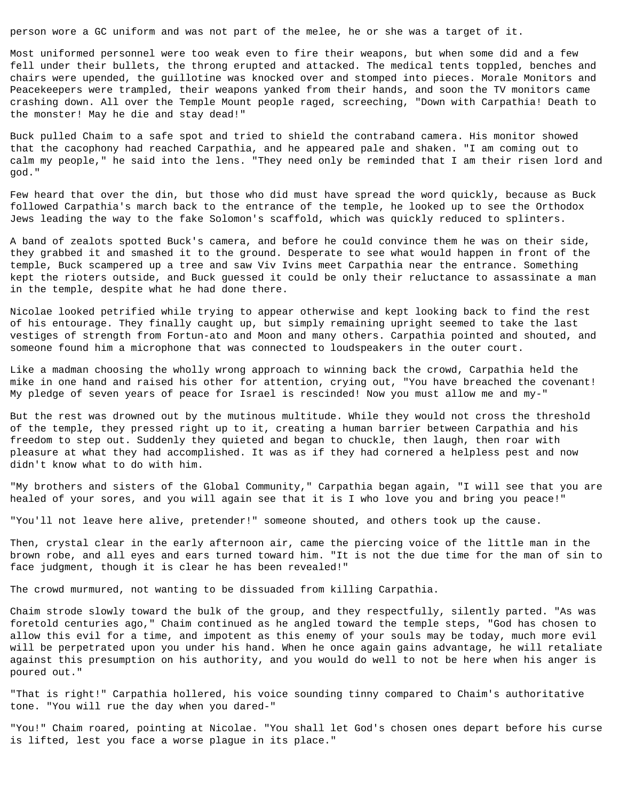person wore a GC uniform and was not part of the melee, he or she was a target of it.

Most uniformed personnel were too weak even to fire their weapons, but when some did and a few fell under their bullets, the throng erupted and attacked. The medical tents toppled, benches and chairs were upended, the guillotine was knocked over and stomped into pieces. Morale Monitors and Peacekeepers were trampled, their weapons yanked from their hands, and soon the TV monitors came crashing down. All over the Temple Mount people raged, screeching, "Down with Carpathia! Death to the monster! May he die and stay dead!"

Buck pulled Chaim to a safe spot and tried to shield the contraband camera. His monitor showed that the cacophony had reached Carpathia, and he appeared pale and shaken. "I am coming out to calm my people," he said into the lens. "They need only be reminded that I am their risen lord and god."

Few heard that over the din, but those who did must have spread the word quickly, because as Buck followed Carpathia's march back to the entrance of the temple, he looked up to see the Orthodox Jews leading the way to the fake Solomon's scaffold, which was quickly reduced to splinters.

A band of zealots spotted Buck's camera, and before he could convince them he was on their side, they grabbed it and smashed it to the ground. Desperate to see what would happen in front of the temple, Buck scampered up a tree and saw Viv Ivins meet Carpathia near the entrance. Something kept the rioters outside, and Buck guessed it could be only their reluctance to assassinate a man in the temple, despite what he had done there.

Nicolae looked petrified while trying to appear otherwise and kept looking back to find the rest of his entourage. They finally caught up, but simply remaining upright seemed to take the last vestiges of strength from Fortun-ato and Moon and many others. Carpathia pointed and shouted, and someone found him a microphone that was connected to loudspeakers in the outer court.

Like a madman choosing the wholly wrong approach to winning back the crowd, Carpathia held the mike in one hand and raised his other for attention, crying out, "You have breached the covenant! My pledge of seven years of peace for Israel is rescinded! Now you must allow me and my-"

But the rest was drowned out by the mutinous multitude. While they would not cross the threshold of the temple, they pressed right up to it, creating a human barrier between Carpathia and his freedom to step out. Suddenly they quieted and began to chuckle, then laugh, then roar with pleasure at what they had accomplished. It was as if they had cornered a helpless pest and now didn't know what to do with him.

"My brothers and sisters of the Global Community," Carpathia began again, "I will see that you are healed of your sores, and you will again see that it is I who love you and bring you peace!"

"You'll not leave here alive, pretender!" someone shouted, and others took up the cause.

Then, crystal clear in the early afternoon air, came the piercing voice of the little man in the brown robe, and all eyes and ears turned toward him. "It is not the due time for the man of sin to face judgment, though it is clear he has been revealed!"

The crowd murmured, not wanting to be dissuaded from killing Carpathia.

Chaim strode slowly toward the bulk of the group, and they respectfully, silently parted. "As was foretold centuries ago," Chaim continued as he angled toward the temple steps, "God has chosen to allow this evil for a time, and impotent as this enemy of your souls may be today, much more evil will be perpetrated upon you under his hand. When he once again gains advantage, he will retaliate against this presumption on his authority, and you would do well to not be here when his anger is poured out."

"That is right!" Carpathia hollered, his voice sounding tinny compared to Chaim's authoritative tone. "You will rue the day when you dared-"

"You!" Chaim roared, pointing at Nicolae. "You shall let God's chosen ones depart before his curse is lifted, lest you face a worse plague in its place."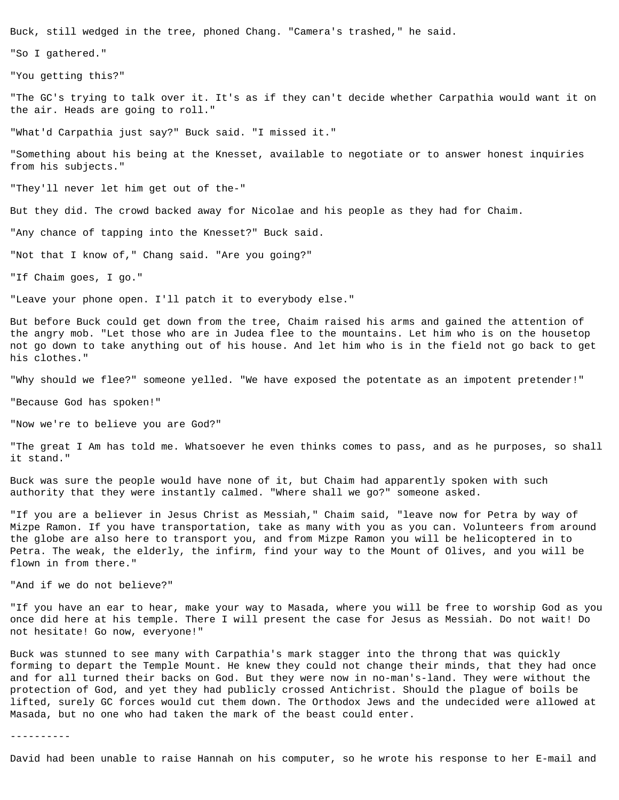Buck, still wedged in the tree, phoned Chang. "Camera's trashed," he said.

"So I gathered."

"You getting this?"

"The GC's trying to talk over it. It's as if they can't decide whether Carpathia would want it on the air. Heads are going to roll."

"What'd Carpathia just say?" Buck said. "I missed it."

"Something about his being at the Knesset, available to negotiate or to answer honest inquiries from his subjects."

"They'll never let him get out of the-"

But they did. The crowd backed away for Nicolae and his people as they had for Chaim.

"Any chance of tapping into the Knesset?" Buck said.

"Not that I know of," Chang said. "Are you going?"

"If Chaim goes, I go."

"Leave your phone open. I'll patch it to everybody else."

But before Buck could get down from the tree, Chaim raised his arms and gained the attention of the angry mob. "Let those who are in Judea flee to the mountains. Let him who is on the housetop not go down to take anything out of his house. And let him who is in the field not go back to get his clothes."

"Why should we flee?" someone yelled. "We have exposed the potentate as an impotent pretender!"

"Because God has spoken!"

"Now we're to believe you are God?"

"The great I Am has told me. Whatsoever he even thinks comes to pass, and as he purposes, so shall it stand."

Buck was sure the people would have none of it, but Chaim had apparently spoken with such authority that they were instantly calmed. "Where shall we go?" someone asked.

"If you are a believer in Jesus Christ as Messiah," Chaim said, "leave now for Petra by way of Mizpe Ramon. If you have transportation, take as many with you as you can. Volunteers from around the globe are also here to transport you, and from Mizpe Ramon you will be helicoptered in to Petra. The weak, the elderly, the infirm, find your way to the Mount of Olives, and you will be flown in from there."

"And if we do not believe?"

"If you have an ear to hear, make your way to Masada, where you will be free to worship God as you once did here at his temple. There I will present the case for Jesus as Messiah. Do not wait! Do not hesitate! Go now, everyone!"

Buck was stunned to see many with Carpathia's mark stagger into the throng that was quickly forming to depart the Temple Mount. He knew they could not change their minds, that they had once and for all turned their backs on God. But they were now in no-man's-land. They were without the protection of God, and yet they had publicly crossed Antichrist. Should the plague of boils be lifted, surely GC forces would cut them down. The Orthodox Jews and the undecided were allowed at Masada, but no one who had taken the mark of the beast could enter.

----------

David had been unable to raise Hannah on his computer, so he wrote his response to her E-mail and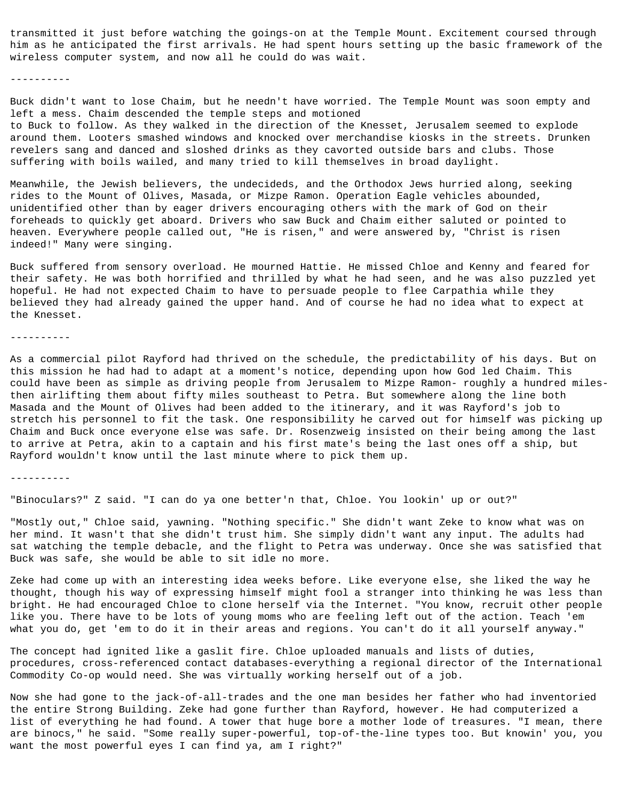transmitted it just before watching the goings-on at the Temple Mount. Excitement coursed through him as he anticipated the first arrivals. He had spent hours setting up the basic framework of the wireless computer system, and now all he could do was wait.

----------

Buck didn't want to lose Chaim, but he needn't have worried. The Temple Mount was soon empty and left a mess. Chaim descended the temple steps and motioned to Buck to follow. As they walked in the direction of the Knesset, Jerusalem seemed to explode around them. Looters smashed windows and knocked over merchandise kiosks in the streets. Drunken revelers sang and danced and sloshed drinks as they cavorted outside bars and clubs. Those suffering with boils wailed, and many tried to kill themselves in broad daylight.

Meanwhile, the Jewish believers, the undecideds, and the Orthodox Jews hurried along, seeking rides to the Mount of Olives, Masada, or Mizpe Ramon. Operation Eagle vehicles abounded, unidentified other than by eager drivers encouraging others with the mark of God on their foreheads to quickly get aboard. Drivers who saw Buck and Chaim either saluted or pointed to heaven. Everywhere people called out, "He is risen," and were answered by, "Christ is risen indeed!" Many were singing.

Buck suffered from sensory overload. He mourned Hattie. He missed Chloe and Kenny and feared for their safety. He was both horrified and thrilled by what he had seen, and he was also puzzled yet hopeful. He had not expected Chaim to have to persuade people to flee Carpathia while they believed they had already gained the upper hand. And of course he had no idea what to expect at the Knesset.

----------

As a commercial pilot Rayford had thrived on the schedule, the predictability of his days. But on this mission he had had to adapt at a moment's notice, depending upon how God led Chaim. This could have been as simple as driving people from Jerusalem to Mizpe Ramon- roughly a hundred milesthen airlifting them about fifty miles southeast to Petra. But somewhere along the line both Masada and the Mount of Olives had been added to the itinerary, and it was Rayford's job to stretch his personnel to fit the task. One responsibility he carved out for himself was picking up Chaim and Buck once everyone else was safe. Dr. Rosenzweig insisted on their being among the last to arrive at Petra, akin to a captain and his first mate's being the last ones off a ship, but Rayford wouldn't know until the last minute where to pick them up.

----------

"Binoculars?" Z said. "I can do ya one better'n that, Chloe. You lookin' up or out?"

"Mostly out," Chloe said, yawning. "Nothing specific." She didn't want Zeke to know what was on her mind. It wasn't that she didn't trust him. She simply didn't want any input. The adults had sat watching the temple debacle, and the flight to Petra was underway. Once she was satisfied that Buck was safe, she would be able to sit idle no more.

Zeke had come up with an interesting idea weeks before. Like everyone else, she liked the way he thought, though his way of expressing himself might fool a stranger into thinking he was less than bright. He had encouraged Chloe to clone herself via the Internet. "You know, recruit other people like you. There have to be lots of young moms who are feeling left out of the action. Teach 'em what you do, get 'em to do it in their areas and regions. You can't do it all yourself anyway."

The concept had ignited like a gaslit fire. Chloe uploaded manuals and lists of duties, procedures, cross-referenced contact databases-everything a regional director of the International Commodity Co-op would need. She was virtually working herself out of a job.

Now she had gone to the jack-of-all-trades and the one man besides her father who had inventoried the entire Strong Building. Zeke had gone further than Rayford, however. He had computerized a list of everything he had found. A tower that huge bore a mother lode of treasures. "I mean, there are binocs," he said. "Some really super-powerful, top-of-the-line types too. But knowin' you, you want the most powerful eyes I can find ya, am I right?"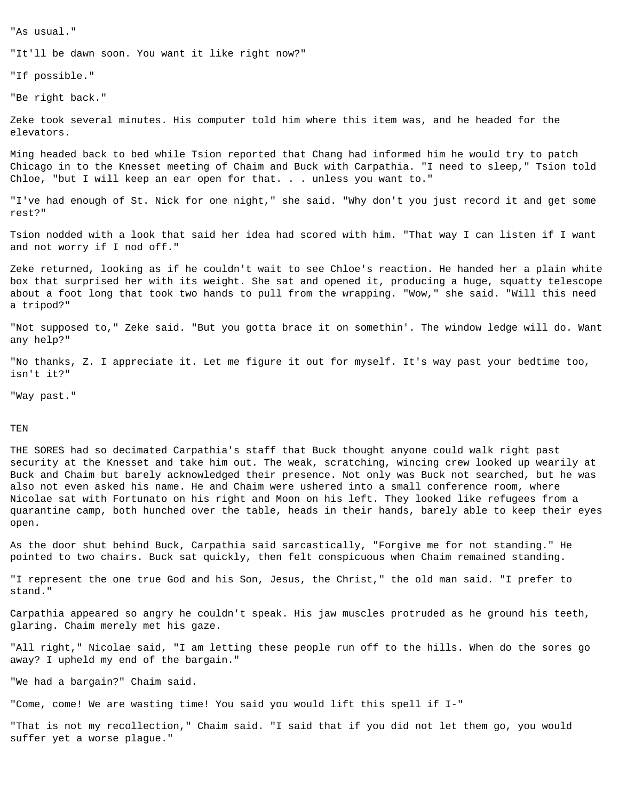"As usual." "It'll be dawn soon. You want it like right now?" "If possible." "Be right back." Zeke took several minutes. His computer told him where this item was, and he headed for the elevators. Ming headed back to bed while Tsion reported that Chang had informed him he would try to patch Chicago in to the Knesset meeting of Chaim and Buck with Carpathia. "I need to sleep," Tsion told Chloe, "but I will keep an ear open for that. . . unless you want to." "I've had enough of St. Nick for one night," she said. "Why don't you just record it and get some rest?" Tsion nodded with a look that said her idea had scored with him. "That way I can listen if I want and not worry if I nod off." Zeke returned, looking as if he couldn't wait to see Chloe's reaction. He handed her a plain white box that surprised her with its weight. She sat and opened it, producing a huge, squatty telescope about a foot long that took two hands to pull from the wrapping. "Wow," she said. "Will this need a tripod?" "Not supposed to," Zeke said. "But you gotta brace it on somethin'. The window ledge will do. Want any help?" "No thanks, Z. I appreciate it. Let me figure it out for myself. It's way past your bedtime too, isn't it?" "Way past."

## TEN

THE SORES had so decimated Carpathia's staff that Buck thought anyone could walk right past security at the Knesset and take him out. The weak, scratching, wincing crew looked up wearily at Buck and Chaim but barely acknowledged their presence. Not only was Buck not searched, but he was also not even asked his name. He and Chaim were ushered into a small conference room, where Nicolae sat with Fortunato on his right and Moon on his left. They looked like refugees from a quarantine camp, both hunched over the table, heads in their hands, barely able to keep their eyes open.

As the door shut behind Buck, Carpathia said sarcastically, "Forgive me for not standing." He pointed to two chairs. Buck sat quickly, then felt conspicuous when Chaim remained standing.

"I represent the one true God and his Son, Jesus, the Christ," the old man said. "I prefer to stand."

Carpathia appeared so angry he couldn't speak. His jaw muscles protruded as he ground his teeth, glaring. Chaim merely met his gaze.

"All right," Nicolae said, "I am letting these people run off to the hills. When do the sores go away? I upheld my end of the bargain."

"We had a bargain?" Chaim said.

"Come, come! We are wasting time! You said you would lift this spell if I-"

"That is not my recollection," Chaim said. "I said that if you did not let them go, you would suffer yet a worse plague."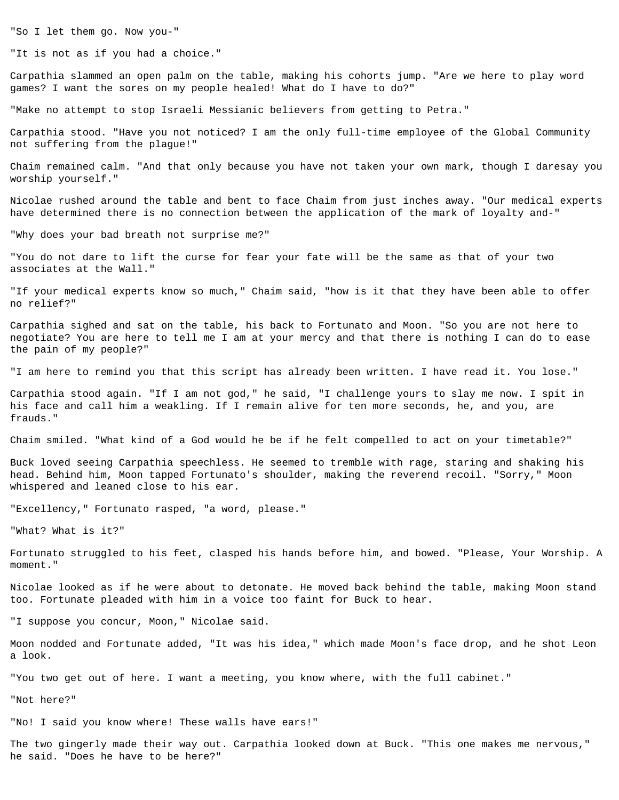"So I let them go. Now you-"

"It is not as if you had a choice."

Carpathia slammed an open palm on the table, making his cohorts jump. "Are we here to play word games? I want the sores on my people healed! What do I have to do?"

"Make no attempt to stop Israeli Messianic believers from getting to Petra."

Carpathia stood. "Have you not noticed? I am the only full-time employee of the Global Community not suffering from the plague!"

Chaim remained calm. "And that only because you have not taken your own mark, though I daresay you worship yourself."

Nicolae rushed around the table and bent to face Chaim from just inches away. "Our medical experts have determined there is no connection between the application of the mark of loyalty and-"

"Why does your bad breath not surprise me?"

"You do not dare to lift the curse for fear your fate will be the same as that of your two associates at the Wall."

"If your medical experts know so much," Chaim said, "how is it that they have been able to offer no relief?"

Carpathia sighed and sat on the table, his back to Fortunato and Moon. "So you are not here to negotiate? You are here to tell me I am at your mercy and that there is nothing I can do to ease the pain of my people?"

"I am here to remind you that this script has already been written. I have read it. You lose."

Carpathia stood again. "If I am not god," he said, "I challenge yours to slay me now. I spit in his face and call him a weakling. If I remain alive for ten more seconds, he, and you, are frauds."

Chaim smiled. "What kind of a God would he be if he felt compelled to act on your timetable?"

Buck loved seeing Carpathia speechless. He seemed to tremble with rage, staring and shaking his head. Behind him, Moon tapped Fortunato's shoulder, making the reverend recoil. "Sorry," Moon whispered and leaned close to his ear.

"Excellency," Fortunato rasped, "a word, please."

"What? What is it?"

Fortunato struggled to his feet, clasped his hands before him, and bowed. "Please, Your Worship. A moment<sup>"</sup>

Nicolae looked as if he were about to detonate. He moved back behind the table, making Moon stand too. Fortunate pleaded with him in a voice too faint for Buck to hear.

"I suppose you concur, Moon," Nicolae said.

Moon nodded and Fortunate added, "It was his idea," which made Moon's face drop, and he shot Leon a look.

"You two get out of here. I want a meeting, you know where, with the full cabinet."

"Not here?"

"No! I said you know where! These walls have ears!"

The two gingerly made their way out. Carpathia looked down at Buck. "This one makes me nervous," he said. "Does he have to be here?"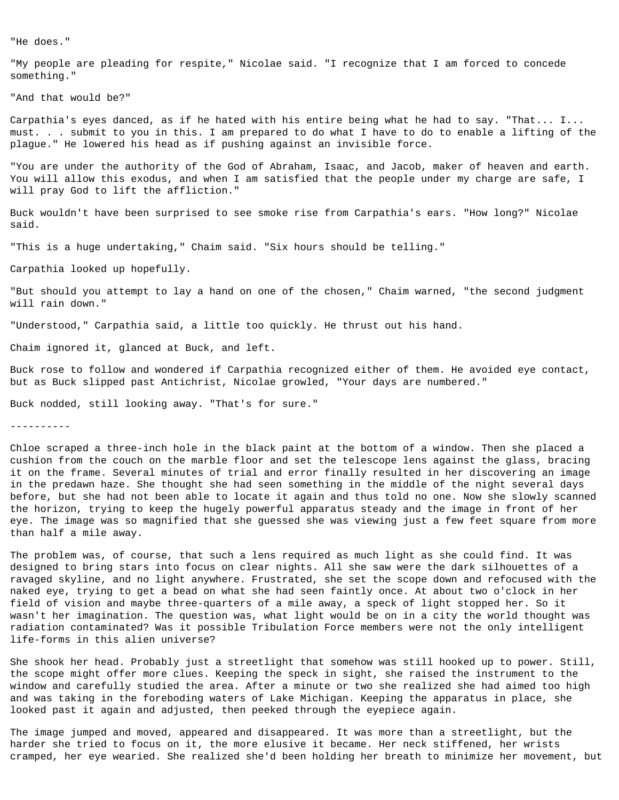"He does."

"My people are pleading for respite," Nicolae said. "I recognize that I am forced to concede something."

"And that would be?"

Carpathia's eyes danced, as if he hated with his entire being what he had to say. "That... I... must. . . submit to you in this. I am prepared to do what I have to do to enable a lifting of the plague." He lowered his head as if pushing against an invisible force.

"You are under the authority of the God of Abraham, Isaac, and Jacob, maker of heaven and earth. You will allow this exodus, and when I am satisfied that the people under my charge are safe, I will pray God to lift the affliction."

Buck wouldn't have been surprised to see smoke rise from Carpathia's ears. "How long?" Nicolae said.

"This is a huge undertaking," Chaim said. "Six hours should be telling."

Carpathia looked up hopefully.

"But should you attempt to lay a hand on one of the chosen," Chaim warned, "the second judgment will rain down."

"Understood," Carpathia said, a little too quickly. He thrust out his hand.

Chaim ignored it, glanced at Buck, and left.

Buck rose to follow and wondered if Carpathia recognized either of them. He avoided eye contact, but as Buck slipped past Antichrist, Nicolae growled, "Your days are numbered."

Buck nodded, still looking away. "That's for sure."

----------

Chloe scraped a three-inch hole in the black paint at the bottom of a window. Then she placed a cushion from the couch on the marble floor and set the telescope lens against the glass, bracing it on the frame. Several minutes of trial and error finally resulted in her discovering an image in the predawn haze. She thought she had seen something in the middle of the night several days before, but she had not been able to locate it again and thus told no one. Now she slowly scanned the horizon, trying to keep the hugely powerful apparatus steady and the image in front of her eye. The image was so magnified that she guessed she was viewing just a few feet square from more than half a mile away.

The problem was, of course, that such a lens required as much light as she could find. It was designed to bring stars into focus on clear nights. All she saw were the dark silhouettes of a ravaged skyline, and no light anywhere. Frustrated, she set the scope down and refocused with the naked eye, trying to get a bead on what she had seen faintly once. At about two o'clock in her field of vision and maybe three-quarters of a mile away, a speck of light stopped her. So it wasn't her imagination. The question was, what light would be on in a city the world thought was radiation contaminated? Was it possible Tribulation Force members were not the only intelligent life-forms in this alien universe?

She shook her head. Probably just a streetlight that somehow was still hooked up to power. Still, the scope might offer more clues. Keeping the speck in sight, she raised the instrument to the window and carefully studied the area. After a minute or two she realized she had aimed too high and was taking in the foreboding waters of Lake Michigan. Keeping the apparatus in place, she looked past it again and adjusted, then peeked through the eyepiece again.

The image jumped and moved, appeared and disappeared. It was more than a streetlight, but the harder she tried to focus on it, the more elusive it became. Her neck stiffened, her wrists cramped, her eye wearied. She realized she'd been holding her breath to minimize her movement, but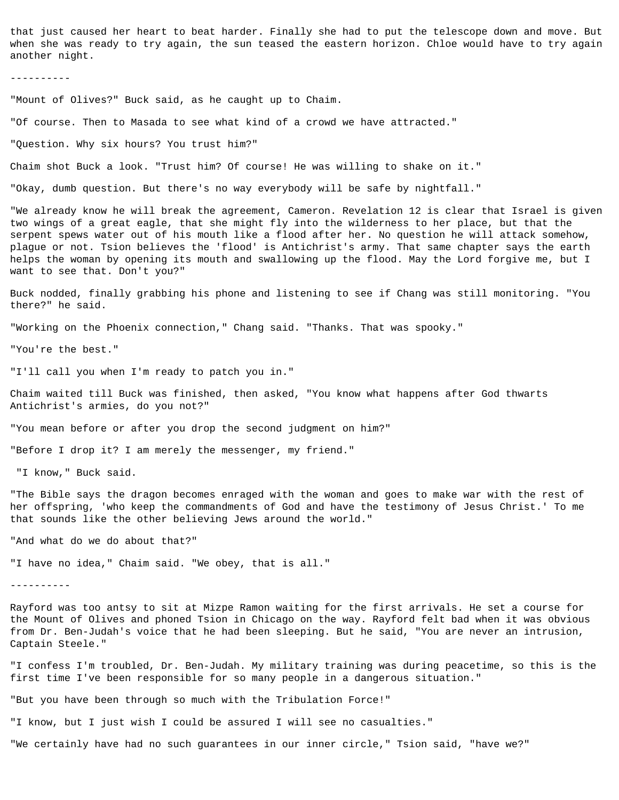that just caused her heart to beat harder. Finally she had to put the telescope down and move. But when she was ready to try again, the sun teased the eastern horizon. Chloe would have to try again another night.

----------

"Mount of Olives?" Buck said, as he caught up to Chaim.

"Of course. Then to Masada to see what kind of a crowd we have attracted."

"Question. Why six hours? You trust him?"

Chaim shot Buck a look. "Trust him? Of course! He was willing to shake on it."

"Okay, dumb question. But there's no way everybody will be safe by nightfall."

"We already know he will break the agreement, Cameron. Revelation 12 is clear that Israel is given two wings of a great eagle, that she might fly into the wilderness to her place, but that the serpent spews water out of his mouth like a flood after her. No question he will attack somehow, plague or not. Tsion believes the 'flood' is Antichrist's army. That same chapter says the earth helps the woman by opening its mouth and swallowing up the flood. May the Lord forgive me, but I want to see that. Don't you?"

Buck nodded, finally grabbing his phone and listening to see if Chang was still monitoring. "You there?" he said.

"Working on the Phoenix connection," Chang said. "Thanks. That was spooky."

"You're the best."

"I'll call you when I'm ready to patch you in."

Chaim waited till Buck was finished, then asked, "You know what happens after God thwarts Antichrist's armies, do you not?"

"You mean before or after you drop the second judgment on him?"

"Before I drop it? I am merely the messenger, my friend."

"I know," Buck said.

"The Bible says the dragon becomes enraged with the woman and goes to make war with the rest of her offspring, 'who keep the commandments of God and have the testimony of Jesus Christ.' To me that sounds like the other believing Jews around the world."

"And what do we do about that?"

"I have no idea," Chaim said. "We obey, that is all."

----------

Rayford was too antsy to sit at Mizpe Ramon waiting for the first arrivals. He set a course for the Mount of Olives and phoned Tsion in Chicago on the way. Rayford felt bad when it was obvious from Dr. Ben-Judah's voice that he had been sleeping. But he said, "You are never an intrusion, Captain Steele."

"I confess I'm troubled, Dr. Ben-Judah. My military training was during peacetime, so this is the first time I've been responsible for so many people in a dangerous situation."

"But you have been through so much with the Tribulation Force!"

"I know, but I just wish I could be assured I will see no casualties."

"We certainly have had no such guarantees in our inner circle," Tsion said, "have we?"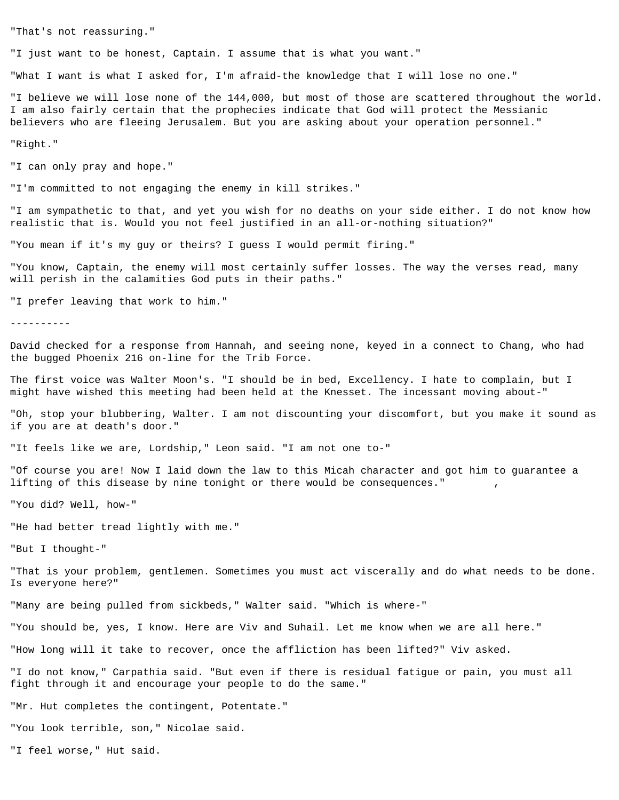"That's not reassuring."

"I just want to be honest, Captain. I assume that is what you want."

"What I want is what I asked for, I'm afraid-the knowledge that I will lose no one."

"I believe we will lose none of the 144,000, but most of those are scattered throughout the world. I am also fairly certain that the prophecies indicate that God will protect the Messianic believers who are fleeing Jerusalem. But you are asking about your operation personnel."

"Right."

"I can only pray and hope."

"I'm committed to not engaging the enemy in kill strikes."

"I am sympathetic to that, and yet you wish for no deaths on your side either. I do not know how realistic that is. Would you not feel justified in an all-or-nothing situation?"

"You mean if it's my guy or theirs? I guess I would permit firing."

"You know, Captain, the enemy will most certainly suffer losses. The way the verses read, many will perish in the calamities God puts in their paths."

"I prefer leaving that work to him."

----------

David checked for a response from Hannah, and seeing none, keyed in a connect to Chang, who had the bugged Phoenix 216 on-line for the Trib Force.

The first voice was Walter Moon's. "I should be in bed, Excellency. I hate to complain, but I might have wished this meeting had been held at the Knesset. The incessant moving about-"

"Oh, stop your blubbering, Walter. I am not discounting your discomfort, but you make it sound as if you are at death's door."

"It feels like we are, Lordship," Leon said. "I am not one to-"

"Of course you are! Now I laid down the law to this Micah character and got him to guarantee a lifting of this disease by nine tonight or there would be consequences."

"You did? Well, how-"

"He had better tread lightly with me."

"But I thought-"

"That is your problem, gentlemen. Sometimes you must act viscerally and do what needs to be done. Is everyone here?"

"Many are being pulled from sickbeds," Walter said. "Which is where-"

"You should be, yes, I know. Here are Viv and Suhail. Let me know when we are all here."

"How long will it take to recover, once the affliction has been lifted?" Viv asked.

"I do not know," Carpathia said. "But even if there is residual fatigue or pain, you must all fight through it and encourage your people to do the same."

"Mr. Hut completes the contingent, Potentate."

"You look terrible, son," Nicolae said.

"I feel worse," Hut said.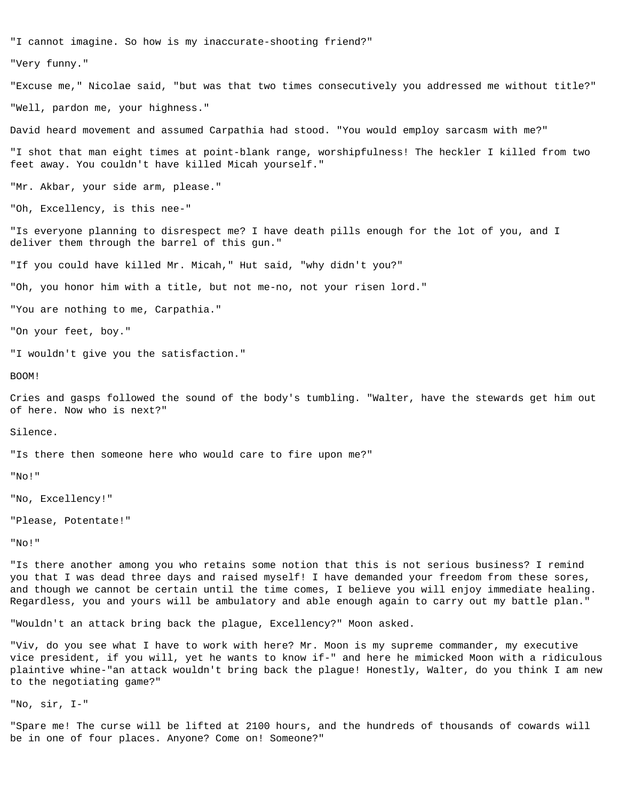"I cannot imagine. So how is my inaccurate-shooting friend?" "Very funny." "Excuse me," Nicolae said, "but was that two times consecutively you addressed me without title?" "Well, pardon me, your highness." David heard movement and assumed Carpathia had stood. "You would employ sarcasm with me?" "I shot that man eight times at point-blank range, worshipfulness! The heckler I killed from two feet away. You couldn't have killed Micah yourself." "Mr. Akbar, your side arm, please." "Oh, Excellency, is this nee-" "Is everyone planning to disrespect me? I have death pills enough for the lot of you, and I deliver them through the barrel of this gun." "If you could have killed Mr. Micah," Hut said, "why didn't you?" "Oh, you honor him with a title, but not me-no, not your risen lord." "You are nothing to me, Carpathia." "On your feet, boy." "I wouldn't give you the satisfaction." BOOM! Cries and gasps followed the sound of the body's tumbling. "Walter, have the stewards get him out of here. Now who is next?" Silence. "Is there then someone here who would care to fire upon me?" "No!" "No, Excellency!" "Please, Potentate!" "No!" "Is there another among you who retains some notion that this is not serious business? I remind you that I was dead three days and raised myself! I have demanded your freedom from these sores, and though we cannot be certain until the time comes, I believe you will enjoy immediate healing. Regardless, you and yours will be ambulatory and able enough again to carry out my battle plan." "Wouldn't an attack bring back the plague, Excellency?" Moon asked.

"Viv, do you see what I have to work with here? Mr. Moon is my supreme commander, my executive vice president, if you will, yet he wants to know if-" and here he mimicked Moon with a ridiculous plaintive whine-"an attack wouldn't bring back the plague! Honestly, Walter, do you think I am new to the negotiating game?"

"No, sir, I-"

"Spare me! The curse will be lifted at 2100 hours, and the hundreds of thousands of cowards will be in one of four places. Anyone? Come on! Someone?"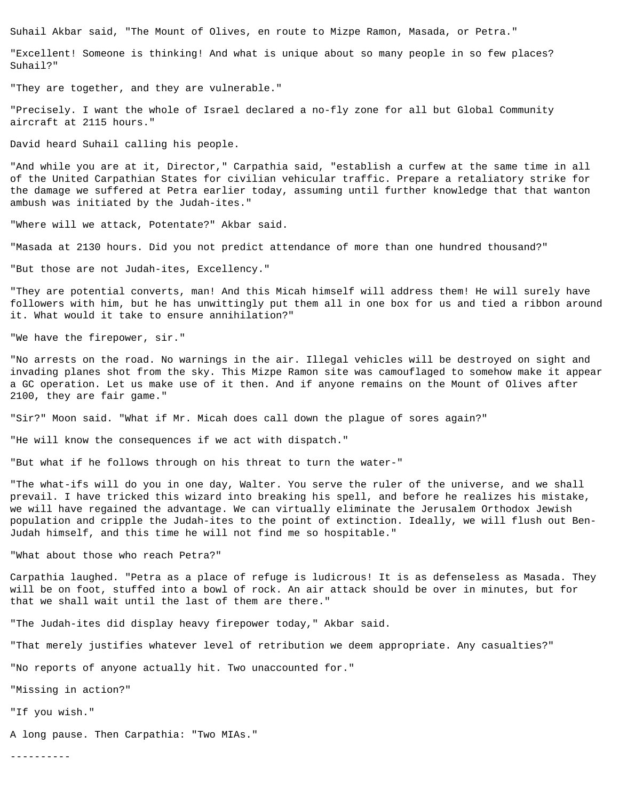Suhail Akbar said, "The Mount of Olives, en route to Mizpe Ramon, Masada, or Petra."

"Excellent! Someone is thinking! And what is unique about so many people in so few places? Suhail?"

"They are together, and they are vulnerable."

"Precisely. I want the whole of Israel declared a no-fly zone for all but Global Community aircraft at 2115 hours."

David heard Suhail calling his people.

"And while you are at it, Director," Carpathia said, "establish a curfew at the same time in all of the United Carpathian States for civilian vehicular traffic. Prepare a retaliatory strike for the damage we suffered at Petra earlier today, assuming until further knowledge that that wanton ambush was initiated by the Judah-ites."

"Where will we attack, Potentate?" Akbar said.

"Masada at 2130 hours. Did you not predict attendance of more than one hundred thousand?"

"But those are not Judah-ites, Excellency."

"They are potential converts, man! And this Micah himself will address them! He will surely have followers with him, but he has unwittingly put them all in one box for us and tied a ribbon around it. What would it take to ensure annihilation?"

"We have the firepower, sir."

"No arrests on the road. No warnings in the air. Illegal vehicles will be destroyed on sight and invading planes shot from the sky. This Mizpe Ramon site was camouflaged to somehow make it appear a GC operation. Let us make use of it then. And if anyone remains on the Mount of Olives after 2100, they are fair game."

"Sir?" Moon said. "What if Mr. Micah does call down the plague of sores again?"

"He will know the consequences if we act with dispatch."

"But what if he follows through on his threat to turn the water-"

"The what-ifs will do you in one day, Walter. You serve the ruler of the universe, and we shall prevail. I have tricked this wizard into breaking his spell, and before he realizes his mistake, we will have regained the advantage. We can virtually eliminate the Jerusalem Orthodox Jewish population and cripple the Judah-ites to the point of extinction. Ideally, we will flush out Ben-Judah himself, and this time he will not find me so hospitable."

"What about those who reach Petra?"

Carpathia laughed. "Petra as a place of refuge is ludicrous! It is as defenseless as Masada. They will be on foot, stuffed into a bowl of rock. An air attack should be over in minutes, but for that we shall wait until the last of them are there."

"The Judah-ites did display heavy firepower today," Akbar said.

"That merely justifies whatever level of retribution we deem appropriate. Any casualties?"

"No reports of anyone actually hit. Two unaccounted for."

"Missing in action?"

"If you wish."

A long pause. Then Carpathia: "Two MIAs."

----------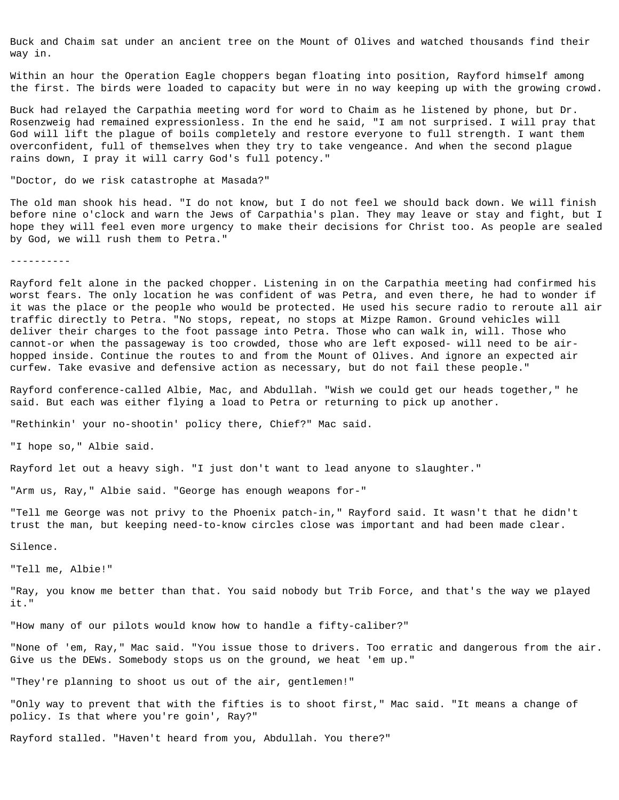Buck and Chaim sat under an ancient tree on the Mount of Olives and watched thousands find their way in.

Within an hour the Operation Eagle choppers began floating into position, Rayford himself among the first. The birds were loaded to capacity but were in no way keeping up with the growing crowd.

Buck had relayed the Carpathia meeting word for word to Chaim as he listened by phone, but Dr. Rosenzweig had remained expressionless. In the end he said, "I am not surprised. I will pray that God will lift the plague of boils completely and restore everyone to full strength. I want them overconfident, full of themselves when they try to take vengeance. And when the second plague rains down, I pray it will carry God's full potency."

"Doctor, do we risk catastrophe at Masada?"

The old man shook his head. "I do not know, but I do not feel we should back down. We will finish before nine o'clock and warn the Jews of Carpathia's plan. They may leave or stay and fight, but I hope they will feel even more urgency to make their decisions for Christ too. As people are sealed by God, we will rush them to Petra."

----------

Rayford felt alone in the packed chopper. Listening in on the Carpathia meeting had confirmed his worst fears. The only location he was confident of was Petra, and even there, he had to wonder if it was the place or the people who would be protected. He used his secure radio to reroute all air traffic directly to Petra. "No stops, repeat, no stops at Mizpe Ramon. Ground vehicles will deliver their charges to the foot passage into Petra. Those who can walk in, will. Those who cannot-or when the passageway is too crowded, those who are left exposed- will need to be airhopped inside. Continue the routes to and from the Mount of Olives. And ignore an expected air curfew. Take evasive and defensive action as necessary, but do not fail these people."

Rayford conference-called Albie, Mac, and Abdullah. "Wish we could get our heads together," he said. But each was either flying a load to Petra or returning to pick up another.

"Rethinkin' your no-shootin' policy there, Chief?" Mac said.

"I hope so," Albie said.

Rayford let out a heavy sigh. "I just don't want to lead anyone to slaughter."

"Arm us, Ray," Albie said. "George has enough weapons for-"

"Tell me George was not privy to the Phoenix patch-in," Rayford said. It wasn't that he didn't trust the man, but keeping need-to-know circles close was important and had been made clear.

Silence.

"Tell me, Albie!"

"Ray, you know me better than that. You said nobody but Trib Force, and that's the way we played it."

"How many of our pilots would know how to handle a fifty-caliber?"

"None of 'em, Ray," Mac said. "You issue those to drivers. Too erratic and dangerous from the air. Give us the DEWs. Somebody stops us on the ground, we heat 'em up."

"They're planning to shoot us out of the air, gentlemen!"

"Only way to prevent that with the fifties is to shoot first," Mac said. "It means a change of policy. Is that where you're goin', Ray?"

Rayford stalled. "Haven't heard from you, Abdullah. You there?"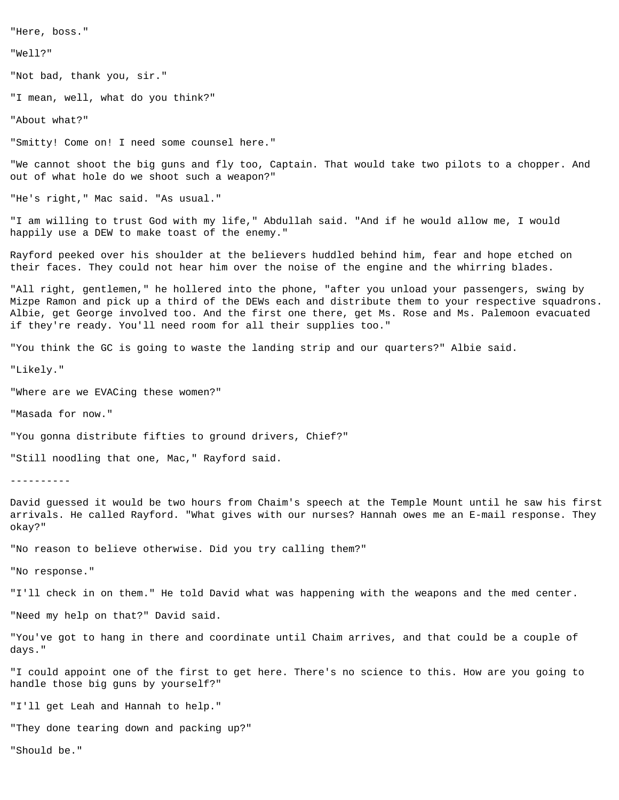"Here, boss." "Well?" "Not bad, thank you, sir." "I mean, well, what do you think?" "About what?" "Smitty! Come on! I need some counsel here." "We cannot shoot the big guns and fly too, Captain. That would take two pilots to a chopper. And out of what hole do we shoot such a weapon?" "He's right," Mac said. "As usual." "I am willing to trust God with my life," Abdullah said. "And if he would allow me, I would happily use a DEW to make toast of the enemy." Rayford peeked over his shoulder at the believers huddled behind him, fear and hope etched on their faces. They could not hear him over the noise of the engine and the whirring blades. "All right, gentlemen," he hollered into the phone, "after you unload your passengers, swing by Mizpe Ramon and pick up a third of the DEWs each and distribute them to your respective squadrons. Albie, get George involved too. And the first one there, get Ms. Rose and Ms. Palemoon evacuated if they're ready. You'll need room for all their supplies too." "You think the GC is going to waste the landing strip and our quarters?" Albie said. "Likely." "Where are we EVACing these women?" "Masada for now." "You gonna distribute fifties to ground drivers, Chief?" "Still noodling that one, Mac," Rayford said. ---------- David guessed it would be two hours from Chaim's speech at the Temple Mount until he saw his first arrivals. He called Rayford. "What gives with our nurses? Hannah owes me an E-mail response. They okay?" "No reason to believe otherwise. Did you try calling them?" "No response." "I'll check in on them." He told David what was happening with the weapons and the med center. "Need my help on that?" David said. "You've got to hang in there and coordinate until Chaim arrives, and that could be a couple of days." "I could appoint one of the first to get here. There's no science to this. How are you going to handle those big guns by yourself?" "I'll get Leah and Hannah to help." "They done tearing down and packing up?" "Should be."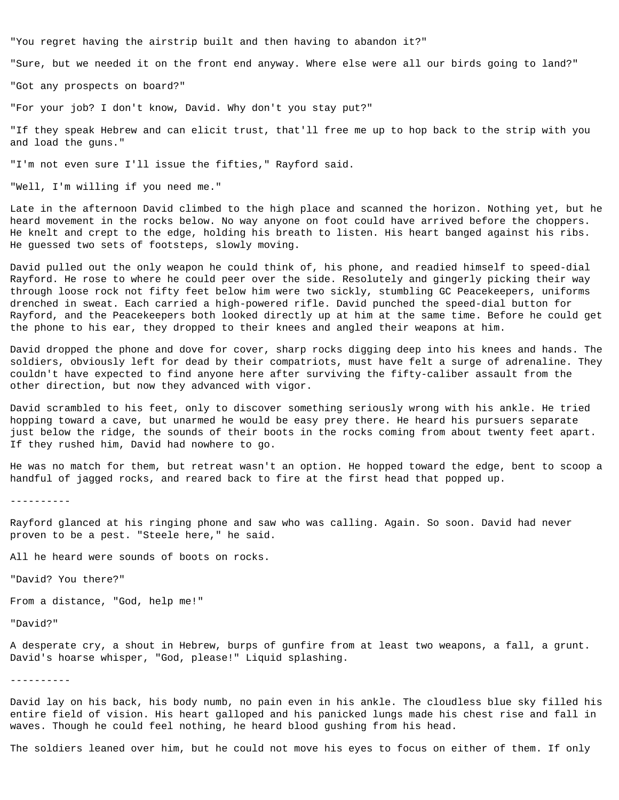"You regret having the airstrip built and then having to abandon it?"

"Sure, but we needed it on the front end anyway. Where else were all our birds going to land?"

"Got any prospects on board?"

"For your job? I don't know, David. Why don't you stay put?"

"If they speak Hebrew and can elicit trust, that'll free me up to hop back to the strip with you and load the guns."

"I'm not even sure I'll issue the fifties," Rayford said.

"Well, I'm willing if you need me."

Late in the afternoon David climbed to the high place and scanned the horizon. Nothing yet, but he heard movement in the rocks below. No way anyone on foot could have arrived before the choppers. He knelt and crept to the edge, holding his breath to listen. His heart banged against his ribs. He guessed two sets of footsteps, slowly moving.

David pulled out the only weapon he could think of, his phone, and readied himself to speed-dial Rayford. He rose to where he could peer over the side. Resolutely and gingerly picking their way through loose rock not fifty feet below him were two sickly, stumbling GC Peacekeepers, uniforms drenched in sweat. Each carried a high-powered rifle. David punched the speed-dial button for Rayford, and the Peacekeepers both looked directly up at him at the same time. Before he could get the phone to his ear, they dropped to their knees and angled their weapons at him.

David dropped the phone and dove for cover, sharp rocks digging deep into his knees and hands. The soldiers, obviously left for dead by their compatriots, must have felt a surge of adrenaline. They couldn't have expected to find anyone here after surviving the fifty-caliber assault from the other direction, but now they advanced with vigor.

David scrambled to his feet, only to discover something seriously wrong with his ankle. He tried hopping toward a cave, but unarmed he would be easy prey there. He heard his pursuers separate just below the ridge, the sounds of their boots in the rocks coming from about twenty feet apart. If they rushed him, David had nowhere to go.

He was no match for them, but retreat wasn't an option. He hopped toward the edge, bent to scoop a handful of jagged rocks, and reared back to fire at the first head that popped up.

----------

Rayford glanced at his ringing phone and saw who was calling. Again. So soon. David had never proven to be a pest. "Steele here," he said.

All he heard were sounds of boots on rocks.

"David? You there?"

From a distance, "God, help me!"

"David?"

A desperate cry, a shout in Hebrew, burps of gunfire from at least two weapons, a fall, a grunt. David's hoarse whisper, "God, please!" Liquid splashing.

----------

David lay on his back, his body numb, no pain even in his ankle. The cloudless blue sky filled his entire field of vision. His heart galloped and his panicked lungs made his chest rise and fall in waves. Though he could feel nothing, he heard blood gushing from his head.

The soldiers leaned over him, but he could not move his eyes to focus on either of them. If only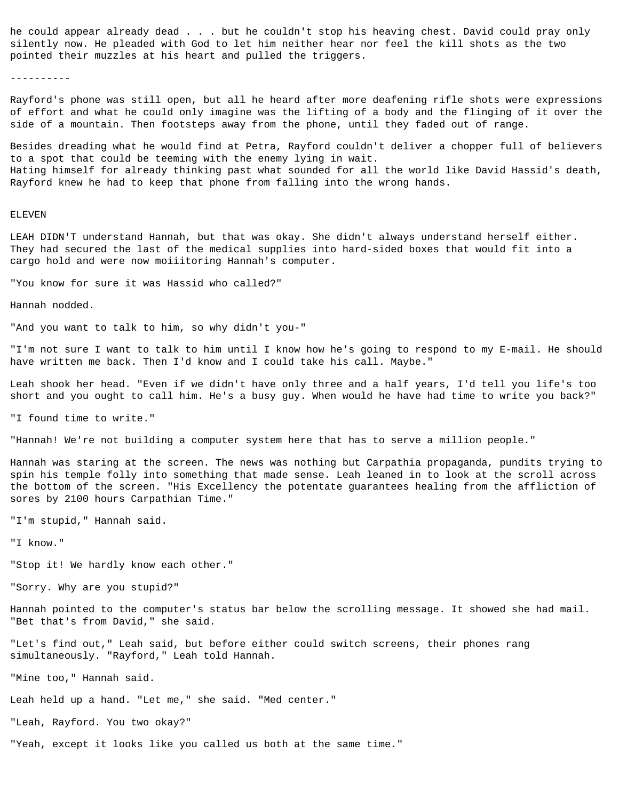he could appear already dead . . . but he couldn't stop his heaving chest. David could pray only silently now. He pleaded with God to let him neither hear nor feel the kill shots as the two pointed their muzzles at his heart and pulled the triggers.

----------

Rayford's phone was still open, but all he heard after more deafening rifle shots were expressions of effort and what he could only imagine was the lifting of a body and the flinging of it over the side of a mountain. Then footsteps away from the phone, until they faded out of range.

Besides dreading what he would find at Petra, Rayford couldn't deliver a chopper full of believers to a spot that could be teeming with the enemy lying in wait. Hating himself for already thinking past what sounded for all the world like David Hassid's death, Rayford knew he had to keep that phone from falling into the wrong hands.

#### ELEVEN

LEAH DIDN'T understand Hannah, but that was okay. She didn't always understand herself either. They had secured the last of the medical supplies into hard-sided boxes that would fit into a cargo hold and were now moiiitoring Hannah's computer.

"You know for sure it was Hassid who called?"

Hannah nodded.

"And you want to talk to him, so why didn't you-"

"I'm not sure I want to talk to him until I know how he's going to respond to my E-mail. He should have written me back. Then I'd know and I could take his call. Maybe."

Leah shook her head. "Even if we didn't have only three and a half years, I'd tell you life's too short and you ought to call him. He's a busy guy. When would he have had time to write you back?"

"I found time to write."

"Hannah! We're not building a computer system here that has to serve a million people."

Hannah was staring at the screen. The news was nothing but Carpathia propaganda, pundits trying to spin his temple folly into something that made sense. Leah leaned in to look at the scroll across the bottom of the screen. "His Excellency the potentate guarantees healing from the affliction of sores by 2100 hours Carpathian Time."

"I'm stupid," Hannah said.

"I know."

"Stop it! We hardly know each other."

"Sorry. Why are you stupid?"

Hannah pointed to the computer's status bar below the scrolling message. It showed she had mail. "Bet that's from David," she said.

"Let's find out," Leah said, but before either could switch screens, their phones rang simultaneously. "Rayford," Leah told Hannah.

"Mine too," Hannah said.

Leah held up a hand. "Let me," she said. "Med center."

"Leah, Rayford. You two okay?"

"Yeah, except it looks like you called us both at the same time."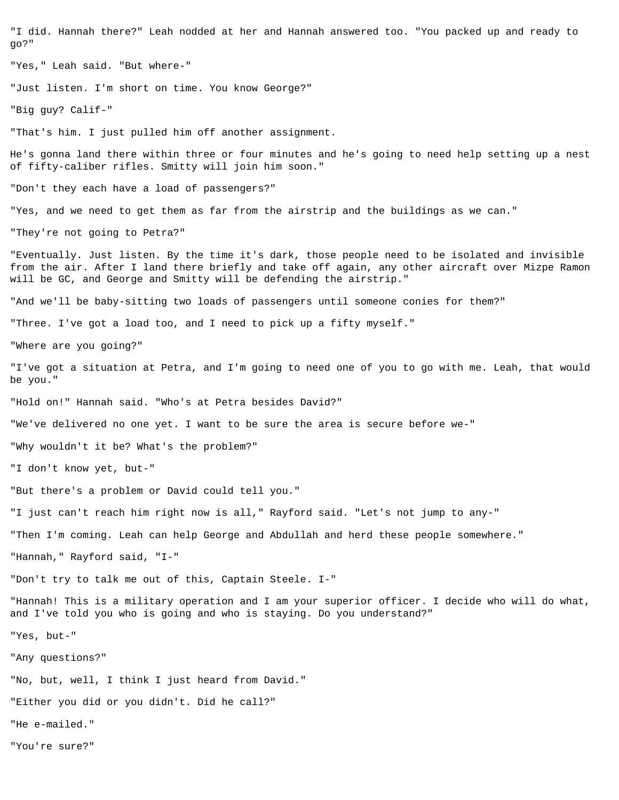"I did. Hannah there?" Leah nodded at her and Hannah answered too. "You packed up and ready to go?"

"Yes," Leah said. "But where-"

"Just listen. I'm short on time. You know George?"

"Big guy? Calif-"

"That's him. I just pulled him off another assignment.

He's gonna land there within three or four minutes and he's going to need help setting up a nest of fifty-caliber rifles. Smitty will join him soon."

"Don't they each have a load of passengers?"

"Yes, and we need to get them as far from the airstrip and the buildings as we can."

"They're not going to Petra?"

"Eventually. Just listen. By the time it's dark, those people need to be isolated and invisible from the air. After I land there briefly and take off again, any other aircraft over Mizpe Ramon will be GC, and George and Smitty will be defending the airstrip."

"And we'll be baby-sitting two loads of passengers until someone conies for them?"

"Three. I've got a load too, and I need to pick up a fifty myself."

"Where are you going?"

"I've got a situation at Petra, and I'm going to need one of you to go with me. Leah, that would be you."

"Hold on!" Hannah said. "Who's at Petra besides David?"

"We've delivered no one yet. I want to be sure the area is secure before we-"

"Why wouldn't it be? What's the problem?"

"I don't know yet, but-"

"But there's a problem or David could tell you."

"I just can't reach him right now is all," Rayford said. "Let's not jump to any-"

"Then I'm coming. Leah can help George and Abdullah and herd these people somewhere."

"Hannah," Rayford said, "I-"

"Don't try to talk me out of this, Captain Steele. I-"

"Hannah! This is a military operation and I am your superior officer. I decide who will do what, and I've told you who is going and who is staying. Do you understand?"

"Yes, but-"

"Any questions?"

"No, but, well, I think I just heard from David."

"Either you did or you didn't. Did he call?"

"He e-mailed."

"You're sure?"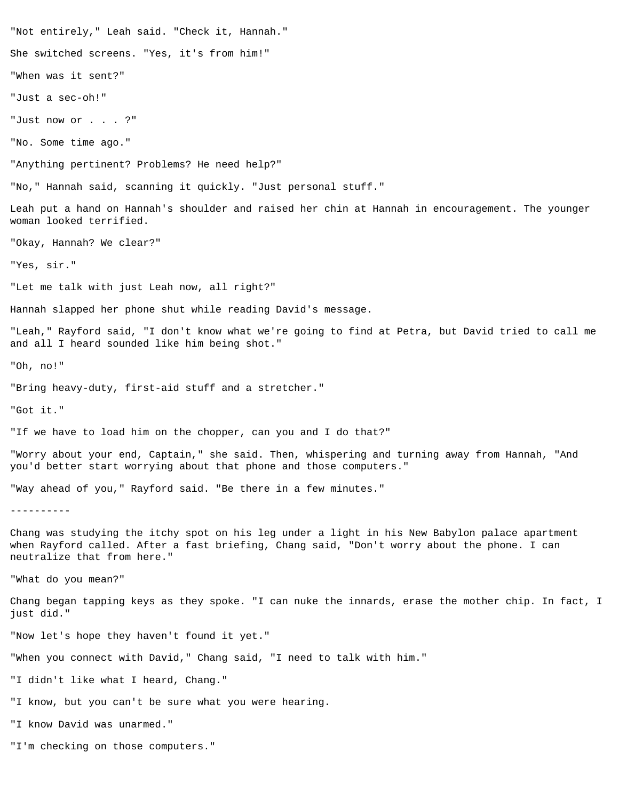"Not entirely," Leah said. "Check it, Hannah." She switched screens. "Yes, it's from him!" "When was it sent?" "Just a sec-oh!" "Just now or . . . ?" "No. Some time ago." "Anything pertinent? Problems? He need help?" "No," Hannah said, scanning it quickly. "Just personal stuff." Leah put a hand on Hannah's shoulder and raised her chin at Hannah in encouragement. The younger woman looked terrified. "Okay, Hannah? We clear?" "Yes, sir." "Let me talk with just Leah now, all right?" Hannah slapped her phone shut while reading David's message. "Leah," Rayford said, "I don't know what we're going to find at Petra, but David tried to call me and all I heard sounded like him being shot." "Oh, no!" "Bring heavy-duty, first-aid stuff and a stretcher." "Got it." "If we have to load him on the chopper, can you and I do that?" "Worry about your end, Captain," she said. Then, whispering and turning away from Hannah, "And you'd better start worrying about that phone and those computers." "Way ahead of you," Rayford said. "Be there in a few minutes." ---------- Chang was studying the itchy spot on his leg under a light in his New Babylon palace apartment when Rayford called. After a fast briefing, Chang said, "Don't worry about the phone. I can neutralize that from here." "What do you mean?" Chang began tapping keys as they spoke. "I can nuke the innards, erase the mother chip. In fact, I just did." "Now let's hope they haven't found it yet." "When you connect with David," Chang said, "I need to talk with him." "I didn't like what I heard, Chang." "I know, but you can't be sure what you were hearing. "I know David was unarmed." "I'm checking on those computers."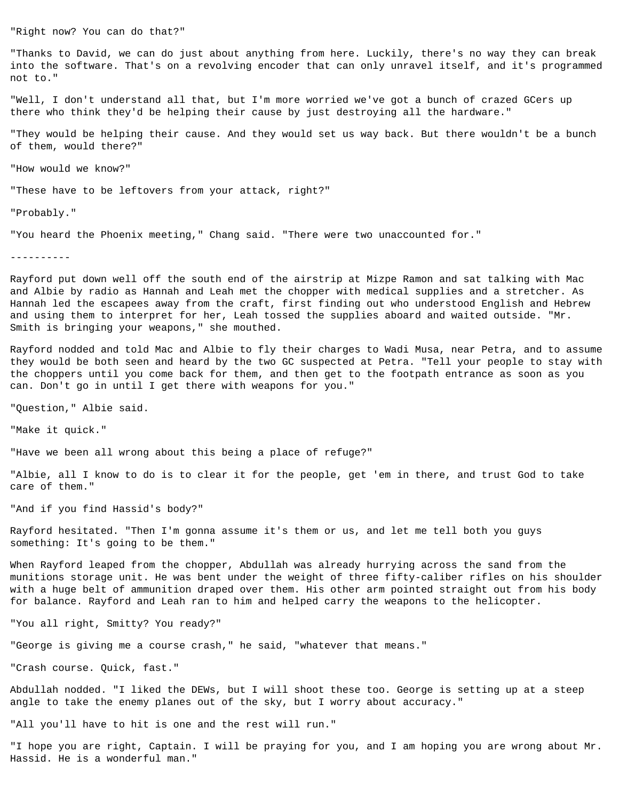"Right now? You can do that?"

"Thanks to David, we can do just about anything from here. Luckily, there's no way they can break into the software. That's on a revolving encoder that can only unravel itself, and it's programmed not to."

"Well, I don't understand all that, but I'm more worried we've got a bunch of crazed GCers up there who think they'd be helping their cause by just destroying all the hardware."

"They would be helping their cause. And they would set us way back. But there wouldn't be a bunch of them, would there?"

"How would we know?"

"These have to be leftovers from your attack, right?"

"Probably."

"You heard the Phoenix meeting," Chang said. "There were two unaccounted for."

----------

Rayford put down well off the south end of the airstrip at Mizpe Ramon and sat talking with Mac and Albie by radio as Hannah and Leah met the chopper with medical supplies and a stretcher. As Hannah led the escapees away from the craft, first finding out who understood English and Hebrew and using them to interpret for her, Leah tossed the supplies aboard and waited outside. "Mr. Smith is bringing your weapons," she mouthed.

Rayford nodded and told Mac and Albie to fly their charges to Wadi Musa, near Petra, and to assume they would be both seen and heard by the two GC suspected at Petra. "Tell your people to stay with the choppers until you come back for them, and then get to the footpath entrance as soon as you can. Don't go in until I get there with weapons for you."

"Question," Albie said.

"Make it quick."

"Have we been all wrong about this being a place of refuge?"

"Albie, all I know to do is to clear it for the people, get 'em in there, and trust God to take care of them."

"And if you find Hassid's body?"

Rayford hesitated. "Then I'm gonna assume it's them or us, and let me tell both you guys something: It's going to be them."

When Rayford leaped from the chopper, Abdullah was already hurrying across the sand from the munitions storage unit. He was bent under the weight of three fifty-caliber rifles on his shoulder with a huge belt of ammunition draped over them. His other arm pointed straight out from his body for balance. Rayford and Leah ran to him and helped carry the weapons to the helicopter.

"You all right, Smitty? You ready?"

"George is giving me a course crash," he said, "whatever that means."

"Crash course. Quick, fast."

Abdullah nodded. "I liked the DEWs, but I will shoot these too. George is setting up at a steep angle to take the enemy planes out of the sky, but I worry about accuracy."

"All you'll have to hit is one and the rest will run."

"I hope you are right, Captain. I will be praying for you, and I am hoping you are wrong about Mr. Hassid. He is a wonderful man."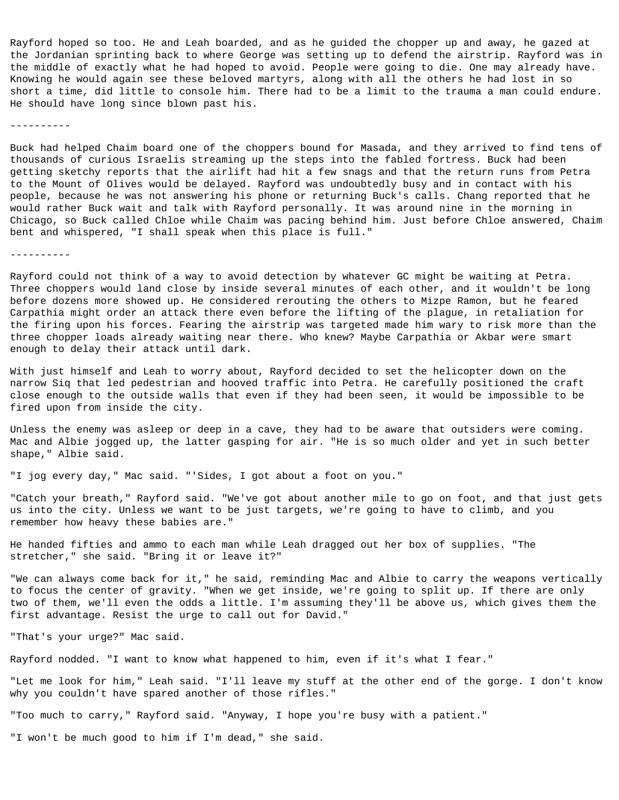Rayford hoped so too. He and Leah boarded, and as he guided the chopper up and away, he gazed at the Jordanian sprinting back to where George was setting up to defend the airstrip. Rayford was in the middle of exactly what he had hoped to avoid. People were going to die. One may already have. Knowing he would again see these beloved martyrs, along with all the others he had lost in so short a time, did little to console him. There had to be a limit to the trauma a man could endure. He should have long since blown past his.

----------

Buck had helped Chaim board one of the choppers bound for Masada, and they arrived to find tens of thousands of curious Israelis streaming up the steps into the fabled fortress. Buck had been getting sketchy reports that the airlift had hit a few snags and that the return runs from Petra to the Mount of Olives would be delayed. Rayford was undoubtedly busy and in contact with his people, because he was not answering his phone or returning Buck's calls. Chang reported that he would rather Buck wait and talk with Rayford personally. It was around nine in the morning in Chicago, so Buck called Chloe while Chaim was pacing behind him. Just before Chloe answered, Chaim bent and whispered, "I shall speak when this place is full."

----------

Rayford could not think of a way to avoid detection by whatever GC might be waiting at Petra. Three choppers would land close by inside several minutes of each other, and it wouldn't be long before dozens more showed up. He considered rerouting the others to Mizpe Ramon, but he feared Carpathia might order an attack there even before the lifting of the plague, in retaliation for the firing upon his forces. Fearing the airstrip was targeted made him wary to risk more than the three chopper loads already waiting near there. Who knew? Maybe Carpathia or Akbar were smart enough to delay their attack until dark.

With just himself and Leah to worry about, Rayford decided to set the helicopter down on the narrow Siq that led pedestrian and hooved traffic into Petra. He carefully positioned the craft close enough to the outside walls that even if they had been seen, it would be impossible to be fired upon from inside the city.

Unless the enemy was asleep or deep in a cave, they had to be aware that outsiders were coming. Mac and Albie jogged up, the latter gasping for air. "He is so much older and yet in such better shape," Albie said.

"I jog every day," Mac said. "'Sides, I got about a foot on you."

"Catch your breath," Rayford said. "We've got about another mile to go on foot, and that just gets us into the city. Unless we want to be just targets, we're going to have to climb, and you remember how heavy these babies are."

He handed fifties and ammo to each man while Leah dragged out her box of supplies. "The stretcher," she said. "Bring it or leave it?"

"We can always come back for it," he said, reminding Mac and Albie to carry the weapons vertically to focus the center of gravity. "When we get inside, we're going to split up. If there are only two of them, we'll even the odds a little. I'm assuming they'll be above us, which gives them the first advantage. Resist the urge to call out for David."

"That's your urge?" Mac said.

Rayford nodded. "I want to know what happened to him, even if it's what I fear."

"Let me look for him," Leah said. "I'll leave my stuff at the other end of the gorge. I don't know why you couldn't have spared another of those rifles."

"Too much to carry," Rayford said. "Anyway, I hope you're busy with a patient."

"I won't be much good to him if I'm dead," she said.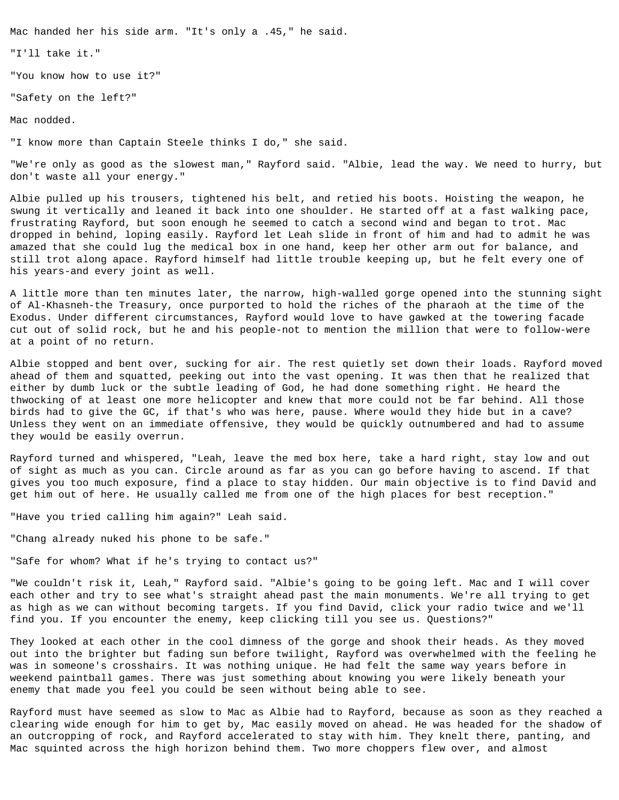Mac handed her his side arm. "It's only a .45," he said.

"I'll take it."

"You know how to use it?"

"Safety on the left?"

Mac nodded.

"I know more than Captain Steele thinks I do," she said.

"We're only as good as the slowest man," Rayford said. "Albie, lead the way. We need to hurry, but don't waste all your energy."

Albie pulled up his trousers, tightened his belt, and retied his boots. Hoisting the weapon, he swung it vertically and leaned it back into one shoulder. He started off at a fast walking pace, frustrating Rayford, but soon enough he seemed to catch a second wind and began to trot. Mac dropped in behind, loping easily. Rayford let Leah slide in front of him and had to admit he was amazed that she could lug the medical box in one hand, keep her other arm out for balance, and still trot along apace. Rayford himself had little trouble keeping up, but he felt every one of his years-and every joint as well.

A little more than ten minutes later, the narrow, high-walled gorge opened into the stunning sight of Al-Khasneh-the Treasury, once purported to hold the riches of the pharaoh at the time of the Exodus. Under different circumstances, Rayford would love to have gawked at the towering facade cut out of solid rock, but he and his people-not to mention the million that were to follow-were at a point of no return.

Albie stopped and bent over, sucking for air. The rest quietly set down their loads. Rayford moved ahead of them and squatted, peeking out into the vast opening. It was then that he realized that either by dumb luck or the subtle leading of God, he had done something right. He heard the thwocking of at least one more helicopter and knew that more could not be far behind. All those birds had to give the GC, if that's who was here, pause. Where would they hide but in a cave? Unless they went on an immediate offensive, they would be quickly outnumbered and had to assume they would be easily overrun.

Rayford turned and whispered, "Leah, leave the med box here, take a hard right, stay low and out of sight as much as you can. Circle around as far as you can go before having to ascend. If that gives you too much exposure, find a place to stay hidden. Our main objective is to find David and get him out of here. He usually called me from one of the high places for best reception."

"Have you tried calling him again?" Leah said.

"Chang already nuked his phone to be safe."

"Safe for whom? What if he's trying to contact us?"

"We couldn't risk it, Leah," Rayford said. "Albie's going to be going left. Mac and I will cover each other and try to see what's straight ahead past the main monuments. We're all trying to get as high as we can without becoming targets. If you find David, click your radio twice and we'll find you. If you encounter the enemy, keep clicking till you see us. Questions?"

They looked at each other in the cool dimness of the gorge and shook their heads. As they moved out into the brighter but fading sun before twilight, Rayford was overwhelmed with the feeling he was in someone's crosshairs. It was nothing unique. He had felt the same way years before in weekend paintball games. There was just something about knowing you were likely beneath your enemy that made you feel you could be seen without being able to see.

Rayford must have seemed as slow to Mac as Albie had to Rayford, because as soon as they reached a clearing wide enough for him to get by, Mac easily moved on ahead. He was headed for the shadow of an outcropping of rock, and Rayford accelerated to stay with him. They knelt there, panting, and Mac squinted across the high horizon behind them. Two more choppers flew over, and almost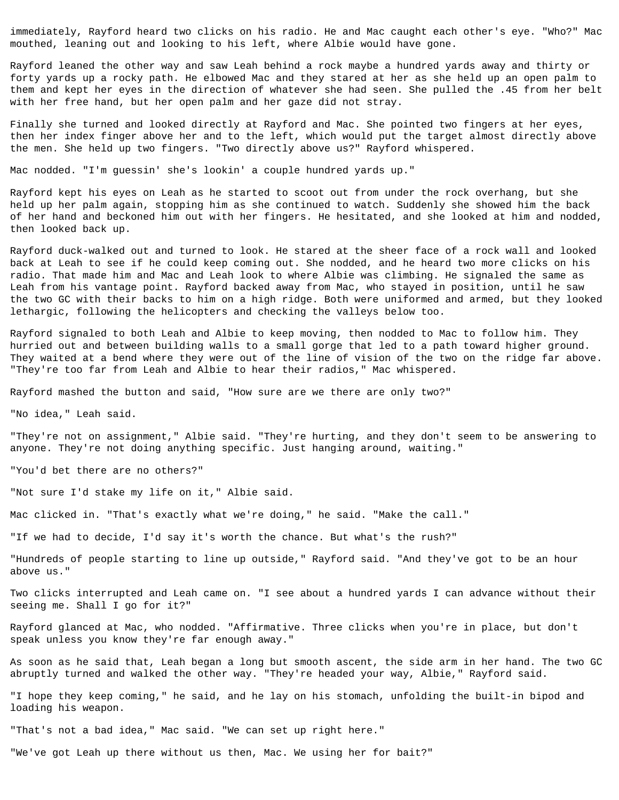immediately, Rayford heard two clicks on his radio. He and Mac caught each other's eye. "Who?" Mac mouthed, leaning out and looking to his left, where Albie would have gone.

Rayford leaned the other way and saw Leah behind a rock maybe a hundred yards away and thirty or forty yards up a rocky path. He elbowed Mac and they stared at her as she held up an open palm to them and kept her eyes in the direction of whatever she had seen. She pulled the .45 from her belt with her free hand, but her open palm and her gaze did not stray.

Finally she turned and looked directly at Rayford and Mac. She pointed two fingers at her eyes, then her index finger above her and to the left, which would put the target almost directly above the men. She held up two fingers. "Two directly above us?" Rayford whispered.

Mac nodded. "I'm guessin' she's lookin' a couple hundred yards up."

Rayford kept his eyes on Leah as he started to scoot out from under the rock overhang, but she held up her palm again, stopping him as she continued to watch. Suddenly she showed him the back of her hand and beckoned him out with her fingers. He hesitated, and she looked at him and nodded, then looked back up.

Rayford duck-walked out and turned to look. He stared at the sheer face of a rock wall and looked back at Leah to see if he could keep coming out. She nodded, and he heard two more clicks on his radio. That made him and Mac and Leah look to where Albie was climbing. He signaled the same as Leah from his vantage point. Rayford backed away from Mac, who stayed in position, until he saw the two GC with their backs to him on a high ridge. Both were uniformed and armed, but they looked lethargic, following the helicopters and checking the valleys below too.

Rayford signaled to both Leah and Albie to keep moving, then nodded to Mac to follow him. They hurried out and between building walls to a small gorge that led to a path toward higher ground. They waited at a bend where they were out of the line of vision of the two on the ridge far above. "They're too far from Leah and Albie to hear their radios," Mac whispered.

Rayford mashed the button and said, "How sure are we there are only two?"

"No idea," Leah said.

"They're not on assignment," Albie said. "They're hurting, and they don't seem to be answering to anyone. They're not doing anything specific. Just hanging around, waiting."

"You'd bet there are no others?"

"Not sure I'd stake my life on it," Albie said.

Mac clicked in. "That's exactly what we're doing," he said. "Make the call."

"If we had to decide, I'd say it's worth the chance. But what's the rush?"

"Hundreds of people starting to line up outside," Rayford said. "And they've got to be an hour above us."

Two clicks interrupted and Leah came on. "I see about a hundred yards I can advance without their seeing me. Shall I go for it?"

Rayford glanced at Mac, who nodded. "Affirmative. Three clicks when you're in place, but don't speak unless you know they're far enough away."

As soon as he said that, Leah began a long but smooth ascent, the side arm in her hand. The two GC abruptly turned and walked the other way. "They're headed your way, Albie," Rayford said.

"I hope they keep coming," he said, and he lay on his stomach, unfolding the built-in bipod and loading his weapon.

"That's not a bad idea," Mac said. "We can set up right here."

"We've got Leah up there without us then, Mac. We using her for bait?"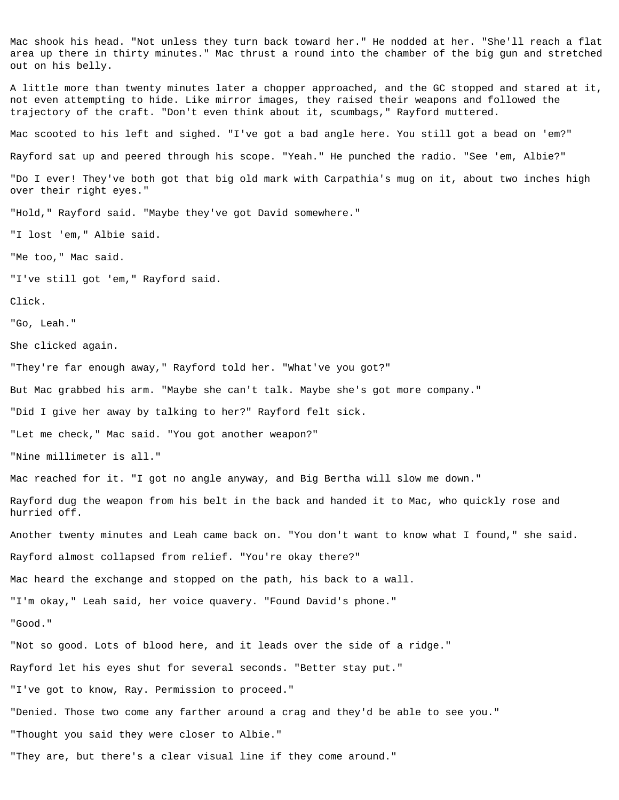Mac shook his head. "Not unless they turn back toward her." He nodded at her. "She'll reach a flat area up there in thirty minutes." Mac thrust a round into the chamber of the big gun and stretched out on his belly. A little more than twenty minutes later a chopper approached, and the GC stopped and stared at it, not even attempting to hide. Like mirror images, they raised their weapons and followed the trajectory of the craft. "Don't even think about it, scumbags," Rayford muttered. Mac scooted to his left and sighed. "I've got a bad angle here. You still got a bead on 'em?" Rayford sat up and peered through his scope. "Yeah." He punched the radio. "See 'em, Albie?" "Do I ever! They've both got that big old mark with Carpathia's mug on it, about two inches high over their right eyes." "Hold," Rayford said. "Maybe they've got David somewhere." "I lost 'em," Albie said. "Me too," Mac said. "I've still got 'em," Rayford said. Click. "Go, Leah." She clicked again. "They're far enough away," Rayford told her. "What've you got?" But Mac grabbed his arm. "Maybe she can't talk. Maybe she's got more company." "Did I give her away by talking to her?" Rayford felt sick. "Let me check," Mac said. "You got another weapon?" "Nine millimeter is all." Mac reached for it. "I got no angle anyway, and Big Bertha will slow me down." Rayford dug the weapon from his belt in the back and handed it to Mac, who quickly rose and hurried off. Another twenty minutes and Leah came back on. "You don't want to know what I found," she said. Rayford almost collapsed from relief. "You're okay there?" Mac heard the exchange and stopped on the path, his back to a wall. "I'm okay," Leah said, her voice quavery. "Found David's phone." "Good." "Not so good. Lots of blood here, and it leads over the side of a ridge." Rayford let his eyes shut for several seconds. "Better stay put." "I've got to know, Ray. Permission to proceed." "Denied. Those two come any farther around a crag and they'd be able to see you." "Thought you said they were closer to Albie." "They are, but there's a clear visual line if they come around."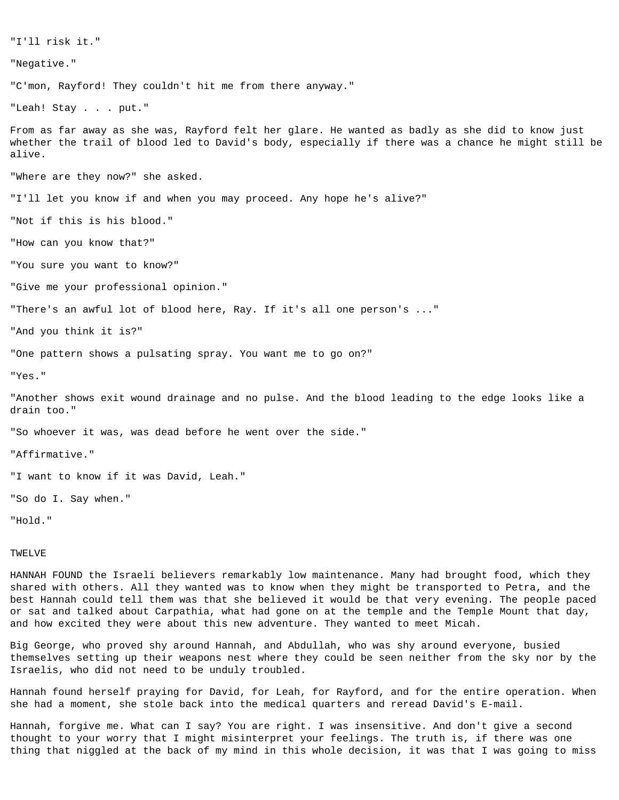"I'll risk it." "Negative." "C'mon, Rayford! They couldn't hit me from there anyway." "Leah! Stay . . . put." From as far away as she was, Rayford felt her glare. He wanted as badly as she did to know just whether the trail of blood led to David's body, especially if there was a chance he might still be alive. "Where are they now?" she asked. "I'll let you know if and when you may proceed. Any hope he's alive?" "Not if this is his blood." "How can you know that?" "You sure you want to know?" "Give me your professional opinion." "There's an awful lot of blood here, Ray. If it's all one person's ..." "And you think it is?" "One pattern shows a pulsating spray. You want me to go on?" "Yes." "Another shows exit wound drainage and no pulse. And the blood leading to the edge looks like a drain too." "So whoever it was, was dead before he went over the side." "Affirmative." "I want to know if it was David, Leah." "So do I. Say when." "Hold."

## TWELVE

HANNAH FOUND the Israeli believers remarkably low maintenance. Many had brought food, which they shared with others. All they wanted was to know when they might be transported to Petra, and the best Hannah could tell them was that she believed it would be that very evening. The people paced or sat and talked about Carpathia, what had gone on at the temple and the Temple Mount that day, and how excited they were about this new adventure. They wanted to meet Micah.

Big George, who proved shy around Hannah, and Abdullah, who was shy around everyone, busied themselves setting up their weapons nest where they could be seen neither from the sky nor by the Israelis, who did not need to be unduly troubled.

Hannah found herself praying for David, for Leah, for Rayford, and for the entire operation. When she had a moment, she stole back into the medical quarters and reread David's E-mail.

Hannah, forgive me. What can I say? You are right. I was insensitive. And don't give a second thought to your worry that I might misinterpret your feelings. The truth is, if there was one thing that niggled at the back of my mind in this whole decision, it was that I was going to miss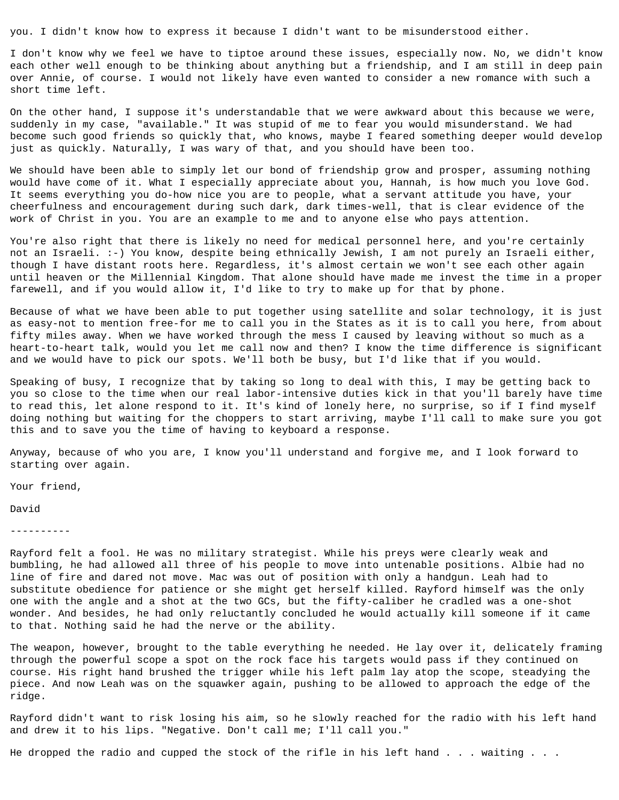you. I didn't know how to express it because I didn't want to be misunderstood either.

I don't know why we feel we have to tiptoe around these issues, especially now. No, we didn't know each other well enough to be thinking about anything but a friendship, and I am still in deep pain over Annie, of course. I would not likely have even wanted to consider a new romance with such a short time left.

On the other hand, I suppose it's understandable that we were awkward about this because we were, suddenly in my case, "available." It was stupid of me to fear you would misunderstand. We had become such good friends so quickly that, who knows, maybe I feared something deeper would develop just as quickly. Naturally, I was wary of that, and you should have been too.

We should have been able to simply let our bond of friendship grow and prosper, assuming nothing would have come of it. What I especially appreciate about you, Hannah, is how much you love God. It seems everything you do-how nice you are to people, what a servant attitude you have, your cheerfulness and encouragement during such dark, dark times-well, that is clear evidence of the work of Christ in you. You are an example to me and to anyone else who pays attention.

You're also right that there is likely no need for medical personnel here, and you're certainly not an Israeli. :-) You know, despite being ethnically Jewish, I am not purely an Israeli either, though I have distant roots here. Regardless, it's almost certain we won't see each other again until heaven or the Millennial Kingdom. That alone should have made me invest the time in a proper farewell, and if you would allow it, I'd like to try to make up for that by phone.

Because of what we have been able to put together using satellite and solar technology, it is just as easy-not to mention free-for me to call you in the States as it is to call you here, from about fifty miles away. When we have worked through the mess I caused by leaving without so much as a heart-to-heart talk, would you let me call now and then? I know the time difference is significant and we would have to pick our spots. We'll both be busy, but I'd like that if you would.

Speaking of busy, I recognize that by taking so long to deal with this, I may be getting back to you so close to the time when our real labor-intensive duties kick in that you'll barely have time to read this, let alone respond to it. It's kind of lonely here, no surprise, so if I find myself doing nothing but waiting for the choppers to start arriving, maybe I'll call to make sure you got this and to save you the time of having to keyboard a response.

Anyway, because of who you are, I know you'll understand and forgive me, and I look forward to starting over again.

Your friend,

David

----------

Rayford felt a fool. He was no military strategist. While his preys were clearly weak and bumbling, he had allowed all three of his people to move into untenable positions. Albie had no line of fire and dared not move. Mac was out of position with only a handgun. Leah had to substitute obedience for patience or she might get herself killed. Rayford himself was the only one with the angle and a shot at the two GCs, but the fifty-caliber he cradled was a one-shot wonder. And besides, he had only reluctantly concluded he would actually kill someone if it came to that. Nothing said he had the nerve or the ability.

The weapon, however, brought to the table everything he needed. He lay over it, delicately framing through the powerful scope a spot on the rock face his targets would pass if they continued on course. His right hand brushed the trigger while his left palm lay atop the scope, steadying the piece. And now Leah was on the squawker again, pushing to be allowed to approach the edge of the ridge.

Rayford didn't want to risk losing his aim, so he slowly reached for the radio with his left hand and drew it to his lips. "Negative. Don't call me; I'll call you."

He dropped the radio and cupped the stock of the rifle in his left hand . . . waiting . . .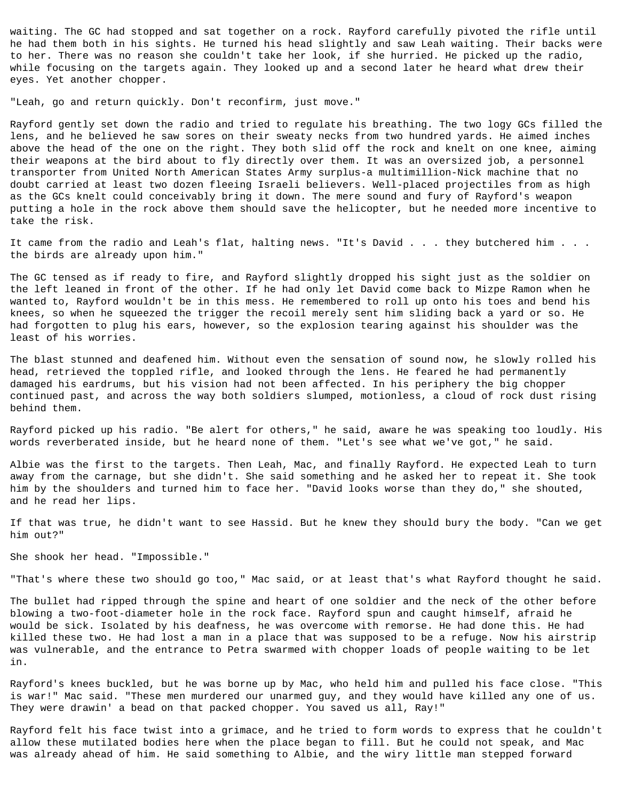waiting. The GC had stopped and sat together on a rock. Rayford carefully pivoted the rifle until he had them both in his sights. He turned his head slightly and saw Leah waiting. Their backs were to her. There was no reason she couldn't take her look, if she hurried. He picked up the radio, while focusing on the targets again. They looked up and a second later he heard what drew their eyes. Yet another chopper.

"Leah, go and return quickly. Don't reconfirm, just move."

Rayford gently set down the radio and tried to regulate his breathing. The two logy GCs filled the lens, and he believed he saw sores on their sweaty necks from two hundred yards. He aimed inches above the head of the one on the right. They both slid off the rock and knelt on one knee, aiming their weapons at the bird about to fly directly over them. It was an oversized job, a personnel transporter from United North American States Army surplus-a multimillion-Nick machine that no doubt carried at least two dozen fleeing Israeli believers. Well-placed projectiles from as high as the GCs knelt could conceivably bring it down. The mere sound and fury of Rayford's weapon putting a hole in the rock above them should save the helicopter, but he needed more incentive to take the risk.

It came from the radio and Leah's flat, halting news. "It's David . . . they butchered him . . . the birds are already upon him."

The GC tensed as if ready to fire, and Rayford slightly dropped his sight just as the soldier on the left leaned in front of the other. If he had only let David come back to Mizpe Ramon when he wanted to, Rayford wouldn't be in this mess. He remembered to roll up onto his toes and bend his knees, so when he squeezed the trigger the recoil merely sent him sliding back a yard or so. He had forgotten to plug his ears, however, so the explosion tearing against his shoulder was the least of his worries.

The blast stunned and deafened him. Without even the sensation of sound now, he slowly rolled his head, retrieved the toppled rifle, and looked through the lens. He feared he had permanently damaged his eardrums, but his vision had not been affected. In his periphery the big chopper continued past, and across the way both soldiers slumped, motionless, a cloud of rock dust rising behind them.

Rayford picked up his radio. "Be alert for others," he said, aware he was speaking too loudly. His words reverberated inside, but he heard none of them. "Let's see what we've got," he said.

Albie was the first to the targets. Then Leah, Mac, and finally Rayford. He expected Leah to turn away from the carnage, but she didn't. She said something and he asked her to repeat it. She took him by the shoulders and turned him to face her. "David looks worse than they do," she shouted, and he read her lips.

If that was true, he didn't want to see Hassid. But he knew they should bury the body. "Can we get him out?"

She shook her head. "Impossible."

"That's where these two should go too," Mac said, or at least that's what Rayford thought he said.

The bullet had ripped through the spine and heart of one soldier and the neck of the other before blowing a two-foot-diameter hole in the rock face. Rayford spun and caught himself, afraid he would be sick. Isolated by his deafness, he was overcome with remorse. He had done this. He had killed these two. He had lost a man in a place that was supposed to be a refuge. Now his airstrip was vulnerable, and the entrance to Petra swarmed with chopper loads of people waiting to be let in.

Rayford's knees buckled, but he was borne up by Mac, who held him and pulled his face close. "This is war!" Mac said. "These men murdered our unarmed guy, and they would have killed any one of us. They were drawin' a bead on that packed chopper. You saved us all, Ray!"

Rayford felt his face twist into a grimace, and he tried to form words to express that he couldn't allow these mutilated bodies here when the place began to fill. But he could not speak, and Mac was already ahead of him. He said something to Albie, and the wiry little man stepped forward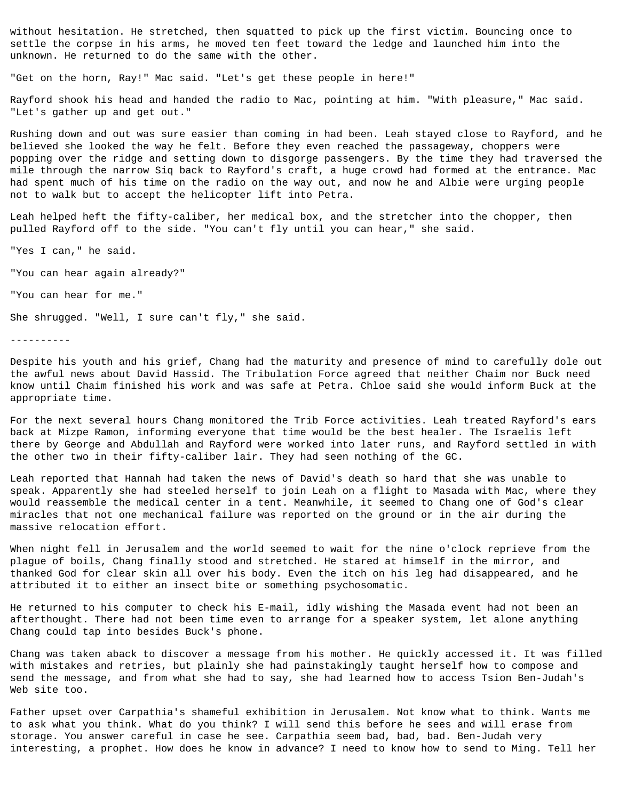without hesitation. He stretched, then squatted to pick up the first victim. Bouncing once to settle the corpse in his arms, he moved ten feet toward the ledge and launched him into the unknown. He returned to do the same with the other.

"Get on the horn, Ray!" Mac said. "Let's get these people in here!"

Rayford shook his head and handed the radio to Mac, pointing at him. "With pleasure," Mac said. "Let's gather up and get out."

Rushing down and out was sure easier than coming in had been. Leah stayed close to Rayford, and he believed she looked the way he felt. Before they even reached the passageway, choppers were popping over the ridge and setting down to disgorge passengers. By the time they had traversed the mile through the narrow Siq back to Rayford's craft, a huge crowd had formed at the entrance. Mac had spent much of his time on the radio on the way out, and now he and Albie were urging people not to walk but to accept the helicopter lift into Petra.

Leah helped heft the fifty-caliber, her medical box, and the stretcher into the chopper, then pulled Rayford off to the side. "You can't fly until you can hear," she said.

"Yes I can," he said.

"You can hear again already?"

"You can hear for me."

She shrugged. "Well, I sure can't fly," she said.

----------

Despite his youth and his grief, Chang had the maturity and presence of mind to carefully dole out the awful news about David Hassid. The Tribulation Force agreed that neither Chaim nor Buck need know until Chaim finished his work and was safe at Petra. Chloe said she would inform Buck at the appropriate time.

For the next several hours Chang monitored the Trib Force activities. Leah treated Rayford's ears back at Mizpe Ramon, informing everyone that time would be the best healer. The Israelis left there by George and Abdullah and Rayford were worked into later runs, and Rayford settled in with the other two in their fifty-caliber lair. They had seen nothing of the GC.

Leah reported that Hannah had taken the news of David's death so hard that she was unable to speak. Apparently she had steeled herself to join Leah on a flight to Masada with Mac, where they would reassemble the medical center in a tent. Meanwhile, it seemed to Chang one of God's clear miracles that not one mechanical failure was reported on the ground or in the air during the massive relocation effort.

When night fell in Jerusalem and the world seemed to wait for the nine o'clock reprieve from the plague of boils, Chang finally stood and stretched. He stared at himself in the mirror, and thanked God for clear skin all over his body. Even the itch on his leg had disappeared, and he attributed it to either an insect bite or something psychosomatic.

He returned to his computer to check his E-mail, idly wishing the Masada event had not been an afterthought. There had not been time even to arrange for a speaker system, let alone anything Chang could tap into besides Buck's phone.

Chang was taken aback to discover a message from his mother. He quickly accessed it. It was filled with mistakes and retries, but plainly she had painstakingly taught herself how to compose and send the message, and from what she had to say, she had learned how to access Tsion Ben-Judah's Web site too.

Father upset over Carpathia's shameful exhibition in Jerusalem. Not know what to think. Wants me to ask what you think. What do you think? I will send this before he sees and will erase from storage. You answer careful in case he see. Carpathia seem bad, bad, bad. Ben-Judah very interesting, a prophet. How does he know in advance? I need to know how to send to Ming. Tell her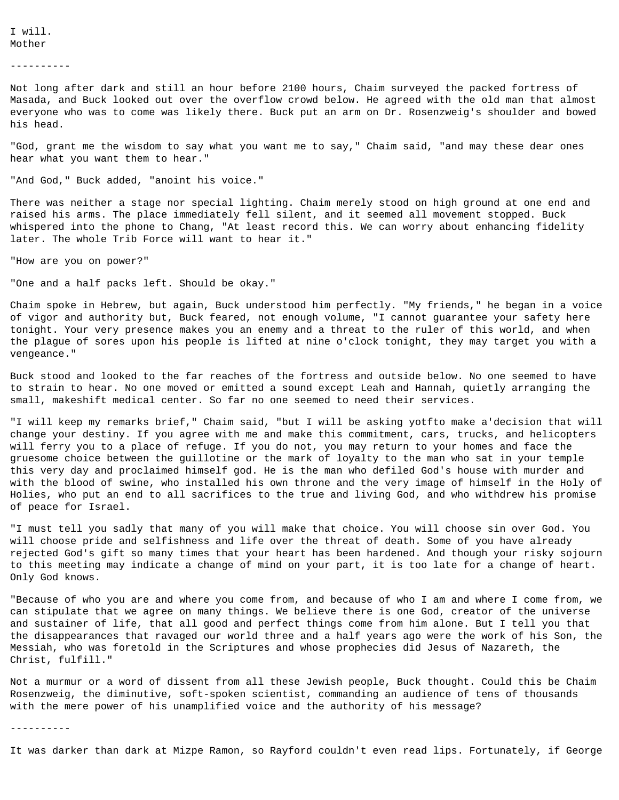I will. Mother

----------

Not long after dark and still an hour before 2100 hours, Chaim surveyed the packed fortress of Masada, and Buck looked out over the overflow crowd below. He agreed with the old man that almost everyone who was to come was likely there. Buck put an arm on Dr. Rosenzweig's shoulder and bowed his head.

"God, grant me the wisdom to say what you want me to say," Chaim said, "and may these dear ones hear what you want them to hear."

"And God," Buck added, "anoint his voice."

There was neither a stage nor special lighting. Chaim merely stood on high ground at one end and raised his arms. The place immediately fell silent, and it seemed all movement stopped. Buck whispered into the phone to Chang, "At least record this. We can worry about enhancing fidelity later. The whole Trib Force will want to hear it."

"How are you on power?"

"One and a half packs left. Should be okay."

Chaim spoke in Hebrew, but again, Buck understood him perfectly. "My friends," he began in a voice of vigor and authority but, Buck feared, not enough volume, "I cannot guarantee your safety here tonight. Your very presence makes you an enemy and a threat to the ruler of this world, and when the plague of sores upon his people is lifted at nine o'clock tonight, they may target you with a vengeance."

Buck stood and looked to the far reaches of the fortress and outside below. No one seemed to have to strain to hear. No one moved or emitted a sound except Leah and Hannah, quietly arranging the small, makeshift medical center. So far no one seemed to need their services.

"I will keep my remarks brief," Chaim said, "but I will be asking yotfto make a'decision that will change your destiny. If you agree with me and make this commitment, cars, trucks, and helicopters will ferry you to a place of refuge. If you do not, you may return to your homes and face the gruesome choice between the guillotine or the mark of loyalty to the man who sat in your temple this very day and proclaimed himself god. He is the man who defiled God's house with murder and with the blood of swine, who installed his own throne and the very image of himself in the Holy of Holies, who put an end to all sacrifices to the true and living God, and who withdrew his promise of peace for Israel.

"I must tell you sadly that many of you will make that choice. You will choose sin over God. You will choose pride and selfishness and life over the threat of death. Some of you have already rejected God's gift so many times that your heart has been hardened. And though your risky sojourn to this meeting may indicate a change of mind on your part, it is too late for a change of heart. Only God knows.

"Because of who you are and where you come from, and because of who I am and where I come from, we can stipulate that we agree on many things. We believe there is one God, creator of the universe and sustainer of life, that all good and perfect things come from him alone. But I tell you that the disappearances that ravaged our world three and a half years ago were the work of his Son, the Messiah, who was foretold in the Scriptures and whose prophecies did Jesus of Nazareth, the Christ, fulfill."

Not a murmur or a word of dissent from all these Jewish people, Buck thought. Could this be Chaim Rosenzweig, the diminutive, soft-spoken scientist, commanding an audience of tens of thousands with the mere power of his unamplified voice and the authority of his message?

----------

It was darker than dark at Mizpe Ramon, so Rayford couldn't even read lips. Fortunately, if George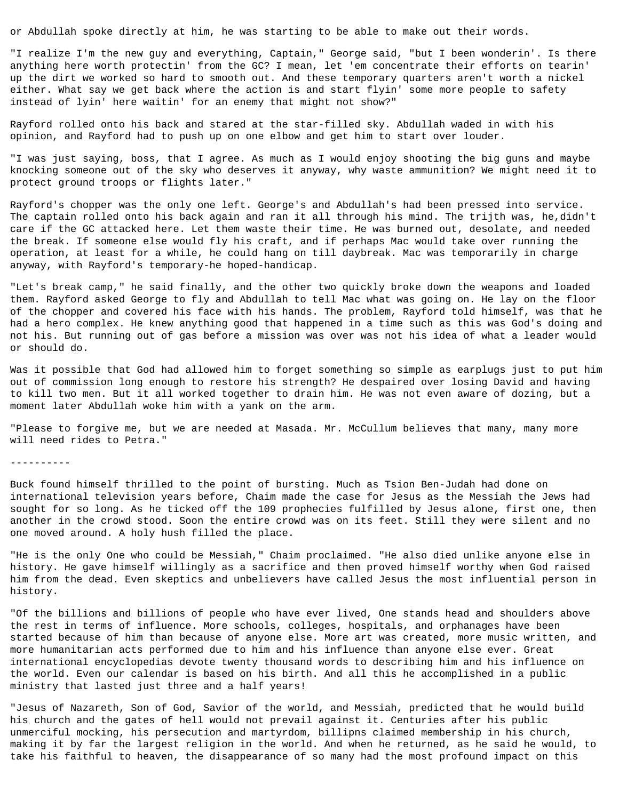or Abdullah spoke directly at him, he was starting to be able to make out their words.

"I realize I'm the new guy and everything, Captain," George said, "but I been wonderin'. Is there anything here worth protectin' from the GC? I mean, let 'em concentrate their efforts on tearin' up the dirt we worked so hard to smooth out. And these temporary quarters aren't worth a nickel either. What say we get back where the action is and start flyin' some more people to safety instead of lyin' here waitin' for an enemy that might not show?"

Rayford rolled onto his back and stared at the star-filled sky. Abdullah waded in with his opinion, and Rayford had to push up on one elbow and get him to start over louder.

"I was just saying, boss, that I agree. As much as I would enjoy shooting the big guns and maybe knocking someone out of the sky who deserves it anyway, why waste ammunition? We might need it to protect ground troops or flights later."

Rayford's chopper was the only one left. George's and Abdullah's had been pressed into service. The captain rolled onto his back again and ran it all through his mind. The trijth was, he,didn't care if the GC attacked here. Let them waste their time. He was burned out, desolate, and needed the break. If someone else would fly his craft, and if perhaps Mac would take over running the operation, at least for a while, he could hang on till daybreak. Mac was temporarily in charge anyway, with Rayford's temporary-he hoped-handicap.

"Let's break camp," he said finally, and the other two quickly broke down the weapons and loaded them. Rayford asked George to fly and Abdullah to tell Mac what was going on. He lay on the floor of the chopper and covered his face with his hands. The problem, Rayford told himself, was that he had a hero complex. He knew anything good that happened in a time such as this was God's doing and not his. But running out of gas before a mission was over was not his idea of what a leader would or should do.

Was it possible that God had allowed him to forget something so simple as earplugs just to put him out of commission long enough to restore his strength? He despaired over losing David and having to kill two men. But it all worked together to drain him. He was not even aware of dozing, but a moment later Abdullah woke him with a yank on the arm.

"Please to forgive me, but we are needed at Masada. Mr. McCullum believes that many, many more will need rides to Petra."

----------

Buck found himself thrilled to the point of bursting. Much as Tsion Ben-Judah had done on international television years before, Chaim made the case for Jesus as the Messiah the Jews had sought for so long. As he ticked off the 109 prophecies fulfilled by Jesus alone, first one, then another in the crowd stood. Soon the entire crowd was on its feet. Still they were silent and no one moved around. A holy hush filled the place.

"He is the only One who could be Messiah," Chaim proclaimed. "He also died unlike anyone else in history. He gave himself willingly as a sacrifice and then proved himself worthy when God raised him from the dead. Even skeptics and unbelievers have called Jesus the most influential person in history.

"Of the billions and billions of people who have ever lived, One stands head and shoulders above the rest in terms of influence. More schools, colleges, hospitals, and orphanages have been started because of him than because of anyone else. More art was created, more music written, and more humanitarian acts performed due to him and his influence than anyone else ever. Great international encyclopedias devote twenty thousand words to describing him and his influence on the world. Even our calendar is based on his birth. And all this he accomplished in a public ministry that lasted just three and a half years!

"Jesus of Nazareth, Son of God, Savior of the world, and Messiah, predicted that he would build his church and the gates of hell would not prevail against it. Centuries after his public unmerciful mocking, his persecution and martyrdom, billipns claimed membership in his church, making it by far the largest religion in the world. And when he returned, as he said he would, to take his faithful to heaven, the disappearance of so many had the most profound impact on this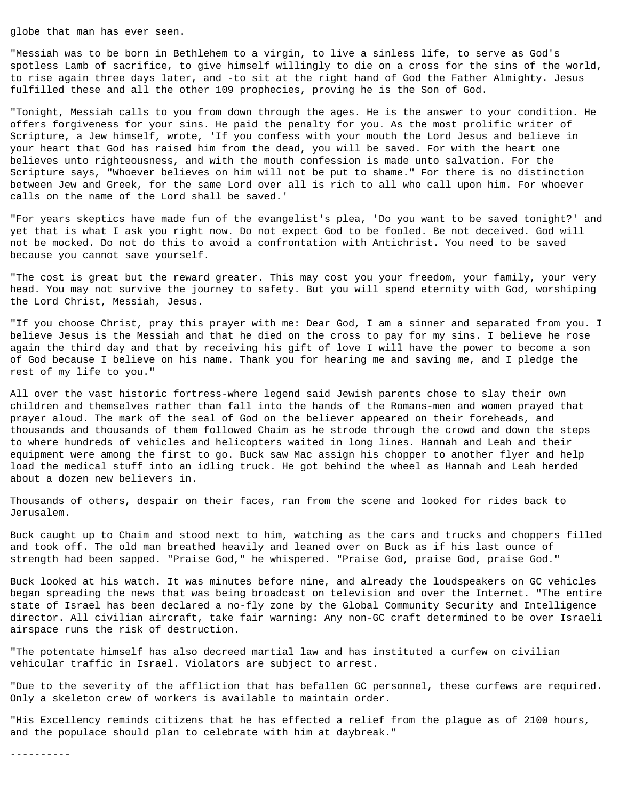globe that man has ever seen.

"Messiah was to be born in Bethlehem to a virgin, to live a sinless life, to serve as God's spotless Lamb of sacrifice, to give himself willingly to die on a cross for the sins of the world, to rise again three days later, and -to sit at the right hand of God the Father Almighty. Jesus fulfilled these and all the other 109 prophecies, proving he is the Son of God.

"Tonight, Messiah calls to you from down through the ages. He is the answer to your condition. He offers forgiveness for your sins. He paid the penalty for you. As the most prolific writer of Scripture, a Jew himself, wrote, 'If you confess with your mouth the Lord Jesus and believe in your heart that God has raised him from the dead, you will be saved. For with the heart one believes unto righteousness, and with the mouth confession is made unto salvation. For the Scripture says, "Whoever believes on him will not be put to shame." For there is no distinction between Jew and Greek, for the same Lord over all is rich to all who call upon him. For whoever calls on the name of the Lord shall be saved.'

"For years skeptics have made fun of the evangelist's plea, 'Do you want to be saved tonight?' and yet that is what I ask you right now. Do not expect God to be fooled. Be not deceived. God will not be mocked. Do not do this to avoid a confrontation with Antichrist. You need to be saved because you cannot save yourself.

"The cost is great but the reward greater. This may cost you your freedom, your family, your very head. You may not survive the journey to safety. But you will spend eternity with God, worshiping the Lord Christ, Messiah, Jesus.

"If you choose Christ, pray this prayer with me: Dear God, I am a sinner and separated from you. I believe Jesus is the Messiah and that he died on the cross to pay for my sins. I believe he rose again the third day and that by receiving his gift of love I will have the power to become a son of God because I believe on his name. Thank you for hearing me and saving me, and I pledge the rest of my life to you."

All over the vast historic fortress-where legend said Jewish parents chose to slay their own children and themselves rather than fall into the hands of the Romans-men and women prayed that prayer aloud. The mark of the seal of God on the believer appeared on their foreheads, and thousands and thousands of them followed Chaim as he strode through the crowd and down the steps to where hundreds of vehicles and helicopters waited in long lines. Hannah and Leah and their equipment were among the first to go. Buck saw Mac assign his chopper to another flyer and help load the medical stuff into an idling truck. He got behind the wheel as Hannah and Leah herded about a dozen new believers in.

Thousands of others, despair on their faces, ran from the scene and looked for rides back to Jerusalem.

Buck caught up to Chaim and stood next to him, watching as the cars and trucks and choppers filled and took off. The old man breathed heavily and leaned over on Buck as if his last ounce of strength had been sapped. "Praise God," he whispered. "Praise God, praise God, praise God."

Buck looked at his watch. It was minutes before nine, and already the loudspeakers on GC vehicles began spreading the news that was being broadcast on television and over the Internet. "The entire state of Israel has been declared a no-fly zone by the Global Community Security and Intelligence director. All civilian aircraft, take fair warning: Any non-GC craft determined to be over Israeli airspace runs the risk of destruction.

"The potentate himself has also decreed martial law and has instituted a curfew on civilian vehicular traffic in Israel. Violators are subject to arrest.

"Due to the severity of the affliction that has befallen GC personnel, these curfews are required. Only a skeleton crew of workers is available to maintain order.

"His Excellency reminds citizens that he has effected a relief from the plague as of 2100 hours, and the populace should plan to celebrate with him at daybreak."

----------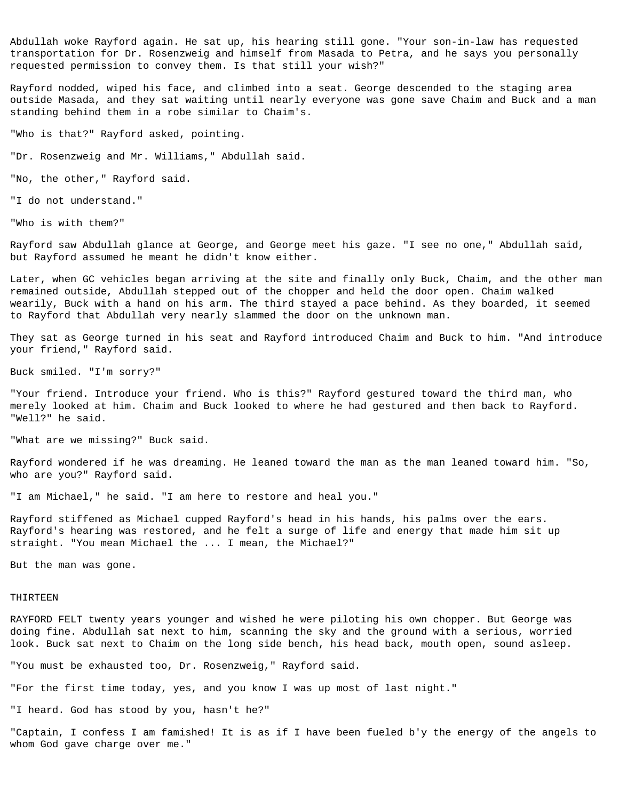Abdullah woke Rayford again. He sat up, his hearing still gone. "Your son-in-law has requested transportation for Dr. Rosenzweig and himself from Masada to Petra, and he says you personally requested permission to convey them. Is that still your wish?"

Rayford nodded, wiped his face, and climbed into a seat. George descended to the staging area outside Masada, and they sat waiting until nearly everyone was gone save Chaim and Buck and a man standing behind them in a robe similar to Chaim's.

"Who is that?" Rayford asked, pointing.

"Dr. Rosenzweig and Mr. Williams," Abdullah said.

"No, the other," Rayford said.

"I do not understand."

"Who is with them?"

Rayford saw Abdullah glance at George, and George meet his gaze. "I see no one," Abdullah said, but Rayford assumed he meant he didn't know either.

Later, when GC vehicles began arriving at the site and finally only Buck, Chaim, and the other man remained outside, Abdullah stepped out of the chopper and held the door open. Chaim walked wearily, Buck with a hand on his arm. The third stayed a pace behind. As they boarded, it seemed to Rayford that Abdullah very nearly slammed the door on the unknown man.

They sat as George turned in his seat and Rayford introduced Chaim and Buck to him. "And introduce your friend," Rayford said.

Buck smiled. "I'm sorry?"

"Your friend. Introduce your friend. Who is this?" Rayford gestured toward the third man, who merely looked at him. Chaim and Buck looked to where he had gestured and then back to Rayford. "Well?" he said.

"What are we missing?" Buck said.

Rayford wondered if he was dreaming. He leaned toward the man as the man leaned toward him. "So, who are you?" Rayford said.

"I am Michael," he said. "I am here to restore and heal you."

Rayford stiffened as Michael cupped Rayford's head in his hands, his palms over the ears. Rayford's hearing was restored, and he felt a surge of life and energy that made him sit up straight. "You mean Michael the ... I mean, the Michael?"

But the man was gone.

## THIRTEEN

RAYFORD FELT twenty years younger and wished he were piloting his own chopper. But George was doing fine. Abdullah sat next to him, scanning the sky and the ground with a serious, worried look. Buck sat next to Chaim on the long side bench, his head back, mouth open, sound asleep.

"You must be exhausted too, Dr. Rosenzweig," Rayford said.

"For the first time today, yes, and you know I was up most of last night."

"I heard. God has stood by you, hasn't he?"

"Captain, I confess I am famished! It is as if I have been fueled b'y the energy of the angels to whom God gave charge over me."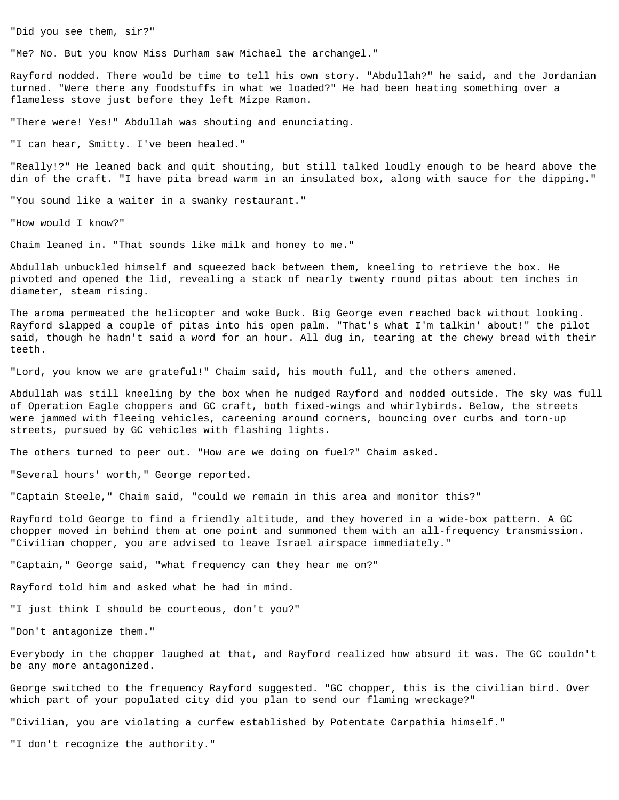"Did you see them, sir?"

"Me? No. But you know Miss Durham saw Michael the archangel."

Rayford nodded. There would be time to tell his own story. "Abdullah?" he said, and the Jordanian turned. "Were there any foodstuffs in what we loaded?" He had been heating something over a flameless stove just before they left Mizpe Ramon.

"There were! Yes!" Abdullah was shouting and enunciating.

"I can hear, Smitty. I've been healed."

"Really!?" He leaned back and quit shouting, but still talked loudly enough to be heard above the din of the craft. "I have pita bread warm in an insulated box, along with sauce for the dipping."

"You sound like a waiter in a swanky restaurant."

"How would I know?"

Chaim leaned in. "That sounds like milk and honey to me."

Abdullah unbuckled himself and squeezed back between them, kneeling to retrieve the box. He pivoted and opened the lid, revealing a stack of nearly twenty round pitas about ten inches in diameter, steam rising.

The aroma permeated the helicopter and woke Buck. Big George even reached back without looking. Rayford slapped a couple of pitas into his open palm. "That's what I'm talkin' about!" the pilot said, though he hadn't said a word for an hour. All dug in, tearing at the chewy bread with their teeth.

"Lord, you know we are grateful!" Chaim said, his mouth full, and the others amened.

Abdullah was still kneeling by the box when he nudged Rayford and nodded outside. The sky was full of Operation Eagle choppers and GC craft, both fixed-wings and whirlybirds. Below, the streets were jammed with fleeing vehicles, careening around corners, bouncing over curbs and torn-up streets, pursued by GC vehicles with flashing lights.

The others turned to peer out. "How are we doing on fuel?" Chaim asked.

"Several hours' worth," George reported.

"Captain Steele," Chaim said, "could we remain in this area and monitor this?"

Rayford told George to find a friendly altitude, and they hovered in a wide-box pattern. A GC chopper moved in behind them at one point and summoned them with an all-frequency transmission. "Civilian chopper, you are advised to leave Israel airspace immediately."

"Captain," George said, "what frequency can they hear me on?"

Rayford told him and asked what he had in mind.

"I just think I should be courteous, don't you?"

"Don't antagonize them."

Everybody in the chopper laughed at that, and Rayford realized how absurd it was. The GC couldn't be any more antagonized.

George switched to the frequency Rayford suggested. "GC chopper, this is the civilian bird. Over which part of your populated city did you plan to send our flaming wreckage?"

"Civilian, you are violating a curfew established by Potentate Carpathia himself."

"I don't recognize the authority."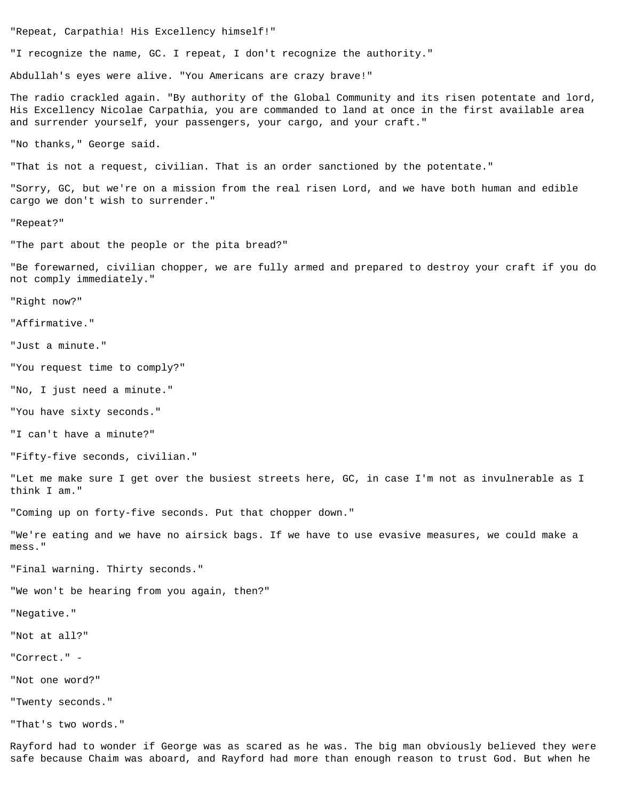"Repeat, Carpathia! His Excellency himself!" "I recognize the name, GC. I repeat, I don't recognize the authority." Abdullah's eyes were alive. "You Americans are crazy brave!" The radio crackled again. "By authority of the Global Community and its risen potentate and lord, His Excellency Nicolae Carpathia, you are commanded to land at once in the first available area and surrender yourself, your passengers, your cargo, and your craft." "No thanks," George said. "That is not a request, civilian. That is an order sanctioned by the potentate." "Sorry, GC, but we're on a mission from the real risen Lord, and we have both human and edible cargo we don't wish to surrender." "Repeat?" "The part about the people or the pita bread?" "Be forewarned, civilian chopper, we are fully armed and prepared to destroy your craft if you do not comply immediately." "Right now?" "Affirmative." "Just a minute." "You request time to comply?" "No, I just need a minute." "You have sixty seconds." "I can't have a minute?" "Fifty-five seconds, civilian." "Let me make sure I get over the busiest streets here, GC, in case I'm not as invulnerable as I think I am." "Coming up on forty-five seconds. Put that chopper down." "We're eating and we have no airsick bags. If we have to use evasive measures, we could make a mess." "Final warning. Thirty seconds." "We won't be hearing from you again, then?" "Negative." "Not at all?" "Correct." - "Not one word?" "Twenty seconds." "That's two words." Rayford had to wonder if George was as scared as he was. The big man obviously believed they were safe because Chaim was aboard, and Rayford had more than enough reason to trust God. But when he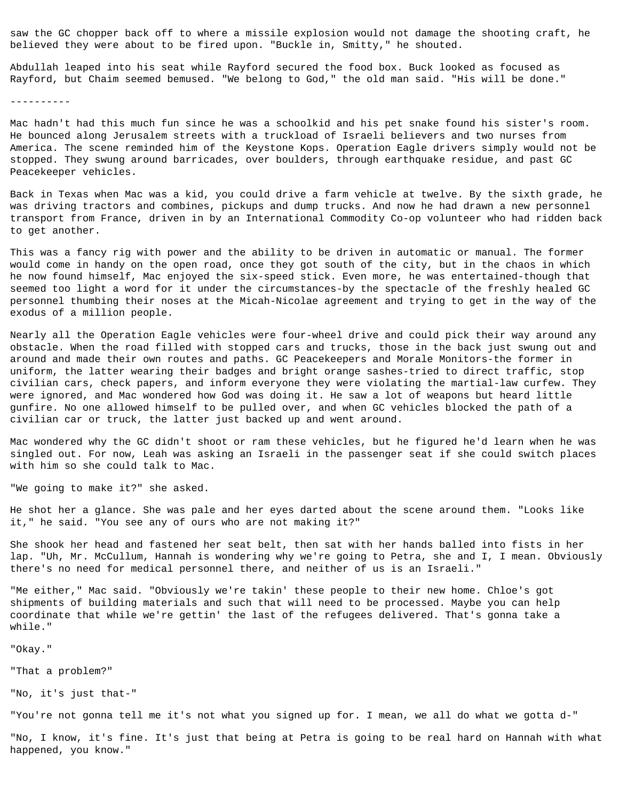saw the GC chopper back off to where a missile explosion would not damage the shooting craft, he believed they were about to be fired upon. "Buckle in, Smitty," he shouted.

Abdullah leaped into his seat while Rayford secured the food box. Buck looked as focused as Rayford, but Chaim seemed bemused. "We belong to God," the old man said. "His will be done."

----------

Mac hadn't had this much fun since he was a schoolkid and his pet snake found his sister's room. He bounced along Jerusalem streets with a truckload of Israeli believers and two nurses from America. The scene reminded him of the Keystone Kops. Operation Eagle drivers simply would not be stopped. They swung around barricades, over boulders, through earthquake residue, and past GC Peacekeeper vehicles.

Back in Texas when Mac was a kid, you could drive a farm vehicle at twelve. By the sixth grade, he was driving tractors and combines, pickups and dump trucks. And now he had drawn a new personnel transport from France, driven in by an International Commodity Co-op volunteer who had ridden back to get another.

This was a fancy rig with power and the ability to be driven in automatic or manual. The former would come in handy on the open road, once they got south of the city, but in the chaos in which he now found himself, Mac enjoyed the six-speed stick. Even more, he was entertained-though that seemed too light a word for it under the circumstances-by the spectacle of the freshly healed GC personnel thumbing their noses at the Micah-Nicolae agreement and trying to get in the way of the exodus of a million people.

Nearly all the Operation Eagle vehicles were four-wheel drive and could pick their way around any obstacle. When the road filled with stopped cars and trucks, those in the back just swung out and around and made their own routes and paths. GC Peacekeepers and Morale Monitors-the former in uniform, the latter wearing their badges and bright orange sashes-tried to direct traffic, stop civilian cars, check papers, and inform everyone they were violating the martial-law curfew. They were ignored, and Mac wondered how God was doing it. He saw a lot of weapons but heard little gunfire. No one allowed himself to be pulled over, and when GC vehicles blocked the path of a civilian car or truck, the latter just backed up and went around.

Mac wondered why the GC didn't shoot or ram these vehicles, but he figured he'd learn when he was singled out. For now, Leah was asking an Israeli in the passenger seat if she could switch places with him so she could talk to Mac.

"We going to make it?" she asked.

He shot her a glance. She was pale and her eyes darted about the scene around them. "Looks like it," he said. "You see any of ours who are not making it?"

She shook her head and fastened her seat belt, then sat with her hands balled into fists in her lap. "Uh, Mr. McCullum, Hannah is wondering why we're going to Petra, she and I, I mean. Obviously there's no need for medical personnel there, and neither of us is an Israeli."

"Me either," Mac said. "Obviously we're takin' these people to their new home. Chloe's got shipments of building materials and such that will need to be processed. Maybe you can help coordinate that while we're gettin' the last of the refugees delivered. That's gonna take a while."

"Okay."

"That a problem?"

"No, it's just that-"

"You're not gonna tell me it's not what you signed up for. I mean, we all do what we gotta d-"

"No, I know, it's fine. It's just that being at Petra is going to be real hard on Hannah with what happened, you know."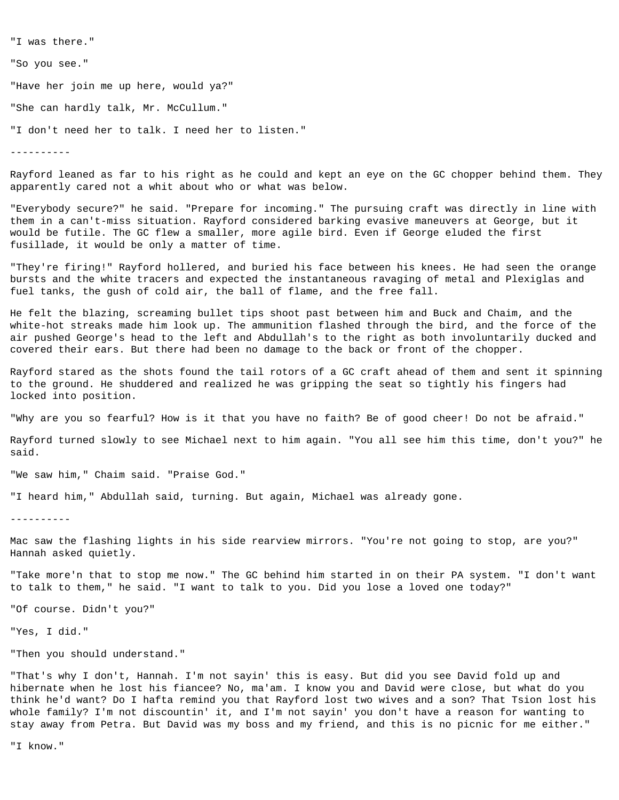"So you see." "Have her join me up here, would ya?" "She can hardly talk, Mr. McCullum." "I don't need her to talk. I need her to listen."

"I was there."

----------

Rayford leaned as far to his right as he could and kept an eye on the GC chopper behind them. They apparently cared not a whit about who or what was below.

"Everybody secure?" he said. "Prepare for incoming." The pursuing craft was directly in line with them in a can't-miss situation. Rayford considered barking evasive maneuvers at George, but it would be futile. The GC flew a smaller, more agile bird. Even if George eluded the first fusillade, it would be only a matter of time.

"They're firing!" Rayford hollered, and buried his face between his knees. He had seen the orange bursts and the white tracers and expected the instantaneous ravaging of metal and Plexiglas and fuel tanks, the gush of cold air, the ball of flame, and the free fall.

He felt the blazing, screaming bullet tips shoot past between him and Buck and Chaim, and the white-hot streaks made him look up. The ammunition flashed through the bird, and the force of the air pushed George's head to the left and Abdullah's to the right as both involuntarily ducked and covered their ears. But there had been no damage to the back or front of the chopper.

Rayford stared as the shots found the tail rotors of a GC craft ahead of them and sent it spinning to the ground. He shuddered and realized he was gripping the seat so tightly his fingers had locked into position.

"Why are you so fearful? How is it that you have no faith? Be of good cheer! Do not be afraid."

Rayford turned slowly to see Michael next to him again. "You all see him this time, don't you?" he said.

"We saw him," Chaim said. "Praise God."

"I heard him," Abdullah said, turning. But again, Michael was already gone.

----------

Mac saw the flashing lights in his side rearview mirrors. "You're not going to stop, are you?" Hannah asked quietly.

"Take more'n that to stop me now." The GC behind him started in on their PA system. "I don't want to talk to them," he said. "I want to talk to you. Did you lose a loved one today?"

"Of course. Didn't you?"

"Yes, I did."

"Then you should understand."

"That's why I don't, Hannah. I'm not sayin' this is easy. But did you see David fold up and hibernate when he lost his fiancee? No, ma'am. I know you and David were close, but what do you think he'd want? Do I hafta remind you that Rayford lost two wives and a son? That Tsion lost his whole family? I'm not discountin' it, and I'm not sayin' you don't have a reason for wanting to stay away from Petra. But David was my boss and my friend, and this is no picnic for me either."

"I know."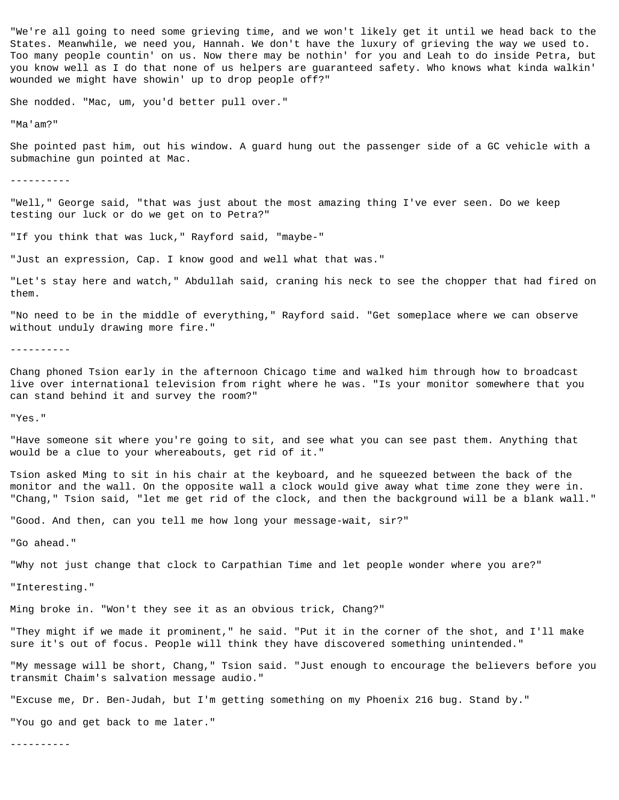"We're all going to need some grieving time, and we won't likely get it until we head back to the States. Meanwhile, we need you, Hannah. We don't have the luxury of grieving the way we used to. Too many people countin' on us. Now there may be nothin' for you and Leah to do inside Petra, but you know well as I do that none of us helpers are guaranteed safety. Who knows what kinda walkin' wounded we might have showin' up to drop people off?"

She nodded. "Mac, um, you'd better pull over."

"Ma'am?"

She pointed past him, out his window. A guard hung out the passenger side of a GC vehicle with a submachine gun pointed at Mac.

----------

"Well," George said, "that was just about the most amazing thing I've ever seen. Do we keep testing our luck or do we get on to Petra?"

"If you think that was luck," Rayford said, "maybe-"

"Just an expression, Cap. I know good and well what that was."

"Let's stay here and watch," Abdullah said, craning his neck to see the chopper that had fired on them.

"No need to be in the middle of everything," Rayford said. "Get someplace where we can observe without unduly drawing more fire."

----------

Chang phoned Tsion early in the afternoon Chicago time and walked him through how to broadcast live over international television from right where he was. "Is your monitor somewhere that you can stand behind it and survey the room?"

"Yes."

"Have someone sit where you're going to sit, and see what you can see past them. Anything that would be a clue to your whereabouts, get rid of it."

Tsion asked Ming to sit in his chair at the keyboard, and he squeezed between the back of the monitor and the wall. On the opposite wall a clock would give away what time zone they were in. "Chang," Tsion said, "let me get rid of the clock, and then the background will be a blank wall."

"Good. And then, can you tell me how long your message-wait, sir?"

"Go ahead."

"Why not just change that clock to Carpathian Time and let people wonder where you are?"

"Interesting."

Ming broke in. "Won't they see it as an obvious trick, Chang?"

"They might if we made it prominent," he said. "Put it in the corner of the shot, and I'll make sure it's out of focus. People will think they have discovered something unintended."

"My message will be short, Chang," Tsion said. "Just enough to encourage the believers before you transmit Chaim's salvation message audio."

"Excuse me, Dr. Ben-Judah, but I'm getting something on my Phoenix 216 bug. Stand by."

"You go and get back to me later."

----------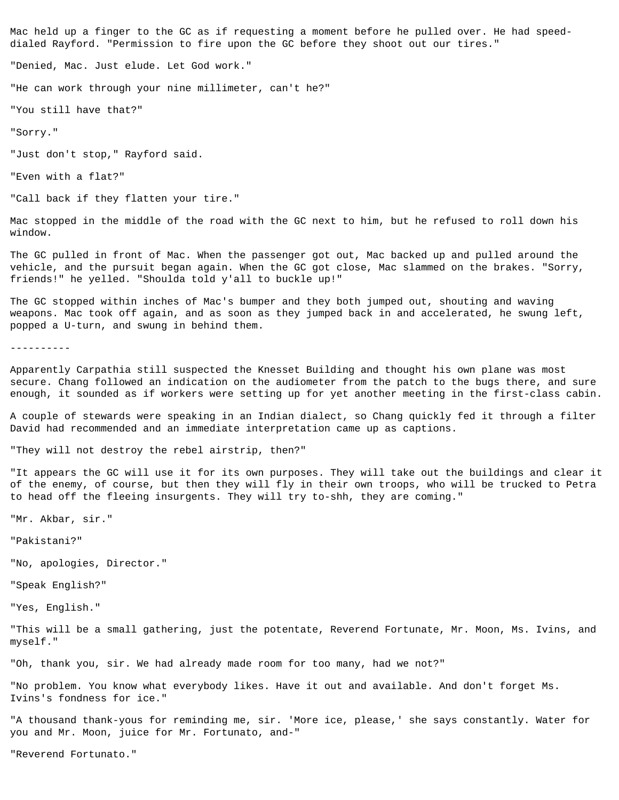Mac held up a finger to the GC as if requesting a moment before he pulled over. He had speeddialed Rayford. "Permission to fire upon the GC before they shoot out our tires."

"Denied, Mac. Just elude. Let God work."

"He can work through your nine millimeter, can't he?"

"You still have that?"

"Sorry."

"Just don't stop," Rayford said.

"Even with a flat?"

"Call back if they flatten your tire."

Mac stopped in the middle of the road with the GC next to him, but he refused to roll down his window.

The GC pulled in front of Mac. When the passenger got out, Mac backed up and pulled around the vehicle, and the pursuit began again. When the GC got close, Mac slammed on the brakes. "Sorry, friends!" he yelled. "Shoulda told y'all to buckle up!"

The GC stopped within inches of Mac's bumper and they both jumped out, shouting and waving weapons. Mac took off again, and as soon as they jumped back in and accelerated, he swung left, popped a U-turn, and swung in behind them.

----------

Apparently Carpathia still suspected the Knesset Building and thought his own plane was most secure. Chang followed an indication on the audiometer from the patch to the bugs there, and sure enough, it sounded as if workers were setting up for yet another meeting in the first-class cabin.

A couple of stewards were speaking in an Indian dialect, so Chang quickly fed it through a filter David had recommended and an immediate interpretation came up as captions.

"They will not destroy the rebel airstrip, then?"

"It appears the GC will use it for its own purposes. They will take out the buildings and clear it of the enemy, of course, but then they will fly in their own troops, who will be trucked to Petra to head off the fleeing insurgents. They will try to-shh, they are coming."

"Mr. Akbar, sir."

"Pakistani?"

"No, apologies, Director."

"Speak English?"

"Yes, English."

"This will be a small gathering, just the potentate, Reverend Fortunate, Mr. Moon, Ms. Ivins, and myself."

"Oh, thank you, sir. We had already made room for too many, had we not?"

"No problem. You know what everybody likes. Have it out and available. And don't forget Ms. Ivins's fondness for ice."

"A thousand thank-yous for reminding me, sir. 'More ice, please,' she says constantly. Water for you and Mr. Moon, juice for Mr. Fortunato, and-"

"Reverend Fortunato."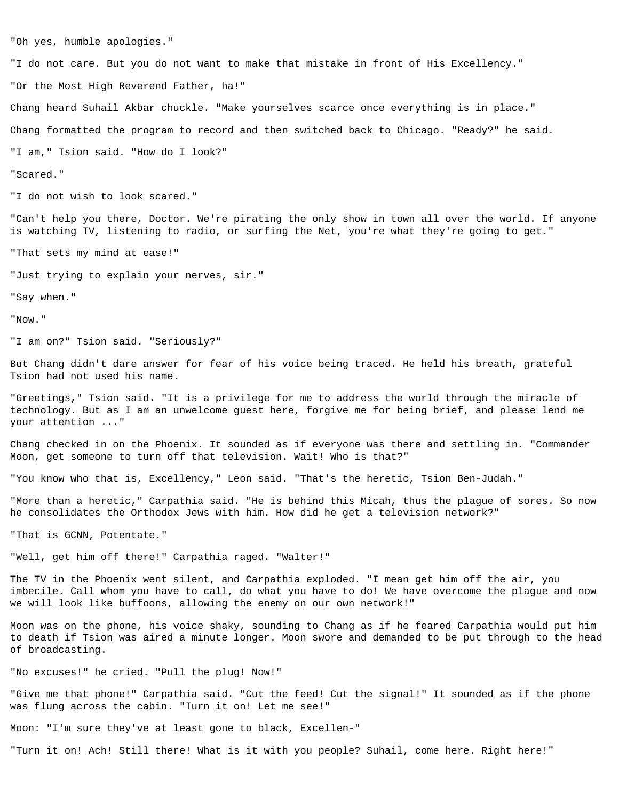"Oh yes, humble apologies." "I do not care. But you do not want to make that mistake in front of His Excellency." "Or the Most High Reverend Father, ha!" Chang heard Suhail Akbar chuckle. "Make yourselves scarce once everything is in place." Chang formatted the program to record and then switched back to Chicago. "Ready?" he said. "I am," Tsion said. "How do I look?" "Scared." "I do not wish to look scared." "Can't help you there, Doctor. We're pirating the only show in town all over the world. If anyone is watching TV, listening to radio, or surfing the Net, you're what they're going to get." "That sets my mind at ease!" "Just trying to explain your nerves, sir." "Say when." "Now." "I am on?" Tsion said. "Seriously?" But Chang didn't dare answer for fear of his voice being traced. He held his breath, grateful Tsion had not used his name. "Greetings," Tsion said. "It is a privilege for me to address the world through the miracle of technology. But as I am an unwelcome guest here, forgive me for being brief, and please lend me your attention ..." Chang checked in on the Phoenix. It sounded as if everyone was there and settling in. "Commander Moon, get someone to turn off that television. Wait! Who is that?" "You know who that is, Excellency," Leon said. "That's the heretic, Tsion Ben-Judah." "More than a heretic," Carpathia said. "He is behind this Micah, thus the plague of sores. So now he consolidates the Orthodox Jews with him. How did he get a television network?" "That is GCNN, Potentate." "Well, get him off there!" Carpathia raged. "Walter!" The TV in the Phoenix went silent, and Carpathia exploded. "I mean get him off the air, you imbecile. Call whom you have to call, do what you have to do! We have overcome the plague and now we will look like buffoons, allowing the enemy on our own network!" Moon was on the phone, his voice shaky, sounding to Chang as if he feared Carpathia would put him to death if Tsion was aired a minute longer. Moon swore and demanded to be put through to the head of broadcasting. "No excuses!" he cried. "Pull the plug! Now!" "Give me that phone!" Carpathia said. "Cut the feed! Cut the signal!" It sounded as if the phone was flung across the cabin. "Turn it on! Let me see!" Moon: "I'm sure they've at least gone to black, Excellen-"

"Turn it on! Ach! Still there! What is it with you people? Suhail, come here. Right here!"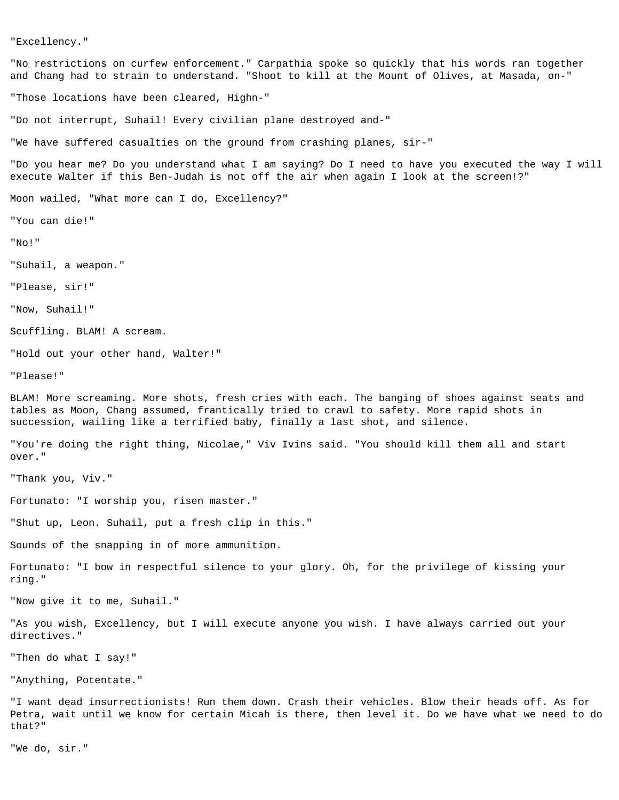"Excellency." "No restrictions on curfew enforcement." Carpathia spoke so quickly that his words ran together and Chang had to strain to understand. "Shoot to kill at the Mount of Olives, at Masada, on-" "Those locations have been cleared, Highn-" "Do not interrupt, Suhail! Every civilian plane destroyed and-" "We have suffered casualties on the ground from crashing planes, sir-" "Do you hear me? Do you understand what I am saying? Do I need to have you executed the way I will execute Walter if this Ben-Judah is not off the air when again I look at the screen!?" Moon wailed, "What more can I do, Excellency?" "You can die!" "No!" "Suhail, a weapon." "Please, sir!" "Now, Suhail!" Scuffling. BLAM! A scream. "Hold out your other hand, Walter!" "Please!" BLAM! More screaming. More shots, fresh cries with each. The banging of shoes against seats and tables as Moon, Chang assumed, frantically tried to crawl to safety. More rapid shots in succession, wailing like a terrified baby, finally a last shot, and silence. "You're doing the right thing, Nicolae," Viv Ivins said. "You should kill them all and start over." "Thank you, Viv." Fortunato: "I worship you, risen master." "Shut up, Leon. Suhail, put a fresh clip in this." Sounds of the snapping in of more ammunition. Fortunato: "I bow in respectful silence to your glory. Oh, for the privilege of kissing your ring." "Now give it to me, Suhail." "As you wish, Excellency, but I will execute anyone you wish. I have always carried out your directives." "Then do what I say!" "Anything, Potentate." "I want dead insurrectionists! Run them down. Crash their vehicles. Blow their heads off. As for Petra, wait until we know for certain Micah is there, then level it. Do we have what we need to do that?"

"We do, sir."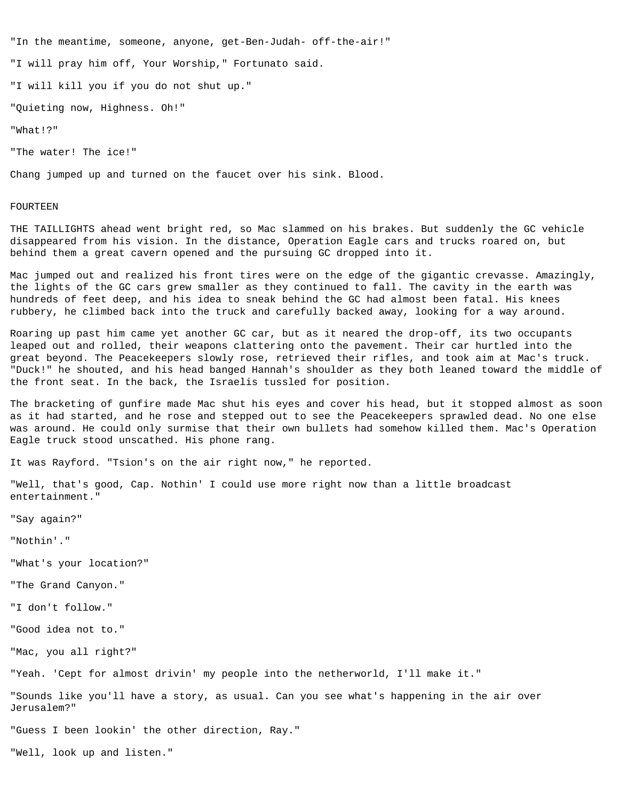"In the meantime, someone, anyone, get-Ben-Judah- off-the-air!"

"I will pray him off, Your Worship," Fortunato said.

"I will kill you if you do not shut up."

"Quieting now, Highness. Oh!"

"What!?"

"The water! The ice!"

Chang jumped up and turned on the faucet over his sink. Blood.

# FOURTEEN

THE TAILLIGHTS ahead went bright red, so Mac slammed on his brakes. But suddenly the GC vehicle disappeared from his vision. In the distance, Operation Eagle cars and trucks roared on, but behind them a great cavern opened and the pursuing GC dropped into it.

Mac jumped out and realized his front tires were on the edge of the gigantic crevasse. Amazingly, the lights of the GC cars grew smaller as they continued to fall. The cavity in the earth was hundreds of feet deep, and his idea to sneak behind the GC had almost been fatal. His knees rubbery, he climbed back into the truck and carefully backed away, looking for a way around.

Roaring up past him came yet another GC car, but as it neared the drop-off, its two occupants leaped out and rolled, their weapons clattering onto the pavement. Their car hurtled into the great beyond. The Peacekeepers slowly rose, retrieved their rifles, and took aim at Mac's truck. "Duck!" he shouted, and his head banged Hannah's shoulder as they both leaned toward the middle of the front seat. In the back, the Israelis tussled for position.

The bracketing of gunfire made Mac shut his eyes and cover his head, but it stopped almost as soon as it had started, and he rose and stepped out to see the Peacekeepers sprawled dead. No one else was around. He could only surmise that their own bullets had somehow killed them. Mac's Operation Eagle truck stood unscathed. His phone rang.

It was Rayford. "Tsion's on the air right now," he reported.

"Well, that's good, Cap. Nothin' I could use more right now than a little broadcast entertainment."

"Say again?"

"Nothin'."

"What's your location?"

"The Grand Canyon."

"I don't follow."

"Good idea not to."

"Mac, you all right?"

"Yeah. 'Cept for almost drivin' my people into the netherworld, I'll make it."

"Sounds like you'll have a story, as usual. Can you see what's happening in the air over Jerusalem?"

"Guess I been lookin' the other direction, Ray."

"Well, look up and listen."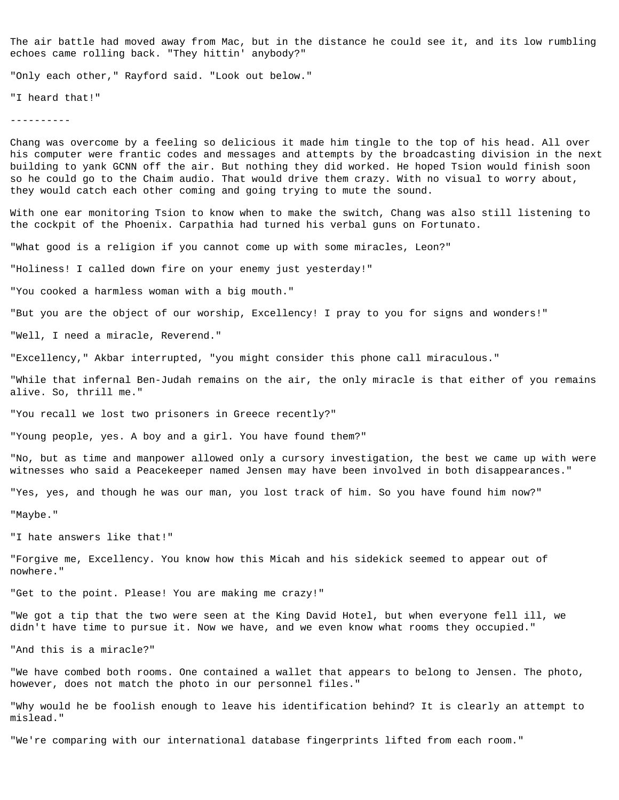The air battle had moved away from Mac, but in the distance he could see it, and its low rumbling echoes came rolling back. "They hittin' anybody?"

"Only each other," Rayford said. "Look out below."

"I heard that!"

----------

Chang was overcome by a feeling so delicious it made him tingle to the top of his head. All over his computer were frantic codes and messages and attempts by the broadcasting division in the next building to yank GCNN off the air. But nothing they did worked. He hoped Tsion would finish soon so he could go to the Chaim audio. That would drive them crazy. With no visual to worry about, they would catch each other coming and going trying to mute the sound.

With one ear monitoring Tsion to know when to make the switch, Chang was also still listening to the cockpit of the Phoenix. Carpathia had turned his verbal guns on Fortunato.

"What good is a religion if you cannot come up with some miracles, Leon?"

"Holiness! I called down fire on your enemy just yesterday!"

"You cooked a harmless woman with a big mouth."

"But you are the object of our worship, Excellency! I pray to you for signs and wonders!"

"Well, I need a miracle, Reverend."

"Excellency," Akbar interrupted, "you might consider this phone call miraculous."

"While that infernal Ben-Judah remains on the air, the only miracle is that either of you remains alive. So, thrill me."

"You recall we lost two prisoners in Greece recently?"

"Young people, yes. A boy and a girl. You have found them?"

"No, but as time and manpower allowed only a cursory investigation, the best we came up with were witnesses who said a Peacekeeper named Jensen may have been involved in both disappearances."

"Yes, yes, and though he was our man, you lost track of him. So you have found him now?"

"Maybe."

"I hate answers like that!"

"Forgive me, Excellency. You know how this Micah and his sidekick seemed to appear out of nowhere."

"Get to the point. Please! You are making me crazy!"

"We got a tip that the two were seen at the King David Hotel, but when everyone fell ill, we didn't have time to pursue it. Now we have, and we even know what rooms they occupied."

"And this is a miracle?"

"We have combed both rooms. One contained a wallet that appears to belong to Jensen. The photo, however, does not match the photo in our personnel files."

"Why would he be foolish enough to leave his identification behind? It is clearly an attempt to mislead."

"We're comparing with our international database fingerprints lifted from each room."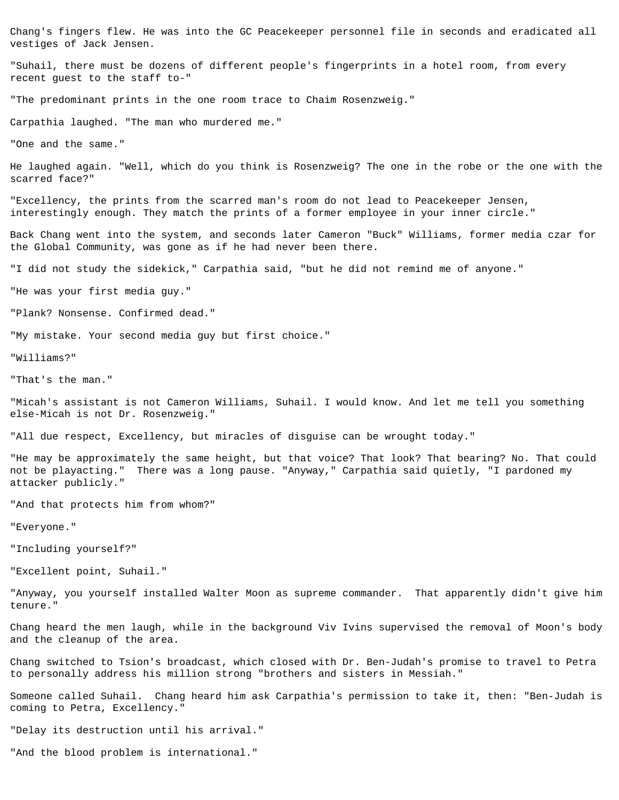Chang's fingers flew. He was into the GC Peacekeeper personnel file in seconds and eradicated all vestiges of Jack Jensen.

"Suhail, there must be dozens of different people's fingerprints in a hotel room, from every recent guest to the staff to-"

"The predominant prints in the one room trace to Chaim Rosenzweig."

Carpathia laughed. "The man who murdered me."

"One and the same."

He laughed again. "Well, which do you think is Rosenzweig? The one in the robe or the one with the scarred face?"

"Excellency, the prints from the scarred man's room do not lead to Peacekeeper Jensen, interestingly enough. They match the prints of a former employee in your inner circle."

Back Chang went into the system, and seconds later Cameron "Buck" Williams, former media czar for the Global Community, was gone as if he had never been there.

"I did not study the sidekick," Carpathia said, "but he did not remind me of anyone."

"He was your first media guy."

"Plank? Nonsense. Confirmed dead."

"My mistake. Your second media guy but first choice."

"Williams?"

"That's the man."

"Micah's assistant is not Cameron Williams, Suhail. I would know. And let me tell you something else-Micah is not Dr. Rosenzweig."

"All due respect, Excellency, but miracles of disguise can be wrought today."

"He may be approximately the same height, but that voice? That look? That bearing? No. That could not be playacting." There was a long pause. "Anyway," Carpathia said quietly, "I pardoned my attacker publicly."

"And that protects him from whom?"

"Everyone."

"Including yourself?"

"Excellent point, Suhail."

"Anyway, you yourself installed Walter Moon as supreme commander. That apparently didn't give him tenure."

Chang heard the men laugh, while in the background Viv Ivins supervised the removal of Moon's body and the cleanup of the area.

Chang switched to Tsion's broadcast, which closed with Dr. Ben-Judah's promise to travel to Petra to personally address his million strong "brothers and sisters in Messiah."

Someone called Suhail. Chang heard him ask Carpathia's permission to take it, then: "Ben-Judah is coming to Petra, Excellency."

"Delay its destruction until his arrival."

"And the blood problem is international."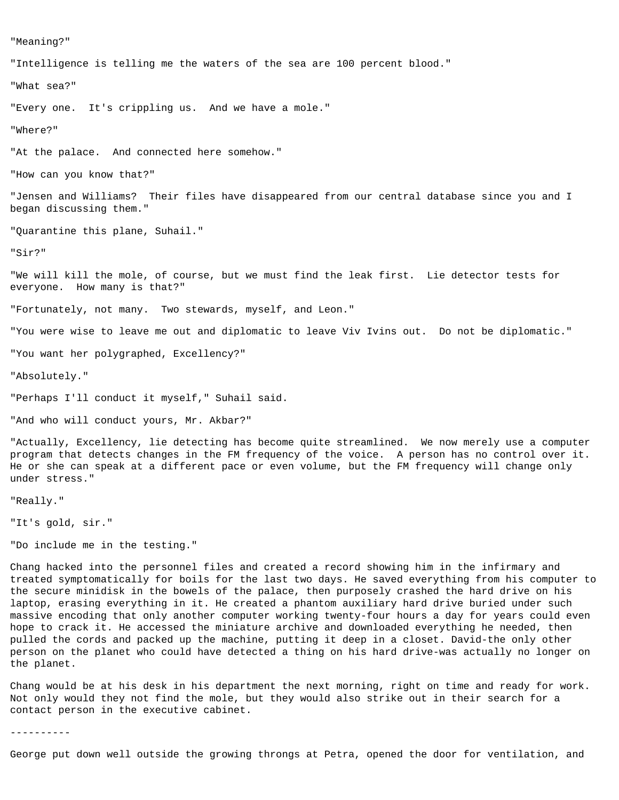"Meaning?" "Intelligence is telling me the waters of the sea are 100 percent blood." "What sea?" "Every one. It's crippling us. And we have a mole." "Where?" "At the palace. And connected here somehow." "How can you know that?" "Jensen and Williams? Their files have disappeared from our central database since you and I began discussing them." "Quarantine this plane, Suhail." "Sir?" "We will kill the mole, of course, but we must find the leak first. Lie detector tests for everyone. How many is that?" "Fortunately, not many. Two stewards, myself, and Leon." "You were wise to leave me out and diplomatic to leave Viv Ivins out. Do not be diplomatic." "You want her polygraphed, Excellency?" "Absolutely." "Perhaps I'll conduct it myself," Suhail said. "And who will conduct yours, Mr. Akbar?" "Actually, Excellency, lie detecting has become quite streamlined. We now merely use a computer program that detects changes in the FM frequency of the voice. A person has no control over it. He or she can speak at a different pace or even volume, but the FM frequency will change only under stress."

"Really."

"It's gold, sir."

"Do include me in the testing."

Chang hacked into the personnel files and created a record showing him in the infirmary and treated symptomatically for boils for the last two days. He saved everything from his computer to the secure minidisk in the bowels of the palace, then purposely crashed the hard drive on his laptop, erasing everything in it. He created a phantom auxiliary hard drive buried under such massive encoding that only another computer working twenty-four hours a day for years could even hope to crack it. He accessed the miniature archive and downloaded everything he needed, then pulled the cords and packed up the machine, putting it deep in a closet. David-the only other person on the planet who could have detected a thing on his hard drive-was actually no longer on the planet.

Chang would be at his desk in his department the next morning, right on time and ready for work. Not only would they not find the mole, but they would also strike out in their search for a contact person in the executive cabinet.

----------

George put down well outside the growing throngs at Petra, opened the door for ventilation, and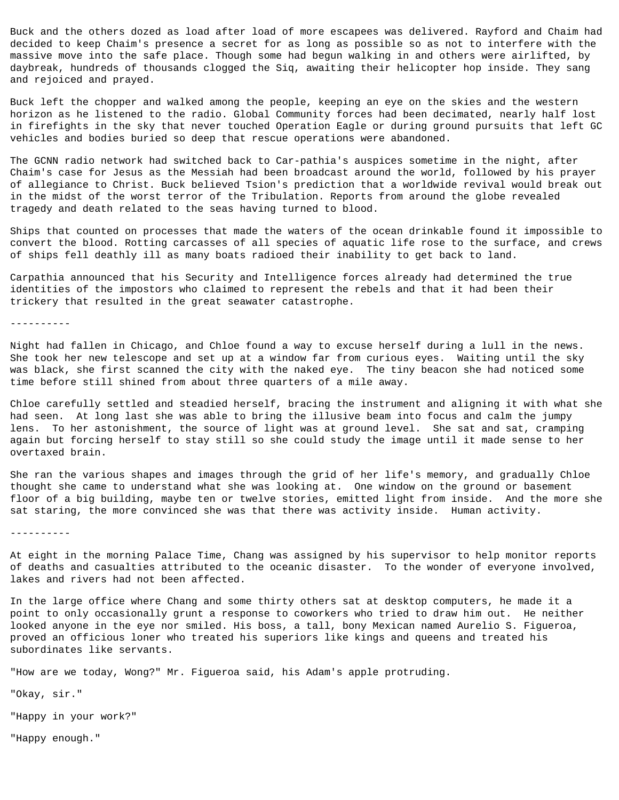Buck and the others dozed as load after load of more escapees was delivered. Rayford and Chaim had decided to keep Chaim's presence a secret for as long as possible so as not to interfere with the massive move into the safe place. Though some had begun walking in and others were airlifted, by daybreak, hundreds of thousands clogged the Siq, awaiting their helicopter hop inside. They sang and rejoiced and prayed.

Buck left the chopper and walked among the people, keeping an eye on the skies and the western horizon as he listened to the radio. Global Community forces had been decimated, nearly half lost in firefights in the sky that never touched Operation Eagle or during ground pursuits that left GC vehicles and bodies buried so deep that rescue operations were abandoned.

The GCNN radio network had switched back to Car-pathia's auspices sometime in the night, after Chaim's case for Jesus as the Messiah had been broadcast around the world, followed by his prayer of allegiance to Christ. Buck believed Tsion's prediction that a worldwide revival would break out in the midst of the worst terror of the Tribulation. Reports from around the globe revealed tragedy and death related to the seas having turned to blood.

Ships that counted on processes that made the waters of the ocean drinkable found it impossible to convert the blood. Rotting carcasses of all species of aquatic life rose to the surface, and crews of ships fell deathly ill as many boats radioed their inability to get back to land.

Carpathia announced that his Security and Intelligence forces already had determined the true identities of the impostors who claimed to represent the rebels and that it had been their trickery that resulted in the great seawater catastrophe.

----------

Night had fallen in Chicago, and Chloe found a way to excuse herself during a lull in the news. She took her new telescope and set up at a window far from curious eyes. Waiting until the sky was black, she first scanned the city with the naked eye. The tiny beacon she had noticed some time before still shined from about three quarters of a mile away.

Chloe carefully settled and steadied herself, bracing the instrument and aligning it with what she had seen. At long last she was able to bring the illusive beam into focus and calm the jumpy lens. To her astonishment, the source of light was at ground level. She sat and sat, cramping again but forcing herself to stay still so she could study the image until it made sense to her overtaxed brain.

She ran the various shapes and images through the grid of her life's memory, and gradually Chloe thought she came to understand what she was looking at. One window on the ground or basement floor of a big building, maybe ten or twelve stories, emitted light from inside. And the more she sat staring, the more convinced she was that there was activity inside. Human activity.

----------

At eight in the morning Palace Time, Chang was assigned by his supervisor to help monitor reports of deaths and casualties attributed to the oceanic disaster. To the wonder of everyone involved, lakes and rivers had not been affected.

In the large office where Chang and some thirty others sat at desktop computers, he made it a point to only occasionally grunt a response to coworkers who tried to draw him out. He neither looked anyone in the eye nor smiled. His boss, a tall, bony Mexican named Aurelio S. Figueroa, proved an officious loner who treated his superiors like kings and queens and treated his subordinates like servants.

"How are we today, Wong?" Mr. Figueroa said, his Adam's apple protruding.

"Okay, sir."

"Happy in your work?"

"Happy enough."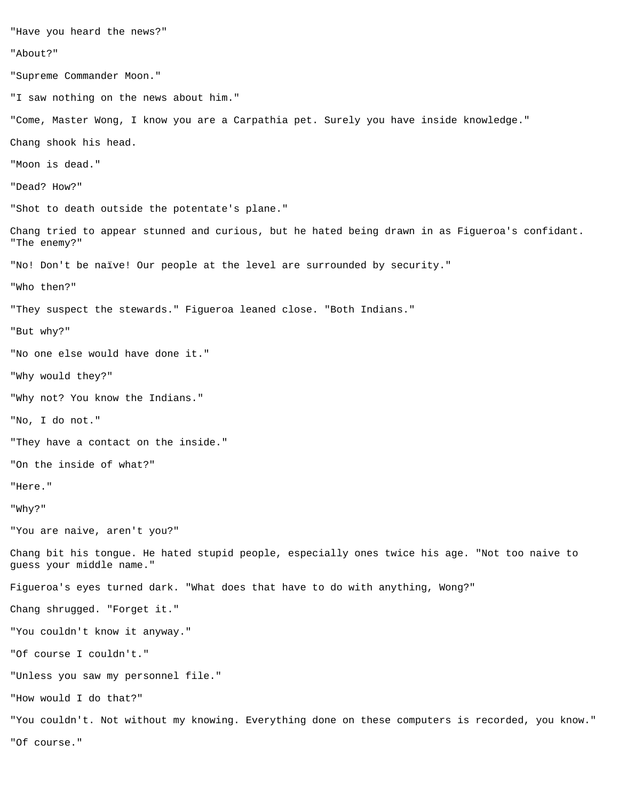```
"Have you heard the news?"
"About?"
"Supreme Commander Moon."
"I saw nothing on the news about him."
"Come, Master Wong, I know you are a Carpathia pet. Surely you have inside knowledge."
Chang shook his head.
"Moon is dead."
"Dead? How?"
"Shot to death outside the potentate's plane."
Chang tried to appear stunned and curious, but he hated being drawn in as Figueroa's confidant. 
"The enemy?"
"No! Don't be naïve! Our people at the level are surrounded by security."
"Who then?"
"They suspect the stewards." Figueroa leaned close. "Both Indians."
"But why?"
"No one else would have done it."
"Why would they?"
"Why not? You know the Indians."
"No, I do not."
"They have a contact on the inside."
"On the inside of what?"
"Here."
"Why?"
"You are naive, aren't you?"
Chang bit his tongue. He hated stupid people, especially ones twice his age. "Not too naive to 
guess your middle name."
Figueroa's eyes turned dark. "What does that have to do with anything, Wong?"
Chang shrugged. "Forget it."
"You couldn't know it anyway."
"Of course I couldn't."
"Unless you saw my personnel file."
"How would I do that?"
"You couldn't. Not without my knowing. Everything done on these computers is recorded, you know."
```
"Of course."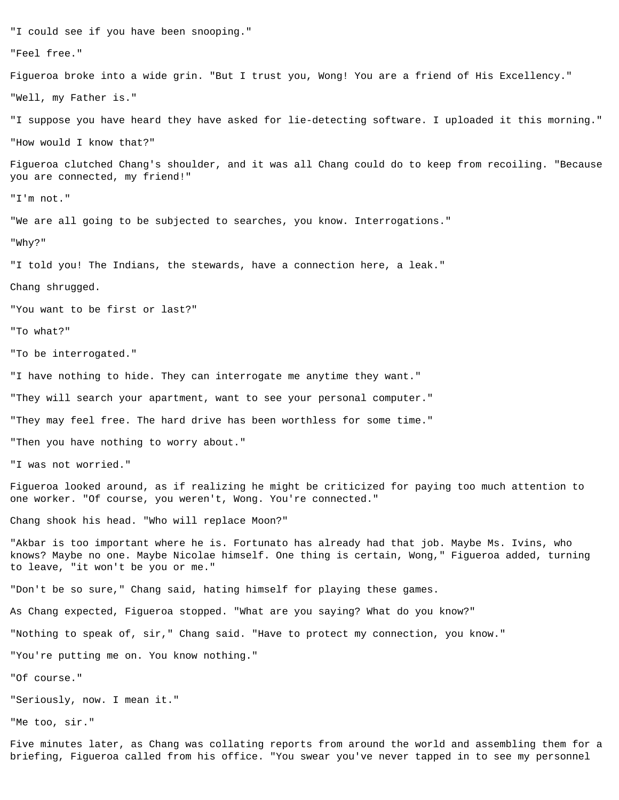"I could see if you have been snooping." "Feel free." Figueroa broke into a wide grin. "But I trust you, Wong! You are a friend of His Excellency." "Well, my Father is." "I suppose you have heard they have asked for lie-detecting software. I uploaded it this morning." "How would I know that?" Figueroa clutched Chang's shoulder, and it was all Chang could do to keep from recoiling. "Because you are connected, my friend!" "I'm not." "We are all going to be subjected to searches, you know. Interrogations." "Why?" "I told you! The Indians, the stewards, have a connection here, a leak." Chang shrugged. "You want to be first or last?" "To what?" "To be interrogated." "I have nothing to hide. They can interrogate me anytime they want." "They will search your apartment, want to see your personal computer." "They may feel free. The hard drive has been worthless for some time." "Then you have nothing to worry about." "I was not worried." Figueroa looked around, as if realizing he might be criticized for paying too much attention to one worker. "Of course, you weren't, Wong. You're connected." Chang shook his head. "Who will replace Moon?" "Akbar is too important where he is. Fortunato has already had that job. Maybe Ms. Ivins, who knows? Maybe no one. Maybe Nicolae himself. One thing is certain, Wong," Figueroa added, turning to leave, "it won't be you or me." "Don't be so sure," Chang said, hating himself for playing these games. As Chang expected, Figueroa stopped. "What are you saying? What do you know?" "Nothing to speak of, sir," Chang said. "Have to protect my connection, you know." "You're putting me on. You know nothing." "Of course." "Seriously, now. I mean it." "Me too, sir." Five minutes later, as Chang was collating reports from around the world and assembling them for a

briefing, Figueroa called from his office. "You swear you've never tapped in to see my personnel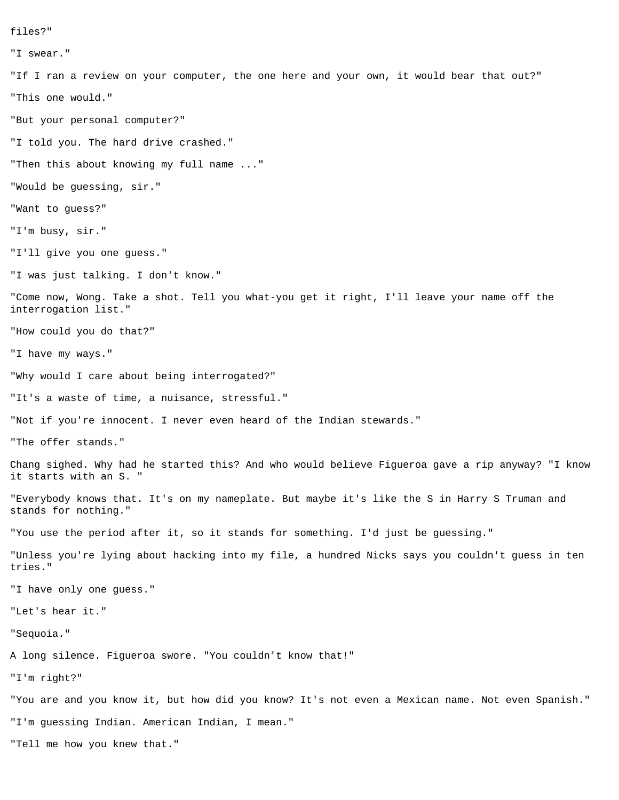```
files?"
"I swear."
"If I ran a review on your computer, the one here and your own, it would bear that out?"
"This one would."
"But your personal computer?"
"I told you. The hard drive crashed."
"Then this about knowing my full name ..."
"Would be guessing, sir."
"Want to guess?"
"I'm busy, sir."
"I'll give you one guess."
"I was just talking. I don't know."
"Come now, Wong. Take a shot. Tell you what-you get it right, I'll leave your name off the 
interrogation list."
"How could you do that?"
"I have my ways."
"Why would I care about being interrogated?"
"It's a waste of time, a nuisance, stressful."
"Not if you're innocent. I never even heard of the Indian stewards."
"The offer stands."
Chang sighed. Why had he started this? And who would believe Figueroa gave a rip anyway? "I know 
it starts with an S. "
"Everybody knows that. It's on my nameplate. But maybe it's like the S in Harry S Truman and 
stands for nothing."
"You use the period after it, so it stands for something. I'd just be guessing."
"Unless you're lying about hacking into my file, a hundred Nicks says you couldn't guess in ten 
tries."
"I have only one guess."
"Let's hear it."
"Sequoia."
A long silence. Figueroa swore. "You couldn't know that!"
"I'm right?"
"You are and you know it, but how did you know? It's not even a Mexican name. Not even Spanish."
"I'm guessing Indian. American Indian, I mean."
"Tell me how you knew that."
```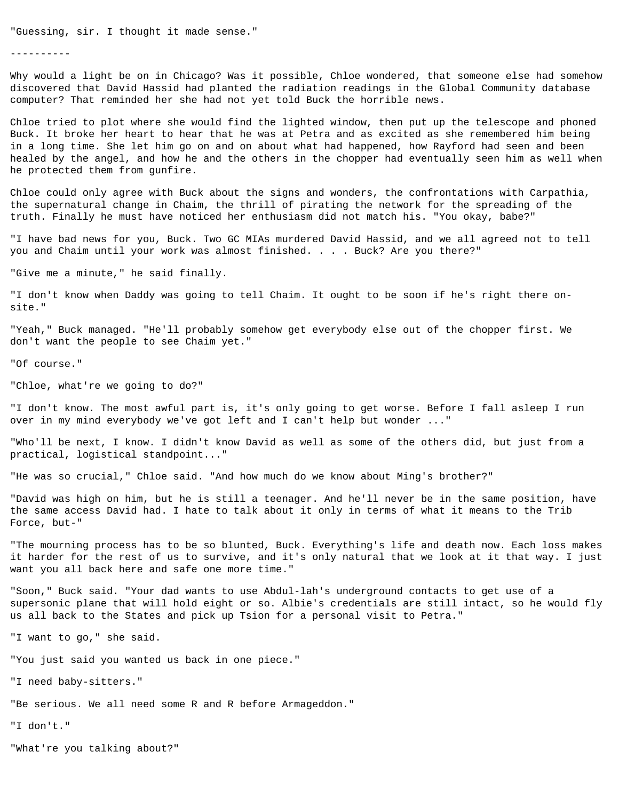"Guessing, sir. I thought it made sense."

----------

Why would a light be on in Chicago? Was it possible, Chloe wondered, that someone else had somehow discovered that David Hassid had planted the radiation readings in the Global Community database computer? That reminded her she had not yet told Buck the horrible news.

Chloe tried to plot where she would find the lighted window, then put up the telescope and phoned Buck. It broke her heart to hear that he was at Petra and as excited as she remembered him being in a long time. She let him go on and on about what had happened, how Rayford had seen and been healed by the angel, and how he and the others in the chopper had eventually seen him as well when he protected them from gunfire.

Chloe could only agree with Buck about the signs and wonders, the confrontations with Carpathia, the supernatural change in Chaim, the thrill of pirating the network for the spreading of the truth. Finally he must have noticed her enthusiasm did not match his. "You okay, babe?"

"I have bad news for you, Buck. Two GC MIAs murdered David Hassid, and we all agreed not to tell you and Chaim until your work was almost finished. . . . Buck? Are you there?"

"Give me a minute," he said finally.

"I don't know when Daddy was going to tell Chaim. It ought to be soon if he's right there onsite."

"Yeah," Buck managed. "He'll probably somehow get everybody else out of the chopper first. We don't want the people to see Chaim yet."

"Of course."

"Chloe, what're we going to do?"

"I don't know. The most awful part is, it's only going to get worse. Before I fall asleep I run over in my mind everybody we've got left and I can't help but wonder ..."

"Who'll be next, I know. I didn't know David as well as some of the others did, but just from a practical, logistical standpoint..."

"He was so crucial," Chloe said. "And how much do we know about Ming's brother?"

"David was high on him, but he is still a teenager. And he'll never be in the same position, have the same access David had. I hate to talk about it only in terms of what it means to the Trib Force, but-"

"The mourning process has to be so blunted, Buck. Everything's life and death now. Each loss makes it harder for the rest of us to survive, and it's only natural that we look at it that way. I just want you all back here and safe one more time."

"Soon," Buck said. "Your dad wants to use Abdul-lah's underground contacts to get use of a supersonic plane that will hold eight or so. Albie's credentials are still intact, so he would fly us all back to the States and pick up Tsion for a personal visit to Petra."

"I want to go," she said.

"You just said you wanted us back in one piece."

"I need baby-sitters."

"Be serious. We all need some R and R before Armageddon."

"I don't."

"What're you talking about?"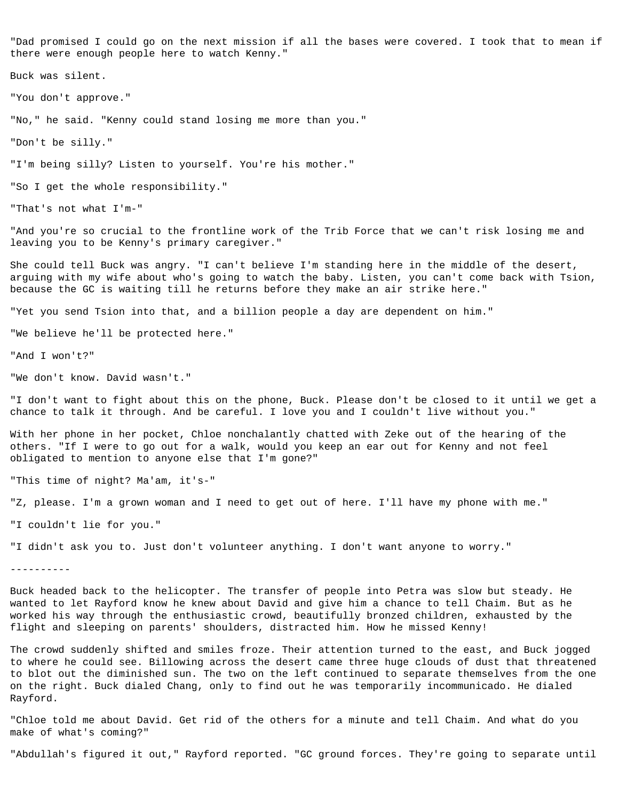"Dad promised I could go on the next mission if all the bases were covered. I took that to mean if there were enough people here to watch Kenny."

Buck was silent.

"You don't approve."

"No," he said. "Kenny could stand losing me more than you."

"Don't be silly."

"I'm being silly? Listen to yourself. You're his mother."

"So I get the whole responsibility."

"That's not what I'm-"

"And you're so crucial to the frontline work of the Trib Force that we can't risk losing me and leaving you to be Kenny's primary caregiver."

She could tell Buck was angry. "I can't believe I'm standing here in the middle of the desert, arguing with my wife about who's going to watch the baby. Listen, you can't come back with Tsion, because the GC is waiting till he returns before they make an air strike here."

"Yet you send Tsion into that, and a billion people a day are dependent on him."

"We believe he'll be protected here."

"And I won't?"

"We don't know. David wasn't."

"I don't want to fight about this on the phone, Buck. Please don't be closed to it until we get a chance to talk it through. And be careful. I love you and I couldn't live without you."

With her phone in her pocket, Chloe nonchalantly chatted with Zeke out of the hearing of the others. "If I were to go out for a walk, would you keep an ear out for Kenny and not feel obligated to mention to anyone else that I'm gone?"

"This time of night? Ma'am, it's-"

"Z, please. I'm a grown woman and I need to get out of here. I'll have my phone with me."

"I couldn't lie for you."

"I didn't ask you to. Just don't volunteer anything. I don't want anyone to worry."

----------

Buck headed back to the helicopter. The transfer of people into Petra was slow but steady. He wanted to let Rayford know he knew about David and give him a chance to tell Chaim. But as he worked his way through the enthusiastic crowd, beautifully bronzed children, exhausted by the flight and sleeping on parents' shoulders, distracted him. How he missed Kenny!

The crowd suddenly shifted and smiles froze. Their attention turned to the east, and Buck jogged to where he could see. Billowing across the desert came three huge clouds of dust that threatened to blot out the diminished sun. The two on the left continued to separate themselves from the one on the right. Buck dialed Chang, only to find out he was temporarily incommunicado. He dialed Rayford.

"Chloe told me about David. Get rid of the others for a minute and tell Chaim. And what do you make of what's coming?"

"Abdullah's figured it out," Rayford reported. "GC ground forces. They're going to separate until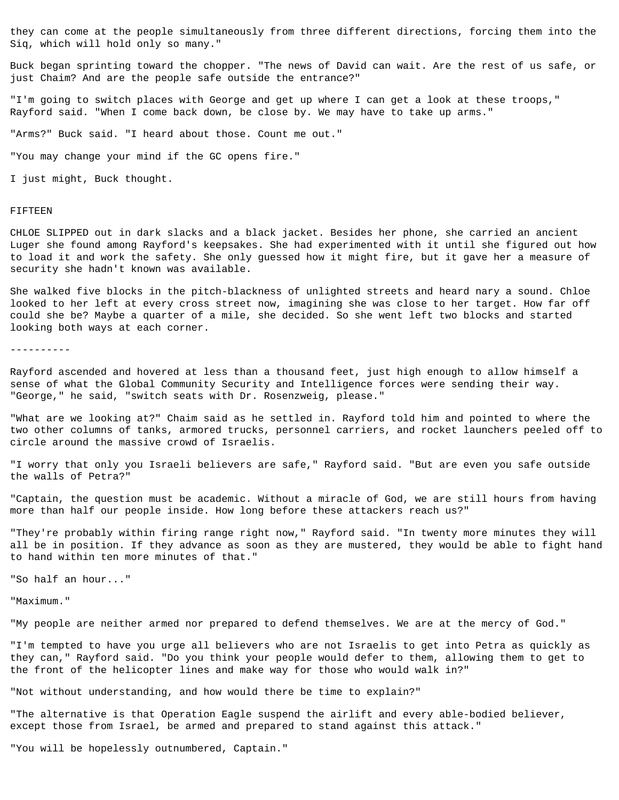they can come at the people simultaneously from three different directions, forcing them into the Siq, which will hold only so many."

Buck began sprinting toward the chopper. "The news of David can wait. Are the rest of us safe, or just Chaim? And are the people safe outside the entrance?"

"I'm going to switch places with George and get up where I can get a look at these troops," Rayford said. "When I come back down, be close by. We may have to take up arms."

"Arms?" Buck said. "I heard about those. Count me out."

"You may change your mind if the GC opens fire."

I just might, Buck thought.

## FIFTEEN

CHLOE SLIPPED out in dark slacks and a black jacket. Besides her phone, she carried an ancient Luger she found among Rayford's keepsakes. She had experimented with it until she figured out how to load it and work the safety. She only guessed how it might fire, but it gave her a measure of security she hadn't known was available.

She walked five blocks in the pitch-blackness of unlighted streets and heard nary a sound. Chloe looked to her left at every cross street now, imagining she was close to her target. How far off could she be? Maybe a quarter of a mile, she decided. So she went left two blocks and started looking both ways at each corner.

----------

Rayford ascended and hovered at less than a thousand feet, just high enough to allow himself a sense of what the Global Community Security and Intelligence forces were sending their way. "George," he said, "switch seats with Dr. Rosenzweig, please."

"What are we looking at?" Chaim said as he settled in. Rayford told him and pointed to where the two other columns of tanks, armored trucks, personnel carriers, and rocket launchers peeled off to circle around the massive crowd of Israelis.

"I worry that only you Israeli believers are safe," Rayford said. "But are even you safe outside the walls of Petra?"

"Captain, the question must be academic. Without a miracle of God, we are still hours from having more than half our people inside. How long before these attackers reach us?"

"They're probably within firing range right now," Rayford said. "In twenty more minutes they will all be in position. If they advance as soon as they are mustered, they would be able to fight hand to hand within ten more minutes of that."

"So half an hour..."

"Maximum."

"My people are neither armed nor prepared to defend themselves. We are at the mercy of God."

"I'm tempted to have you urge all believers who are not Israelis to get into Petra as quickly as they can," Rayford said. "Do you think your people would defer to them, allowing them to get to the front of the helicopter lines and make way for those who would walk in?"

"Not without understanding, and how would there be time to explain?"

"The alternative is that Operation Eagle suspend the airlift and every able-bodied believer, except those from Israel, be armed and prepared to stand against this attack."

"You will be hopelessly outnumbered, Captain."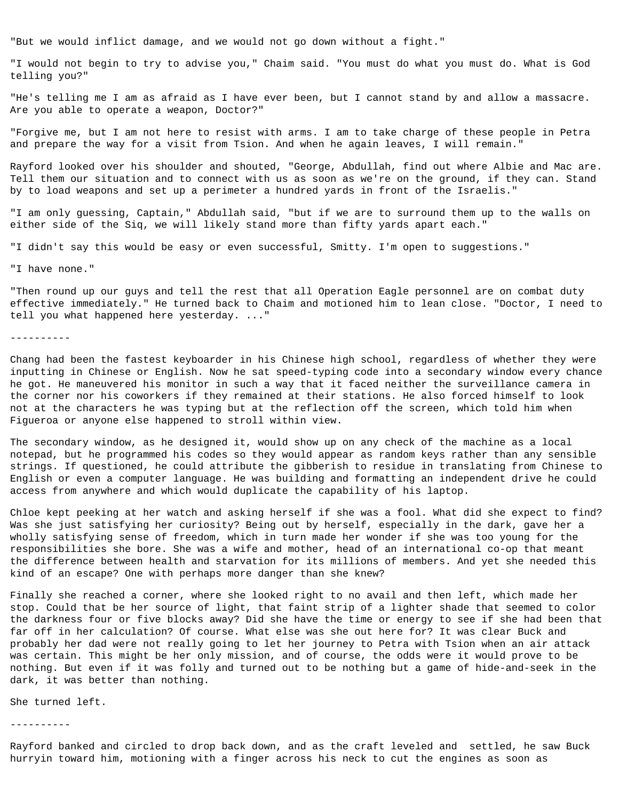"But we would inflict damage, and we would not go down without a fight."

"I would not begin to try to advise you," Chaim said. "You must do what you must do. What is God telling you?"

"He's telling me I am as afraid as I have ever been, but I cannot stand by and allow a massacre. Are you able to operate a weapon, Doctor?"

"Forgive me, but I am not here to resist with arms. I am to take charge of these people in Petra and prepare the way for a visit from Tsion. And when he again leaves, I will remain."

Rayford looked over his shoulder and shouted, "George, Abdullah, find out where Albie and Mac are. Tell them our situation and to connect with us as soon as we're on the ground, if they can. Stand by to load weapons and set up a perimeter a hundred yards in front of the Israelis."

"I am only guessing, Captain," Abdullah said, "but if we are to surround them up to the walls on either side of the Siq, we will likely stand more than fifty yards apart each."

"I didn't say this would be easy or even successful, Smitty. I'm open to suggestions."

"I have none."

"Then round up our guys and tell the rest that all Operation Eagle personnel are on combat duty effective immediately." He turned back to Chaim and motioned him to lean close. "Doctor, I need to tell you what happened here yesterday. ..."

----------

Chang had been the fastest keyboarder in his Chinese high school, regardless of whether they were inputting in Chinese or English. Now he sat speed-typing code into a secondary window every chance he got. He maneuvered his monitor in such a way that it faced neither the surveillance camera in the corner nor his coworkers if they remained at their stations. He also forced himself to look not at the characters he was typing but at the reflection off the screen, which told him when Figueroa or anyone else happened to stroll within view.

The secondary window, as he designed it, would show up on any check of the machine as a local notepad, but he programmed his codes so they would appear as random keys rather than any sensible strings. If questioned, he could attribute the gibberish to residue in translating from Chinese to English or even a computer language. He was building and formatting an independent drive he could access from anywhere and which would duplicate the capability of his laptop.

Chloe kept peeking at her watch and asking herself if she was a fool. What did she expect to find? Was she just satisfying her curiosity? Being out by herself, especially in the dark, gave her a wholly satisfying sense of freedom, which in turn made her wonder if she was too young for the responsibilities she bore. She was a wife and mother, head of an international co-op that meant the difference between health and starvation for its millions of members. And yet she needed this kind of an escape? One with perhaps more danger than she knew?

Finally she reached a corner, where she looked right to no avail and then left, which made her stop. Could that be her source of light, that faint strip of a lighter shade that seemed to color the darkness four or five blocks away? Did she have the time or energy to see if she had been that far off in her calculation? Of course. What else was she out here for? It was clear Buck and probably her dad were not really going to let her journey to Petra with Tsion when an air attack was certain. This might be her only mission, and of course, the odds were it would prove to be nothing. But even if it was folly and turned out to be nothing but a game of hide-and-seek in the dark, it was better than nothing.

She turned left.

----------

Rayford banked and circled to drop back down, and as the craft leveled and settled, he saw Buck hurryin toward him, motioning with a finger across his neck to cut the engines as soon as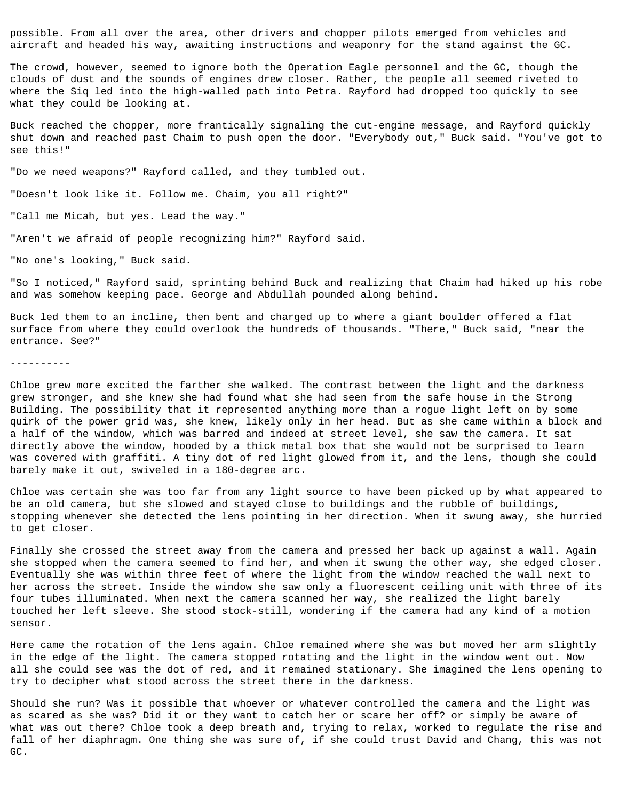possible. From all over the area, other drivers and chopper pilots emerged from vehicles and aircraft and headed his way, awaiting instructions and weaponry for the stand against the GC.

The crowd, however, seemed to ignore both the Operation Eagle personnel and the GC, though the clouds of dust and the sounds of engines drew closer. Rather, the people all seemed riveted to where the Siq led into the high-walled path into Petra. Rayford had dropped too quickly to see what they could be looking at.

Buck reached the chopper, more frantically signaling the cut-engine message, and Rayford quickly shut down and reached past Chaim to push open the door. "Everybody out," Buck said. "You've got to see this!"

"Do we need weapons?" Rayford called, and they tumbled out.

"Doesn't look like it. Follow me. Chaim, you all right?"

"Call me Micah, but yes. Lead the way."

"Aren't we afraid of people recognizing him?" Rayford said.

"No one's looking," Buck said.

"So I noticed," Rayford said, sprinting behind Buck and realizing that Chaim had hiked up his robe and was somehow keeping pace. George and Abdullah pounded along behind.

Buck led them to an incline, then bent and charged up to where a giant boulder offered a flat surface from where they could overlook the hundreds of thousands. "There," Buck said, "near the entrance. See?"

----------

Chloe grew more excited the farther she walked. The contrast between the light and the darkness grew stronger, and she knew she had found what she had seen from the safe house in the Strong Building. The possibility that it represented anything more than a rogue light left on by some quirk of the power grid was, she knew, likely only in her head. But as she came within a block and a half of the window, which was barred and indeed at street level, she saw the camera. It sat directly above the window, hooded by a thick metal box that she would not be surprised to learn was covered with graffiti. A tiny dot of red light glowed from it, and the lens, though she could barely make it out, swiveled in a 180-degree arc.

Chloe was certain she was too far from any light source to have been picked up by what appeared to be an old camera, but she slowed and stayed close to buildings and the rubble of buildings, stopping whenever she detected the lens pointing in her direction. When it swung away, she hurried to get closer.

Finally she crossed the street away from the camera and pressed her back up against a wall. Again she stopped when the camera seemed to find her, and when it swung the other way, she edged closer. Eventually she was within three feet of where the light from the window reached the wall next to her across the street. Inside the window she saw only a fluorescent ceiling unit with three of its four tubes illuminated. When next the camera scanned her way, she realized the light barely touched her left sleeve. She stood stock-still, wondering if the camera had any kind of a motion sensor.

Here came the rotation of the lens again. Chloe remained where she was but moved her arm slightly in the edge of the light. The camera stopped rotating and the light in the window went out. Now all she could see was the dot of red, and it remained stationary. She imagined the lens opening to try to decipher what stood across the street there in the darkness.

Should she run? Was it possible that whoever or whatever controlled the camera and the light was as scared as she was? Did it or they want to catch her or scare her off? or simply be aware of what was out there? Chloe took a deep breath and, trying to relax, worked to regulate the rise and fall of her diaphragm. One thing she was sure of, if she could trust David and Chang, this was not GC.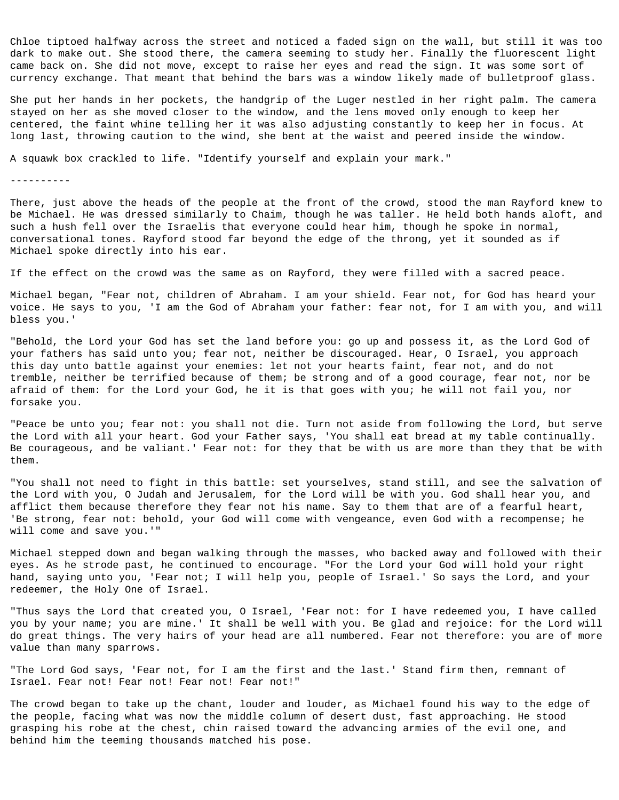Chloe tiptoed halfway across the street and noticed a faded sign on the wall, but still it was too dark to make out. She stood there, the camera seeming to study her. Finally the fluorescent light came back on. She did not move, except to raise her eyes and read the sign. It was some sort of currency exchange. That meant that behind the bars was a window likely made of bulletproof glass.

She put her hands in her pockets, the handgrip of the Luger nestled in her right palm. The camera stayed on her as she moved closer to the window, and the lens moved only enough to keep her centered, the faint whine telling her it was also adjusting constantly to keep her in focus. At long last, throwing caution to the wind, she bent at the waist and peered inside the window.

A squawk box crackled to life. "Identify yourself and explain your mark."

----------

There, just above the heads of the people at the front of the crowd, stood the man Rayford knew to be Michael. He was dressed similarly to Chaim, though he was taller. He held both hands aloft, and such a hush fell over the Israelis that everyone could hear him, though he spoke in normal, conversational tones. Rayford stood far beyond the edge of the throng, yet it sounded as if Michael spoke directly into his ear.

If the effect on the crowd was the same as on Rayford, they were filled with a sacred peace.

Michael began, "Fear not, children of Abraham. I am your shield. Fear not, for God has heard your voice. He says to you, 'I am the God of Abraham your father: fear not, for I am with you, and will bless you.'

"Behold, the Lord your God has set the land before you: go up and possess it, as the Lord God of your fathers has said unto you; fear not, neither be discouraged. Hear, O Israel, you approach this day unto battle against your enemies: let not your hearts faint, fear not, and do not tremble, neither be terrified because of them; be strong and of a good courage, fear not, nor be afraid of them: for the Lord your God, he it is that goes with you; he will not fail you, nor forsake you.

"Peace be unto you; fear not: you shall not die. Turn not aside from following the Lord, but serve the Lord with all your heart. God your Father says, 'You shall eat bread at my table continually. Be courageous, and be valiant.' Fear not: for they that be with us are more than they that be with them.

"You shall not need to fight in this battle: set yourselves, stand still, and see the salvation of the Lord with you, O Judah and Jerusalem, for the Lord will be with you. God shall hear you, and afflict them because therefore they fear not his name. Say to them that are of a fearful heart, 'Be strong, fear not: behold, your God will come with vengeance, even God with a recompense; he will come and save you.'"

Michael stepped down and began walking through the masses, who backed away and followed with their eyes. As he strode past, he continued to encourage. "For the Lord your God will hold your right hand, saying unto you, 'Fear not; I will help you, people of Israel.' So says the Lord, and your redeemer, the Holy One of Israel.

"Thus says the Lord that created you, O Israel, 'Fear not: for I have redeemed you, I have called you by your name; you are mine.' It shall be well with you. Be glad and rejoice: for the Lord will do great things. The very hairs of your head are all numbered. Fear not therefore: you are of more value than many sparrows.

"The Lord God says, 'Fear not, for I am the first and the last.' Stand firm then, remnant of Israel. Fear not! Fear not! Fear not! Fear not!"

The crowd began to take up the chant, louder and louder, as Michael found his way to the edge of the people, facing what was now the middle column of desert dust, fast approaching. He stood grasping his robe at the chest, chin raised toward the advancing armies of the evil one, and behind him the teeming thousands matched his pose.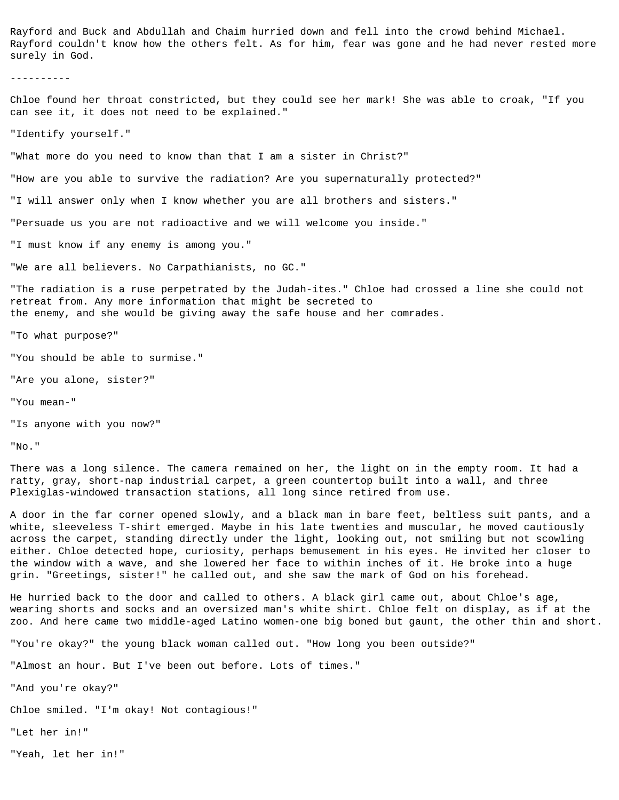Rayford and Buck and Abdullah and Chaim hurried down and fell into the crowd behind Michael. Rayford couldn't know how the others felt. As for him, fear was gone and he had never rested more surely in God. ---------- Chloe found her throat constricted, but they could see her mark! She was able to croak, "If you can see it, it does not need to be explained."

"Identify yourself."

"What more do you need to know than that I am a sister in Christ?"

"How are you able to survive the radiation? Are you supernaturally protected?"

"I will answer only when I know whether you are all brothers and sisters."

"Persuade us you are not radioactive and we will welcome you inside."

"I must know if any enemy is among you."

"We are all believers. No Carpathianists, no GC."

"The radiation is a ruse perpetrated by the Judah-ites." Chloe had crossed a line she could not retreat from. Any more information that might be secreted to the enemy, and she would be giving away the safe house and her comrades.

"To what purpose?"

"You should be able to surmise."

"Are you alone, sister?"

"You mean-"

"Is anyone with you now?"

"No."

There was a long silence. The camera remained on her, the light on in the empty room. It had a ratty, gray, short-nap industrial carpet, a green countertop built into a wall, and three Plexiglas-windowed transaction stations, all long since retired from use.

A door in the far corner opened slowly, and a black man in bare feet, beltless suit pants, and a white, sleeveless T-shirt emerged. Maybe in his late twenties and muscular, he moved cautiously across the carpet, standing directly under the light, looking out, not smiling but not scowling either. Chloe detected hope, curiosity, perhaps bemusement in his eyes. He invited her closer to the window with a wave, and she lowered her face to within inches of it. He broke into a huge grin. "Greetings, sister!" he called out, and she saw the mark of God on his forehead.

He hurried back to the door and called to others. A black girl came out, about Chloe's age, wearing shorts and socks and an oversized man's white shirt. Chloe felt on display, as if at the zoo. And here came two middle-aged Latino women-one big boned but gaunt, the other thin and short.

"You're okay?" the young black woman called out. "How long you been outside?"

"Almost an hour. But I've been out before. Lots of times."

"And you're okay?"

Chloe smiled. "I'm okay! Not contagious!"

"Let her in!"

"Yeah, let her in!"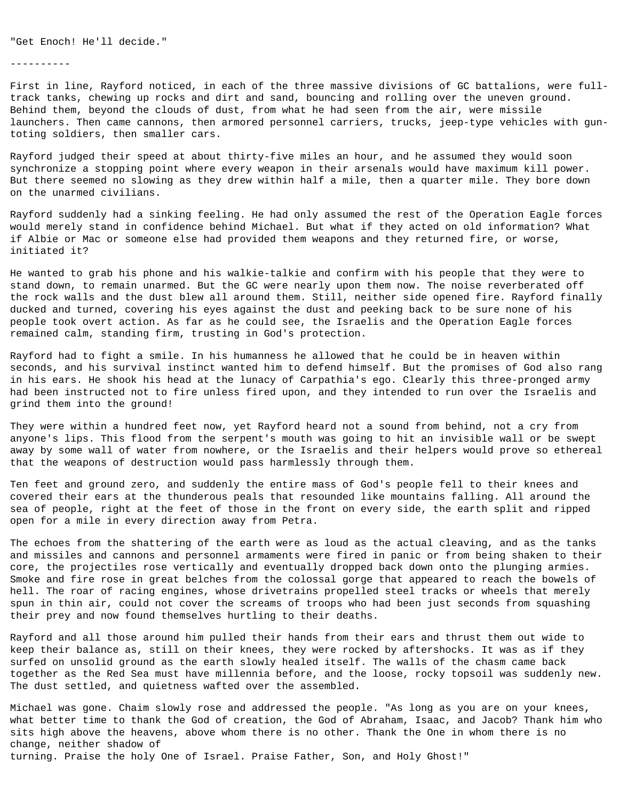"Get Enoch! He'll decide."

----------

First in line, Rayford noticed, in each of the three massive divisions of GC battalions, were fulltrack tanks, chewing up rocks and dirt and sand, bouncing and rolling over the uneven ground. Behind them, beyond the clouds of dust, from what he had seen from the air, were missile launchers. Then came cannons, then armored personnel carriers, trucks, jeep-type vehicles with guntoting soldiers, then smaller cars.

Rayford judged their speed at about thirty-five miles an hour, and he assumed they would soon synchronize a stopping point where every weapon in their arsenals would have maximum kill power. But there seemed no slowing as they drew within half a mile, then a quarter mile. They bore down on the unarmed civilians.

Rayford suddenly had a sinking feeling. He had only assumed the rest of the Operation Eagle forces would merely stand in confidence behind Michael. But what if they acted on old information? What if Albie or Mac or someone else had provided them weapons and they returned fire, or worse, initiated it?

He wanted to grab his phone and his walkie-talkie and confirm with his people that they were to stand down, to remain unarmed. But the GC were nearly upon them now. The noise reverberated off the rock walls and the dust blew all around them. Still, neither side opened fire. Rayford finally ducked and turned, covering his eyes against the dust and peeking back to be sure none of his people took overt action. As far as he could see, the Israelis and the Operation Eagle forces remained calm, standing firm, trusting in God's protection.

Rayford had to fight a smile. In his humanness he allowed that he could be in heaven within seconds, and his survival instinct wanted him to defend himself. But the promises of God also rang in his ears. He shook his head at the lunacy of Carpathia's ego. Clearly this three-pronged army had been instructed not to fire unless fired upon, and they intended to run over the Israelis and grind them into the ground!

They were within a hundred feet now, yet Rayford heard not a sound from behind, not a cry from anyone's lips. This flood from the serpent's mouth was going to hit an invisible wall or be swept away by some wall of water from nowhere, or the Israelis and their helpers would prove so ethereal that the weapons of destruction would pass harmlessly through them.

Ten feet and ground zero, and suddenly the entire mass of God's people fell to their knees and covered their ears at the thunderous peals that resounded like mountains falling. All around the sea of people, right at the feet of those in the front on every side, the earth split and ripped open for a mile in every direction away from Petra.

The echoes from the shattering of the earth were as loud as the actual cleaving, and as the tanks and missiles and cannons and personnel armaments were fired in panic or from being shaken to their core, the projectiles rose vertically and eventually dropped back down onto the plunging armies. Smoke and fire rose in great belches from the colossal gorge that appeared to reach the bowels of hell. The roar of racing engines, whose drivetrains propelled steel tracks or wheels that merely spun in thin air, could not cover the screams of troops who had been just seconds from squashing their prey and now found themselves hurtling to their deaths.

Rayford and all those around him pulled their hands from their ears and thrust them out wide to keep their balance as, still on their knees, they were rocked by aftershocks. It was as if they surfed on unsolid ground as the earth slowly healed itself. The walls of the chasm came back together as the Red Sea must have millennia before, and the loose, rocky topsoil was suddenly new. The dust settled, and quietness wafted over the assembled.

Michael was gone. Chaim slowly rose and addressed the people. "As long as you are on your knees, what better time to thank the God of creation, the God of Abraham, Isaac, and Jacob? Thank him who sits high above the heavens, above whom there is no other. Thank the One in whom there is no change, neither shadow of

turning. Praise the holy One of Israel. Praise Father, Son, and Holy Ghost!"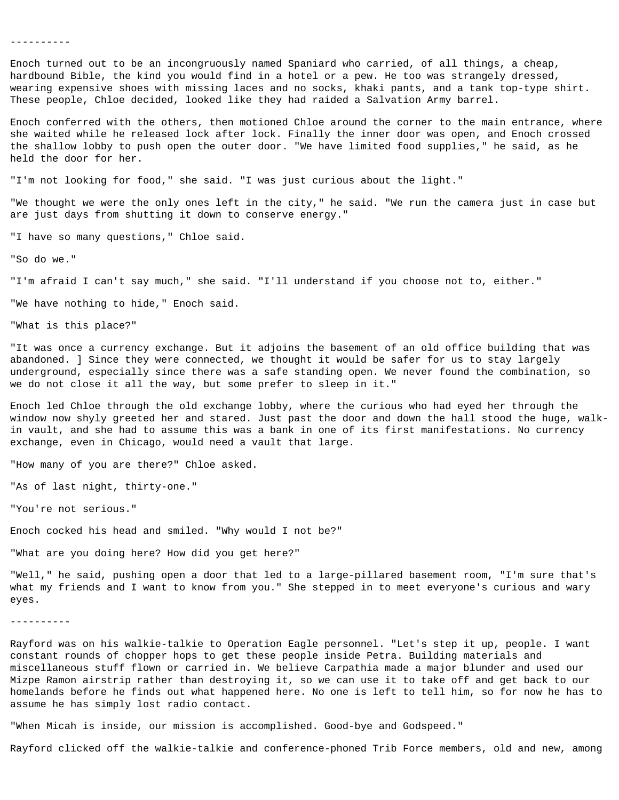Enoch turned out to be an incongruously named Spaniard who carried, of all things, a cheap, hardbound Bible, the kind you would find in a hotel or a pew. He too was strangely dressed, wearing expensive shoes with missing laces and no socks, khaki pants, and a tank top-type shirt. These people, Chloe decided, looked like they had raided a Salvation Army barrel.

Enoch conferred with the others, then motioned Chloe around the corner to the main entrance, where she waited while he released lock after lock. Finally the inner door was open, and Enoch crossed the shallow lobby to push open the outer door. "We have limited food supplies," he said, as he held the door for her.

"I'm not looking for food," she said. "I was just curious about the light."

"We thought we were the only ones left in the city," he said. "We run the camera just in case but are just days from shutting it down to conserve energy."

"I have so many questions," Chloe said.

"So do we."

----------

"I'm afraid I can't say much," she said. "I'll understand if you choose not to, either."

"We have nothing to hide," Enoch said.

"What is this place?"

"It was once a currency exchange. But it adjoins the basement of an old office building that was abandoned. ] Since they were connected, we thought it would be safer for us to stay largely underground, especially since there was a safe standing open. We never found the combination, so we do not close it all the way, but some prefer to sleep in it."

Enoch led Chloe through the old exchange lobby, where the curious who had eyed her through the window now shyly greeted her and stared. Just past the door and down the hall stood the huge, walkin vault, and she had to assume this was a bank in one of its first manifestations. No currency exchange, even in Chicago, would need a vault that large.

"How many of you are there?" Chloe asked.

"As of last night, thirty-one."

"You're not serious."

Enoch cocked his head and smiled. "Why would I not be?"

"What are you doing here? How did you get here?"

"Well," he said, pushing open a door that led to a large-pillared basement room, "I'm sure that's what my friends and I want to know from you." She stepped in to meet everyone's curious and wary eyes.

----------

Rayford was on his walkie-talkie to Operation Eagle personnel. "Let's step it up, people. I want constant rounds of chopper hops to get these people inside Petra. Building materials and miscellaneous stuff flown or carried in. We believe Carpathia made a major blunder and used our Mizpe Ramon airstrip rather than destroying it, so we can use it to take off and get back to our homelands before he finds out what happened here. No one is left to tell him, so for now he has to assume he has simply lost radio contact.

"When Micah is inside, our mission is accomplished. Good-bye and Godspeed."

Rayford clicked off the walkie-talkie and conference-phoned Trib Force members, old and new, among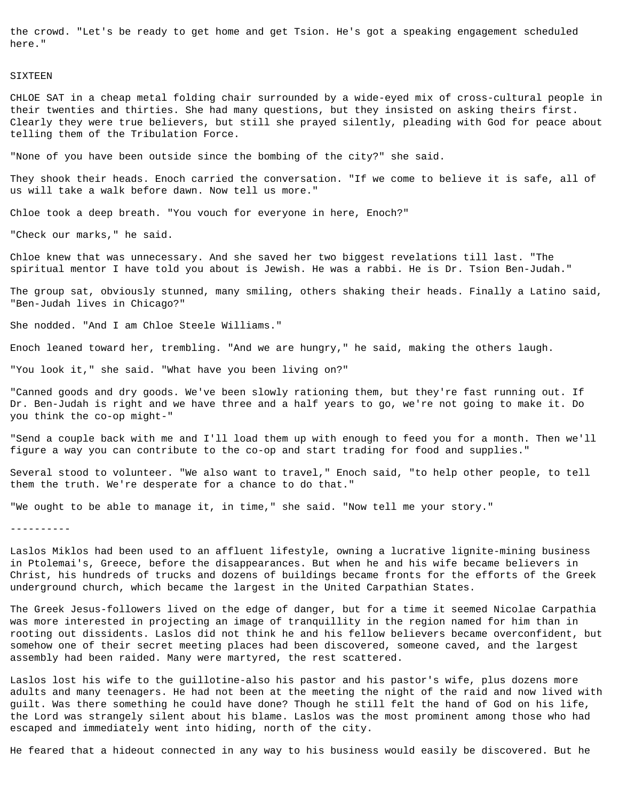the crowd. "Let's be ready to get home and get Tsion. He's got a speaking engagement scheduled here."

## SIXTEEN

CHLOE SAT in a cheap metal folding chair surrounded by a wide-eyed mix of cross-cultural people in their twenties and thirties. She had many questions, but they insisted on asking theirs first. Clearly they were true believers, but still she prayed silently, pleading with God for peace about telling them of the Tribulation Force.

"None of you have been outside since the bombing of the city?" she said.

They shook their heads. Enoch carried the conversation. "If we come to believe it is safe, all of us will take a walk before dawn. Now tell us more."

Chloe took a deep breath. "You vouch for everyone in here, Enoch?"

"Check our marks," he said.

Chloe knew that was unnecessary. And she saved her two biggest revelations till last. "The spiritual mentor I have told you about is Jewish. He was a rabbi. He is Dr. Tsion Ben-Judah."

The group sat, obviously stunned, many smiling, others shaking their heads. Finally a Latino said, "Ben-Judah lives in Chicago?"

She nodded. "And I am Chloe Steele Williams."

Enoch leaned toward her, trembling. "And we are hungry," he said, making the others laugh.

"You look it," she said. "What have you been living on?"

"Canned goods and dry goods. We've been slowly rationing them, but they're fast running out. If Dr. Ben-Judah is right and we have three and a half years to go, we're not going to make it. Do you think the co-op might-"

"Send a couple back with me and I'll load them up with enough to feed you for a month. Then we'll figure a way you can contribute to the co-op and start trading for food and supplies."

Several stood to volunteer. "We also want to travel," Enoch said, "to help other people, to tell them the truth. We're desperate for a chance to do that."

"We ought to be able to manage it, in time," she said. "Now tell me your story."

----------

Laslos Miklos had been used to an affluent lifestyle, owning a lucrative lignite-mining business in Ptolemai's, Greece, before the disappearances. But when he and his wife became believers in Christ, his hundreds of trucks and dozens of buildings became fronts for the efforts of the Greek underground church, which became the largest in the United Carpathian States.

The Greek Jesus-followers lived on the edge of danger, but for a time it seemed Nicolae Carpathia was more interested in projecting an image of tranquillity in the region named for him than in rooting out dissidents. Laslos did not think he and his fellow believers became overconfident, but somehow one of their secret meeting places had been discovered, someone caved, and the largest assembly had been raided. Many were martyred, the rest scattered.

Laslos lost his wife to the guillotine-also his pastor and his pastor's wife, plus dozens more adults and many teenagers. He had not been at the meeting the night of the raid and now lived with guilt. Was there something he could have done? Though he still felt the hand of God on his life, the Lord was strangely silent about his blame. Laslos was the most prominent among those who had escaped and immediately went into hiding, north of the city.

He feared that a hideout connected in any way to his business would easily be discovered. But he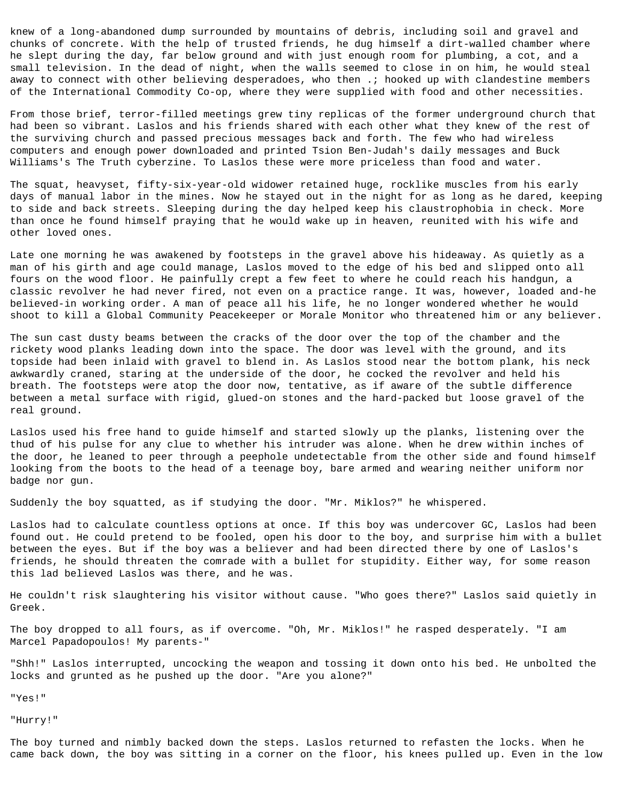knew of a long-abandoned dump surrounded by mountains of debris, including soil and gravel and chunks of concrete. With the help of trusted friends, he dug himself a dirt-walled chamber where he slept during the day, far below ground and with just enough room for plumbing, a cot, and a small television. In the dead of night, when the walls seemed to close in on him, he would steal away to connect with other believing desperadoes, who then .; hooked up with clandestine members of the International Commodity Co-op, where they were supplied with food and other necessities.

From those brief, terror-filled meetings grew tiny replicas of the former underground church that had been so vibrant. Laslos and his friends shared with each other what they knew of the rest of the surviving church and passed precious messages back and forth. The few who had wireless computers and enough power downloaded and printed Tsion Ben-Judah's daily messages and Buck Williams's The Truth cyberzine. To Laslos these were more priceless than food and water.

The squat, heavyset, fifty-six-year-old widower retained huge, rocklike muscles from his early days of manual labor in the mines. Now he stayed out in the night for as long as he dared, keeping to side and back streets. Sleeping during the day helped keep his claustrophobia in check. More than once he found himself praying that he would wake up in heaven, reunited with his wife and other loved ones.

Late one morning he was awakened by footsteps in the gravel above his hideaway. As quietly as a man of his girth and age could manage, Laslos moved to the edge of his bed and slipped onto all fours on the wood floor. He painfully crept a few feet to where he could reach his handgun, a classic revolver he had never fired, not even on a practice range. It was, however, loaded and-he believed-in working order. A man of peace all his life, he no longer wondered whether he would shoot to kill a Global Community Peacekeeper or Morale Monitor who threatened him or any believer.

The sun cast dusty beams between the cracks of the door over the top of the chamber and the rickety wood planks leading down into the space. The door was level with the ground, and its topside had been inlaid with gravel to blend in. As Laslos stood near the bottom plank, his neck awkwardly craned, staring at the underside of the door, he cocked the revolver and held his breath. The footsteps were atop the door now, tentative, as if aware of the subtle difference between a metal surface with rigid, glued-on stones and the hard-packed but loose gravel of the real ground.

Laslos used his free hand to guide himself and started slowly up the planks, listening over the thud of his pulse for any clue to whether his intruder was alone. When he drew within inches of the door, he leaned to peer through a peephole undetectable from the other side and found himself looking from the boots to the head of a teenage boy, bare armed and wearing neither uniform nor badge nor gun.

Suddenly the boy squatted, as if studying the door. "Mr. Miklos?" he whispered.

Laslos had to calculate countless options at once. If this boy was undercover GC, Laslos had been found out. He could pretend to be fooled, open his door to the boy, and surprise him with a bullet between the eyes. But if the boy was a believer and had been directed there by one of Laslos's friends, he should threaten the comrade with a bullet for stupidity. Either way, for some reason this lad believed Laslos was there, and he was.

He couldn't risk slaughtering his visitor without cause. "Who goes there?" Laslos said quietly in Greek.

The boy dropped to all fours, as if overcome. "Oh, Mr. Miklos!" he rasped desperately. "I am Marcel Papadopoulos! My parents-"

"Shh!" Laslos interrupted, uncocking the weapon and tossing it down onto his bed. He unbolted the locks and grunted as he pushed up the door. "Are you alone?"

"Yes!"

"Hurry!"

The boy turned and nimbly backed down the steps. Laslos returned to refasten the locks. When he came back down, the boy was sitting in a corner on the floor, his knees pulled up. Even in the low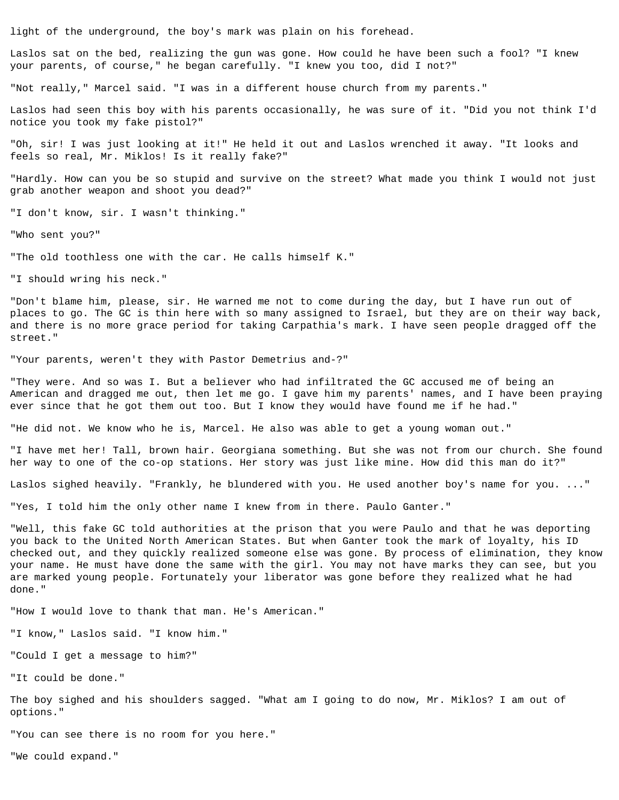light of the underground, the boy's mark was plain on his forehead.

Laslos sat on the bed, realizing the gun was gone. How could he have been such a fool? "I knew your parents, of course," he began carefully. "I knew you too, did I not?"

"Not really," Marcel said. "I was in a different house church from my parents."

Laslos had seen this boy with his parents occasionally, he was sure of it. "Did you not think I'd notice you took my fake pistol?"

"Oh, sir! I was just looking at it!" He held it out and Laslos wrenched it away. "It looks and feels so real, Mr. Miklos! Is it really fake?"

"Hardly. How can you be so stupid and survive on the street? What made you think I would not just grab another weapon and shoot you dead?"

"I don't know, sir. I wasn't thinking."

"Who sent you?"

"The old toothless one with the car. He calls himself K."

"I should wring his neck."

"Don't blame him, please, sir. He warned me not to come during the day, but I have run out of places to go. The GC is thin here with so many assigned to Israel, but they are on their way back, and there is no more grace period for taking Carpathia's mark. I have seen people dragged off the street."

"Your parents, weren't they with Pastor Demetrius and-?"

"They were. And so was I. But a believer who had infiltrated the GC accused me of being an American and dragged me out, then let me go. I gave him my parents' names, and I have been praying ever since that he got them out too. But I know they would have found me if he had."

"He did not. We know who he is, Marcel. He also was able to get a young woman out."

"I have met her! Tall, brown hair. Georgiana something. But she was not from our church. She found her way to one of the co-op stations. Her story was just like mine. How did this man do it?"

Laslos sighed heavily. "Frankly, he blundered with you. He used another boy's name for you. ..."

"Yes, I told him the only other name I knew from in there. Paulo Ganter."

"Well, this fake GC told authorities at the prison that you were Paulo and that he was deporting you back to the United North American States. But when Ganter took the mark of loyalty, his ID checked out, and they quickly realized someone else was gone. By process of elimination, they know your name. He must have done the same with the girl. You may not have marks they can see, but you are marked young people. Fortunately your liberator was gone before they realized what he had done."

"How I would love to thank that man. He's American."

"I know," Laslos said. "I know him."

"Could I get a message to him?"

"It could be done."

The boy sighed and his shoulders sagged. "What am I going to do now, Mr. Miklos? I am out of options."

"You can see there is no room for you here."

"We could expand."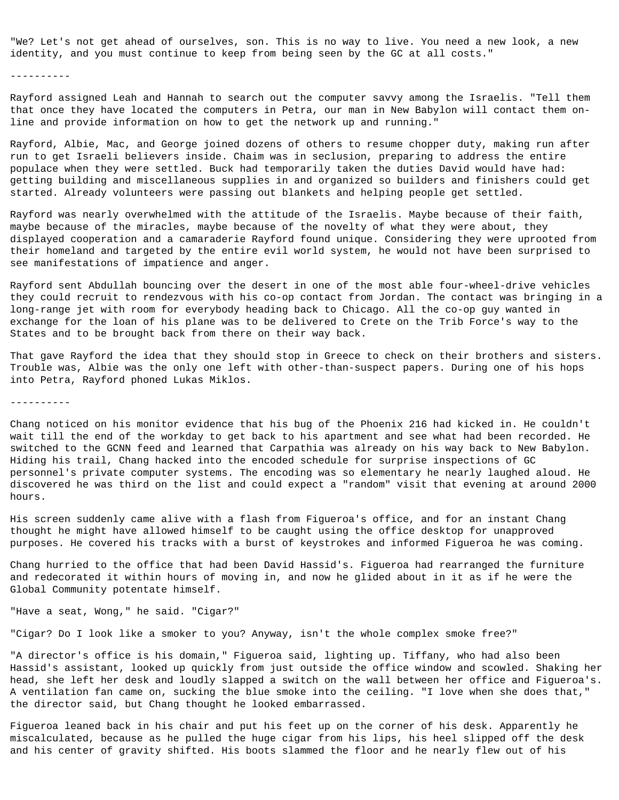"We? Let's not get ahead of ourselves, son. This is no way to live. You need a new look, a new identity, and you must continue to keep from being seen by the GC at all costs."

----------

Rayford assigned Leah and Hannah to search out the computer savvy among the Israelis. "Tell them that once they have located the computers in Petra, our man in New Babylon will contact them online and provide information on how to get the network up and running."

Rayford, Albie, Mac, and George joined dozens of others to resume chopper duty, making run after run to get Israeli believers inside. Chaim was in seclusion, preparing to address the entire populace when they were settled. Buck had temporarily taken the duties David would have had: getting building and miscellaneous supplies in and organized so builders and finishers could get started. Already volunteers were passing out blankets and helping people get settled.

Rayford was nearly overwhelmed with the attitude of the Israelis. Maybe because of their faith, maybe because of the miracles, maybe because of the novelty of what they were about, they displayed cooperation and a camaraderie Rayford found unique. Considering they were uprooted from their homeland and targeted by the entire evil world system, he would not have been surprised to see manifestations of impatience and anger.

Rayford sent Abdullah bouncing over the desert in one of the most able four-wheel-drive vehicles they could recruit to rendezvous with his co-op contact from Jordan. The contact was bringing in a long-range jet with room for everybody heading back to Chicago. All the co-op guy wanted in exchange for the loan of his plane was to be delivered to Crete on the Trib Force's way to the States and to be brought back from there on their way back.

That gave Rayford the idea that they should stop in Greece to check on their brothers and sisters. Trouble was, Albie was the only one left with other-than-suspect papers. During one of his hops into Petra, Rayford phoned Lukas Miklos.

----------

Chang noticed on his monitor evidence that his bug of the Phoenix 216 had kicked in. He couldn't wait till the end of the workday to get back to his apartment and see what had been recorded. He switched to the GCNN feed and learned that Carpathia was already on his way back to New Babylon. Hiding his trail, Chang hacked into the encoded schedule for surprise inspections of GC personnel's private computer systems. The encoding was so elementary he nearly laughed aloud. He discovered he was third on the list and could expect a "random" visit that evening at around 2000 hours.

His screen suddenly came alive with a flash from Figueroa's office, and for an instant Chang thought he might have allowed himself to be caught using the office desktop for unapproved purposes. He covered his tracks with a burst of keystrokes and informed Figueroa he was coming.

Chang hurried to the office that had been David Hassid's. Figueroa had rearranged the furniture and redecorated it within hours of moving in, and now he glided about in it as if he were the Global Community potentate himself.

"Have a seat, Wong," he said. "Cigar?"

"Cigar? Do I look like a smoker to you? Anyway, isn't the whole complex smoke free?"

"A director's office is his domain," Figueroa said, lighting up. Tiffany, who had also been Hassid's assistant, looked up quickly from just outside the office window and scowled. Shaking her head, she left her desk and loudly slapped a switch on the wall between her office and Figueroa's. A ventilation fan came on, sucking the blue smoke into the ceiling. "I love when she does that," the director said, but Chang thought he looked embarrassed.

Figueroa leaned back in his chair and put his feet up on the corner of his desk. Apparently he miscalculated, because as he pulled the huge cigar from his lips, his heel slipped off the desk and his center of gravity shifted. His boots slammed the floor and he nearly flew out of his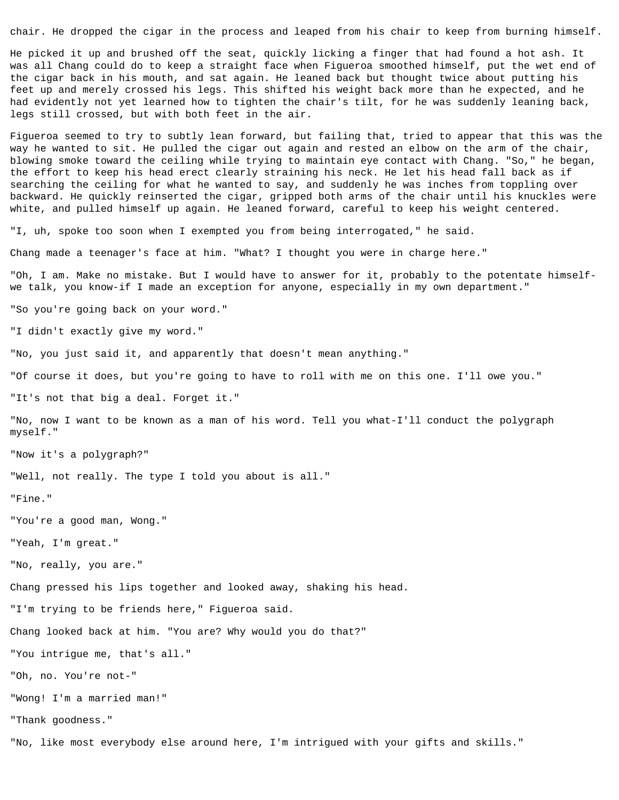chair. He dropped the cigar in the process and leaped from his chair to keep from burning himself.

He picked it up and brushed off the seat, quickly licking a finger that had found a hot ash. It was all Chang could do to keep a straight face when Figueroa smoothed himself, put the wet end of the cigar back in his mouth, and sat again. He leaned back but thought twice about putting his feet up and merely crossed his legs. This shifted his weight back more than he expected, and he had evidently not yet learned how to tighten the chair's tilt, for he was suddenly leaning back, legs still crossed, but with both feet in the air.

Figueroa seemed to try to subtly lean forward, but failing that, tried to appear that this was the way he wanted to sit. He pulled the cigar out again and rested an elbow on the arm of the chair, blowing smoke toward the ceiling while trying to maintain eye contact with Chang. "So," he began, the effort to keep his head erect clearly straining his neck. He let his head fall back as if searching the ceiling for what he wanted to say, and suddenly he was inches from toppling over backward. He quickly reinserted the cigar, gripped both arms of the chair until his knuckles were white, and pulled himself up again. He leaned forward, careful to keep his weight centered.

"I, uh, spoke too soon when I exempted you from being interrogated," he said.

Chang made a teenager's face at him. "What? I thought you were in charge here."

"Oh, I am. Make no mistake. But I would have to answer for it, probably to the potentate himselfwe talk, you know-if I made an exception for anyone, especially in my own department."

"So you're going back on your word."

"I didn't exactly give my word."

"No, you just said it, and apparently that doesn't mean anything."

"Of course it does, but you're going to have to roll with me on this one. I'll owe you."

"It's not that big a deal. Forget it."

"No, now I want to be known as a man of his word. Tell you what-I'll conduct the polygraph myself."

"Now it's a polygraph?"

"Well, not really. The type I told you about is all."

"Fine."

"You're a good man, Wong."

"Yeah, I'm great."

"No, really, you are."

Chang pressed his lips together and looked away, shaking his head.

"I'm trying to be friends here," Figueroa said.

Chang looked back at him. "You are? Why would you do that?"

"You intrigue me, that's all."

"Oh, no. You're not-"

"Wong! I'm a married man!"

"Thank goodness."

"No, like most everybody else around here, I'm intrigued with your gifts and skills."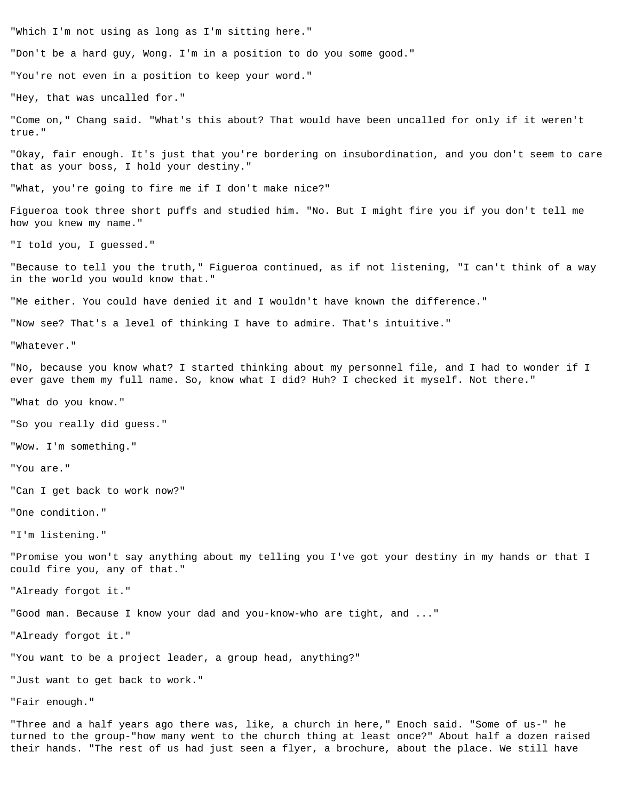"Which I'm not using as long as I'm sitting here." "Don't be a hard guy, Wong. I'm in a position to do you some good." "You're not even in a position to keep your word." "Hey, that was uncalled for." "Come on," Chang said. "What's this about? That would have been uncalled for only if it weren't true." "Okay, fair enough. It's just that you're bordering on insubordination, and you don't seem to care that as your boss, I hold your destiny." "What, you're going to fire me if I don't make nice?" Figueroa took three short puffs and studied him. "No. But I might fire you if you don't tell me how you knew my name." "I told you, I guessed." "Because to tell you the truth," Figueroa continued, as if not listening, "I can't think of a way in the world you would know that." "Me either. You could have denied it and I wouldn't have known the difference." "Now see? That's a level of thinking I have to admire. That's intuitive." "Whatever." "No, because you know what? I started thinking about my personnel file, and I had to wonder if I ever gave them my full name. So, know what I did? Huh? I checked it myself. Not there." "What do you know." "So you really did guess." "Wow. I'm something." "You are." "Can I get back to work now?" "One condition." "I'm listening." "Promise you won't say anything about my telling you I've got your destiny in my hands or that I could fire you, any of that." "Already forgot it." "Good man. Because I know your dad and you-know-who are tight, and ..." "Already forgot it." "You want to be a project leader, a group head, anything?" "Just want to get back to work." "Fair enough." "Three and a half years ago there was, like, a church in here," Enoch said. "Some of us-" he turned to the group-"how many went to the church thing at least once?" About half a dozen raised

their hands. "The rest of us had just seen a flyer, a brochure, about the place. We still have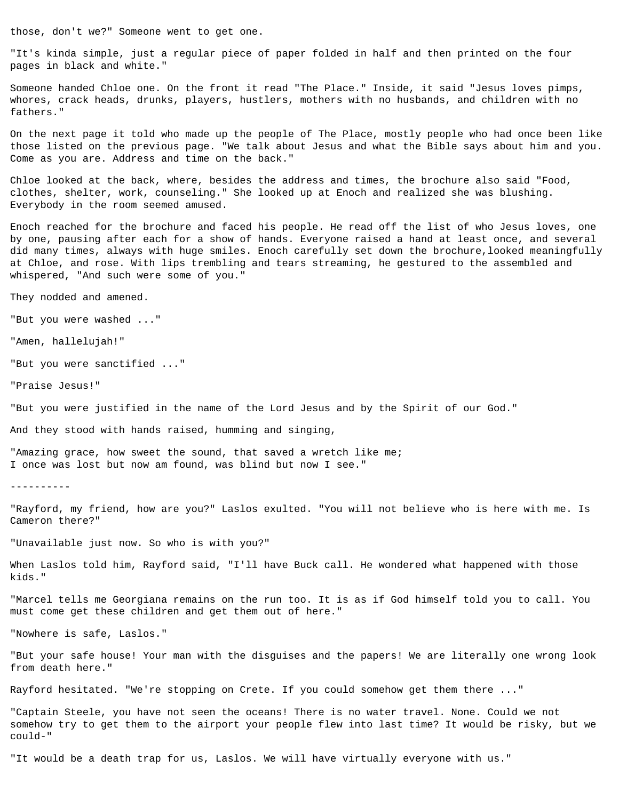those, don't we?" Someone went to get one.

"It's kinda simple, just a regular piece of paper folded in half and then printed on the four pages in black and white."

Someone handed Chloe one. On the front it read "The Place." Inside, it said "Jesus loves pimps, whores, crack heads, drunks, players, hustlers, mothers with no husbands, and children with no fathers."

On the next page it told who made up the people of The Place, mostly people who had once been like those listed on the previous page. "We talk about Jesus and what the Bible says about him and you. Come as you are. Address and time on the back."

Chloe looked at the back, where, besides the address and times, the brochure also said "Food, clothes, shelter, work, counseling." She looked up at Enoch and realized she was blushing. Everybody in the room seemed amused.

Enoch reached for the brochure and faced his people. He read off the list of who Jesus loves, one by one, pausing after each for a show of hands. Everyone raised a hand at least once, and several did many times, always with huge smiles. Enoch carefully set down the brochure,looked meaningfully at Chloe, and rose. With lips trembling and tears streaming, he gestured to the assembled and whispered, "And such were some of you."

They nodded and amened.

"But you were washed ..."

"Amen, hallelujah!"

"But you were sanctified ..."

"Praise Jesus!"

"But you were justified in the name of the Lord Jesus and by the Spirit of our God."

And they stood with hands raised, humming and singing,

"Amazing grace, how sweet the sound, that saved a wretch like me; I once was lost but now am found, was blind but now I see."

----------

"Rayford, my friend, how are you?" Laslos exulted. "You will not believe who is here with me. Is Cameron there?"

"Unavailable just now. So who is with you?"

When Laslos told him, Rayford said, "I'll have Buck call. He wondered what happened with those kids."

"Marcel tells me Georgiana remains on the run too. It is as if God himself told you to call. You must come get these children and get them out of here."

"Nowhere is safe, Laslos."

"But your safe house! Your man with the disguises and the papers! We are literally one wrong look from death here."

Rayford hesitated. "We're stopping on Crete. If you could somehow get them there ..."

"Captain Steele, you have not seen the oceans! There is no water travel. None. Could we not somehow try to get them to the airport your people flew into last time? It would be risky, but we could-"

"It would be a death trap for us, Laslos. We will have virtually everyone with us."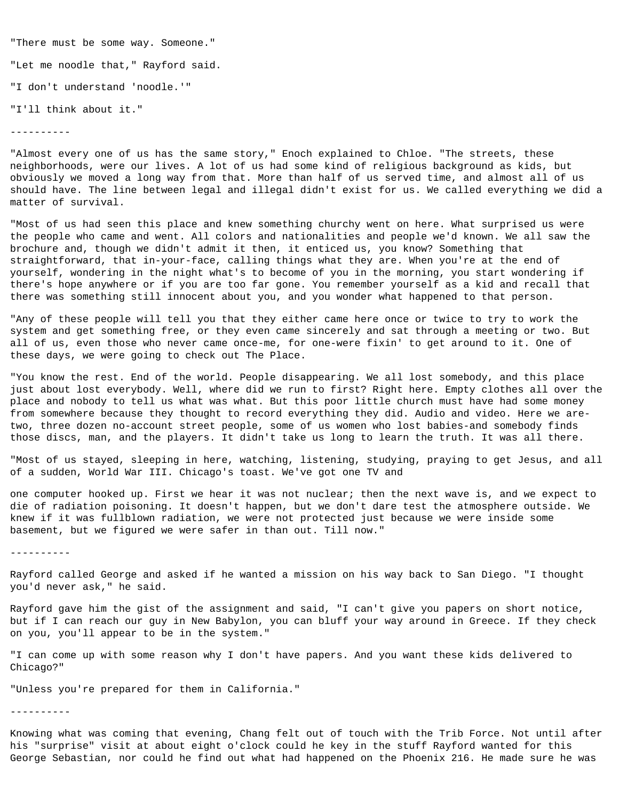```
"There must be some way. Someone."
"Let me noodle that," Rayford said.
"I don't understand 'noodle.'"
"I'll think about it."
```
----------

"Almost every one of us has the same story," Enoch explained to Chloe. "The streets, these neighborhoods, were our lives. A lot of us had some kind of religious background as kids, but obviously we moved a long way from that. More than half of us served time, and almost all of us should have. The line between legal and illegal didn't exist for us. We called everything we did a matter of survival.

"Most of us had seen this place and knew something churchy went on here. What surprised us were the people who came and went. All colors and nationalities and people we'd known. We all saw the brochure and, though we didn't admit it then, it enticed us, you know? Something that straightforward, that in-your-face, calling things what they are. When you're at the end of yourself, wondering in the night what's to become of you in the morning, you start wondering if there's hope anywhere or if you are too far gone. You remember yourself as a kid and recall that there was something still innocent about you, and you wonder what happened to that person.

"Any of these people will tell you that they either came here once or twice to try to work the system and get something free, or they even came sincerely and sat through a meeting or two. But all of us, even those who never came once-me, for one-were fixin' to get around to it. One of these days, we were going to check out The Place.

"You know the rest. End of the world. People disappearing. We all lost somebody, and this place just about lost everybody. Well, where did we run to first? Right here. Empty clothes all over the place and nobody to tell us what was what. But this poor little church must have had some money from somewhere because they thought to record everything they did. Audio and video. Here we aretwo, three dozen no-account street people, some of us women who lost babies-and somebody finds those discs, man, and the players. It didn't take us long to learn the truth. It was all there.

"Most of us stayed, sleeping in here, watching, listening, studying, praying to get Jesus, and all of a sudden, World War III. Chicago's toast. We've got one TV and

one computer hooked up. First we hear it was not nuclear; then the next wave is, and we expect to die of radiation poisoning. It doesn't happen, but we don't dare test the atmosphere outside. We knew if it was fullblown radiation, we were not protected just because we were inside some basement, but we figured we were safer in than out. Till now."

----------

Rayford called George and asked if he wanted a mission on his way back to San Diego. "I thought you'd never ask," he said.

Rayford gave him the gist of the assignment and said, "I can't give you papers on short notice, but if I can reach our guy in New Babylon, you can bluff your way around in Greece. If they check on you, you'll appear to be in the system."

"I can come up with some reason why I don't have papers. And you want these kids delivered to Chicago?"

"Unless you're prepared for them in California."

----------

Knowing what was coming that evening, Chang felt out of touch with the Trib Force. Not until after his "surprise" visit at about eight o'clock could he key in the stuff Rayford wanted for this George Sebastian, nor could he find out what had happened on the Phoenix 216. He made sure he was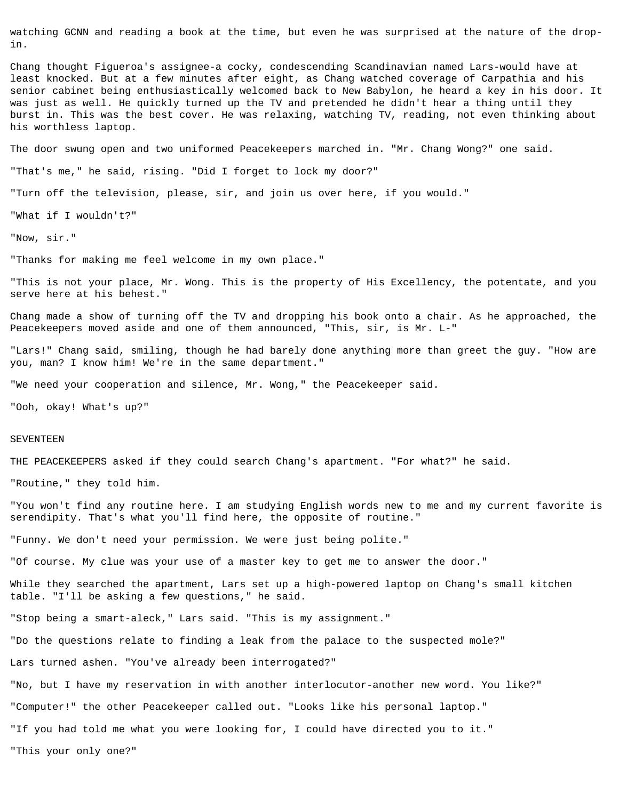watching GCNN and reading a book at the time, but even he was surprised at the nature of the dropin.

Chang thought Figueroa's assignee-a cocky, condescending Scandinavian named Lars-would have at least knocked. But at a few minutes after eight, as Chang watched coverage of Carpathia and his senior cabinet being enthusiastically welcomed back to New Babylon, he heard a key in his door. It was just as well. He quickly turned up the TV and pretended he didn't hear a thing until they burst in. This was the best cover. He was relaxing, watching TV, reading, not even thinking about his worthless laptop.

The door swung open and two uniformed Peacekeepers marched in. "Mr. Chang Wong?" one said.

"That's me," he said, rising. "Did I forget to lock my door?"

"Turn off the television, please, sir, and join us over here, if you would."

"What if I wouldn't?"

"Now, sir."

"Thanks for making me feel welcome in my own place."

"This is not your place, Mr. Wong. This is the property of His Excellency, the potentate, and you serve here at his behest."

Chang made a show of turning off the TV and dropping his book onto a chair. As he approached, the Peacekeepers moved aside and one of them announced, "This, sir, is Mr. L-"

"Lars!" Chang said, smiling, though he had barely done anything more than greet the guy. "How are you, man? I know him! We're in the same department."

"We need your cooperation and silence, Mr. Wong," the Peacekeeper said.

"Ooh, okay! What's up?"

## SEVENTEEN

THE PEACEKEEPERS asked if they could search Chang's apartment. "For what?" he said.

"Routine," they told him.

"You won't find any routine here. I am studying English words new to me and my current favorite is serendipity. That's what you'll find here, the opposite of routine."

"Funny. We don't need your permission. We were just being polite."

"Of course. My clue was your use of a master key to get me to answer the door."

While they searched the apartment, Lars set up a high-powered laptop on Chang's small kitchen table. "I'll be asking a few questions," he said.

"Stop being a smart-aleck," Lars said. "This is my assignment."

"Do the questions relate to finding a leak from the palace to the suspected mole?"

Lars turned ashen. "You've already been interrogated?"

"No, but I have my reservation in with another interlocutor-another new word. You like?"

"Computer!" the other Peacekeeper called out. "Looks like his personal laptop."

"If you had told me what you were looking for, I could have directed you to it."

"This your only one?"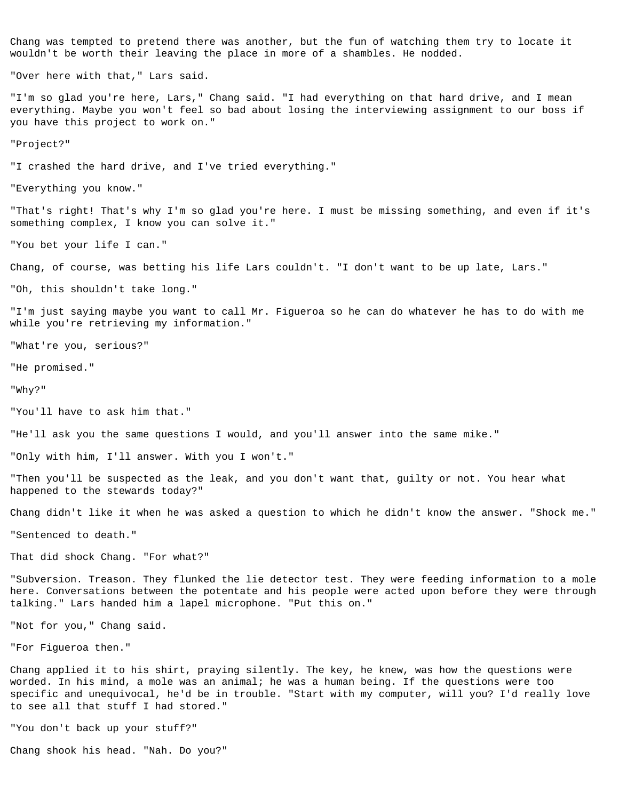Chang was tempted to pretend there was another, but the fun of watching them try to locate it wouldn't be worth their leaving the place in more of a shambles. He nodded. "Over here with that," Lars said. "I'm so glad you're here, Lars," Chang said. "I had everything on that hard drive, and I mean everything. Maybe you won't feel so bad about losing the interviewing assignment to our boss if you have this project to work on." "Project?" "I crashed the hard drive, and I've tried everything." "Everything you know." "That's right! That's why I'm so glad you're here. I must be missing something, and even if it's something complex, I know you can solve it." "You bet your life I can." Chang, of course, was betting his life Lars couldn't. "I don't want to be up late, Lars." "Oh, this shouldn't take long." "I'm just saying maybe you want to call Mr. Figueroa so he can do whatever he has to do with me while you're retrieving my information." "What're you, serious?" "He promised." "Why?" "You'll have to ask him that." "He'll ask you the same questions I would, and you'll answer into the same mike." "Only with him, I'll answer. With you I won't." "Then you'll be suspected as the leak, and you don't want that, guilty or not. You hear what happened to the stewards today?" Chang didn't like it when he was asked a question to which he didn't know the answer. "Shock me." "Sentenced to death." That did shock Chang. "For what?" "Subversion. Treason. They flunked the lie detector test. They were feeding information to a mole here. Conversations between the potentate and his people were acted upon before they were through talking." Lars handed him a lapel microphone. "Put this on." "Not for you," Chang said. "For Figueroa then." Chang applied it to his shirt, praying silently. The key, he knew, was how the questions were worded. In his mind, a mole was an animal; he was a human being. If the questions were too specific and unequivocal, he'd be in trouble. "Start with my computer, will you? I'd really love to see all that stuff I had stored." "You don't back up your stuff?" Chang shook his head. "Nah. Do you?"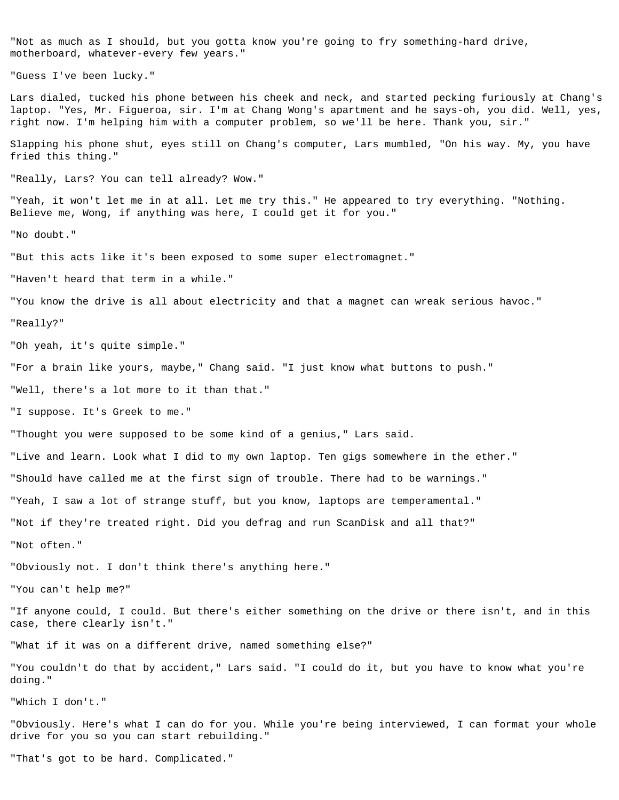"Not as much as I should, but you gotta know you're going to fry something-hard drive, motherboard, whatever-every few years."

"Guess I've been lucky."

Lars dialed, tucked his phone between his cheek and neck, and started pecking furiously at Chang's laptop. "Yes, Mr. Figueroa, sir. I'm at Chang Wong's apartment and he says-oh, you did. Well, yes, right now. I'm helping him with a computer problem, so we'll be here. Thank you, sir."

Slapping his phone shut, eyes still on Chang's computer, Lars mumbled, "On his way. My, you have fried this thing."

"Really, Lars? You can tell already? Wow."

"Yeah, it won't let me in at all. Let me try this." He appeared to try everything. "Nothing. Believe me, Wong, if anything was here, I could get it for you."

"No doubt."

"But this acts like it's been exposed to some super electromagnet."

"Haven't heard that term in a while."

"You know the drive is all about electricity and that a magnet can wreak serious havoc."

"Really?"

"Oh yeah, it's quite simple."

"For a brain like yours, maybe," Chang said. "I just know what buttons to push."

"Well, there's a lot more to it than that."

"I suppose. It's Greek to me."

"Thought you were supposed to be some kind of a genius," Lars said.

"Live and learn. Look what I did to my own laptop. Ten gigs somewhere in the ether."

"Should have called me at the first sign of trouble. There had to be warnings."

"Yeah, I saw a lot of strange stuff, but you know, laptops are temperamental."

"Not if they're treated right. Did you defrag and run ScanDisk and all that?"

"Not often."

"Obviously not. I don't think there's anything here."

"You can't help me?"

"If anyone could, I could. But there's either something on the drive or there isn't, and in this case, there clearly isn't."

"What if it was on a different drive, named something else?"

"You couldn't do that by accident," Lars said. "I could do it, but you have to know what you're doing."

"Which I don't."

"Obviously. Here's what I can do for you. While you're being interviewed, I can format your whole drive for you so you can start rebuilding."

"That's got to be hard. Complicated."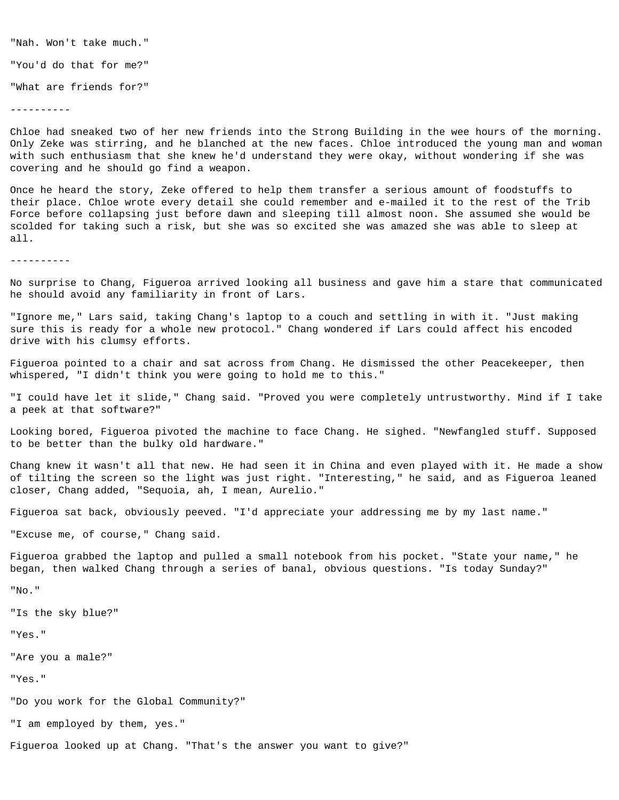"Nah. Won't take much." "You'd do that for me?" "What are friends for?" ----------

Chloe had sneaked two of her new friends into the Strong Building in the wee hours of the morning. Only Zeke was stirring, and he blanched at the new faces. Chloe introduced the young man and woman with such enthusiasm that she knew he'd understand they were okay, without wondering if she was covering and he should go find a weapon.

Once he heard the story, Zeke offered to help them transfer a serious amount of foodstuffs to their place. Chloe wrote every detail she could remember and e-mailed it to the rest of the Trib Force before collapsing just before dawn and sleeping till almost noon. She assumed she would be scolded for taking such a risk, but she was so excited she was amazed she was able to sleep at all.

----------

No surprise to Chang, Figueroa arrived looking all business and gave him a stare that communicated he should avoid any familiarity in front of Lars.

"Ignore me," Lars said, taking Chang's laptop to a couch and settling in with it. "Just making sure this is ready for a whole new protocol." Chang wondered if Lars could affect his encoded drive with his clumsy efforts.

Figueroa pointed to a chair and sat across from Chang. He dismissed the other Peacekeeper, then whispered, "I didn't think you were going to hold me to this."

"I could have let it slide," Chang said. "Proved you were completely untrustworthy. Mind if I take a peek at that software?"

Looking bored, Figueroa pivoted the machine to face Chang. He sighed. "Newfangled stuff. Supposed to be better than the bulky old hardware."

Chang knew it wasn't all that new. He had seen it in China and even played with it. He made a show of tilting the screen so the light was just right. "Interesting," he said, and as Figueroa leaned closer, Chang added, "Sequoia, ah, I mean, Aurelio."

Figueroa sat back, obviously peeved. "I'd appreciate your addressing me by my last name."

"Excuse me, of course," Chang said.

Figueroa grabbed the laptop and pulled a small notebook from his pocket. "State your name," he began, then walked Chang through a series of banal, obvious questions. "Is today Sunday?"

```
"No."
```
"Is the sky blue?"

"Yes."

"Are you a male?"

"Yes."

"Do you work for the Global Community?"

"I am employed by them, yes."

Figueroa looked up at Chang. "That's the answer you want to give?"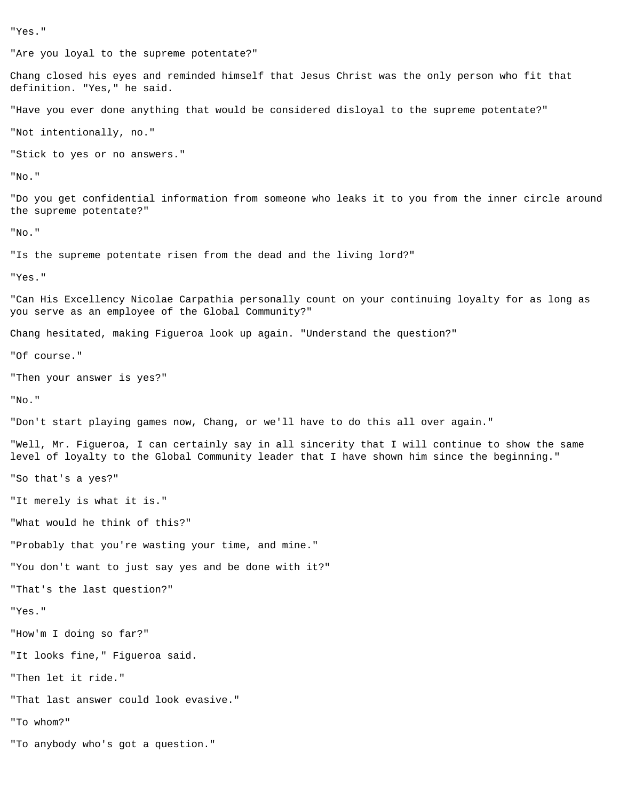```
"Yes."
"Are you loyal to the supreme potentate?" 
Chang closed his eyes and reminded himself that Jesus Christ was the only person who fit that 
definition. "Yes," he said.
"Have you ever done anything that would be considered disloyal to the supreme potentate?" 
"Not intentionally, no."
"Stick to yes or no answers."
"No."
"Do you get confidential information from someone who leaks it to you from the inner circle around 
the supreme potentate?"
"No."
"Is the supreme potentate risen from the dead and the living lord?"
"Yes."
"Can His Excellency Nicolae Carpathia personally count on your continuing loyalty for as long as 
you serve as an employee of the Global Community?"
Chang hesitated, making Figueroa look up again. "Understand the question?"
"Of course."
"Then your answer is yes?"
"No."
"Don't start playing games now, Chang, or we'll have to do this all over again."
"Well, Mr. Figueroa, I can certainly say in all sincerity that I will continue to show the same 
level of loyalty to the Global Community leader that I have shown him since the beginning."
"So that's a yes?"
"It merely is what it is."
"What would he think of this?"
"Probably that you're wasting your time, and mine."
"You don't want to just say yes and be done with it?"
"That's the last question?"
"Yes."
"How'm I doing so far?"
"It looks fine," Figueroa said.
"Then let it ride."
"That last answer could look evasive."
"To whom?"
"To anybody who's got a question."
```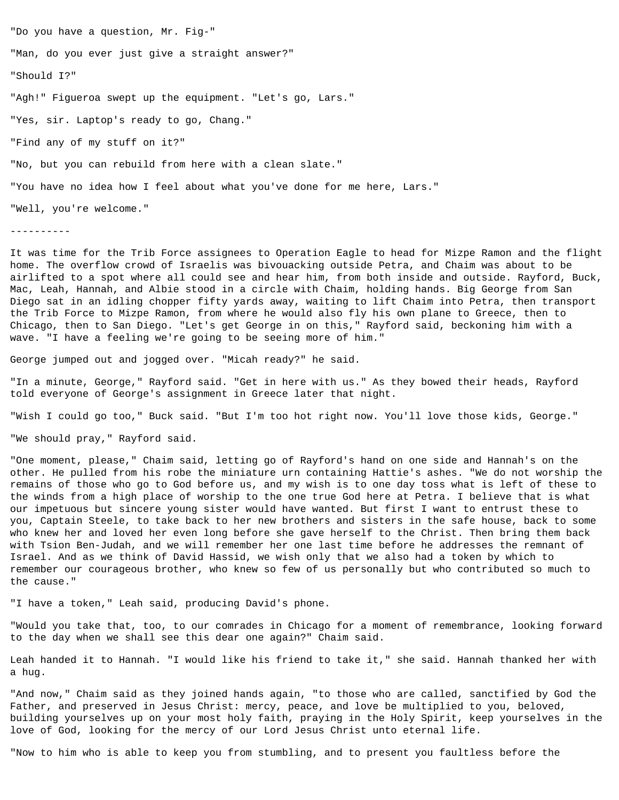"Do you have a question, Mr. Fig-" "Man, do you ever just give a straight answer?" "Should I?" "Agh!" Figueroa swept up the equipment. "Let's go, Lars." "Yes, sir. Laptop's ready to go, Chang." "Find any of my stuff on it?" "No, but you can rebuild from here with a clean slate." "You have no idea how I feel about what you've done for me here, Lars." "Well, you're welcome."

----------

It was time for the Trib Force assignees to Operation Eagle to head for Mizpe Ramon and the flight home. The overflow crowd of Israelis was bivouacking outside Petra, and Chaim was about to be airlifted to a spot where all could see and hear him, from both inside and outside. Rayford, Buck, Mac, Leah, Hannah, and Albie stood in a circle with Chaim, holding hands. Big George from San Diego sat in an idling chopper fifty yards away, waiting to lift Chaim into Petra, then transport the Trib Force to Mizpe Ramon, from where he would also fly his own plane to Greece, then to Chicago, then to San Diego. "Let's get George in on this," Rayford said, beckoning him with a wave. "I have a feeling we're going to be seeing more of him."

George jumped out and jogged over. "Micah ready?" he said.

"In a minute, George," Rayford said. "Get in here with us." As they bowed their heads, Rayford told everyone of George's assignment in Greece later that night.

"Wish I could go too," Buck said. "But I'm too hot right now. You'll love those kids, George."

"We should pray," Rayford said.

"One moment, please," Chaim said, letting go of Rayford's hand on one side and Hannah's on the other. He pulled from his robe the miniature urn containing Hattie's ashes. "We do not worship the remains of those who go to God before us, and my wish is to one day toss what is left of these to the winds from a high place of worship to the one true God here at Petra. I believe that is what our impetuous but sincere young sister would have wanted. But first I want to entrust these to you, Captain Steele, to take back to her new brothers and sisters in the safe house, back to some who knew her and loved her even long before she gave herself to the Christ. Then bring them back with Tsion Ben-Judah, and we will remember her one last time before he addresses the remnant of Israel. And as we think of David Hassid, we wish only that we also had a token by which to remember our courageous brother, who knew so few of us personally but who contributed so much to the cause."

"I have a token," Leah said, producing David's phone.

"Would you take that, too, to our comrades in Chicago for a moment of remembrance, looking forward to the day when we shall see this dear one again?" Chaim said.

Leah handed it to Hannah. "I would like his friend to take it," she said. Hannah thanked her with a hug.

"And now," Chaim said as they joined hands again, "to those who are called, sanctified by God the Father, and preserved in Jesus Christ: mercy, peace, and love be multiplied to you, beloved, building yourselves up on your most holy faith, praying in the Holy Spirit, keep yourselves in the love of God, looking for the mercy of our Lord Jesus Christ unto eternal life.

"Now to him who is able to keep you from stumbling, and to present you faultless before the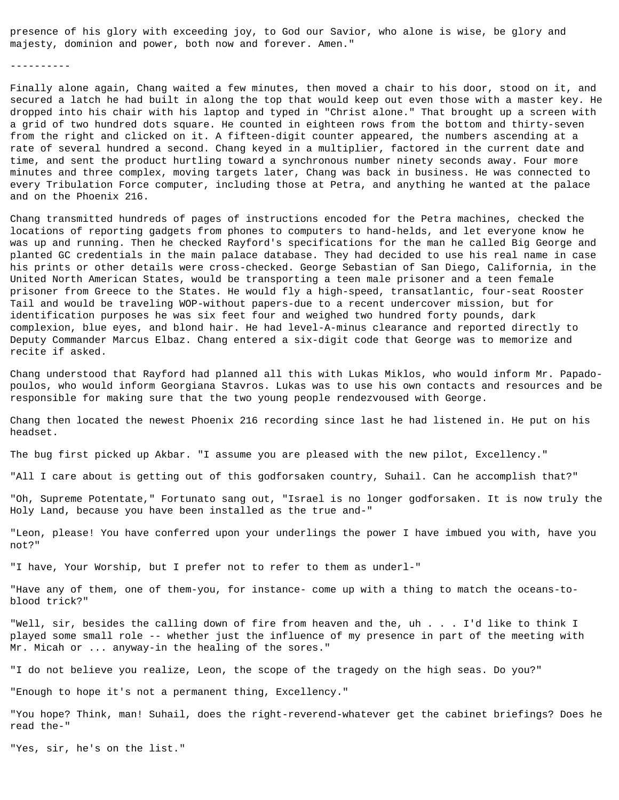presence of his glory with exceeding joy, to God our Savior, who alone is wise, be glory and majesty, dominion and power, both now and forever. Amen."

----------

Finally alone again, Chang waited a few minutes, then moved a chair to his door, stood on it, and secured a latch he had built in along the top that would keep out even those with a master key. He dropped into his chair with his laptop and typed in "Christ alone." That brought up a screen with a grid of two hundred dots square. He counted in eighteen rows from the bottom and thirty-seven from the right and clicked on it. A fifteen-digit counter appeared, the numbers ascending at a rate of several hundred a second. Chang keyed in a multiplier, factored in the current date and time, and sent the product hurtling toward a synchronous number ninety seconds away. Four more minutes and three complex, moving targets later, Chang was back in business. He was connected to every Tribulation Force computer, including those at Petra, and anything he wanted at the palace and on the Phoenix 216.

Chang transmitted hundreds of pages of instructions encoded for the Petra machines, checked the locations of reporting gadgets from phones to computers to hand-helds, and let everyone know he was up and running. Then he checked Rayford's specifications for the man he called Big George and planted GC credentials in the main palace database. They had decided to use his real name in case his prints or other details were cross-checked. George Sebastian of San Diego, California, in the United North American States, would be transporting a teen male prisoner and a teen female prisoner from Greece to the States. He would fly a high-speed, transatlantic, four-seat Rooster Tail and would be traveling WOP-without papers-due to a recent undercover mission, but for identification purposes he was six feet four and weighed two hundred forty pounds, dark complexion, blue eyes, and blond hair. He had level-A-minus clearance and reported directly to Deputy Commander Marcus Elbaz. Chang entered a six-digit code that George was to memorize and recite if asked.

Chang understood that Rayford had planned all this with Lukas Miklos, who would inform Mr. Papadopoulos, who would inform Georgiana Stavros. Lukas was to use his own contacts and resources and be responsible for making sure that the two young people rendezvoused with George.

Chang then located the newest Phoenix 216 recording since last he had listened in. He put on his headset.

The bug first picked up Akbar. "I assume you are pleased with the new pilot, Excellency."

"All I care about is getting out of this godforsaken country, Suhail. Can he accomplish that?"

"Oh, Supreme Potentate," Fortunato sang out, "Israel is no longer godforsaken. It is now truly the Holy Land, because you have been installed as the true and-"

"Leon, please! You have conferred upon your underlings the power I have imbued you with, have you not?"

"I have, Your Worship, but I prefer not to refer to them as underl-"

"Have any of them, one of them-you, for instance- come up with a thing to match the oceans-toblood trick?"

"Well, sir, besides the calling down of fire from heaven and the, uh . . . I'd like to think I played some small role -- whether just the influence of my presence in part of the meeting with Mr. Micah or ... anyway-in the healing of the sores."

"I do not believe you realize, Leon, the scope of the tragedy on the high seas. Do you?"

"Enough to hope it's not a permanent thing, Excellency."

"You hope? Think, man! Suhail, does the right-reverend-whatever get the cabinet briefings? Does he read the-"

"Yes, sir, he's on the list."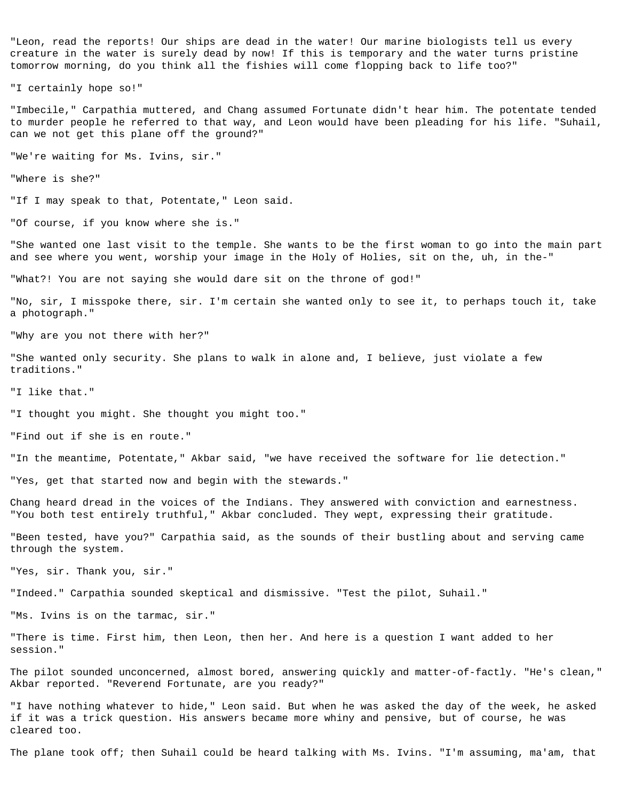"Leon, read the reports! Our ships are dead in the water! Our marine biologists tell us every creature in the water is surely dead by now! If this is temporary and the water turns pristine tomorrow morning, do you think all the fishies will come flopping back to life too?"

"I certainly hope so!"

"Imbecile," Carpathia muttered, and Chang assumed Fortunate didn't hear him. The potentate tended to murder people he referred to that way, and Leon would have been pleading for his life. "Suhail, can we not get this plane off the ground?"

"We're waiting for Ms. Ivins, sir."

"Where is she?"

"If I may speak to that, Potentate," Leon said.

"Of course, if you know where she is."

"She wanted one last visit to the temple. She wants to be the first woman to go into the main part and see where you went, worship your image in the Holy of Holies, sit on the, uh, in the-"

"What?! You are not saying she would dare sit on the throne of god!"

"No, sir, I misspoke there, sir. I'm certain she wanted only to see it, to perhaps touch it, take a photograph."

"Why are you not there with her?"

"She wanted only security. She plans to walk in alone and, I believe, just violate a few traditions."

"I like that."

"I thought you might. She thought you might too."

"Find out if she is en route."

"In the meantime, Potentate," Akbar said, "we have received the software for lie detection."

"Yes, get that started now and begin with the stewards."

Chang heard dread in the voices of the Indians. They answered with conviction and earnestness. "You both test entirely truthful," Akbar concluded. They wept, expressing their gratitude.

"Been tested, have you?" Carpathia said, as the sounds of their bustling about and serving came through the system.

"Yes, sir. Thank you, sir."

"Indeed." Carpathia sounded skeptical and dismissive. "Test the pilot, Suhail."

"Ms. Ivins is on the tarmac, sir."

"There is time. First him, then Leon, then her. And here is a question I want added to her session."

The pilot sounded unconcerned, almost bored, answering quickly and matter-of-factly. "He's clean," Akbar reported. "Reverend Fortunate, are you ready?"

"I have nothing whatever to hide," Leon said. But when he was asked the day of the week, he asked if it was a trick question. His answers became more whiny and pensive, but of course, he was cleared too.

The plane took off; then Suhail could be heard talking with Ms. Ivins. "I'm assuming, ma'am, that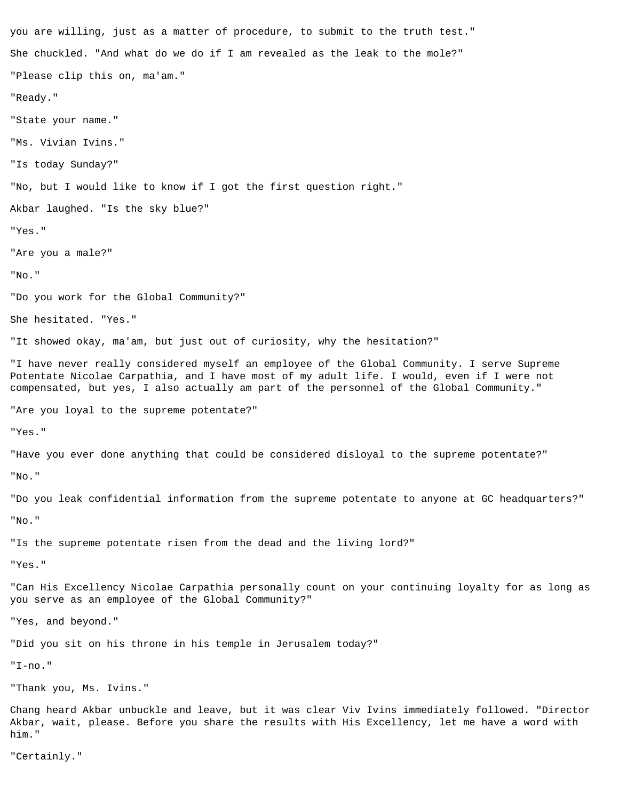you are willing, just as a matter of procedure, to submit to the truth test." She chuckled. "And what do we do if I am revealed as the leak to the mole?" "Please clip this on, ma'am." "Ready." "State your name." "Ms. Vivian Ivins." "Is today Sunday?" "No, but I would like to know if I got the first question right." Akbar laughed. "Is the sky blue?" "Yes." "Are you a male?" "No." "Do you work for the Global Community?" She hesitated. "Yes." "It showed okay, ma'am, but just out of curiosity, why the hesitation?" "I have never really considered myself an employee of the Global Community. I serve Supreme Potentate Nicolae Carpathia, and I have most of my adult life. I would, even if I were not compensated, but yes, I also actually am part of the personnel of the Global Community." "Are you loyal to the supreme potentate?" "Yes." "Have you ever done anything that could be considered disloyal to the supreme potentate?" "No." "Do you leak confidential information from the supreme potentate to anyone at GC headquarters?" "No." "Is the supreme potentate risen from the dead and the living lord?" "Yes." "Can His Excellency Nicolae Carpathia personally count on your continuing loyalty for as long as you serve as an employee of the Global Community?" "Yes, and beyond." "Did you sit on his throne in his temple in Jerusalem today?" "I-no." "Thank you, Ms. Ivins." Chang heard Akbar unbuckle and leave, but it was clear Viv Ivins immediately followed. "Director Akbar, wait, please. Before you share the results with His Excellency, let me have a word with him."

"Certainly."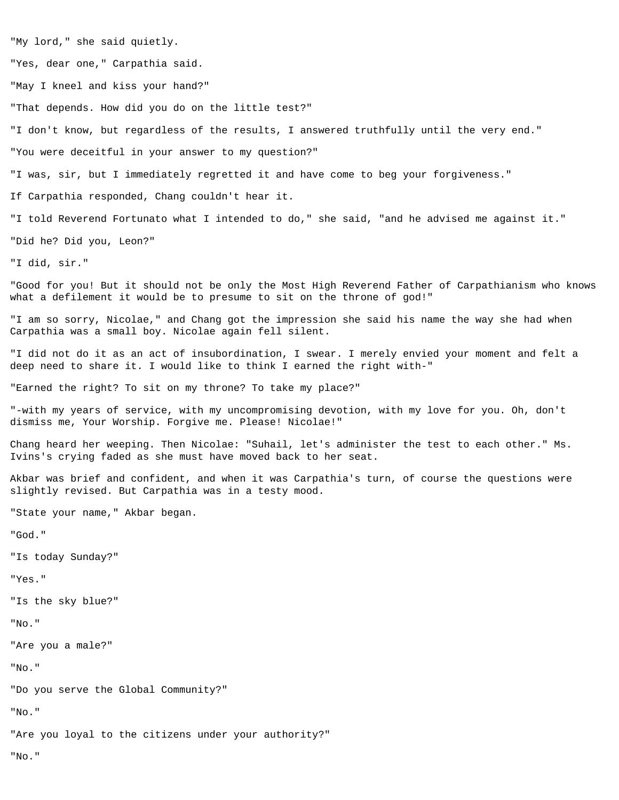"My lord," she said quietly.

"Yes, dear one," Carpathia said.

"May I kneel and kiss your hand?"

"That depends. How did you do on the little test?"

"I don't know, but regardless of the results, I answered truthfully until the very end."

"You were deceitful in your answer to my question?"

"I was, sir, but I immediately regretted it and have come to beg your forgiveness."

If Carpathia responded, Chang couldn't hear it.

"I told Reverend Fortunato what I intended to do," she said, "and he advised me against it."

"Did he? Did you, Leon?"

"I did, sir."

"Good for you! But it should not be only the Most High Reverend Father of Carpathianism who knows what a defilement it would be to presume to sit on the throne of god!"

"I am so sorry, Nicolae," and Chang got the impression she said his name the way she had when Carpathia was a small boy. Nicolae again fell silent.

"I did not do it as an act of insubordination, I swear. I merely envied your moment and felt a deep need to share it. I would like to think I earned the right with-"

"Earned the right? To sit on my throne? To take my place?"

"-with my years of service, with my uncompromising devotion, with my love for you. Oh, don't dismiss me, Your Worship. Forgive me. Please! Nicolae!"

Chang heard her weeping. Then Nicolae: "Suhail, let's administer the test to each other." Ms. Ivins's crying faded as she must have moved back to her seat.

Akbar was brief and confident, and when it was Carpathia's turn, of course the questions were slightly revised. But Carpathia was in a testy mood.

"State your name," Akbar began.

"God."

"Is today Sunday?"

"Yes."

"Is the sky blue?"

"No."

"Are you a male?"

"No."

"Do you serve the Global Community?"

"No."

"Are you loyal to the citizens under your authority?"

"No."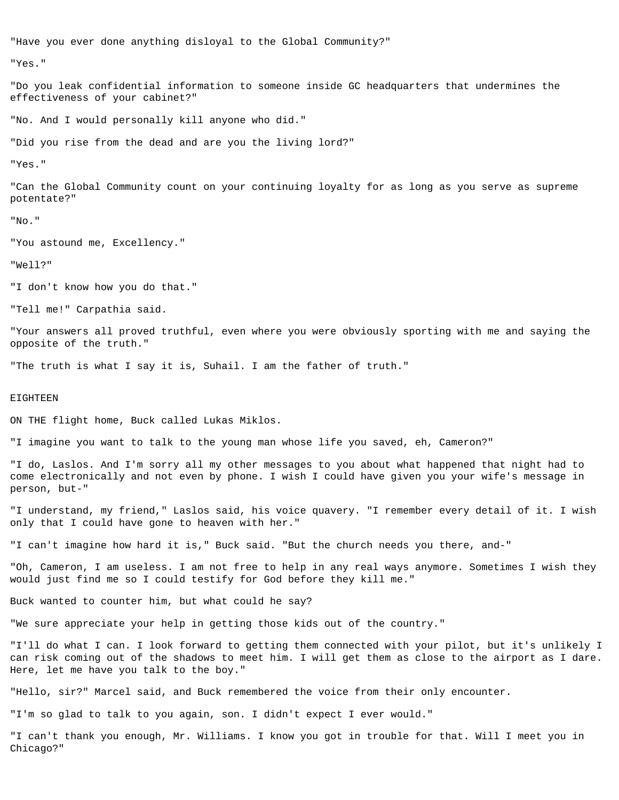"Have you ever done anything disloyal to the Global Community?"

"Yes."

"Do you leak confidential information to someone inside GC headquarters that undermines the effectiveness of your cabinet?"

"No. And I would personally kill anyone who did."

"Did you rise from the dead and are you the living lord?"

"Yes."

"Can the Global Community count on your continuing loyalty for as long as you serve as supreme potentate?"

"No."

"You astound me, Excellency."

"Well?"

"I don't know how you do that."

"Tell me!" Carpathia said.

"Your answers all proved truthful, even where you were obviously sporting with me and saying the opposite of the truth."

"The truth is what I say it is, Suhail. I am the father of truth."

EIGHTEEN

ON THE flight home, Buck called Lukas Miklos.

"I imagine you want to talk to the young man whose life you saved, eh, Cameron?"

"I do, Laslos. And I'm sorry all my other messages to you about what happened that night had to come electronically and not even by phone. I wish I could have given you your wife's message in person, but-"

"I understand, my friend," Laslos said, his voice quavery. "I remember every detail of it. I wish only that I could have gone to heaven with her."

"I can't imagine how hard it is," Buck said. "But the church needs you there, and-"

"Oh, Cameron, I am useless. I am not free to help in any real ways anymore. Sometimes I wish they would just find me so I could testify for God before they kill me."

Buck wanted to counter him, but what could he say?

"We sure appreciate your help in getting those kids out of the country."

"I'll do what I can. I look forward to getting them connected with your pilot, but it's unlikely I can risk coming out of the shadows to meet him. I will get them as close to the airport as I dare. Here, let me have you talk to the boy."

"Hello, sir?" Marcel said, and Buck remembered the voice from their only encounter.

"I'm so glad to talk to you again, son. I didn't expect I ever would."

"I can't thank you enough, Mr. Williams. I know you got in trouble for that. Will I meet you in Chicago?"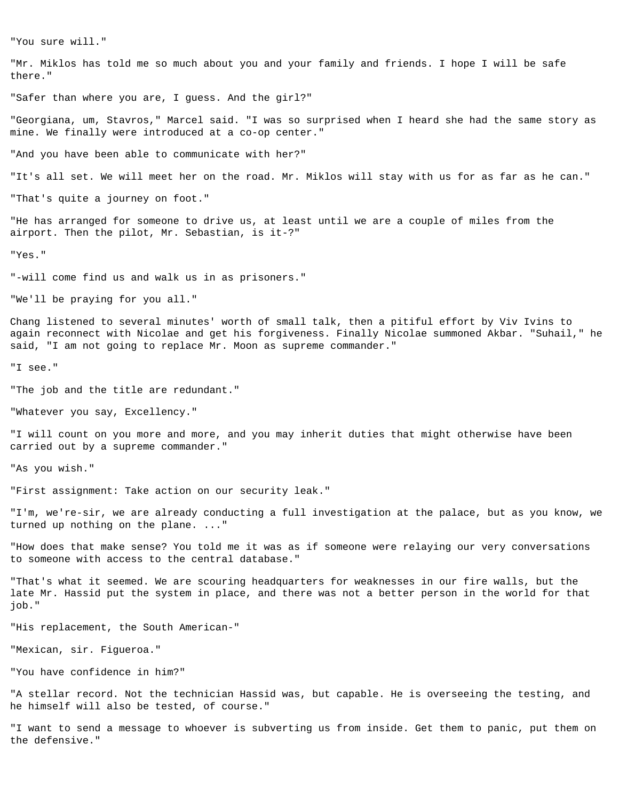"You sure will."

"Mr. Miklos has told me so much about you and your family and friends. I hope I will be safe there."

"Safer than where you are, I guess. And the girl?"

"Georgiana, um, Stavros," Marcel said. "I was so surprised when I heard she had the same story as mine. We finally were introduced at a co-op center."

"And you have been able to communicate with her?"

"It's all set. We will meet her on the road. Mr. Miklos will stay with us for as far as he can."

"That's quite a journey on foot."

"He has arranged for someone to drive us, at least until we are a couple of miles from the airport. Then the pilot, Mr. Sebastian, is it-?"

"Yes."

"-will come find us and walk us in as prisoners."

"We'll be praying for you all."

Chang listened to several minutes' worth of small talk, then a pitiful effort by Viv Ivins to again reconnect with Nicolae and get his forgiveness. Finally Nicolae summoned Akbar. "Suhail," he said, "I am not going to replace Mr. Moon as supreme commander."

"I see."

"The job and the title are redundant."

"Whatever you say, Excellency."

"I will count on you more and more, and you may inherit duties that might otherwise have been carried out by a supreme commander."

"As you wish."

"First assignment: Take action on our security leak."

"I'm, we're-sir, we are already conducting a full investigation at the palace, but as you know, we turned up nothing on the plane. ..."

"How does that make sense? You told me it was as if someone were relaying our very conversations to someone with access to the central database."

"That's what it seemed. We are scouring headquarters for weaknesses in our fire walls, but the late Mr. Hassid put the system in place, and there was not a better person in the world for that job."

"His replacement, the South American-"

"Mexican, sir. Figueroa."

"You have confidence in him?"

"A stellar record. Not the technician Hassid was, but capable. He is overseeing the testing, and he himself will also be tested, of course."

"I want to send a message to whoever is subverting us from inside. Get them to panic, put them on the defensive."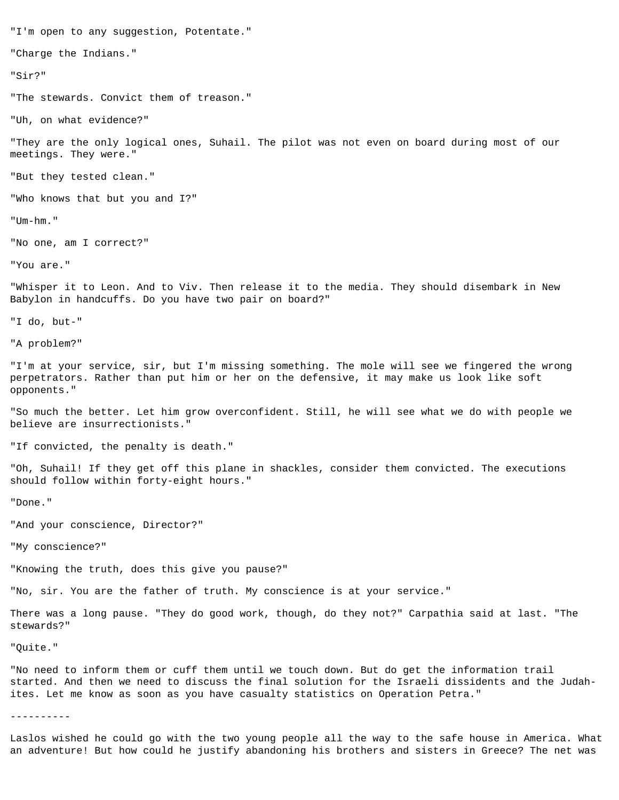"I'm open to any suggestion, Potentate."

"Charge the Indians."

"Sir?"

"The stewards. Convict them of treason."

"Uh, on what evidence?"

"They are the only logical ones, Suhail. The pilot was not even on board during most of our meetings. They were."

"But they tested clean."

"Who knows that but you and I?"

"Um-hm."

"No one, am I correct?"

"You are."

"Whisper it to Leon. And to Viv. Then release it to the media. They should disembark in New Babylon in handcuffs. Do you have two pair on board?"

"I do, but-"

"A problem?"

"I'm at your service, sir, but I'm missing something. The mole will see we fingered the wrong perpetrators. Rather than put him or her on the defensive, it may make us look like soft opponents."

"So much the better. Let him grow overconfident. Still, he will see what we do with people we believe are insurrectionists."

"If convicted, the penalty is death."

"Oh, Suhail! If they get off this plane in shackles, consider them convicted. The executions should follow within forty-eight hours."

"Done."

"And your conscience, Director?"

"My conscience?"

"Knowing the truth, does this give you pause?"

"No, sir. You are the father of truth. My conscience is at your service."

There was a long pause. "They do good work, though, do they not?" Carpathia said at last. "The stewards?"

"Quite."

"No need to inform them or cuff them until we touch down. But do get the information trail started. And then we need to discuss the final solution for the Israeli dissidents and the Judahites. Let me know as soon as you have casualty statistics on Operation Petra."

----------

Laslos wished he could go with the two young people all the way to the safe house in America. What an adventure! But how could he justify abandoning his brothers and sisters in Greece? The net was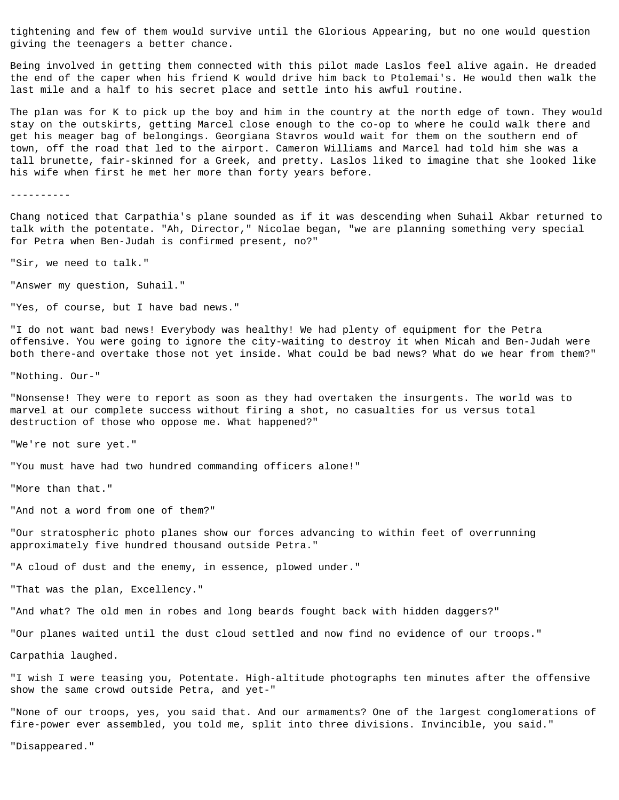tightening and few of them would survive until the Glorious Appearing, but no one would question giving the teenagers a better chance.

Being involved in getting them connected with this pilot made Laslos feel alive again. He dreaded the end of the caper when his friend K would drive him back to Ptolemai's. He would then walk the last mile and a half to his secret place and settle into his awful routine.

The plan was for K to pick up the boy and him in the country at the north edge of town. They would stay on the outskirts, getting Marcel close enough to the co-op to where he could walk there and get his meager bag of belongings. Georgiana Stavros would wait for them on the southern end of town, off the road that led to the airport. Cameron Williams and Marcel had told him she was a tall brunette, fair-skinned for a Greek, and pretty. Laslos liked to imagine that she looked like his wife when first he met her more than forty years before.

----------

Chang noticed that Carpathia's plane sounded as if it was descending when Suhail Akbar returned to talk with the potentate. "Ah, Director," Nicolae began, "we are planning something very special for Petra when Ben-Judah is confirmed present, no?"

"Sir, we need to talk."

"Answer my question, Suhail."

"Yes, of course, but I have bad news."

"I do not want bad news! Everybody was healthy! We had plenty of equipment for the Petra offensive. You were going to ignore the city-waiting to destroy it when Micah and Ben-Judah were both there-and overtake those not yet inside. What could be bad news? What do we hear from them?"

"Nothing. Our-"

"Nonsense! They were to report as soon as they had overtaken the insurgents. The world was to marvel at our complete success without firing a shot, no casualties for us versus total destruction of those who oppose me. What happened?"

"We're not sure yet."

"You must have had two hundred commanding officers alone!"

"More than that."

"And not a word from one of them?"

"Our stratospheric photo planes show our forces advancing to within feet of overrunning approximately five hundred thousand outside Petra."

"A cloud of dust and the enemy, in essence, plowed under."

"That was the plan, Excellency."

"And what? The old men in robes and long beards fought back with hidden daggers?"

"Our planes waited until the dust cloud settled and now find no evidence of our troops."

Carpathia laughed.

"I wish I were teasing you, Potentate. High-altitude photographs ten minutes after the offensive show the same crowd outside Petra, and yet-"

"None of our troops, yes, you said that. And our armaments? One of the largest conglomerations of fire-power ever assembled, you told me, split into three divisions. Invincible, you said."

"Disappeared."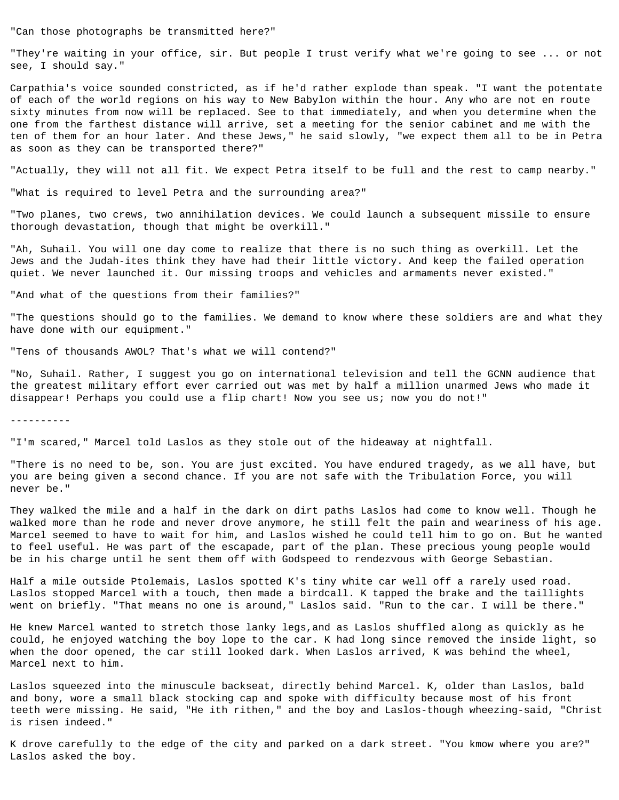"Can those photographs be transmitted here?"

"They're waiting in your office, sir. But people I trust verify what we're going to see ... or not see, I should say."

Carpathia's voice sounded constricted, as if he'd rather explode than speak. "I want the potentate of each of the world regions on his way to New Babylon within the hour. Any who are not en route sixty minutes from now will be replaced. See to that immediately, and when you determine when the one from the farthest distance will arrive, set a meeting for the senior cabinet and me with the ten of them for an hour later. And these Jews," he said slowly, "we expect them all to be in Petra as soon as they can be transported there?"

"Actually, they will not all fit. We expect Petra itself to be full and the rest to camp nearby."

"What is required to level Petra and the surrounding area?"

"Two planes, two crews, two annihilation devices. We could launch a subsequent missile to ensure thorough devastation, though that might be overkill."

"Ah, Suhail. You will one day come to realize that there is no such thing as overkill. Let the Jews and the Judah-ites think they have had their little victory. And keep the failed operation quiet. We never launched it. Our missing troops and vehicles and armaments never existed."

"And what of the questions from their families?"

"The questions should go to the families. We demand to know where these soldiers are and what they have done with our equipment."

"Tens of thousands AWOL? That's what we will contend?"

"No, Suhail. Rather, I suggest you go on international television and tell the GCNN audience that the greatest military effort ever carried out was met by half a million unarmed Jews who made it disappear! Perhaps you could use a flip chart! Now you see us; now you do not!"

----------

"I'm scared," Marcel told Laslos as they stole out of the hideaway at nightfall.

"There is no need to be, son. You are just excited. You have endured tragedy, as we all have, but you are being given a second chance. If you are not safe with the Tribulation Force, you will never be."

They walked the mile and a half in the dark on dirt paths Laslos had come to know well. Though he walked more than he rode and never drove anymore, he still felt the pain and weariness of his age. Marcel seemed to have to wait for him, and Laslos wished he could tell him to go on. But he wanted to feel useful. He was part of the escapade, part of the plan. These precious young people would be in his charge until he sent them off with Godspeed to rendezvous with George Sebastian.

Half a mile outside Ptolemais, Laslos spotted K's tiny white car well off a rarely used road. Laslos stopped Marcel with a touch, then made a birdcall. K tapped the brake and the taillights went on briefly. "That means no one is around," Laslos said. "Run to the car. I will be there."

He knew Marcel wanted to stretch those lanky legs,and as Laslos shuffled along as quickly as he could, he enjoyed watching the boy lope to the car. K had long since removed the inside light, so when the door opened, the car still looked dark. When Laslos arrived, K was behind the wheel, Marcel next to him.

Laslos squeezed into the minuscule backseat, directly behind Marcel. K, older than Laslos, bald and bony, wore a small black stocking cap and spoke with difficulty because most of his front teeth were missing. He said, "He ith rithen," and the boy and Laslos-though wheezing-said, "Christ is risen indeed."

K drove carefully to the edge of the city and parked on a dark street. "You kmow where you are?" Laslos asked the boy.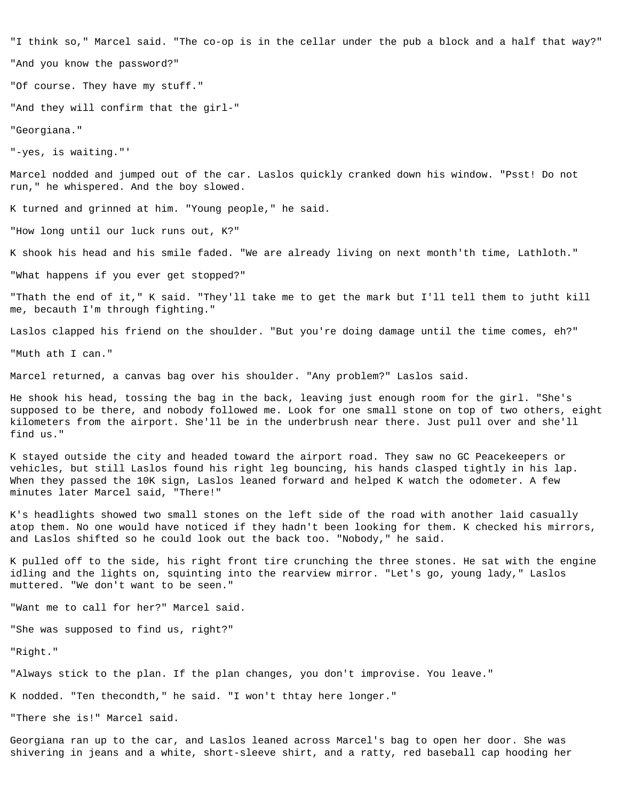"I think so," Marcel said. "The co-op is in the cellar under the pub a block and a half that way?" "And you know the password?"

"Of course. They have my stuff."

"And they will confirm that the girl-"

"Georgiana."

"-yes, is waiting."'

Marcel nodded and jumped out of the car. Laslos quickly cranked down his window. "Psst! Do not run," he whispered. And the boy slowed.

K turned and grinned at him. "Young people," he said.

"How long until our luck runs out, K?"

K shook his head and his smile faded. "We are already living on next month'th time, Lathloth."

"What happens if you ever get stopped?"

"Thath the end of it," K said. "They'll take me to get the mark but I'll tell them to jutht kill me, becauth I'm through fighting."

Laslos clapped his friend on the shoulder. "But you're doing damage until the time comes, eh?"

"Muth ath I can."

Marcel returned, a canvas bag over his shoulder. "Any problem?" Laslos said.

He shook his head, tossing the bag in the back, leaving just enough room for the girl. "She's supposed to be there, and nobody followed me. Look for one small stone on top of two others, eight kilometers from the airport. She'll be in the underbrush near there. Just pull over and she'll find us."

K stayed outside the city and headed toward the airport road. They saw no GC Peacekeepers or vehicles, but still Laslos found his right leg bouncing, his hands clasped tightly in his lap. When they passed the 10K sign, Laslos leaned forward and helped K watch the odometer. A few minutes later Marcel said, "There!"

K's headlights showed two small stones on the left side of the road with another laid casually atop them. No one would have noticed if they hadn't been looking for them. K checked his mirrors, and Laslos shifted so he could look out the back too. "Nobody," he said.

K pulled off to the side, his right front tire crunching the three stones. He sat with the engine idling and the lights on, squinting into the rearview mirror. "Let's go, young lady," Laslos muttered. "We don't want to be seen."

"Want me to call for her?" Marcel said.

"She was supposed to find us, right?"

"Right."

"Always stick to the plan. If the plan changes, you don't improvise. You leave."

K nodded. "Ten thecondth," he said. "I won't thtay here longer."

"There she is!" Marcel said.

Georgiana ran up to the car, and Laslos leaned across Marcel's bag to open her door. She was shivering in jeans and a white, short-sleeve shirt, and a ratty, red baseball cap hooding her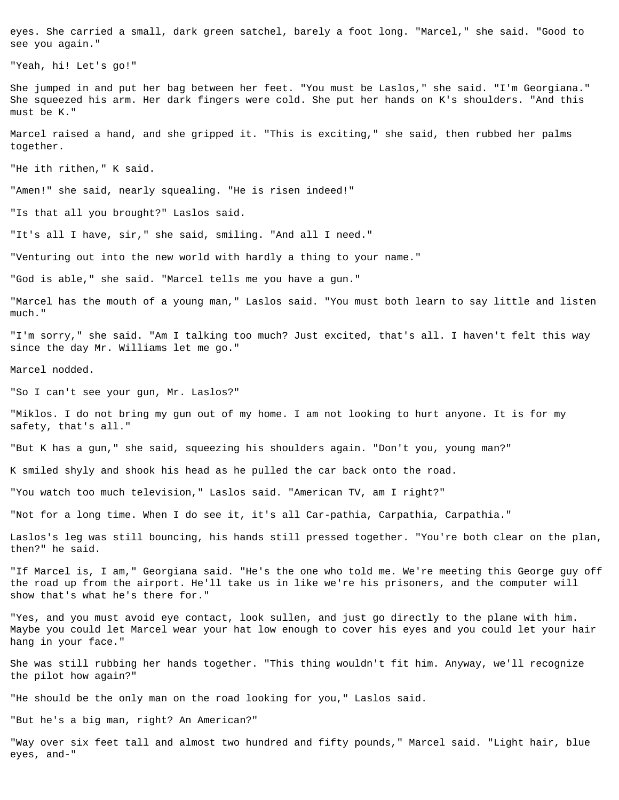eyes. She carried a small, dark green satchel, barely a foot long. "Marcel," she said. "Good to see you again."

"Yeah, hi! Let's go!"

She jumped in and put her bag between her feet. "You must be Laslos," she said. "I'm Georgiana." She squeezed his arm. Her dark fingers were cold. She put her hands on K's shoulders. "And this must be K."

Marcel raised a hand, and she gripped it. "This is exciting," she said, then rubbed her palms together.

"He ith rithen," K said.

"Amen!" she said, nearly squealing. "He is risen indeed!"

"Is that all you brought?" Laslos said.

"It's all I have, sir," she said, smiling. "And all I need."

"Venturing out into the new world with hardly a thing to your name."

"God is able," she said. "Marcel tells me you have a gun."

"Marcel has the mouth of a young man," Laslos said. "You must both learn to say little and listen much."

"I'm sorry," she said. "Am I talking too much? Just excited, that's all. I haven't felt this way since the day Mr. Williams let me go."

Marcel nodded.

"So I can't see your gun, Mr. Laslos?"

"Miklos. I do not bring my gun out of my home. I am not looking to hurt anyone. It is for my safety, that's all."

"But K has a gun," she said, squeezing his shoulders again. "Don't you, young man?"

K smiled shyly and shook his head as he pulled the car back onto the road.

"You watch too much television," Laslos said. "American TV, am I right?"

"Not for a long time. When I do see it, it's all Car-pathia, Carpathia, Carpathia."

Laslos's leg was still bouncing, his hands still pressed together. "You're both clear on the plan, then?" he said.

"If Marcel is, I am," Georgiana said. "He's the one who told me. We're meeting this George guy off the road up from the airport. He'll take us in like we're his prisoners, and the computer will show that's what he's there for."

"Yes, and you must avoid eye contact, look sullen, and just go directly to the plane with him. Maybe you could let Marcel wear your hat low enough to cover his eyes and you could let your hair hang in your face."

She was still rubbing her hands together. "This thing wouldn't fit him. Anyway, we'll recognize the pilot how again?"

"He should be the only man on the road looking for you," Laslos said.

"But he's a big man, right? An American?"

"Way over six feet tall and almost two hundred and fifty pounds," Marcel said. "Light hair, blue eyes, and-"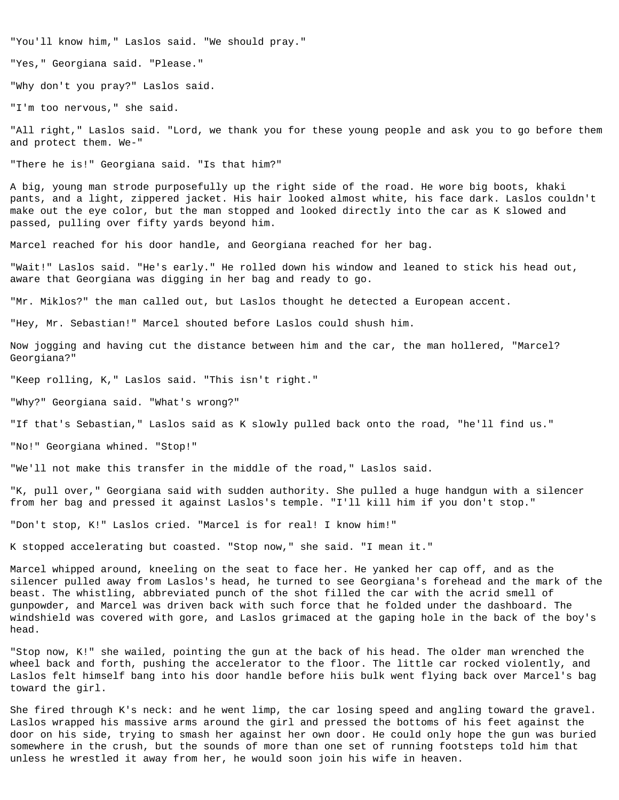"You'll know him," Laslos said. "We should pray."

"Yes," Georgiana said. "Please."

"Why don't you pray?" Laslos said.

"I'm too nervous," she said.

"All right," Laslos said. "Lord, we thank you for these young people and ask you to go before them and protect them. We-"

"There he is!" Georgiana said. "Is that him?"

A big, young man strode purposefully up the right side of the road. He wore big boots, khaki pants, and a light, zippered jacket. His hair looked almost white, his face dark. Laslos couldn't make out the eye color, but the man stopped and looked directly into the car as K slowed and passed, pulling over fifty yards beyond him.

Marcel reached for his door handle, and Georgiana reached for her bag.

"Wait!" Laslos said. "He's early." He rolled down his window and leaned to stick his head out, aware that Georgiana was digging in her bag and ready to go.

"Mr. Miklos?" the man called out, but Laslos thought he detected a European accent.

"Hey, Mr. Sebastian!" Marcel shouted before Laslos could shush him.

Now jogging and having cut the distance between him and the car, the man hollered, "Marcel? Georgiana?"

"Keep rolling, K," Laslos said. "This isn't right."

"Why?" Georgiana said. "What's wrong?"

"If that's Sebastian," Laslos said as K slowly pulled back onto the road, "he'll find us."

"No!" Georgiana whined. "Stop!"

"We'll not make this transfer in the middle of the road," Laslos said.

"K, pull over," Georgiana said with sudden authority. She pulled a huge handgun with a silencer from her bag and pressed it against Laslos's temple. "I'll kill him if you don't stop."

"Don't stop, K!" Laslos cried. "Marcel is for real! I know him!"

K stopped accelerating but coasted. "Stop now," she said. "I mean it."

Marcel whipped around, kneeling on the seat to face her. He yanked her cap off, and as the silencer pulled away from Laslos's head, he turned to see Georgiana's forehead and the mark of the beast. The whistling, abbreviated punch of the shot filled the car with the acrid smell of gunpowder, and Marcel was driven back with such force that he folded under the dashboard. The windshield was covered with gore, and Laslos grimaced at the gaping hole in the back of the boy's head.

"Stop now, K!" she wailed, pointing the gun at the back of his head. The older man wrenched the wheel back and forth, pushing the accelerator to the floor. The little car rocked violently, and Laslos felt himself bang into his door handle before hiis bulk went flying back over Marcel's bag toward the girl.

She fired through K's neck: and he went limp, the car losing speed and angling toward the gravel. Laslos wrapped his massive arms around the girl and pressed the bottoms of his feet against the door on his side, trying to smash her against her own door. He could only hope the gun was buried somewhere in the crush, but the sounds of more than one set of running footsteps told him that unless he wrestled it away from her, he would soon join his wife in heaven.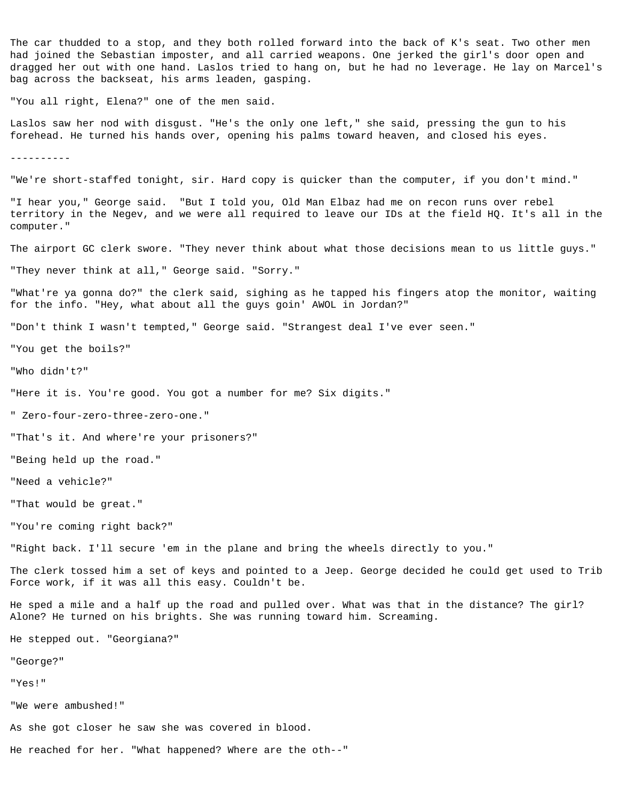The car thudded to a stop, and they both rolled forward into the back of K's seat. Two other men had joined the Sebastian imposter, and all carried weapons. One jerked the girl's door open and dragged her out with one hand. Laslos tried to hang on, but he had no leverage. He lay on Marcel's bag across the backseat, his arms leaden, gasping. "You all right, Elena?" one of the men said. Laslos saw her nod with disgust. "He's the only one left," she said, pressing the gun to his forehead. He turned his hands over, opening his palms toward heaven, and closed his eyes. ---------- "We're short-staffed tonight, sir. Hard copy is quicker than the computer, if you don't mind." "I hear you," George said. "But I told you, Old Man Elbaz had me on recon runs over rebel territory in the Negev, and we were all required to leave our IDs at the field HQ. It's all in the computer." The airport GC clerk swore. "They never think about what those decisions mean to us little guys." "They never think at all," George said. "Sorry." "What're ya gonna do?" the clerk said, sighing as he tapped his fingers atop the monitor, waiting for the info. "Hey, what about all the guys goin' AWOL in Jordan?" "Don't think I wasn't tempted," George said. "Strangest deal I've ever seen." "You get the boils?" "Who didn't?" "Here it is. You're good. You got a number for me? Six digits." " Zero-four-zero-three-zero-one." "That's it. And where're your prisoners?" "Being held up the road." "Need a vehicle?" "That would be great." "You're coming right back?" "Right back. I'll secure 'em in the plane and bring the wheels directly to you." The clerk tossed him a set of keys and pointed to a Jeep. George decided he could get used to Trib Force work, if it was all this easy. Couldn't be. He sped a mile and a half up the road and pulled over. What was that in the distance? The girl? Alone? He turned on his brights. She was running toward him. Screaming. He stepped out. "Georgiana?" "George?" "Yes!" "We were ambushed!" As she got closer he saw she was covered in blood.

He reached for her. "What happened? Where are the oth--"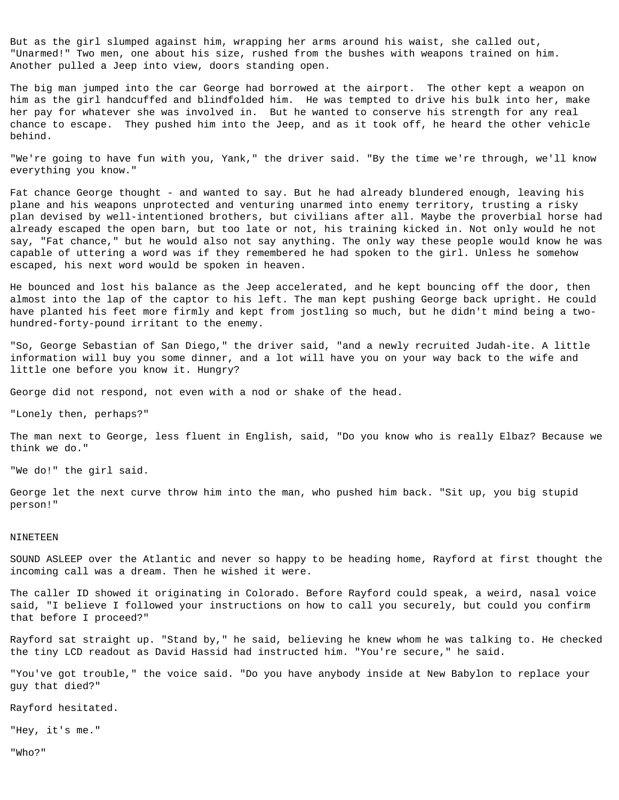But as the girl slumped against him, wrapping her arms around his waist, she called out, "Unarmed!" Two men, one about his size, rushed from the bushes with weapons trained on him. Another pulled a Jeep into view, doors standing open.

The big man jumped into the car George had borrowed at the airport. The other kept a weapon on him as the girl handcuffed and blindfolded him. He was tempted to drive his bulk into her, make her pay for whatever she was involved in. But he wanted to conserve his strength for any real chance to escape. They pushed him into the Jeep, and as it took off, he heard the other vehicle behind.

"We're going to have fun with you, Yank," the driver said. "By the time we're through, we'll know everything you know."

Fat chance George thought - and wanted to say. But he had already blundered enough, leaving his plane and his weapons unprotected and venturing unarmed into enemy territory, trusting a risky plan devised by well-intentioned brothers, but civilians after all. Maybe the proverbial horse had already escaped the open barn, but too late or not, his training kicked in. Not only would he not say, "Fat chance," but he would also not say anything. The only way these people would know he was capable of uttering a word was if they remembered he had spoken to the girl. Unless he somehow escaped, his next word would be spoken in heaven.

He bounced and lost his balance as the Jeep accelerated, and he kept bouncing off the door, then almost into the lap of the captor to his left. The man kept pushing George back upright. He could have planted his feet more firmly and kept from jostling so much, but he didn't mind being a twohundred-forty-pound irritant to the enemy.

"So, George Sebastian of San Diego," the driver said, "and a newly recruited Judah-ite. A little information will buy you some dinner, and a lot will have you on your way back to the wife and little one before you know it. Hungry?

George did not respond, not even with a nod or shake of the head.

"Lonely then, perhaps?"

The man next to George, less fluent in English, said, "Do you know who is really Elbaz? Because we think we do."

"We do!" the girl said.

George let the next curve throw him into the man, who pushed him back. "Sit up, you big stupid person!"

### NINETEEN

SOUND ASLEEP over the Atlantic and never so happy to be heading home, Rayford at first thought the incoming call was a dream. Then he wished it were.

The caller ID showed it originating in Colorado. Before Rayford could speak, a weird, nasal voice said, "I believe I followed your instructions on how to call you securely, but could you confirm that before I proceed?"

Rayford sat straight up. "Stand by," he said, believing he knew whom he was talking to. He checked the tiny LCD readout as David Hassid had instructed him. "You're secure," he said.

"You've got trouble," the voice said. "Do you have anybody inside at New Babylon to replace your guy that died?"

Rayford hesitated.

"Hey, it's me."

"Who?"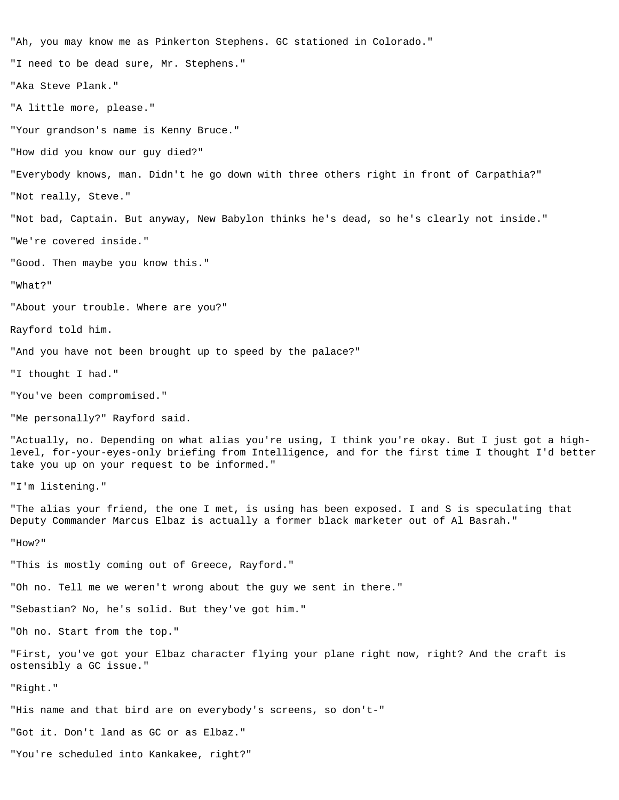"Ah, you may know me as Pinkerton Stephens. GC stationed in Colorado." "I need to be dead sure, Mr. Stephens." "Aka Steve Plank." "A little more, please." "Your grandson's name is Kenny Bruce." "How did you know our guy died?" "Everybody knows, man. Didn't he go down with three others right in front of Carpathia?" "Not really, Steve." "Not bad, Captain. But anyway, New Babylon thinks he's dead, so he's clearly not inside." "We're covered inside." "Good. Then maybe you know this." "What?" "About your trouble. Where are you?" Rayford told him. "And you have not been brought up to speed by the palace?" "I thought I had." "You've been compromised." "Me personally?" Rayford said. "Actually, no. Depending on what alias you're using, I think you're okay. But I just got a highlevel, for-your-eyes-only briefing from Intelligence, and for the first time I thought I'd better take you up on your request to be informed." "I'm listening." "The alias your friend, the one I met, is using has been exposed. I and S is speculating that Deputy Commander Marcus Elbaz is actually a former black marketer out of Al Basrah." "How?" "This is mostly coming out of Greece, Rayford." "Oh no. Tell me we weren't wrong about the guy we sent in there." "Sebastian? No, he's solid. But they've got him." "Oh no. Start from the top." "First, you've got your Elbaz character flying your plane right now, right? And the craft is ostensibly a GC issue." "Right." "His name and that bird are on everybody's screens, so don't-" "Got it. Don't land as GC or as Elbaz." "You're scheduled into Kankakee, right?"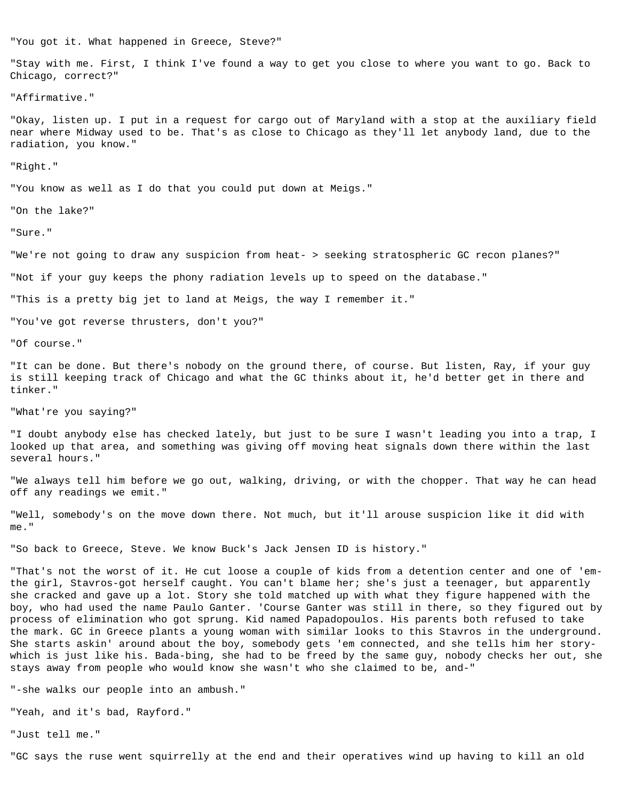"You got it. What happened in Greece, Steve?"

"Stay with me. First, I think I've found a way to get you close to where you want to go. Back to Chicago, correct?"

"Affirmative."

"Okay, listen up. I put in a request for cargo out of Maryland with a stop at the auxiliary field near where Midway used to be. That's as close to Chicago as they'll let anybody land, due to the radiation, you know."

"Right."

"You know as well as I do that you could put down at Meigs."

"On the lake?"

"Sure."

"We're not going to draw any suspicion from heat- > seeking stratospheric GC recon planes?"

"Not if your guy keeps the phony radiation levels up to speed on the database."

"This is a pretty big jet to land at Meigs, the way I remember it."

"You've got reverse thrusters, don't you?"

"Of course."

"It can be done. But there's nobody on the ground there, of course. But listen, Ray, if your guy is still keeping track of Chicago and what the GC thinks about it, he'd better get in there and tinker."

"What're you saying?"

"I doubt anybody else has checked lately, but just to be sure I wasn't leading you into a trap, I looked up that area, and something was giving off moving heat signals down there within the last several hours."

"We always tell him before we go out, walking, driving, or with the chopper. That way he can head off any readings we emit."

"Well, somebody's on the move down there. Not much, but it'll arouse suspicion like it did with me."

"So back to Greece, Steve. We know Buck's Jack Jensen ID is history."

"That's not the worst of it. He cut loose a couple of kids from a detention center and one of 'emthe girl, Stavros-got herself caught. You can't blame her; she's just a teenager, but apparently she cracked and gave up a lot. Story she told matched up with what they figure happened with the boy, who had used the name Paulo Ganter. 'Course Ganter was still in there, so they figured out by process of elimination who got sprung. Kid named Papadopoulos. His parents both refused to take the mark. GC in Greece plants a young woman with similar looks to this Stavros in the underground. She starts askin' around about the boy, somebody gets 'em connected, and she tells him her storywhich is just like his. Bada-bing, she had to be freed by the same guy, nobody checks her out, she stays away from people who would know she wasn't who she claimed to be, and-"

"-she walks our people into an ambush."

"Yeah, and it's bad, Rayford."

"Just tell me."

"GC says the ruse went squirrelly at the end and their operatives wind up having to kill an old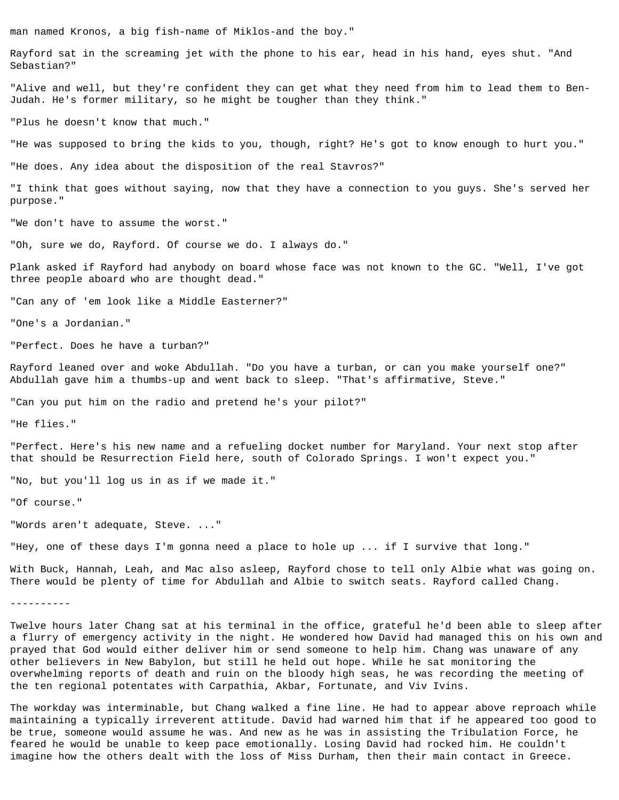man named Kronos, a big fish-name of Miklos-and the boy."

Rayford sat in the screaming jet with the phone to his ear, head in his hand, eyes shut. "And Sebastian?"

"Alive and well, but they're confident they can get what they need from him to lead them to Ben-Judah. He's former military, so he might be tougher than they think."

"Plus he doesn't know that much."

"He was supposed to bring the kids to you, though, right? He's got to know enough to hurt you."

"He does. Any idea about the disposition of the real Stavros?"

"I think that goes without saying, now that they have a connection to you guys. She's served her purpose."

"We don't have to assume the worst."

"Oh, sure we do, Rayford. Of course we do. I always do."

Plank asked if Rayford had anybody on board whose face was not known to the GC. "Well, I've got three people aboard who are thought dead."

"Can any of 'em look like a Middle Easterner?"

"One's a Jordanian."

"Perfect. Does he have a turban?"

Rayford leaned over and woke Abdullah. "Do you have a turban, or can you make yourself one?" Abdullah gave him a thumbs-up and went back to sleep. "That's affirmative, Steve."

"Can you put him on the radio and pretend he's your pilot?"

"He flies."

"Perfect. Here's his new name and a refueling docket number for Maryland. Your next stop after that should be Resurrection Field here, south of Colorado Springs. I won't expect you."

"No, but you'll log us in as if we made it."

"Of course."

"Words aren't adequate, Steve. ..."

"Hey, one of these days I'm gonna need a place to hole up ... if I survive that long."

With Buck, Hannah, Leah, and Mac also asleep, Rayford chose to tell only Albie what was going on. There would be plenty of time for Abdullah and Albie to switch seats. Rayford called Chang.

----------

Twelve hours later Chang sat at his terminal in the office, grateful he'd been able to sleep after a flurry of emergency activity in the night. He wondered how David had managed this on his own and prayed that God would either deliver him or send someone to help him. Chang was unaware of any other believers in New Babylon, but still he held out hope. While he sat monitoring the overwhelming reports of death and ruin on the bloody high seas, he was recording the meeting of the ten regional potentates with Carpathia, Akbar, Fortunate, and Viv Ivins.

The workday was interminable, but Chang walked a fine line. He had to appear above reproach while maintaining a typically irreverent attitude. David had warned him that if he appeared too good to be true, someone would assume he was. And new as he was in assisting the Tribulation Force, he feared he would be unable to keep pace emotionally. Losing David had rocked him. He couldn't imagine how the others dealt with the loss of Miss Durham, then their main contact in Greece.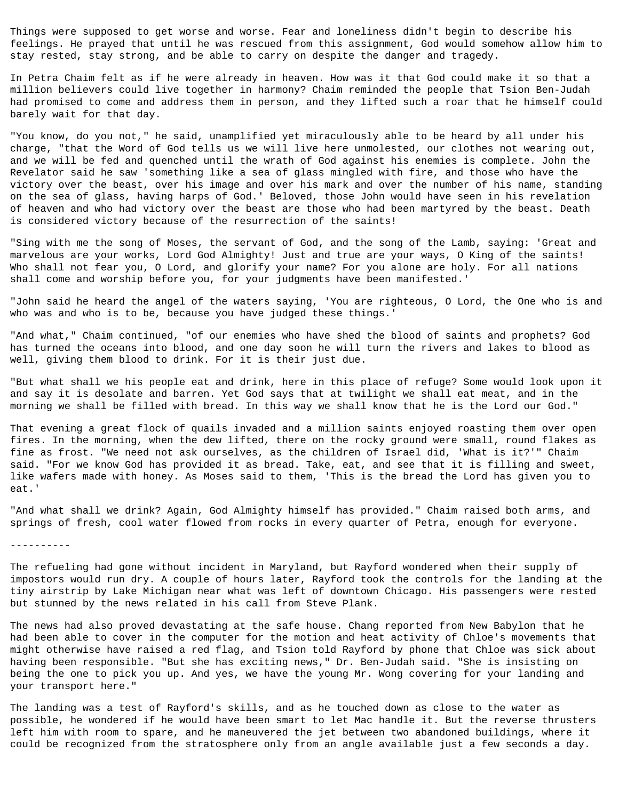Things were supposed to get worse and worse. Fear and loneliness didn't begin to describe his feelings. He prayed that until he was rescued from this assignment, God would somehow allow him to stay rested, stay strong, and be able to carry on despite the danger and tragedy.

In Petra Chaim felt as if he were already in heaven. How was it that God could make it so that a million believers could live together in harmony? Chaim reminded the people that Tsion Ben-Judah had promised to come and address them in person, and they lifted such a roar that he himself could barely wait for that day.

"You know, do you not," he said, unamplified yet miraculously able to be heard by all under his charge, "that the Word of God tells us we will live here unmolested, our clothes not wearing out, and we will be fed and quenched until the wrath of God against his enemies is complete. John the Revelator said he saw 'something like a sea of glass mingled with fire, and those who have the victory over the beast, over his image and over his mark and over the number of his name, standing on the sea of glass, having harps of God.' Beloved, those John would have seen in his revelation of heaven and who had victory over the beast are those who had been martyred by the beast. Death is considered victory because of the resurrection of the saints!

"Sing with me the song of Moses, the servant of God, and the song of the Lamb, saying: 'Great and marvelous are your works, Lord God Almighty! Just and true are your ways, O King of the saints! Who shall not fear you, O Lord, and glorify your name? For you alone are holy. For all nations shall come and worship before you, for your judgments have been manifested.'

"John said he heard the angel of the waters saying, 'You are righteous, O Lord, the One who is and who was and who is to be, because you have judged these things.'

"And what," Chaim continued, "of our enemies who have shed the blood of saints and prophets? God has turned the oceans into blood, and one day soon he will turn the rivers and lakes to blood as well, giving them blood to drink. For it is their just due.

"But what shall we his people eat and drink, here in this place of refuge? Some would look upon it and say it is desolate and barren. Yet God says that at twilight we shall eat meat, and in the morning we shall be filled with bread. In this way we shall know that he is the Lord our God."

That evening a great flock of quails invaded and a million saints enjoyed roasting them over open fires. In the morning, when the dew lifted, there on the rocky ground were small, round flakes as fine as frost. "We need not ask ourselves, as the children of Israel did, 'What is it?'" Chaim said. "For we know God has provided it as bread. Take, eat, and see that it is filling and sweet, like wafers made with honey. As Moses said to them, 'This is the bread the Lord has given you to eat.'

"And what shall we drink? Again, God Almighty himself has provided." Chaim raised both arms, and springs of fresh, cool water flowed from rocks in every quarter of Petra, enough for everyone.

----------

The refueling had gone without incident in Maryland, but Rayford wondered when their supply of impostors would run dry. A couple of hours later, Rayford took the controls for the landing at the tiny airstrip by Lake Michigan near what was left of downtown Chicago. His passengers were rested but stunned by the news related in his call from Steve Plank.

The news had also proved devastating at the safe house. Chang reported from New Babylon that he had been able to cover in the computer for the motion and heat activity of Chloe's movements that might otherwise have raised a red flag, and Tsion told Rayford by phone that Chloe was sick about having been responsible. "But she has exciting news," Dr. Ben-Judah said. "She is insisting on being the one to pick you up. And yes, we have the young Mr. Wong covering for your landing and your transport here."

The landing was a test of Rayford's skills, and as he touched down as close to the water as possible, he wondered if he would have been smart to let Mac handle it. But the reverse thrusters left him with room to spare, and he maneuvered the jet between two abandoned buildings, where it could be recognized from the stratosphere only from an angle available just a few seconds a day.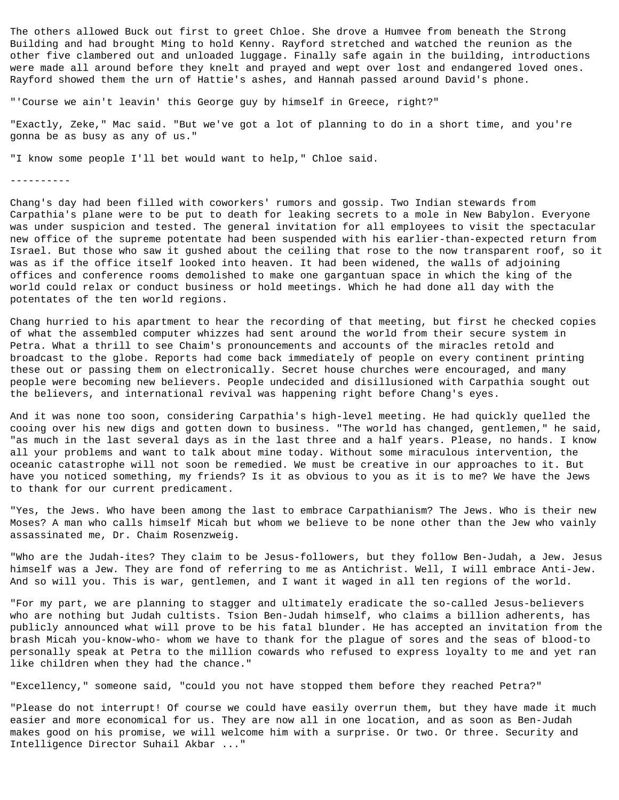The others allowed Buck out first to greet Chloe. She drove a Humvee from beneath the Strong Building and had brought Ming to hold Kenny. Rayford stretched and watched the reunion as the other five clambered out and unloaded luggage. Finally safe again in the building, introductions were made all around before they knelt and prayed and wept over lost and endangered loved ones. Rayford showed them the urn of Hattie's ashes, and Hannah passed around David's phone.

"'Course we ain't leavin' this George guy by himself in Greece, right?"

"Exactly, Zeke," Mac said. "But we've got a lot of planning to do in a short time, and you're gonna be as busy as any of us."

"I know some people I'll bet would want to help," Chloe said.

----------

Chang's day had been filled with coworkers' rumors and gossip. Two Indian stewards from Carpathia's plane were to be put to death for leaking secrets to a mole in New Babylon. Everyone was under suspicion and tested. The general invitation for all employees to visit the spectacular new office of the supreme potentate had been suspended with his earlier-than-expected return from Israel. But those who saw it gushed about the ceiling that rose to the now transparent roof, so it was as if the office itself looked into heaven. It had been widened, the walls of adjoining offices and conference rooms demolished to make one gargantuan space in which the king of the world could relax or conduct business or hold meetings. Which he had done all day with the potentates of the ten world regions.

Chang hurried to his apartment to hear the recording of that meeting, but first he checked copies of what the assembled computer whizzes had sent around the world from their secure system in Petra. What a thrill to see Chaim's pronouncements and accounts of the miracles retold and broadcast to the globe. Reports had come back immediately of people on every continent printing these out or passing them on electronically. Secret house churches were encouraged, and many people were becoming new believers. People undecided and disillusioned with Carpathia sought out the believers, and international revival was happening right before Chang's eyes.

And it was none too soon, considering Carpathia's high-level meeting. He had quickly quelled the cooing over his new digs and gotten down to business. "The world has changed, gentlemen," he said, "as much in the last several days as in the last three and a half years. Please, no hands. I know all your problems and want to talk about mine today. Without some miraculous intervention, the oceanic catastrophe will not soon be remedied. We must be creative in our approaches to it. But have you noticed something, my friends? Is it as obvious to you as it is to me? We have the Jews to thank for our current predicament.

"Yes, the Jews. Who have been among the last to embrace Carpathianism? The Jews. Who is their new Moses? A man who calls himself Micah but whom we believe to be none other than the Jew who vainly assassinated me, Dr. Chaim Rosenzweig.

"Who are the Judah-ites? They claim to be Jesus-followers, but they follow Ben-Judah, a Jew. Jesus himself was a Jew. They are fond of referring to me as Antichrist. Well, I will embrace Anti-Jew. And so will you. This is war, gentlemen, and I want it waged in all ten regions of the world.

"For my part, we are planning to stagger and ultimately eradicate the so-called Jesus-believers who are nothing but Judah cultists. Tsion Ben-Judah himself, who claims a billion adherents, has publicly announced what will prove to be his fatal blunder. He has accepted an invitation from the brash Micah you-know-who- whom we have to thank for the plague of sores and the seas of blood-to personally speak at Petra to the million cowards who refused to express loyalty to me and yet ran like children when they had the chance."

"Excellency," someone said, "could you not have stopped them before they reached Petra?"

"Please do not interrupt! Of course we could have easily overrun them, but they have made it much easier and more economical for us. They are now all in one location, and as soon as Ben-Judah makes good on his promise, we will welcome him with a surprise. Or two. Or three. Security and Intelligence Director Suhail Akbar ..."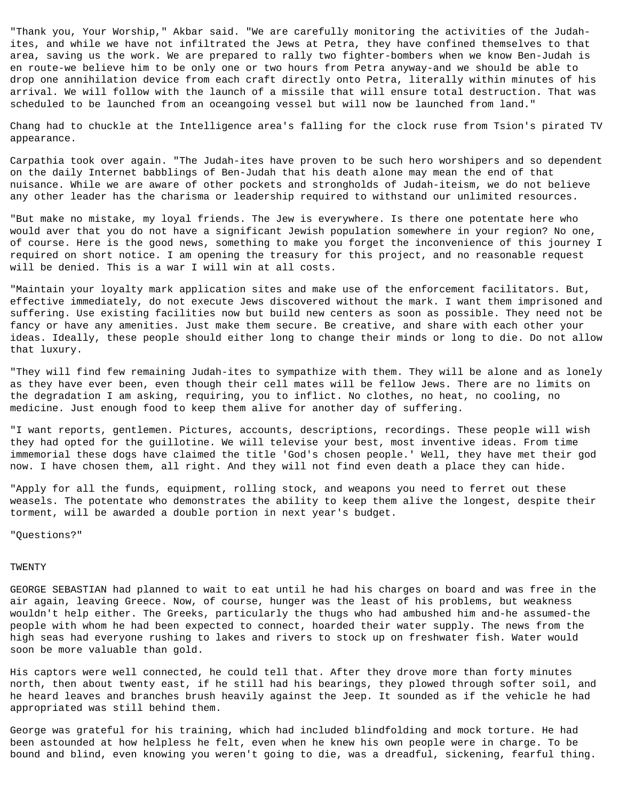"Thank you, Your Worship," Akbar said. "We are carefully monitoring the activities of the Judahites, and while we have not infiltrated the Jews at Petra, they have confined themselves to that area, saving us the work. We are prepared to rally two fighter-bombers when we know Ben-Judah is en route-we believe him to be only one or two hours from Petra anyway-and we should be able to drop one annihilation device from each craft directly onto Petra, literally within minutes of his arrival. We will follow with the launch of a missile that will ensure total destruction. That was scheduled to be launched from an oceangoing vessel but will now be launched from land."

Chang had to chuckle at the Intelligence area's falling for the clock ruse from Tsion's pirated TV appearance.

Carpathia took over again. "The Judah-ites have proven to be such hero worshipers and so dependent on the daily Internet babblings of Ben-Judah that his death alone may mean the end of that nuisance. While we are aware of other pockets and strongholds of Judah-iteism, we do not believe any other leader has the charisma or leadership required to withstand our unlimited resources.

"But make no mistake, my loyal friends. The Jew is everywhere. Is there one potentate here who would aver that you do not have a significant Jewish population somewhere in your region? No one, of course. Here is the good news, something to make you forget the inconvenience of this journey I required on short notice. I am opening the treasury for this project, and no reasonable request will be denied. This is a war I will win at all costs.

"Maintain your loyalty mark application sites and make use of the enforcement facilitators. But, effective immediately, do not execute Jews discovered without the mark. I want them imprisoned and suffering. Use existing facilities now but build new centers as soon as possible. They need not be fancy or have any amenities. Just make them secure. Be creative, and share with each other your ideas. Ideally, these people should either long to change their minds or long to die. Do not allow that luxury.

"They will find few remaining Judah-ites to sympathize with them. They will be alone and as lonely as they have ever been, even though their cell mates will be fellow Jews. There are no limits on the degradation I am asking, requiring, you to inflict. No clothes, no heat, no cooling, no medicine. Just enough food to keep them alive for another day of suffering.

"I want reports, gentlemen. Pictures, accounts, descriptions, recordings. These people will wish they had opted for the guillotine. We will televise your best, most inventive ideas. From time immemorial these dogs have claimed the title 'God's chosen people.' Well, they have met their god now. I have chosen them, all right. And they will not find even death a place they can hide.

"Apply for all the funds, equipment, rolling stock, and weapons you need to ferret out these weasels. The potentate who demonstrates the ability to keep them alive the longest, despite their torment, will be awarded a double portion in next year's budget.

"Questions?"

## TWENTY

GEORGE SEBASTIAN had planned to wait to eat until he had his charges on board and was free in the air again, leaving Greece. Now, of course, hunger was the least of his problems, but weakness wouldn't help either. The Greeks, particularly the thugs who had ambushed him and-he assumed-the people with whom he had been expected to connect, hoarded their water supply. The news from the high seas had everyone rushing to lakes and rivers to stock up on freshwater fish. Water would soon be more valuable than gold.

His captors were well connected, he could tell that. After they drove more than forty minutes north, then about twenty east, if he still had his bearings, they plowed through softer soil, and he heard leaves and branches brush heavily against the Jeep. It sounded as if the vehicle he had appropriated was still behind them.

George was grateful for his training, which had included blindfolding and mock torture. He had been astounded at how helpless he felt, even when he knew his own people were in charge. To be bound and blind, even knowing you weren't going to die, was a dreadful, sickening, fearful thing.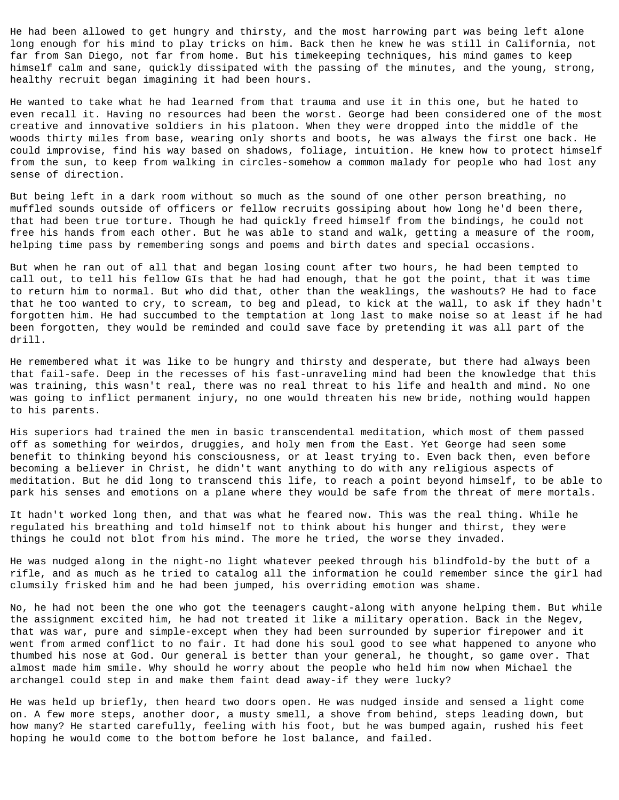He had been allowed to get hungry and thirsty, and the most harrowing part was being left alone long enough for his mind to play tricks on him. Back then he knew he was still in California, not far from San Diego, not far from home. But his timekeeping techniques, his mind games to keep himself calm and sane, quickly dissipated with the passing of the minutes, and the young, strong, healthy recruit began imagining it had been hours.

He wanted to take what he had learned from that trauma and use it in this one, but he hated to even recall it. Having no resources had been the worst. George had been considered one of the most creative and innovative soldiers in his platoon. When they were dropped into the middle of the woods thirty miles from base, wearing only shorts and boots, he was always the first one back. He could improvise, find his way based on shadows, foliage, intuition. He knew how to protect himself from the sun, to keep from walking in circles-somehow a common malady for people who had lost any sense of direction.

But being left in a dark room without so much as the sound of one other person breathing, no muffled sounds outside of officers or fellow recruits gossiping about how long he'd been there, that had been true torture. Though he had quickly freed himself from the bindings, he could not free his hands from each other. But he was able to stand and walk, getting a measure of the room, helping time pass by remembering songs and poems and birth dates and special occasions.

But when he ran out of all that and began losing count after two hours, he had been tempted to call out, to tell his fellow GIs that he had had enough, that he got the point, that it was time to return him to normal. But who did that, other than the weaklings, the washouts? He had to face that he too wanted to cry, to scream, to beg and plead, to kick at the wall, to ask if they hadn't forgotten him. He had succumbed to the temptation at long last to make noise so at least if he had been forgotten, they would be reminded and could save face by pretending it was all part of the drill.

He remembered what it was like to be hungry and thirsty and desperate, but there had always been that fail-safe. Deep in the recesses of his fast-unraveling mind had been the knowledge that this was training, this wasn't real, there was no real threat to his life and health and mind. No one was going to inflict permanent injury, no one would threaten his new bride, nothing would happen to his parents.

His superiors had trained the men in basic transcendental meditation, which most of them passed off as something for weirdos, druggies, and holy men from the East. Yet George had seen some benefit to thinking beyond his consciousness, or at least trying to. Even back then, even before becoming a believer in Christ, he didn't want anything to do with any religious aspects of meditation. But he did long to transcend this life, to reach a point beyond himself, to be able to park his senses and emotions on a plane where they would be safe from the threat of mere mortals.

It hadn't worked long then, and that was what he feared now. This was the real thing. While he regulated his breathing and told himself not to think about his hunger and thirst, they were things he could not blot from his mind. The more he tried, the worse they invaded.

He was nudged along in the night-no light whatever peeked through his blindfold-by the butt of a rifle, and as much as he tried to catalog all the information he could remember since the girl had clumsily frisked him and he had been jumped, his overriding emotion was shame.

No, he had not been the one who got the teenagers caught-along with anyone helping them. But while the assignment excited him, he had not treated it like a military operation. Back in the Negev, that was war, pure and simple-except when they had been surrounded by superior firepower and it went from armed conflict to no fair. It had done his soul good to see what happened to anyone who thumbed his nose at God. Our general is better than your general, he thought, so game over. That almost made him smile. Why should he worry about the people who held him now when Michael the archangel could step in and make them faint dead away-if they were lucky?

He was held up briefly, then heard two doors open. He was nudged inside and sensed a light come on. A few more steps, another door, a musty smell, a shove from behind, steps leading down, but how many? He started carefully, feeling with his foot, but he was bumped again, rushed his feet hoping he would come to the bottom before he lost balance, and failed.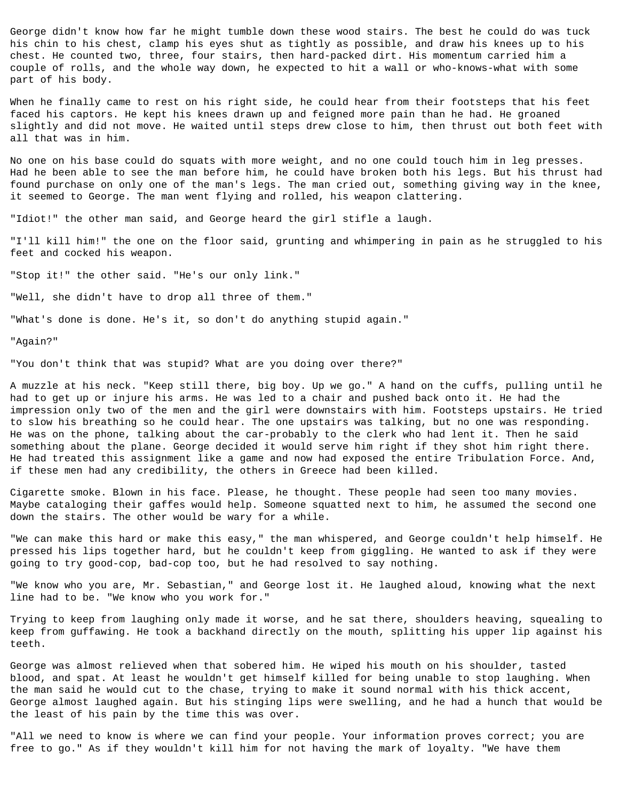George didn't know how far he might tumble down these wood stairs. The best he could do was tuck his chin to his chest, clamp his eyes shut as tightly as possible, and draw his knees up to his chest. He counted two, three, four stairs, then hard-packed dirt. His momentum carried him a couple of rolls, and the whole way down, he expected to hit a wall or who-knows-what with some part of his body.

When he finally came to rest on his right side, he could hear from their footsteps that his feet faced his captors. He kept his knees drawn up and feigned more pain than he had. He groaned slightly and did not move. He waited until steps drew close to him, then thrust out both feet with all that was in him.

No one on his base could do squats with more weight, and no one could touch him in leg presses. Had he been able to see the man before him, he could have broken both his legs. But his thrust had found purchase on only one of the man's legs. The man cried out, something giving way in the knee, it seemed to George. The man went flying and rolled, his weapon clattering.

"Idiot!" the other man said, and George heard the girl stifle a laugh.

"I'll kill him!" the one on the floor said, grunting and whimpering in pain as he struggled to his feet and cocked his weapon.

"Stop it!" the other said. "He's our only link."

"Well, she didn't have to drop all three of them."

"What's done is done. He's it, so don't do anything stupid again."

"Again?"

"You don't think that was stupid? What are you doing over there?"

A muzzle at his neck. "Keep still there, big boy. Up we go." A hand on the cuffs, pulling until he had to get up or injure his arms. He was led to a chair and pushed back onto it. He had the impression only two of the men and the girl were downstairs with him. Footsteps upstairs. He tried to slow his breathing so he could hear. The one upstairs was talking, but no one was responding. He was on the phone, talking about the car-probably to the clerk who had lent it. Then he said something about the plane. George decided it would serve him right if they shot him right there. He had treated this assignment like a game and now had exposed the entire Tribulation Force. And, if these men had any credibility, the others in Greece had been killed.

Cigarette smoke. Blown in his face. Please, he thought. These people had seen too many movies. Maybe cataloging their gaffes would help. Someone squatted next to him, he assumed the second one down the stairs. The other would be wary for a while.

"We can make this hard or make this easy," the man whispered, and George couldn't help himself. He pressed his lips together hard, but he couldn't keep from giggling. He wanted to ask if they were going to try good-cop, bad-cop too, but he had resolved to say nothing.

"We know who you are, Mr. Sebastian," and George lost it. He laughed aloud, knowing what the next line had to be. "We know who you work for."

Trying to keep from laughing only made it worse, and he sat there, shoulders heaving, squealing to keep from guffawing. He took a backhand directly on the mouth, splitting his upper lip against his teeth.

George was almost relieved when that sobered him. He wiped his mouth on his shoulder, tasted blood, and spat. At least he wouldn't get himself killed for being unable to stop laughing. When the man said he would cut to the chase, trying to make it sound normal with his thick accent, George almost laughed again. But his stinging lips were swelling, and he had a hunch that would be the least of his pain by the time this was over.

"All we need to know is where we can find your people. Your information proves correct; you are free to go." As if they wouldn't kill him for not having the mark of loyalty. "We have them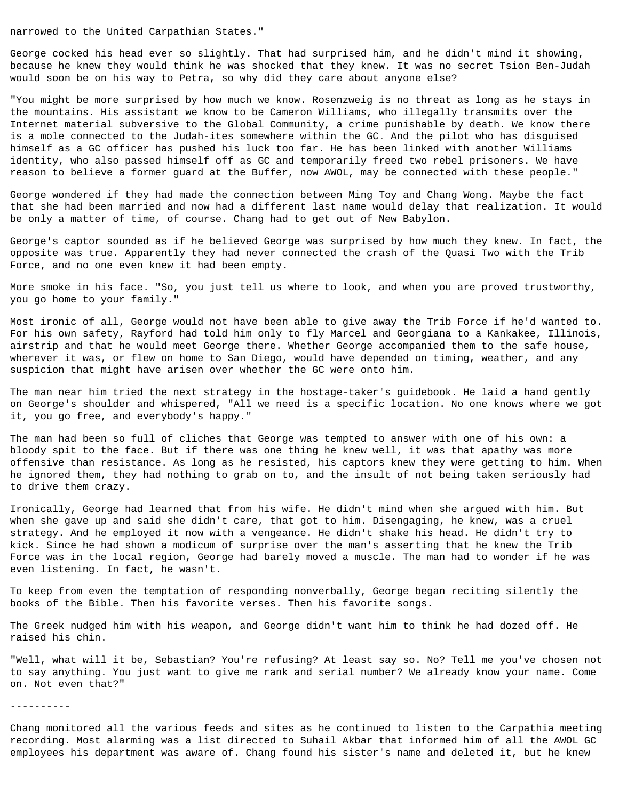narrowed to the United Carpathian States."

George cocked his head ever so slightly. That had surprised him, and he didn't mind it showing, because he knew they would think he was shocked that they knew. It was no secret Tsion Ben-Judah would soon be on his way to Petra, so why did they care about anyone else?

"You might be more surprised by how much we know. Rosenzweig is no threat as long as he stays in the mountains. His assistant we know to be Cameron Williams, who illegally transmits over the Internet material subversive to the Global Community, a crime punishable by death. We know there is a mole connected to the Judah-ites somewhere within the GC. And the pilot who has disguised himself as a GC officer has pushed his luck too far. He has been linked with another Williams identity, who also passed himself off as GC and temporarily freed two rebel prisoners. We have reason to believe a former guard at the Buffer, now AWOL, may be connected with these people."

George wondered if they had made the connection between Ming Toy and Chang Wong. Maybe the fact that she had been married and now had a different last name would delay that realization. It would be only a matter of time, of course. Chang had to get out of New Babylon.

George's captor sounded as if he believed George was surprised by how much they knew. In fact, the opposite was true. Apparently they had never connected the crash of the Quasi Two with the Trib Force, and no one even knew it had been empty.

More smoke in his face. "So, you just tell us where to look, and when you are proved trustworthy, you go home to your family."

Most ironic of all, George would not have been able to give away the Trib Force if he'd wanted to. For his own safety, Rayford had told him only to fly Marcel and Georgiana to a Kankakee, Illinois, airstrip and that he would meet George there. Whether George accompanied them to the safe house, wherever it was, or flew on home to San Diego, would have depended on timing, weather, and any suspicion that might have arisen over whether the GC were onto him.

The man near him tried the next strategy in the hostage-taker's guidebook. He laid a hand gently on George's shoulder and whispered, "All we need is a specific location. No one knows where we got it, you go free, and everybody's happy."

The man had been so full of cliches that George was tempted to answer with one of his own: a bloody spit to the face. But if there was one thing he knew well, it was that apathy was more offensive than resistance. As long as he resisted, his captors knew they were getting to him. When he ignored them, they had nothing to grab on to, and the insult of not being taken seriously had to drive them crazy.

Ironically, George had learned that from his wife. He didn't mind when she argued with him. But when she gave up and said she didn't care, that got to him. Disengaging, he knew, was a cruel strategy. And he employed it now with a vengeance. He didn't shake his head. He didn't try to kick. Since he had shown a modicum of surprise over the man's asserting that he knew the Trib Force was in the local region, George had barely moved a muscle. The man had to wonder if he was even listening. In fact, he wasn't.

To keep from even the temptation of responding nonverbally, George began reciting silently the books of the Bible. Then his favorite verses. Then his favorite songs.

The Greek nudged him with his weapon, and George didn't want him to think he had dozed off. He raised his chin.

"Well, what will it be, Sebastian? You're refusing? At least say so. No? Tell me you've chosen not to say anything. You just want to give me rank and serial number? We already know your name. Come on. Not even that?"

----------

Chang monitored all the various feeds and sites as he continued to listen to the Carpathia meeting recording. Most alarming was a list directed to Suhail Akbar that informed him of all the AWOL GC employees his department was aware of. Chang found his sister's name and deleted it, but he knew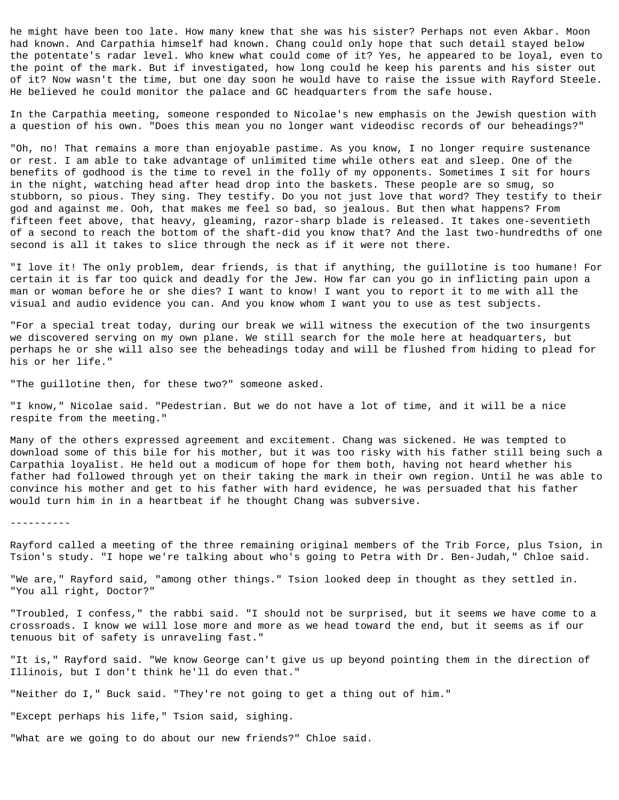he might have been too late. How many knew that she was his sister? Perhaps not even Akbar. Moon had known. And Carpathia himself had known. Chang could only hope that such detail stayed below the potentate's radar level. Who knew what could come of it? Yes, he appeared to be loyal, even to the point of the mark. But if investigated, how long could he keep his parents and his sister out of it? Now wasn't the time, but one day soon he would have to raise the issue with Rayford Steele. He believed he could monitor the palace and GC headquarters from the safe house.

In the Carpathia meeting, someone responded to Nicolae's new emphasis on the Jewish question with a question of his own. "Does this mean you no longer want videodisc records of our beheadings?"

"Oh, no! That remains a more than enjoyable pastime. As you know, I no longer require sustenance or rest. I am able to take advantage of unlimited time while others eat and sleep. One of the benefits of godhood is the time to revel in the folly of my opponents. Sometimes I sit for hours in the night, watching head after head drop into the baskets. These people are so smug, so stubborn, so pious. They sing. They testify. Do you not just love that word? They testify to their god and against me. Ooh, that makes me feel so bad, so jealous. But then what happens? From fifteen feet above, that heavy, gleaming, razor-sharp blade is released. It takes one-seventieth of a second to reach the bottom of the shaft-did you know that? And the last two-hundredths of one second is all it takes to slice through the neck as if it were not there.

"I love it! The only problem, dear friends, is that if anything, the guillotine is too humane! For certain it is far too quick and deadly for the Jew. How far can you go in inflicting pain upon a man or woman before he or she dies? I want to know! I want you to report it to me with all the visual and audio evidence you can. And you know whom I want you to use as test subjects.

"For a special treat today, during our break we will witness the execution of the two insurgents we discovered serving on my own plane. We still search for the mole here at headquarters, but perhaps he or she will also see the beheadings today and will be flushed from hiding to plead for his or her life."

"The guillotine then, for these two?" someone asked.

"I know," Nicolae said. "Pedestrian. But we do not have a lot of time, and it will be a nice respite from the meeting."

Many of the others expressed agreement and excitement. Chang was sickened. He was tempted to download some of this bile for his mother, but it was too risky with his father still being such a Carpathia loyalist. He held out a modicum of hope for them both, having not heard whether his father had followed through yet on their taking the mark in their own region. Until he was able to convince his mother and get to his father with hard evidence, he was persuaded that his father would turn him in in a heartbeat if he thought Chang was subversive.

----------

Rayford called a meeting of the three remaining original members of the Trib Force, plus Tsion, in Tsion's study. "I hope we're talking about who's going to Petra with Dr. Ben-Judah," Chloe said.

"We are," Rayford said, "among other things." Tsion looked deep in thought as they settled in. "You all right, Doctor?"

"Troubled, I confess," the rabbi said. "I should not be surprised, but it seems we have come to a crossroads. I know we will lose more and more as we head toward the end, but it seems as if our tenuous bit of safety is unraveling fast."

"It is," Rayford said. "We know George can't give us up beyond pointing them in the direction of Illinois, but I don't think he'll do even that."

"Neither do I," Buck said. "They're not going to get a thing out of him."

"Except perhaps his life," Tsion said, sighing.

"What are we going to do about our new friends?" Chloe said.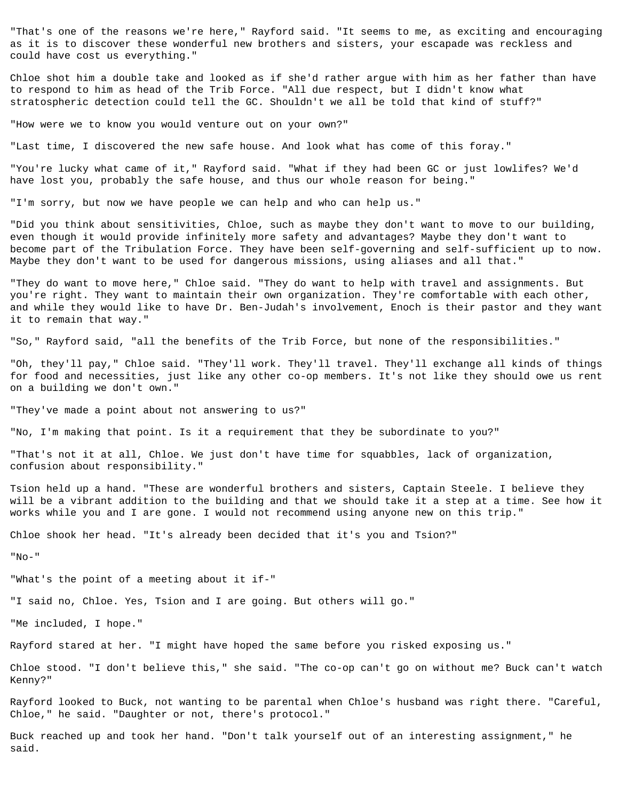"That's one of the reasons we're here," Rayford said. "It seems to me, as exciting and encouraging as it is to discover these wonderful new brothers and sisters, your escapade was reckless and could have cost us everything."

Chloe shot him a double take and looked as if she'd rather argue with him as her father than have to respond to him as head of the Trib Force. "All due respect, but I didn't know what stratospheric detection could tell the GC. Shouldn't we all be told that kind of stuff?"

"How were we to know you would venture out on your own?"

"Last time, I discovered the new safe house. And look what has come of this foray."

"You're lucky what came of it," Rayford said. "What if they had been GC or just lowlifes? We'd have lost you, probably the safe house, and thus our whole reason for being."

"I'm sorry, but now we have people we can help and who can help us."

"Did you think about sensitivities, Chloe, such as maybe they don't want to move to our building, even though it would provide infinitely more safety and advantages? Maybe they don't want to become part of the Tribulation Force. They have been self-governing and self-sufficient up to now. Maybe they don't want to be used for dangerous missions, using aliases and all that."

"They do want to move here," Chloe said. "They do want to help with travel and assignments. But you're right. They want to maintain their own organization. They're comfortable with each other, and while they would like to have Dr. Ben-Judah's involvement, Enoch is their pastor and they want it to remain that way."

"So," Rayford said, "all the benefits of the Trib Force, but none of the responsibilities."

"Oh, they'll pay," Chloe said. "They'll work. They'll travel. They'll exchange all kinds of things for food and necessities, just like any other co-op members. It's not like they should owe us rent on a building we don't own."

"They've made a point about not answering to us?"

"No, I'm making that point. Is it a requirement that they be subordinate to you?"

"That's not it at all, Chloe. We just don't have time for squabbles, lack of organization, confusion about responsibility."

Tsion held up a hand. "These are wonderful brothers and sisters, Captain Steele. I believe they will be a vibrant addition to the building and that we should take it a step at a time. See how it works while you and I are gone. I would not recommend using anyone new on this trip."

Chloe shook her head. "It's already been decided that it's you and Tsion?"

"No-"

"What's the point of a meeting about it if-"

"I said no, Chloe. Yes, Tsion and I are going. But others will go."

"Me included, I hope."

Rayford stared at her. "I might have hoped the same before you risked exposing us."

Chloe stood. "I don't believe this," she said. "The co-op can't go on without me? Buck can't watch Kenny?"

Rayford looked to Buck, not wanting to be parental when Chloe's husband was right there. "Careful, Chloe," he said. "Daughter or not, there's protocol."

Buck reached up and took her hand. "Don't talk yourself out of an interesting assignment," he said.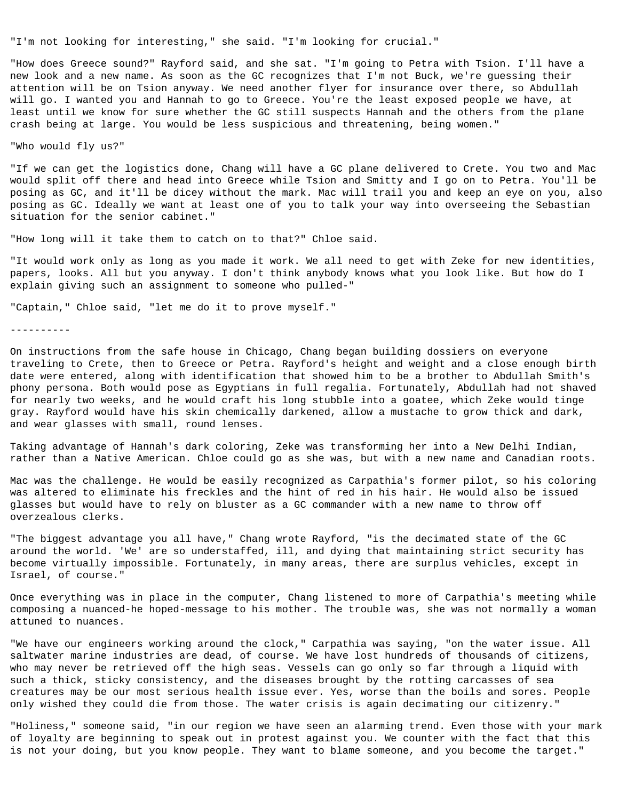"I'm not looking for interesting," she said. "I'm looking for crucial."

"How does Greece sound?" Rayford said, and she sat. "I'm going to Petra with Tsion. I'll have a new look and a new name. As soon as the GC recognizes that I'm not Buck, we're guessing their attention will be on Tsion anyway. We need another flyer for insurance over there, so Abdullah will go. I wanted you and Hannah to go to Greece. You're the least exposed people we have, at least until we know for sure whether the GC still suspects Hannah and the others from the plane crash being at large. You would be less suspicious and threatening, being women."

"Who would fly us?"

"If we can get the logistics done, Chang will have a GC plane delivered to Crete. You two and Mac would split off there and head into Greece while Tsion and Smitty and I go on to Petra. You'll be posing as GC, and it'll be dicey without the mark. Mac will trail you and keep an eye on you, also posing as GC. Ideally we want at least one of you to talk your way into overseeing the Sebastian situation for the senior cabinet."

"How long will it take them to catch on to that?" Chloe said.

"It would work only as long as you made it work. We all need to get with Zeke for new identities, papers, looks. All but you anyway. I don't think anybody knows what you look like. But how do I explain giving such an assignment to someone who pulled-"

"Captain," Chloe said, "let me do it to prove myself."

----------

On instructions from the safe house in Chicago, Chang began building dossiers on everyone traveling to Crete, then to Greece or Petra. Rayford's height and weight and a close enough birth date were entered, along with identification that showed him to be a brother to Abdullah Smith's phony persona. Both would pose as Egyptians in full regalia. Fortunately, Abdullah had not shaved for nearly two weeks, and he would craft his long stubble into a goatee, which Zeke would tinge gray. Rayford would have his skin chemically darkened, allow a mustache to grow thick and dark, and wear glasses with small, round lenses.

Taking advantage of Hannah's dark coloring, Zeke was transforming her into a New Delhi Indian, rather than a Native American. Chloe could go as she was, but with a new name and Canadian roots.

Mac was the challenge. He would be easily recognized as Carpathia's former pilot, so his coloring was altered to eliminate his freckles and the hint of red in his hair. He would also be issued glasses but would have to rely on bluster as a GC commander with a new name to throw off overzealous clerks.

"The biggest advantage you all have," Chang wrote Rayford, "is the decimated state of the GC around the world. 'We' are so understaffed, ill, and dying that maintaining strict security has become virtually impossible. Fortunately, in many areas, there are surplus vehicles, except in Israel, of course."

Once everything was in place in the computer, Chang listened to more of Carpathia's meeting while composing a nuanced-he hoped-message to his mother. The trouble was, she was not normally a woman attuned to nuances.

"We have our engineers working around the clock," Carpathia was saying, "on the water issue. All saltwater marine industries are dead, of course. We have lost hundreds of thousands of citizens, who may never be retrieved off the high seas. Vessels can go only so far through a liquid with such a thick, sticky consistency, and the diseases brought by the rotting carcasses of sea creatures may be our most serious health issue ever. Yes, worse than the boils and sores. People only wished they could die from those. The water crisis is again decimating our citizenry."

"Holiness," someone said, "in our region we have seen an alarming trend. Even those with your mark of loyalty are beginning to speak out in protest against you. We counter with the fact that this is not your doing, but you know people. They want to blame someone, and you become the target."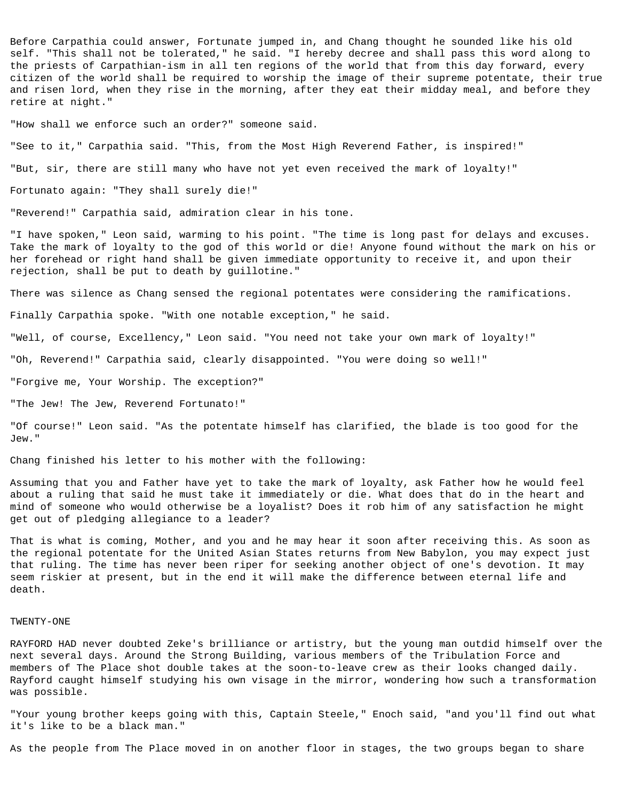Before Carpathia could answer, Fortunate jumped in, and Chang thought he sounded like his old self. "This shall not be tolerated," he said. "I hereby decree and shall pass this word along to the priests of Carpathian-ism in all ten regions of the world that from this day forward, every citizen of the world shall be required to worship the image of their supreme potentate, their true and risen lord, when they rise in the morning, after they eat their midday meal, and before they retire at night."

"How shall we enforce such an order?" someone said.

"See to it," Carpathia said. "This, from the Most High Reverend Father, is inspired!"

"But, sir, there are still many who have not yet even received the mark of loyalty!"

Fortunato again: "They shall surely die!"

"Reverend!" Carpathia said, admiration clear in his tone.

"I have spoken," Leon said, warming to his point. "The time is long past for delays and excuses. Take the mark of loyalty to the god of this world or die! Anyone found without the mark on his or her forehead or right hand shall be given immediate opportunity to receive it, and upon their rejection, shall be put to death by guillotine."

There was silence as Chang sensed the regional potentates were considering the ramifications.

Finally Carpathia spoke. "With one notable exception," he said.

"Well, of course, Excellency," Leon said. "You need not take your own mark of loyalty!"

"Oh, Reverend!" Carpathia said, clearly disappointed. "You were doing so well!"

"Forgive me, Your Worship. The exception?"

"The Jew! The Jew, Reverend Fortunato!"

"Of course!" Leon said. "As the potentate himself has clarified, the blade is too good for the Jew."

Chang finished his letter to his mother with the following:

Assuming that you and Father have yet to take the mark of loyalty, ask Father how he would feel about a ruling that said he must take it immediately or die. What does that do in the heart and mind of someone who would otherwise be a loyalist? Does it rob him of any satisfaction he might get out of pledging allegiance to a leader?

That is what is coming, Mother, and you and he may hear it soon after receiving this. As soon as the regional potentate for the United Asian States returns from New Babylon, you may expect just that ruling. The time has never been riper for seeking another object of one's devotion. It may seem riskier at present, but in the end it will make the difference between eternal life and death.

# TWENTY-ONE

RAYFORD HAD never doubted Zeke's brilliance or artistry, but the young man outdid himself over the next several days. Around the Strong Building, various members of the Tribulation Force and members of The Place shot double takes at the soon-to-leave crew as their looks changed daily. Rayford caught himself studying his own visage in the mirror, wondering how such a transformation was possible.

"Your young brother keeps going with this, Captain Steele," Enoch said, "and you'll find out what it's like to be a black man."

As the people from The Place moved in on another floor in stages, the two groups began to share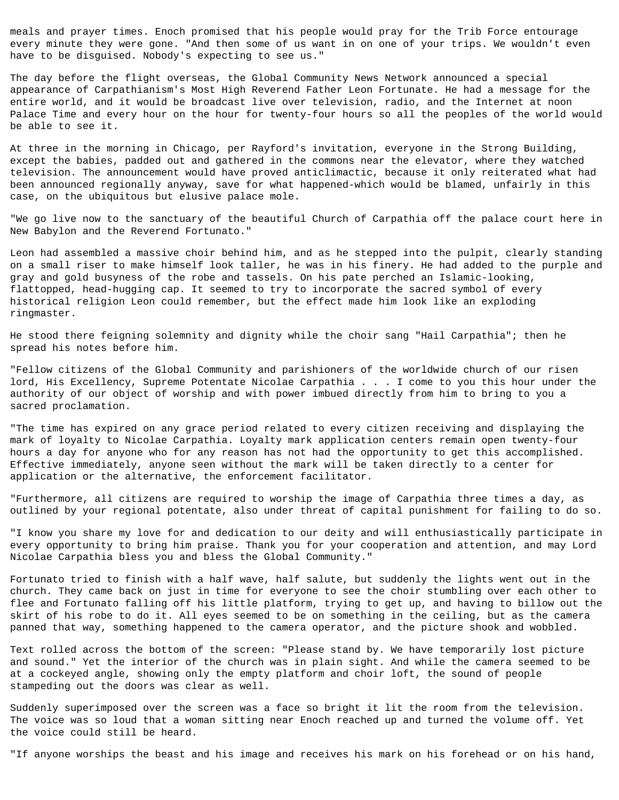meals and prayer times. Enoch promised that his people would pray for the Trib Force entourage every minute they were gone. "And then some of us want in on one of your trips. We wouldn't even have to be disguised. Nobody's expecting to see us."

The day before the flight overseas, the Global Community News Network announced a special appearance of Carpathianism's Most High Reverend Father Leon Fortunate. He had a message for the entire world, and it would be broadcast live over television, radio, and the Internet at noon Palace Time and every hour on the hour for twenty-four hours so all the peoples of the world would be able to see it.

At three in the morning in Chicago, per Rayford's invitation, everyone in the Strong Building, except the babies, padded out and gathered in the commons near the elevator, where they watched television. The announcement would have proved anticlimactic, because it only reiterated what had been announced regionally anyway, save for what happened-which would be blamed, unfairly in this case, on the ubiquitous but elusive palace mole.

"We go live now to the sanctuary of the beautiful Church of Carpathia off the palace court here in New Babylon and the Reverend Fortunato."

Leon had assembled a massive choir behind him, and as he stepped into the pulpit, clearly standing on a small riser to make himself look taller, he was in his finery. He had added to the purple and gray and gold busyness of the robe and tassels. On his pate perched an Islamic-looking, flattopped, head-hugging cap. It seemed to try to incorporate the sacred symbol of every historical religion Leon could remember, but the effect made him look like an exploding ringmaster.

He stood there feigning solemnity and dignity while the choir sang "Hail Carpathia"; then he spread his notes before him.

"Fellow citizens of the Global Community and parishioners of the worldwide church of our risen lord, His Excellency, Supreme Potentate Nicolae Carpathia . . . I come to you this hour under the authority of our object of worship and with power imbued directly from him to bring to you a sacred proclamation.

"The time has expired on any grace period related to every citizen receiving and displaying the mark of loyalty to Nicolae Carpathia. Loyalty mark application centers remain open twenty-four hours a day for anyone who for any reason has not had the opportunity to get this accomplished. Effective immediately, anyone seen without the mark will be taken directly to a center for application or the alternative, the enforcement facilitator.

"Furthermore, all citizens are required to worship the image of Carpathia three times a day, as outlined by your regional potentate, also under threat of capital punishment for failing to do so.

"I know you share my love for and dedication to our deity and will enthusiastically participate in every opportunity to bring him praise. Thank you for your cooperation and attention, and may Lord Nicolae Carpathia bless you and bless the Global Community."

Fortunato tried to finish with a half wave, half salute, but suddenly the lights went out in the church. They came back on just in time for everyone to see the choir stumbling over each other to flee and Fortunato falling off his little platform, trying to get up, and having to billow out the skirt of his robe to do it. All eyes seemed to be on something in the ceiling, but as the camera panned that way, something happened to the camera operator, and the picture shook and wobbled.

Text rolled across the bottom of the screen: "Please stand by. We have temporarily lost picture and sound." Yet the interior of the church was in plain sight. And while the camera seemed to be at a cockeyed angle, showing only the empty platform and choir loft, the sound of people stampeding out the doors was clear as well.

Suddenly superimposed over the screen was a face so bright it lit the room from the television. The voice was so loud that a woman sitting near Enoch reached up and turned the volume off. Yet the voice could still be heard.

"If anyone worships the beast and his image and receives his mark on his forehead or on his hand,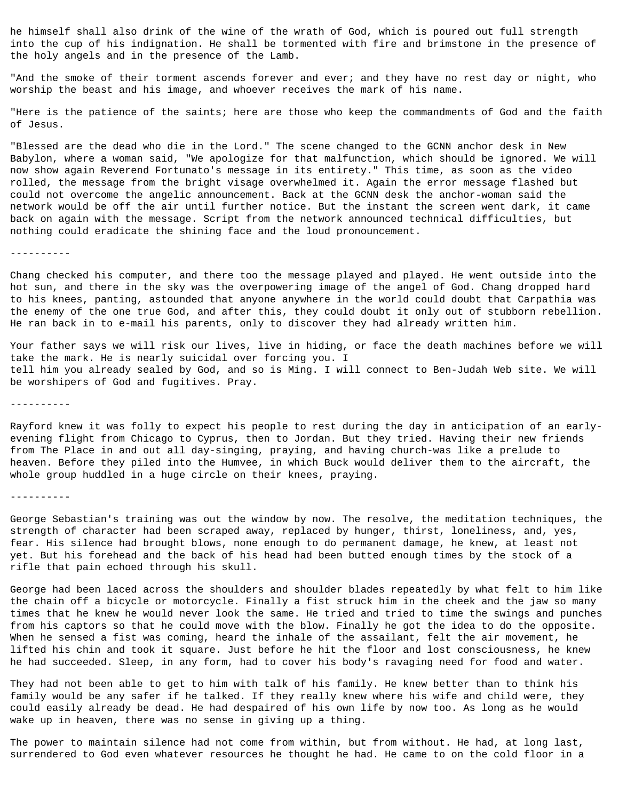he himself shall also drink of the wine of the wrath of God, which is poured out full strength into the cup of his indignation. He shall be tormented with fire and brimstone in the presence of the holy angels and in the presence of the Lamb.

"And the smoke of their torment ascends forever and ever; and they have no rest day or night, who worship the beast and his image, and whoever receives the mark of his name.

"Here is the patience of the saints; here are those who keep the commandments of God and the faith of Jesus.

"Blessed are the dead who die in the Lord." The scene changed to the GCNN anchor desk in New Babylon, where a woman said, "We apologize for that malfunction, which should be ignored. We will now show again Reverend Fortunato's message in its entirety." This time, as soon as the video rolled, the message from the bright visage overwhelmed it. Again the error message flashed but could not overcome the angelic announcement. Back at the GCNN desk the anchor-woman said the network would be off the air until further notice. But the instant the screen went dark, it came back on again with the message. Script from the network announced technical difficulties, but nothing could eradicate the shining face and the loud pronouncement.

----------

Chang checked his computer, and there too the message played and played. He went outside into the hot sun, and there in the sky was the overpowering image of the angel of God. Chang dropped hard to his knees, panting, astounded that anyone anywhere in the world could doubt that Carpathia was the enemy of the one true God, and after this, they could doubt it only out of stubborn rebellion. He ran back in to e-mail his parents, only to discover they had already written him.

Your father says we will risk our lives, live in hiding, or face the death machines before we will take the mark. He is nearly suicidal over forcing you. I tell him you already sealed by God, and so is Ming. I will connect to Ben-Judah Web site. We will be worshipers of God and fugitives. Pray.

----------

Rayford knew it was folly to expect his people to rest during the day in anticipation of an earlyevening flight from Chicago to Cyprus, then to Jordan. But they tried. Having their new friends from The Place in and out all day-singing, praying, and having church-was like a prelude to heaven. Before they piled into the Humvee, in which Buck would deliver them to the aircraft, the whole group huddled in a huge circle on their knees, praying.

#### ----------

George Sebastian's training was out the window by now. The resolve, the meditation techniques, the strength of character had been scraped away, replaced by hunger, thirst, loneliness, and, yes, fear. His silence had brought blows, none enough to do permanent damage, he knew, at least not yet. But his forehead and the back of his head had been butted enough times by the stock of a rifle that pain echoed through his skull.

George had been laced across the shoulders and shoulder blades repeatedly by what felt to him like the chain off a bicycle or motorcycle. Finally a fist struck him in the cheek and the jaw so many times that he knew he would never look the same. He tried and tried to time the swings and punches from his captors so that he could move with the blow. Finally he got the idea to do the opposite. When he sensed a fist was coming, heard the inhale of the assailant, felt the air movement, he lifted his chin and took it square. Just before he hit the floor and lost consciousness, he knew he had succeeded. Sleep, in any form, had to cover his body's ravaging need for food and water.

They had not been able to get to him with talk of his family. He knew better than to think his family would be any safer if he talked. If they really knew where his wife and child were, they could easily already be dead. He had despaired of his own life by now too. As long as he would wake up in heaven, there was no sense in giving up a thing.

The power to maintain silence had not come from within, but from without. He had, at long last, surrendered to God even whatever resources he thought he had. He came to on the cold floor in a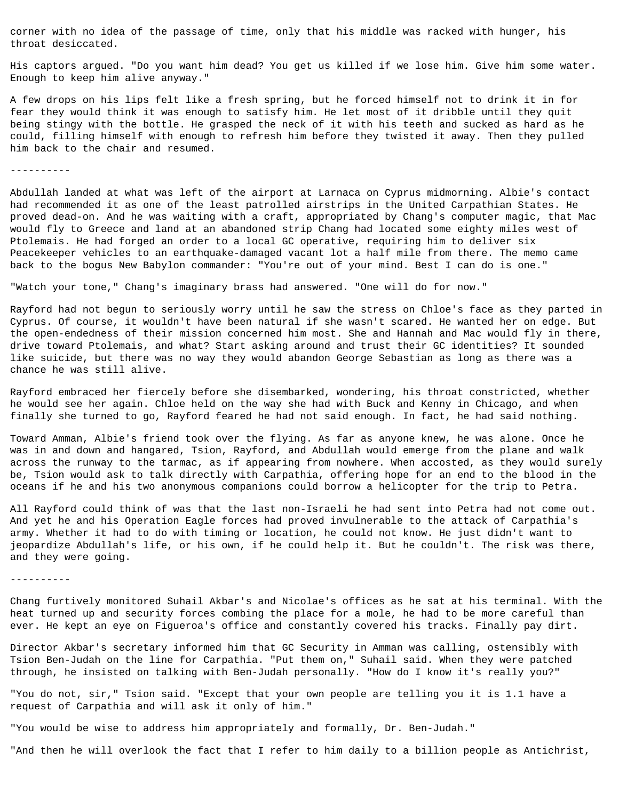corner with no idea of the passage of time, only that his middle was racked with hunger, his throat desiccated.

His captors argued. "Do you want him dead? You get us killed if we lose him. Give him some water. Enough to keep him alive anyway."

A few drops on his lips felt like a fresh spring, but he forced himself not to drink it in for fear they would think it was enough to satisfy him. He let most of it dribble until they quit being stingy with the bottle. He grasped the neck of it with his teeth and sucked as hard as he could, filling himself with enough to refresh him before they twisted it away. Then they pulled him back to the chair and resumed.

----------

Abdullah landed at what was left of the airport at Larnaca on Cyprus midmorning. Albie's contact had recommended it as one of the least patrolled airstrips in the United Carpathian States. He proved dead-on. And he was waiting with a craft, appropriated by Chang's computer magic, that Mac would fly to Greece and land at an abandoned strip Chang had located some eighty miles west of Ptolemais. He had forged an order to a local GC operative, requiring him to deliver six Peacekeeper vehicles to an earthquake-damaged vacant lot a half mile from there. The memo came back to the bogus New Babylon commander: "You're out of your mind. Best I can do is one."

"Watch your tone," Chang's imaginary brass had answered. "One will do for now."

Rayford had not begun to seriously worry until he saw the stress on Chloe's face as they parted in Cyprus. Of course, it wouldn't have been natural if she wasn't scared. He wanted her on edge. But the open-endedness of their mission concerned him most. She and Hannah and Mac would fly in there, drive toward Ptolemais, and what? Start asking around and trust their GC identities? It sounded like suicide, but there was no way they would abandon George Sebastian as long as there was a chance he was still alive.

Rayford embraced her fiercely before she disembarked, wondering, his throat constricted, whether he would see her again. Chloe held on the way she had with Buck and Kenny in Chicago, and when finally she turned to go, Rayford feared he had not said enough. In fact, he had said nothing.

Toward Amman, Albie's friend took over the flying. As far as anyone knew, he was alone. Once he was in and down and hangared, Tsion, Rayford, and Abdullah would emerge from the plane and walk across the runway to the tarmac, as if appearing from nowhere. When accosted, as they would surely be, Tsion would ask to talk directly with Carpathia, offering hope for an end to the blood in the oceans if he and his two anonymous companions could borrow a helicopter for the trip to Petra.

All Rayford could think of was that the last non-Israeli he had sent into Petra had not come out. And yet he and his Operation Eagle forces had proved invulnerable to the attack of Carpathia's army. Whether it had to do with timing or location, he could not know. He just didn't want to jeopardize Abdullah's life, or his own, if he could help it. But he couldn't. The risk was there, and they were going.

----------

Chang furtively monitored Suhail Akbar's and Nicolae's offices as he sat at his terminal. With the heat turned up and security forces combing the place for a mole, he had to be more careful than ever. He kept an eye on Figueroa's office and constantly covered his tracks. Finally pay dirt.

Director Akbar's secretary informed him that GC Security in Amman was calling, ostensibly with Tsion Ben-Judah on the line for Carpathia. "Put them on," Suhail said. When they were patched through, he insisted on talking with Ben-Judah personally. "How do I know it's really you?"

"You do not, sir," Tsion said. "Except that your own people are telling you it is 1.1 have a request of Carpathia and will ask it only of him."

"You would be wise to address him appropriately and formally, Dr. Ben-Judah."

"And then he will overlook the fact that I refer to him daily to a billion people as Antichrist,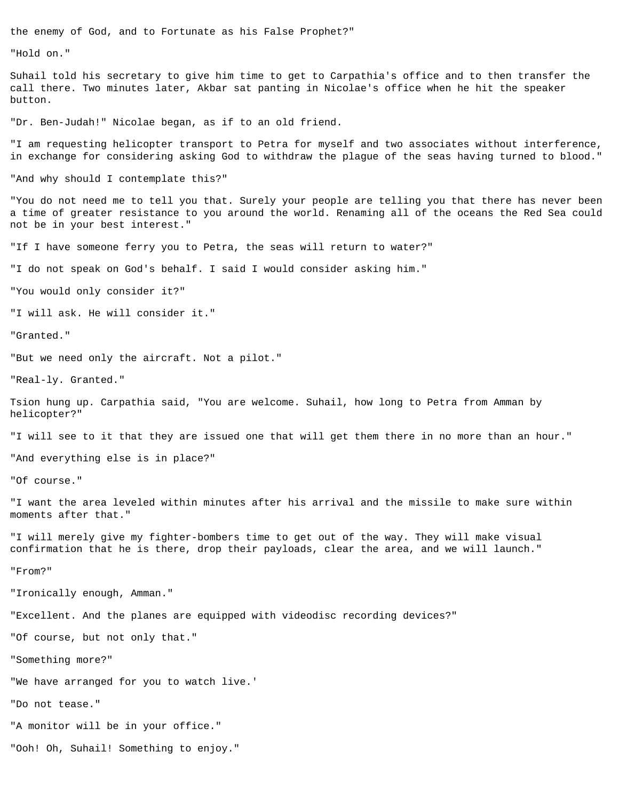the enemy of God, and to Fortunate as his False Prophet?"

"Hold on."

Suhail told his secretary to give him time to get to Carpathia's office and to then transfer the call there. Two minutes later, Akbar sat panting in Nicolae's office when he hit the speaker button.

"Dr. Ben-Judah!" Nicolae began, as if to an old friend.

"I am requesting helicopter transport to Petra for myself and two associates without interference, in exchange for considering asking God to withdraw the plague of the seas having turned to blood."

"And why should I contemplate this?"

"You do not need me to tell you that. Surely your people are telling you that there has never been a time of greater resistance to you around the world. Renaming all of the oceans the Red Sea could not be in your best interest."

"If I have someone ferry you to Petra, the seas will return to water?"

"I do not speak on God's behalf. I said I would consider asking him."

"You would only consider it?"

"I will ask. He will consider it."

"Granted."

"But we need only the aircraft. Not a pilot."

"Real-ly. Granted."

Tsion hung up. Carpathia said, "You are welcome. Suhail, how long to Petra from Amman by helicopter?"

"I will see to it that they are issued one that will get them there in no more than an hour."

"And everything else is in place?"

"Of course."

"I want the area leveled within minutes after his arrival and the missile to make sure within moments after that."

"I will merely give my fighter-bombers time to get out of the way. They will make visual confirmation that he is there, drop their payloads, clear the area, and we will launch."

"From?"

"Ironically enough, Amman."

"Excellent. And the planes are equipped with videodisc recording devices?"

"Of course, but not only that."

"Something more?"

"We have arranged for you to watch live.'

"Do not tease."

"A monitor will be in your office."

"Ooh! Oh, Suhail! Something to enjoy."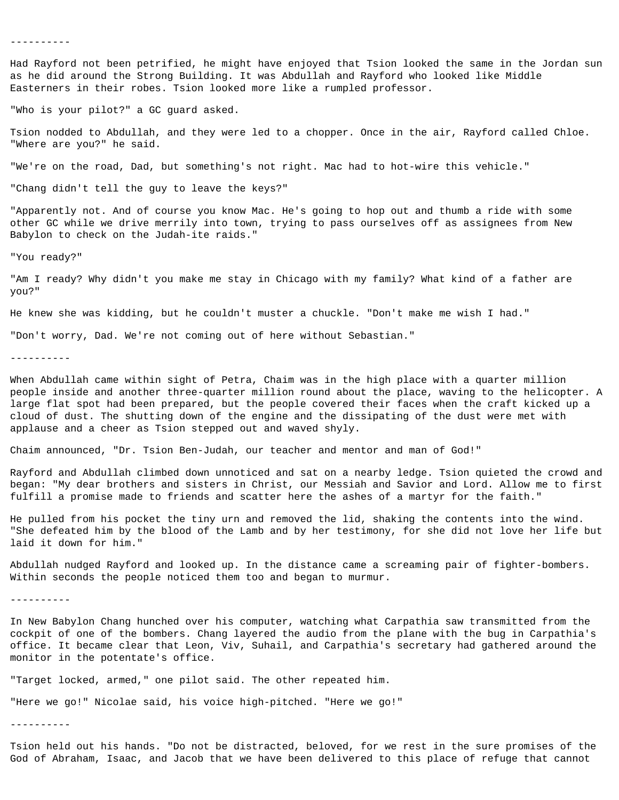----------

Had Rayford not been petrified, he might have enjoyed that Tsion looked the same in the Jordan sun as he did around the Strong Building. It was Abdullah and Rayford who looked like Middle Easterners in their robes. Tsion looked more like a rumpled professor.

"Who is your pilot?" a GC guard asked.

Tsion nodded to Abdullah, and they were led to a chopper. Once in the air, Rayford called Chloe. "Where are you?" he said.

"We're on the road, Dad, but something's not right. Mac had to hot-wire this vehicle."

"Chang didn't tell the guy to leave the keys?"

"Apparently not. And of course you know Mac. He's going to hop out and thumb a ride with some other GC while we drive merrily into town, trying to pass ourselves off as assignees from New Babylon to check on the Judah-ite raids."

"You ready?"

"Am I ready? Why didn't you make me stay in Chicago with my family? What kind of a father are you?"

He knew she was kidding, but he couldn't muster a chuckle. "Don't make me wish I had."

"Don't worry, Dad. We're not coming out of here without Sebastian."

----------

When Abdullah came within sight of Petra, Chaim was in the high place with a quarter million people inside and another three-quarter million round about the place, waving to the helicopter. A large flat spot had been prepared, but the people covered their faces when the craft kicked up a cloud of dust. The shutting down of the engine and the dissipating of the dust were met with applause and a cheer as Tsion stepped out and waved shyly.

Chaim announced, "Dr. Tsion Ben-Judah, our teacher and mentor and man of God!"

Rayford and Abdullah climbed down unnoticed and sat on a nearby ledge. Tsion quieted the crowd and began: "My dear brothers and sisters in Christ, our Messiah and Savior and Lord. Allow me to first fulfill a promise made to friends and scatter here the ashes of a martyr for the faith."

He pulled from his pocket the tiny urn and removed the lid, shaking the contents into the wind. "She defeated him by the blood of the Lamb and by her testimony, for she did not love her life but laid it down for him."

Abdullah nudged Rayford and looked up. In the distance came a screaming pair of fighter-bombers. Within seconds the people noticed them too and began to murmur.

----------

In New Babylon Chang hunched over his computer, watching what Carpathia saw transmitted from the cockpit of one of the bombers. Chang layered the audio from the plane with the bug in Carpathia's office. It became clear that Leon, Viv, Suhail, and Carpathia's secretary had gathered around the monitor in the potentate's office.

"Target locked, armed," one pilot said. The other repeated him.

"Here we go!" Nicolae said, his voice high-pitched. "Here we go!"

----------

Tsion held out his hands. "Do not be distracted, beloved, for we rest in the sure promises of the God of Abraham, Isaac, and Jacob that we have been delivered to this place of refuge that cannot